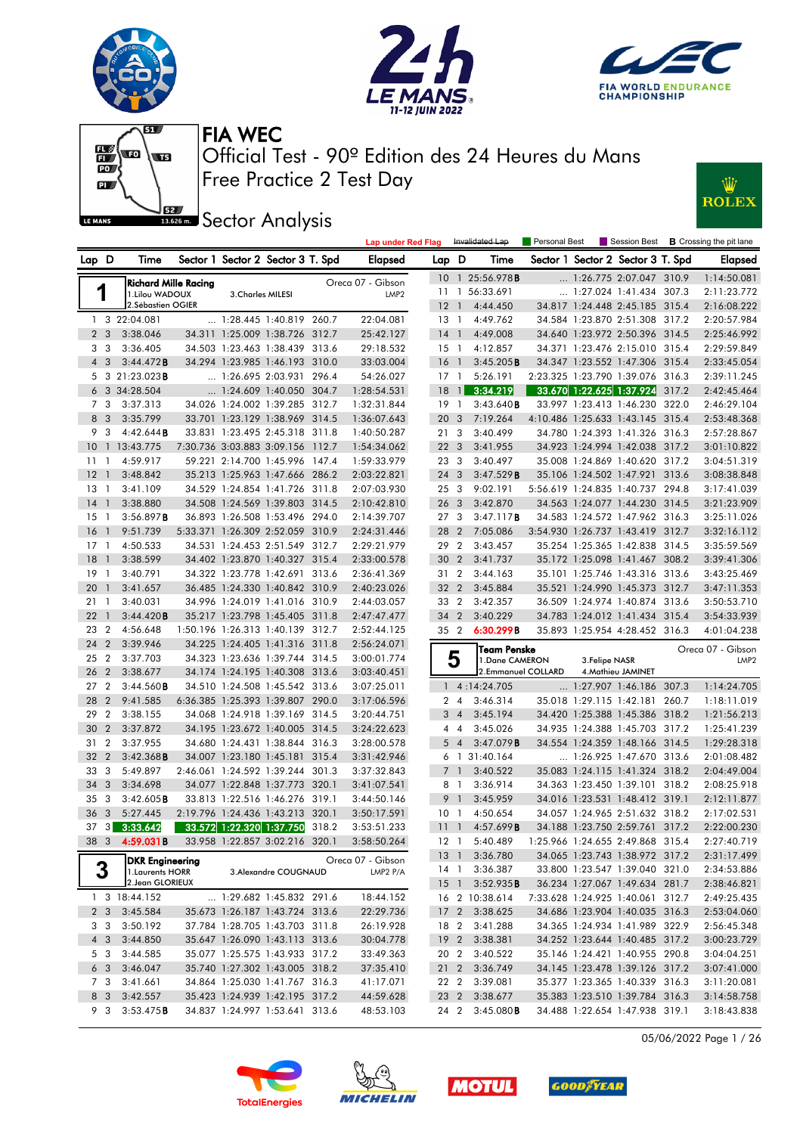





 $\overline{M}$ 



Free Practice 2 Test Day Official Test - 90º Edition des 24 Heures du Mans FIA WEC

**J**<br>**Basson Sector Analysis** 

|                    |     |              |                 |               |                            |                                   |       | <b>ROLEX</b>                   |
|--------------------|-----|--------------|-----------------|---------------|----------------------------|-----------------------------------|-------|--------------------------------|
| Lap under Red Flag |     |              | Invalidated Lap | Personal Best |                            | Session Best                      |       | <b>B</b> Crossing the pit lane |
| <b>Elapsed</b>     | Lap | D            | Time            |               |                            | Sector 1 Sector 2 Sector 3 T. Spd |       | <b>Elapsed</b>                 |
| - Gibson           | 10  | 1            | 25:56.978B      |               | 1:26.775 2:07.047          |                                   | 310.9 | 1:14:50.081                    |
| LMP <sub>2</sub>   | 11  |              | 56:33.691       |               |                            | 1:27.024 1:41.434                 | 307.3 | 2:11:23.772                    |
|                    | 12  |              | 4:44.450        | 34.817        | 1:24.448 2:45.185          |                                   | 315.4 | 2:16:08.222                    |
| 2:04.081           | 13  | 1            | 4:49.762        | 34.584        | 1:23.870 2:51.308          |                                   | 317.2 | 2:20:57.984                    |
| 5:42.127           | 14  | 1            | 4:49.008        | 34.640        | 1:23.972 2:50.396          |                                   | 314.5 | 2:25:46.992                    |
| 9:18.532           | 15  | 1            | 4:12.857        | 34.371        | 1:23.476 2:15.010          |                                   | 315.4 | 2:29:59.849                    |
| 3:03.004           | 16  | 1            | 3:45.205B       |               | 34.347 1:23.552 1:47.306   |                                   | 315.4 | 2:33:45.054                    |
| 4:26.027           | 17  | 1            | 5:26.191        |               | 2:23.325 1:23.790 1:39.076 |                                   | 316.3 | 2:39:11.245                    |
| 8:54.531           | 18  | $\mathbf{1}$ | 3:34.219        |               | 33.670 1:22.625 1:37.924   |                                   | 317.2 | 2:42:45.464                    |
| 2:31.844           | 19  |              | 3:43.640B       | 33.997        | 1:23.413                   | 1:46.230                          | 322.0 | 2:46:29.104                    |
| 6:07.643           | 20  | 3            | 7:19.264        |               | 4:10.486 1:25.633 1:43.145 |                                   | 315.4 | 2:53:48.368                    |

| Lap D           |                | Time                                |                          | Sector 1 Sector 2 Sector 3 T. Spd                                |       | <b>Elapsed</b>             | Lap D           |                | Time                  |                | Sector 1 Sector 2 Sector 3 T. Spd                          |       | Elapsed                    |
|-----------------|----------------|-------------------------------------|--------------------------|------------------------------------------------------------------|-------|----------------------------|-----------------|----------------|-----------------------|----------------|------------------------------------------------------------|-------|----------------------------|
|                 |                | Richard Mille Racing                |                          |                                                                  |       | Oreca 07 - Gibson          |                 |                | 10 1 25:56.978B       |                | 1:26.775 2:07.047 310.9                                    |       | 1:14:50.081                |
| 1               |                | 1. Lilou WADOUX                     | 3. Charles MILESI        |                                                                  |       | LMP <sub>2</sub>           |                 |                | 11 1 56:33.691        |                | 1:27.024 1:41.434 307.3                                    |       | 2:11:23.772                |
|                 |                | 2.Sébastien OGIER                   |                          |                                                                  |       |                            | 12              | $\overline{1}$ | 4:44.450              |                | 34.817 1:24.448 2:45.185 315.4                             |       | 2:16:08.222                |
|                 |                | 1 3 22:04.081                       |                          | 1:28.445 1:40.819 260.7                                          |       | 22:04.081                  | $13-1$          |                | 4:49.762              |                | 34.584 1:23.870 2:51.308 317.2                             |       | 2:20:57.984                |
| 2 <sub>3</sub>  |                | 3:38.046                            |                          | 34.311 1:25.009 1:38.726 312.7                                   |       | 25:42.127                  | $14-1$          |                | 4:49.008              |                | 34.640 1:23.972 2:50.396 314.5                             |       | 2:25:46.992                |
| 3               | 3              | 3:36.405                            |                          | 34.503 1:23.463 1:38.439 313.6                                   |       | 29:18.532                  | $15-1$          |                | 4:12.857              |                | 34.371 1:23.476 2:15.010 315.4                             |       | 2:29:59.849                |
| $4 \quad 3$     |                | 3:44.472B                           |                          | 34.294 1:23.985 1:46.193 310.0                                   |       | 33:03.004                  | 16              | $\overline{1}$ | 3:45.205B             |                | 34.347 1:23.552 1:47.306 315.4                             |       | 2:33:45.054                |
| 5               |                | $3\ \ 21:23.023$ B                  |                          | 1:26.695 2:03.931 296.4                                          |       | 54:26.027                  | $17-1$          |                | 5:26.191              |                | 2:23.325 1:23.790 1:39.076 316.3                           |       | 2:39:11.245                |
|                 |                | 6 3 34:28.504                       |                          | $\ldots$ 1:24.609 1:40.050 304.7                                 |       | 1:28:54.531                | 18              | $\vert$ 1      | 3:34.219              |                | 33.670 1:22.625 1:37.924 317.2                             |       | 2:42:45.464                |
| 7               | 3              | 3:37.313                            |                          | 34.026 1:24.002 1:39.285 312.7                                   |       | 1:32:31.844                | 19              | $\overline{1}$ | 3:43.640B             |                | 33.997 1:23.413 1:46.230 322.0                             |       | 2:46:29.104                |
| 8               | 3              | 3:35.799                            |                          | 33.701 1:23.129 1:38.969 314.5                                   |       | 1:36:07.643                | 20 <sub>3</sub> |                | 7:19.264              |                | 4:10.486 1:25.633 1:43.145 315.4                           |       | 2:53:48.368                |
| 9               | 3              | 4:42.644B                           |                          | 33.831 1:23.495 2:45.318 311.8                                   |       | 1:40:50.287                | 21 3            |                | 3:40.499              |                | 34.780 1:24.393 1:41.326 316.3                             |       | 2:57:28.867                |
| 10 <sup>°</sup> |                | 1 13:43.775                         |                          | 7:30.736 3:03.883 3:09.156 112.7                                 |       | 1:54:34.062                | 22 <sub>3</sub> |                | 3:41.955              |                | 34.923 1:24.994 1:42.038 317.2                             |       | 3:01:10.822                |
| 11              | $\mathbf{1}$   | 4:59.917                            |                          | 59.221 2:14.700 1:45.996 147.4                                   |       | 1:59:33.979                | 23 3            |                | 3:40.497              |                | 35.008 1:24.869 1:40.620 317.2                             |       | 3:04:51.319                |
| 12              | $\mathbf{1}$   | 3:48.842                            |                          | 35.213 1:25.963 1:47.666 286.2                                   |       | 2:03:22.821                | 24 3            |                | 3:47.529B             |                | 35.106 1:24.502 1:47.921 313.6                             |       | 3:08:38.848                |
| $13-1$          |                | 3:41.109                            |                          | 34.529 1:24.854 1:41.726 311.8                                   |       | 2:07:03.930                | 253             |                | 9:02.191              |                | 5:56.619 1:24.835 1:40.737 294.8                           |       | 3:17:41.039                |
| 14              | $\mathbf{1}$   | 3:38.880                            |                          | 34.508 1:24.569 1:39.803 314.5                                   |       | 2:10:42.810                | 26 <sub>3</sub> |                | 3:42.870              |                | 34.563 1:24.077 1:44.230 314.5                             |       | 3:21:23.909                |
| 15              | -1             | 3:56.897B                           |                          | 36.893 1:26.508 1:53.496 294.0                                   |       | 2:14:39.707                | 27 <sub>3</sub> |                | 3:47.117B             |                | 34.583 1:24.572 1:47.962 316.3                             |       | 3:25:11.026                |
| 16              | $\overline{1}$ | 9:51.739                            |                          | 5:33.371 1:26.309 2:52.059 310.9                                 |       | 2:24:31.446                | 28 2            |                | 7:05.086              |                | 3:54.930 1:26.737 1:43.419 312.7                           |       | 3:32:16.112                |
| 17              | -1             | 4:50.533                            |                          | 34.531 1:24.453 2:51.549 312.7                                   |       | 2:29:21.979                | 29 2            |                | 3:43.457              |                | 35.254 1:25.365 1:42.838 314.5                             |       | 3:35:59.569                |
| 18              | $\overline{1}$ | 3:38.599                            |                          | 34.402 1:23.870 1:40.327 315.4                                   |       | 2:33:00.578                | 30 2            |                | 3:41.737              |                | 35.172 1:25.098 1:41.467 308.2                             |       | 3:39:41.306                |
| 19              | -1             | 3:40.791                            | 34.322 1:23.778 1:42.691 |                                                                  | 313.6 | 2:36:41.369                | 31 2            |                | 3:44.163              |                | 35.101 1:25.746 1:43.316 313.6                             |       | 3:43:25.469                |
| 20              | $\overline{1}$ | 3:41.657                            |                          | 36.485 1:24.330 1:40.842 310.9                                   |       | 2:40:23.026                | 32 <sub>2</sub> |                | 3:45.884              |                | 35.521 1:24.990 1:45.373 312.7                             |       | 3:47:11.353                |
| 21              | $\mathbf{1}$   | 3:40.031                            |                          | 34.996 1:24.019 1:41.016 310.9                                   |       | 2:44:03.057                | 33 2            |                | 3:42.357              |                | 36.509 1:24.974 1:40.874 313.6                             |       | 3:50:53.710                |
| 22              | $\mathbf{1}$   | 3:44.420B                           |                          | 35.217 1:23.798 1:45.405 311.8                                   |       | 2:47:47.477                | 34 2            |                | 3:40.229              |                | 34.783 1:24.012 1:41.434 315.4                             |       | 3:54:33.939                |
| 23              | $\overline{2}$ | 4:56.648                            |                          | 1:50.196 1:26.313 1:40.139 312.7                                 |       | 2:52:44.125                | 35 2            |                | 6:30.299B             |                | 35.893 1:25.954 4:28.452 316.3                             |       | 4:01:04.238                |
|                 |                |                                     |                          |                                                                  |       |                            |                 |                |                       |                |                                                            |       |                            |
| 24              | $\overline{2}$ | 3:39.946                            |                          | 34.225 1:24.405 1:41.316 311.8                                   |       | 2:56:24.071                |                 |                | Team Penske           |                |                                                            |       | Oreca 07 - Gibson          |
| 25              | $\overline{2}$ | 3:37.703                            |                          | 34.323 1:23.636 1:39.744 314.5                                   |       | 3:00:01.774                | 5               |                | 1.Dane CAMERON        | 3. Felipe NASR |                                                            |       | LMP <sub>2</sub>           |
| 26              | $\overline{2}$ | 3:38.677                            |                          | 34.174 1:24.195 1:40.308 313.6                                   |       | 3:03:40.451                |                 |                | 2.Emmanuel COLLARD    |                | 4. Mathieu JAMINET                                         |       |                            |
| 27              | $\overline{2}$ | 3:44.560B                           |                          | 34.510 1:24.508 1:45.542 313.6                                   |       | 3:07:25.011                |                 |                | $1 \quad 4:14:24.705$ |                | 1:27.907 1:46.186 307.3                                    |       | 1:14:24.705                |
| 28              | $\overline{2}$ | 9:41.585                            |                          | 6:36.385 1:25.393 1:39.807 290.0                                 |       | 3:17:06.596                | 24              |                | 3:46.314              |                | 35.018 1:29.115 1:42.181 260.7                             |       | 1:18:11.019                |
| 29              | $\overline{2}$ | 3:38.155                            |                          | 34.068 1:24.918 1:39.169 314.5                                   |       | 3:20:44.751                | $3\quad 4$      |                | 3:45.194              |                | 34.420 1:25.388 1:45.386 318.2                             |       | 1:21:56.213                |
| 30              | $\overline{2}$ | 3:37.872                            |                          | 34.195 1:23.672 1:40.005 314.5                                   |       | 3:24:22.623                | $4\quad 4$      |                | 3:45.026              |                | 34.935 1:24.388 1:45.703 317.2                             |       | 1:25:41.239                |
| 31              | $\overline{2}$ | 3:37.955                            |                          | 34.680 1:24.431 1:38.844 316.3                                   |       | 3:28:00.578                | 54              |                | 3:47.079B             |                | 34.554 1:24.359 1:48.166 314.5                             |       | 1:29:28.318                |
| 32              | $\overline{2}$ | 3:42.368B                           |                          | 34.007 1:23.180 1:45.181 315.4                                   |       | 3:31:42.946                |                 |                | 6 1 31:40.164         |                | 1:26.925 1:47.670 313.6                                    |       | 2:01:08.482                |
| 33              | 3              | 5:49.897                            |                          | 2:46.061 1:24.592 1:39.244 301.3                                 |       | 3:37:32.843                |                 | $\overline{1}$ | 3:40.522              |                | 35.083 1:24.115 1:41.324 318.2                             |       | 2:04:49.004                |
| 34<br>35        | 3<br>3         | 3:34.698<br>3:42.605B               |                          | 34.077 1:22.848 1:37.773 320.1<br>33.813 1:22.516 1:46.276 319.1 |       | 3:41:07.541<br>3:44:50.146 | 8 1<br>9        | $\overline{1}$ | 3:36.914<br>3:45.959  |                | 34.363 1:23.450 1:39.101<br>34.016 1:23.531 1:48.412 319.1 | 318.2 | 2:08:25.918<br>2:12:11.877 |
| 36              | 3              | 5:27.445                            |                          | 2:19.796 1:24.436 1:43.213 320.1                                 |       | 3:50:17.591                | 10 <sub>1</sub> |                | 4:50.654              |                | 34.057 1:24.965 2:51.632 318.2                             |       | 2:17:02.531                |
| 37              | 3              | 3:33.642                            |                          |                                                                  | 318.2 | 3:53:51.233                | $\overline{11}$ | $\overline{1}$ | 4:57.699B             |                | 34.188 1:23.750 2:59.761 317.2                             |       | 2:22:00.230                |
|                 |                | 38 3 4:59.031B                      |                          | 33.572 1:22.320 1:37.750<br>33.958 1:22.857 3:02.216 320.1       |       | 3:58:50.264                | 12 <sub>1</sub> |                | 5:40.489              |                | 1:25.966 1:24.655 2:49.868 315.4                           |       | 2:27:40.719                |
|                 |                |                                     |                          |                                                                  |       |                            | 13 <sup>1</sup> |                | 3:36.780              |                | 34.065 1:23.743 1:38.972 317.2                             |       | 2:31:17.499                |
|                 |                | DKR Engineering<br>1. Laurents HORR |                          |                                                                  |       | Oreca 07 - Gibson          | 14 1            |                | 3:36.387              |                | 33.800 1:23.547 1:39.040 321.0                             |       | 2:34:53.886                |
| 3               |                | 2. Jean GLORIEUX                    |                          | 3. Alexandre COUGNAUD                                            |       | LMP2 P/A                   | 15 <sup>1</sup> |                | 3:52.935B             |                | 36.234 1:27.067 1:49.634 281.7                             |       | 2:38:46.821                |
|                 |                | 1 3 18:44.152                       |                          | 1:29.682 1:45.832 291.6                                          |       | 18:44.152                  |                 |                | 16 2 10:38.614        |                | 7:33.628 1:24.925 1:40.061 312.7                           |       | 2:49:25.435                |
| 2 <sub>3</sub>  |                | 3:45.584                            |                          | 35.673 1:26.187 1:43.724 313.6                                   |       | 22:29.736                  | 17 <sub>2</sub> |                | 3:38.625              |                | 34.686 1:23.904 1:40.035 316.3                             |       | 2:53:04.060                |
| 3 3             |                | 3:50.192                            |                          | 37.784 1:28.705 1:43.703 311.8                                   |       | 26:19.928                  | 18 2            |                | 3:41.288              |                | 34.365 1:24.934 1:41.989 322.9                             |       | 2:56:45.348                |
| $4 \quad 3$     |                | 3:44.850                            |                          | 35.647 1:26.090 1:43.113 313.6                                   |       | 30:04.778                  | 19 <sub>2</sub> |                | 3:38.381              |                | 34.252 1:23.644 1:40.485 317.2                             |       | 3:00:23.729                |
| 5 3             |                | 3:44.585                            |                          | 35.077 1:25.575 1:43.933 317.2                                   |       | 33:49.363                  | 20 2            |                | 3:40.522              |                | 35.146 1:24.421 1:40.955 290.8                             |       | 3:04:04.251                |
| 6 <sub>3</sub>  |                | 3:46.047                            |                          | 35.740 1:27.302 1:43.005 318.2                                   |       | 37:35.410                  | $21\quad2$      |                | 3:36.749              |                | 34.145 1:23.478 1:39.126 317.2                             |       | 3:07:41.000                |
| 7 3             |                | 3:41.661                            |                          | 34.864 1:25.030 1:41.767 316.3                                   |       | 41:17.071                  | 22 2            |                | 3:39.081              |                | 35.377 1:23.365 1:40.339 316.3                             |       | 3:11:20.081                |
| 8 3             |                | 3:42.557                            |                          | 35.423 1:24.939 1:42.195 317.2                                   |       | 44:59.628                  | 23 2            |                | 3:38.677              |                | 35.383 1:23.510 1:39.784 316.3                             |       | 3:14:58.758                |
| 9 3             |                | 3:53.475B                           |                          | 34.837 1:24.997 1:53.641 313.6                                   |       | 48:53.103                  | 24 2            |                | 3:45.080B             |                | 34.488 1:22.654 1:47.938 319.1                             |       | 3:18:43.838                |

05/06/2022 Page 1 / 26







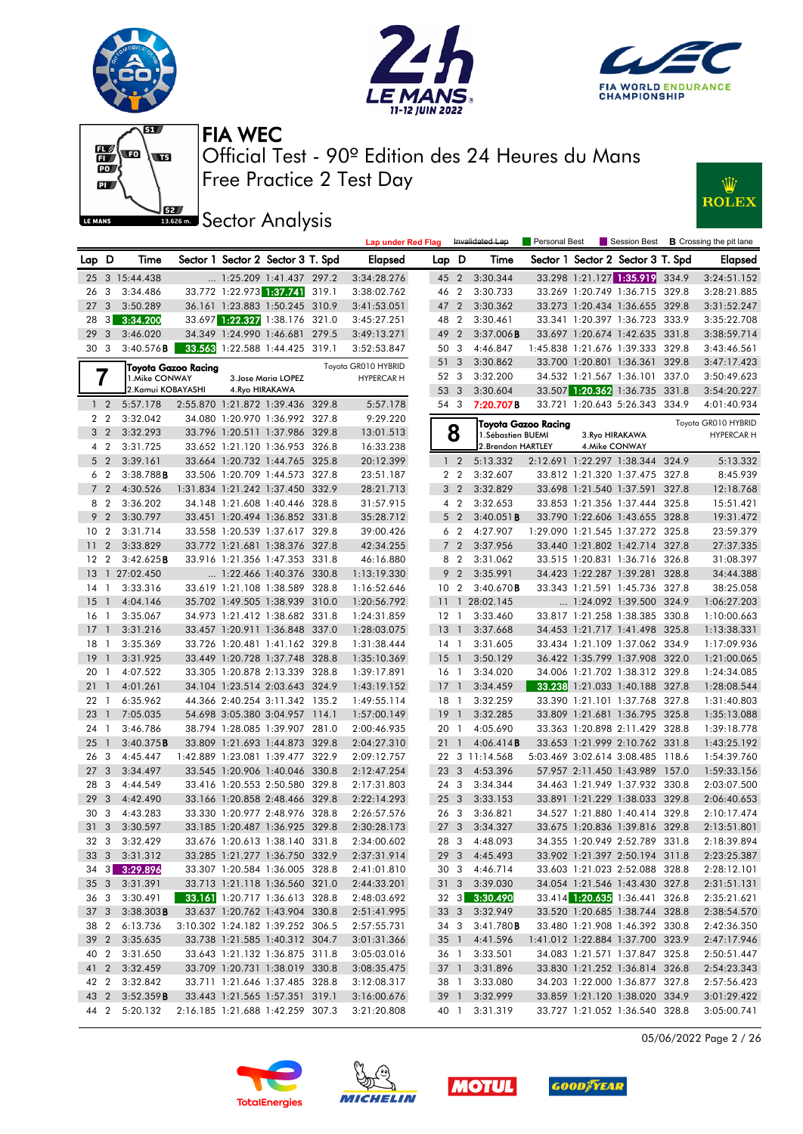







**Sector Analysis** 



|                 |                         |                      |                            |                                                                  | <b>Lap under Red Flag</b>  |                           |                | Invalidated Lap      |                     |                                                                  |       | <b>Personal Best</b> Session Best <b>B</b> Crossing the pit lane |
|-----------------|-------------------------|----------------------|----------------------------|------------------------------------------------------------------|----------------------------|---------------------------|----------------|----------------------|---------------------|------------------------------------------------------------------|-------|------------------------------------------------------------------|
| Lap D           |                         | Time                 |                            | Sector 1 Sector 2 Sector 3 T. Spd                                | <b>Elapsed</b>             | Lap D                     |                | Time                 |                     | Sector 1 Sector 2 Sector 3 T. Spd                                |       | Elapsed                                                          |
|                 |                         | 25 3 15:44.438       |                            | $\ldots$ 1:25.209 1:41.437 297.2                                 | 3:34:28.276                | 45 2                      |                | 3:30.344             |                     | 33.298 1:21.127 1:35.919 334.9                                   |       | 3:24:51.152                                                      |
| 26              | 3                       | 3:34.486             |                            | 33.772 1:22.973 1:37.741 319.1                                   | 3:38:02.762                | 46 2                      |                | 3:30.733             |                     | 33.269 1:20.749 1:36.715 329.8                                   |       | 3:28:21.885                                                      |
| 27              | 3                       | 3:50.289             |                            | 36.161 1:23.883 1:50.245 310.9                                   | 3:41:53.051                | 47 2                      |                | 3:30.362             |                     | 33.273 1:20.434 1:36.655 329.8                                   |       | 3:31:52.247                                                      |
| 28              | $3 \mid$                | 3:34.200             |                            | 33.697 1:22.327 1:38.176 321.0                                   | 3:45:27.251                | 48 2                      |                | 3:30.461             |                     | 33.341 1:20.397 1:36.723 333.9                                   |       | 3:35:22.708                                                      |
| 29              | 3                       | 3:46.020             |                            | 34.349 1:24.990 1:46.681 279.5                                   | 3:49:13.271                | 49 2                      |                | $3:37.006$ <b>B</b>  |                     | 33.697 1:20.674 1:42.635 331.8                                   |       | 3:38:59.714                                                      |
| 30 3            |                         | 3:40.576B            |                            | 33.563 1:22.588 1:44.425 319.1                                   | 3:52:53.847                | 50 3                      |                | 4:46.847             |                     | 1:45.838 1:21.676 1:39.333 329.8                                 |       | 3:43:46.561                                                      |
|                 |                         |                      | <b>Toyota Gazoo Racing</b> |                                                                  | Toyota GR010 HYBRID        | 51 3                      |                | 3:30.862             |                     | 33.700 1:20.801 1:36.361 329.8                                   |       | 3:47:17.423                                                      |
|                 | 7                       | 1.Mike CONWAY        |                            | 3. Jose Maria LOPEZ                                              | <b>HYPERCAR H</b>          | 52 3                      |                | 3:32.200             |                     | 34.532 1:21.567 1:36.101 337.0                                   |       | 3:50:49.623                                                      |
|                 |                         | 2.Kamui KOBAYASHI    |                            | 4. Ryo HIRAKAWA                                                  |                            | 53 3                      |                | 3:30.604             |                     | 33.507 1:20.362 1:36.735 331.8                                   |       | 3:54:20.227                                                      |
|                 | $1\quad 2$              | 5:57.178             |                            | 2:55.870 1:21.872 1:39.436 329.8                                 | 5:57.178                   | 54 3                      |                | 7:20.707B            |                     | 33.721 1:20.643 5:26.343 334.9                                   |       | 4:01:40.934                                                      |
|                 | 2 <sub>2</sub>          | 3:32.042             |                            | 34.080 1:20.970 1:36.992 327.8                                   | 9:29.220                   |                           |                |                      | Tovota Gazoo Racina |                                                                  |       | Toyota GR010 HYBRID                                              |
|                 | 3 <sub>2</sub>          | 3:32.293             |                            | 33.796 1:20.511 1:37.986 329.8                                   | 13:01.513                  |                           | 8              | 1. Sébastien BUEMI   |                     | 3. Ryo HIRAKAWA                                                  |       | <b>HYPERCAR H</b>                                                |
|                 | 4 2                     | 3:31.725             |                            | 33.652 1:21.120 1:36.953 326.8                                   | 16:33.238                  |                           |                | 2. Brendon HARTLEY   |                     | 4. Mike CONWAY                                                   |       |                                                                  |
|                 | 5 <sub>2</sub>          | 3:39.161             |                            | 33.664 1:20.732 1:44.765 325.8                                   | 20:12.399                  |                           | 1 <sub>2</sub> | 5:13.332             |                     | 2:12.691 1:22.297 1:38.344 324.9                                 |       | 5:13.332                                                         |
|                 | 6 <sub>2</sub>          | $3:38.788$ <b>B</b>  |                            | 33.506 1:20.709 1:44.573 327.8                                   | 23:51.187                  |                           | 2 <sub>2</sub> | 3:32.607             |                     | 33.812 1:21.320 1:37.475 327.8                                   |       | 8:45.939                                                         |
|                 | 7 <sub>2</sub>          | 4:30.526             |                            | 1:31.834 1:21.242 1:37.450 332.9                                 | 28:21.713                  |                           | 3 <sub>2</sub> | 3:32.829             |                     | 33.698 1:21.540 1:37.591 327.8                                   |       | 12:18.768                                                        |
|                 | 8 2                     | 3:36.202             |                            | 34.148 1:21.608 1:40.446 328.8                                   | 31:57.915                  |                           | $4\quad 2$     | 3:32.653             |                     | 33.853 1:21.356 1:37.444 325.8                                   |       | 15:51.421                                                        |
| 9               | $\overline{2}$          | 3:30.797             |                            | 33.451 1:20.494 1:36.852 331.8                                   | 35:28.712                  |                           | 5 <sub>2</sub> | $3:40.051$ <b>B</b>  |                     | 33.790 1:22.606 1:43.655 328.8                                   |       | 19:31.472                                                        |
| 10              | $\overline{2}$          | 3:31.714             |                            | 33.558 1:20.539 1:37.617 329.8                                   | 39:00.426                  |                           | 6 <sub>2</sub> | 4:27.907             |                     | 1:29.090 1:21.545 1:37.272 325.8                                 |       | 23:59.379                                                        |
| 11              | $\overline{2}$          | 3:33.829             |                            | 33.772 1:21.681 1:38.376 327.8                                   | 42:34.255                  |                           | 7 <sub>2</sub> | 3:37.956             |                     | 33.440 1:21.802 1:42.714 327.8                                   |       | 27:37.335                                                        |
| 12              | $\overline{2}$          | 3:42.625B            |                            | 33.916 1:21.356 1:47.353 331.8                                   | 46:16.880                  |                           | 8 2            | 3:31.062             |                     | 33.515 1:20.831 1:36.716 326.8                                   |       | 31:08.397                                                        |
| 13              |                         | 1 27:02.450          |                            | $\ldots$ 1:22.466 1:40.376 330.8                                 | 1:13:19.330                | 9                         | $\overline{2}$ | 3:35.991             |                     | 34.423 1:22.287 1:39.281                                         | 328.8 | 34:44.388                                                        |
| 14              | $\overline{1}$          | 3:33.316             |                            | 33.619 1:21.108 1:38.589 328.8                                   | 1:16:52.646                | 10 <sub>2</sub>           |                | 3:40.670B            |                     | 33.343 1:21.591 1:45.736 327.8                                   |       | 38:25.058                                                        |
| 15              | $\overline{1}$          | 4:04.146             |                            | 35.702 1:49.505 1:38.939 310.0                                   | 1:20:56.792                |                           |                | 11 1 28:02.145       |                     | 1:24.092 1:39.500 324.9                                          |       | 1:06:27.203                                                      |
| 16              | $\overline{1}$          | 3:35.067             |                            | 34.973 1:21.412 1:38.682 331.8                                   | 1:24:31.859                | $12 \quad 1$              |                | 3:33.460             |                     | 33.817 1:21.258 1:38.385 330.8                                   |       | 1:10:00.663                                                      |
| 17              | $\overline{1}$          | 3:31.216             |                            | 33.457 1:20.911 1:36.848 337.0                                   | 1:28:03.075                | $13-1$                    |                | 3:37.668             |                     | 34.453 1:21.717 1:41.498 325.8                                   |       | 1:13:38.331                                                      |
| 18              | $\mathbf{1}$            | 3:35.369             |                            | 33.726 1:20.481 1:41.162 329.8                                   | 1:31:38.444                | $14-1$                    |                | 3:31.605             |                     | 33.434 1:21.109 1:37.062 334.9                                   |       | 1:17:09.936                                                      |
| 19              | $\overline{1}$          | 3:31.925             |                            | 33.449 1:20.728 1:37.748 328.8                                   | 1:35:10.369                | 15 <sub>1</sub>           |                | 3:50.129             |                     | 36.422 1:35.799 1:37.908 322.0                                   |       | 1:21:00.065                                                      |
| 20<br>21        | - 1<br>$\overline{1}$   | 4:07.522             |                            | 33.305 1:20.878 2:13.339 328.8                                   | 1:39:17.891                | 16 <sub>1</sub><br>$17-1$ |                | 3:34.020             |                     | 34.006 1:21.702 1:38.312 329.8                                   |       | 1:24:34.085                                                      |
| 22 1            |                         | 4:01.261<br>6:35.962 |                            | 34.104 1:23.514 2:03.643 324.9<br>44.366 2:40.254 3:11.342 135.2 | 1:43:19.152<br>1:49:55.114 |                           |                | 3:34.459<br>3:32.259 |                     | 33.238 1:21.033 1:40.188 327.8<br>33.390 1:21.101 1:37.768 327.8 |       | 1:28:08.544<br>1:31:40.803                                       |
| 23              | $\overline{1}$          | 7:05.035             |                            | 54.698 3:05.380 3:04.957 114.1                                   | 1:57:00.149                | 18 1<br>$19-1$            |                | 3:32.285             |                     | 33.809 1:21.681 1:36.795 325.8                                   |       | 1:35:13.088                                                      |
| 24              | $\overline{1}$          | 3:46.786             |                            | 38.794 1:28.085 1:39.907 281.0                                   | 2:00:46.935                | 20 1                      |                | 4:05.690             |                     | 33.363 1:20.898 2:11.429 328.8                                   |       | 1:39:18.778                                                      |
| 25              | $\overline{1}$          | 3:40.375B            |                            | 33.809 1:21.693 1:44.873 329.8                                   | 2:04:27.310                | 21                        | $\overline{1}$ | 4:06.414B            |                     | 33.653 1:21.999 2:10.762 331.8                                   |       | 1:43:25.192                                                      |
| 26              | $\overline{\mathbf{3}}$ | 4:45.447             |                            | 1:42.889 1:23.081 1:39.477 322.9                                 | 2:09:12.757                |                           |                | 22 3 11:14.568       |                     | 5:03.469 3:02.614 3:08.485 118.6                                 |       | 1:54:39.760                                                      |
| 27 <sub>3</sub> |                         | 3:34.497             |                            | 33.545 1:20.906 1:40.046 330.8                                   | 2:12:47.254                | 23 <sub>3</sub>           |                | 4:53.396             |                     | 57.957 2:11.450 1:43.989 157.0                                   |       | 1:59:33.156                                                      |
| 28              | -3                      | 4:44.549             |                            | 33.416 1:20.553 2:50.580 329.8                                   | 2:17:31.803                | 24 3                      |                | 3:34.344             |                     | 34.463 1:21.949 1:37.932 330.8                                   |       | 2:03:07.500                                                      |
| 29              | 3                       | 4:42.490             |                            | 33.166 1:20.858 2:48.466 329.8                                   | 2:22:14.293                | 25 <sub>3</sub>           |                | 3:33.153             |                     | 33.891 1:21.229 1:38.033 329.8                                   |       | 2:06:40.653                                                      |
| 30              | $\overline{\mathbf{3}}$ | 4:43.283             |                            | 33.330 1:20.977 2:48.976 328.8                                   | 2:26:57.576                | 26 3                      |                | 3:36.821             |                     | 34.527 1:21.880 1:40.414 329.8                                   |       | 2:10:17.474                                                      |
| 31 3            |                         | 3:30.597             |                            | 33.185 1:20.487 1:36.925 329.8                                   | 2:30:28.173                | 27 <sub>3</sub>           |                | 3:34.327             |                     | 33.675 1:20.836 1:39.816 329.8                                   |       | 2:13:51.801                                                      |
|                 |                         | 32 3 3:32.429        |                            | 33.676 1:20.613 1:38.140 331.8                                   | 2:34:00.602                |                           |                | 28 3 4:48.093        |                     | 34.355 1:20.949 2:52.789 331.8                                   |       | 2:18:39.894                                                      |
|                 |                         | 33 3 3:31.312        |                            | 33.285 1:21.277 1:36.750 332.9                                   | 2:37:31.914                |                           |                | 29 3 4:45.493        |                     | 33.902 1:21.397 2:50.194 311.8                                   |       | 2:23:25.387                                                      |
|                 |                         | 34 3 3:29.896        |                            | 33.307 1:20.584 1:36.005 328.8                                   | 2:41:01.810                |                           |                | 30 3 4:46.714        |                     | 33.603 1:21.023 2:52.088 328.8                                   |       | 2:28:12.101                                                      |
|                 |                         | 35 3 3:31.391        |                            | 33.713 1:21.118 1:36.560 321.0                                   | 2:44:33.201                |                           |                | 31 3 3:39.030        |                     | 34.054 1:21.546 1:43.430 327.8                                   |       | 2:31:51.131                                                      |
| 36 3            |                         | 3:30.491             |                            | 33.161 1:20.717 1:36.613 328.8                                   | 2:48:03.692                |                           |                | 32 3 3:30.490        |                     | 33.414 1:20.635 1:36.441 326.8                                   |       | 2:35:21.621                                                      |
| 37 3            |                         | 3:38.303B            |                            | 33.637 1:20.762 1:43.904 330.8                                   | 2:51:41.995                | 33 3                      |                | 3:32.949             |                     | 33.520 1:20.685 1:38.744 328.8                                   |       | 2:38:54.570                                                      |
| 38 2            |                         | 6:13.736             |                            | 3:10.302 1:24.182 1:39.252 306.5                                 | 2:57:55.731                | 34 3                      |                | 3:41.780B            |                     | 33.480 1:21.908 1:46.392 330.8                                   |       | 2:42:36.350                                                      |
| 39 2            |                         | 3:35.635             |                            | 33.738 1:21.585 1:40.312 304.7                                   | 3:01:31.366                | 35 <sup>1</sup>           |                | 4:41.596             |                     | 1:41.012 1:22.884 1:37.700 323.9                                 |       | 2:47:17.946                                                      |
| 40 2            |                         | 3:31.650             |                            | 33.643 1:21.132 1:36.875 311.8                                   | 3:05:03.016                | 36 1                      |                | 3:33.501             |                     | 34.083 1:21.571 1:37.847 325.8                                   |       | 2:50:51.447                                                      |
| 41 2            |                         | 3:32.459             |                            | 33.709 1:20.731 1:38.019 330.8                                   | 3:08:35.475                | 37 1                      |                | 3:31.896             |                     | 33.830 1:21.252 1:36.814 326.8                                   |       | 2:54:23.343                                                      |
| 42 2            |                         | 3:32.842             |                            | 33.711 1:21.646 1:37.485 328.8                                   | 3:12:08.317                | 38 1                      |                | 3:33.080             |                     | 34.203 1:22.000 1:36.877 327.8                                   |       | 2:57:56.423                                                      |
| 43 2            |                         | 3:52.359B            |                            | 33.443 1:21.565 1:57.351 319.1                                   | 3:16:00.676                | $39-1$                    |                | 3:32.999             |                     | 33.859 1:21.120 1:38.020 334.9                                   |       | 3:01:29.422                                                      |
| 44 2            |                         | 5:20.132             |                            | 2:16.185 1:21.688 1:42.259 307.3                                 | 3:21:20.808                | 40 1                      |                | 3:31.319             |                     | 33.727 1:21.052 1:36.540 328.8                                   |       | 3:05:00.741                                                      |

05/06/2022 Page 2 / 26







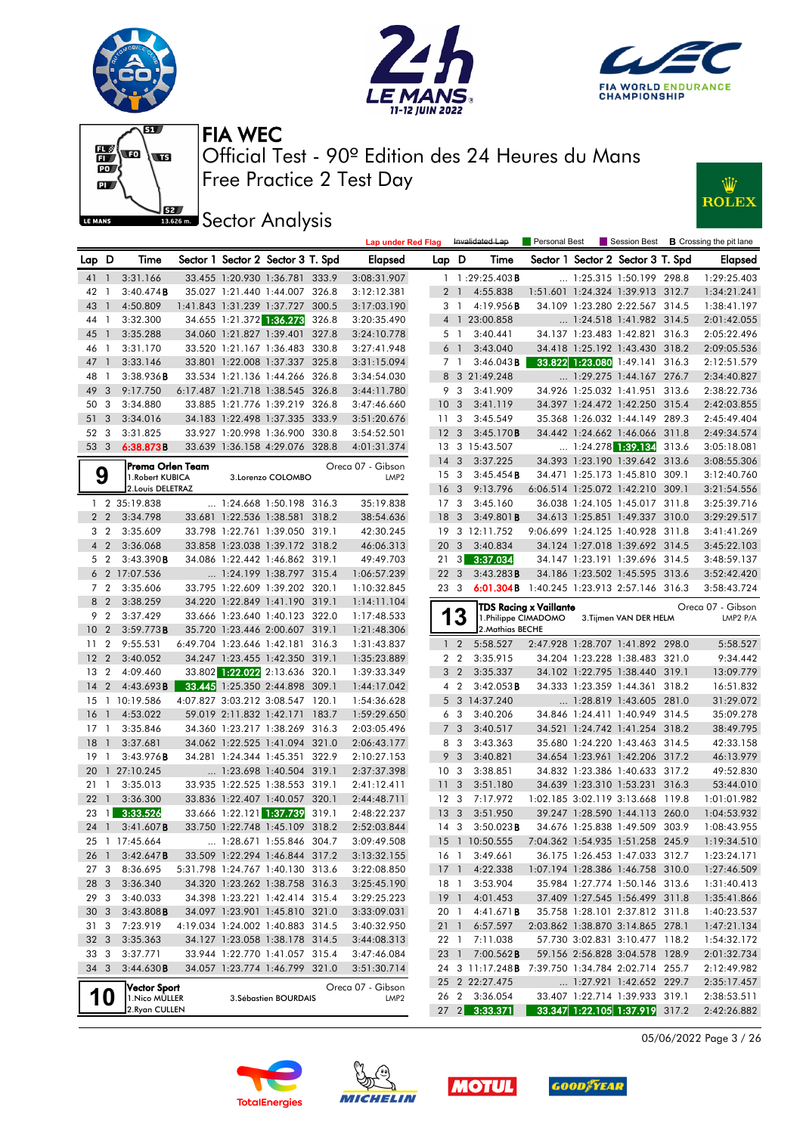







**JEE** Sector Analysis



|                 |                          |                      |                          |                                                                  |       | <b>Lap under Red Flag</b>  |                 |                       | Invalidated Lap                                  | Personal Best                              |                                                                  | Session Best <b>B</b> Crossing the pit lane |
|-----------------|--------------------------|----------------------|--------------------------|------------------------------------------------------------------|-------|----------------------------|-----------------|-----------------------|--------------------------------------------------|--------------------------------------------|------------------------------------------------------------------|---------------------------------------------|
| Lap D           |                          | Time                 |                          | Sector 1 Sector 2 Sector 3 T. Spd                                |       | Elapsed                    | Lap D           |                       | Time                                             |                                            | Sector 1 Sector 2 Sector 3 T. Spd                                | <b>Elapsed</b>                              |
| 41 1            |                          | 3:31.166             |                          | 33.455 1:20.930 1:36.781 333.9                                   |       | 3:08:31.907                |                 |                       | $1 \quad 1:29:25.403$ <b>B</b>                   |                                            | 1:25.315 1:50.199 298.8                                          | 1:29:25.403                                 |
| 42              | $\overline{1}$           | $3:40.474$ B         |                          | 35.027 1:21.440 1:44.007 326.8                                   |       | 3:12:12.381                |                 |                       | 2 1 4:55.838                                     |                                            | 1:51.601 1:24.324 1:39.913 312.7                                 | 1:34:21.241                                 |
| 43              | - 1                      | 4:50.809             |                          | 1:41.843 1:31.239 1:37.727 300.5                                 |       | 3:17:03.190                |                 | 31                    | 4:19.956B                                        |                                            | 34.109 1:23.280 2:22.567 314.5                                   | 1:38:41.197                                 |
| 44 1            |                          | 3:32.300             |                          | 34.655 1:21.372 1:36.273                                         | 326.8 | 3:20:35.490                |                 |                       | 4 1 23:00.858                                    |                                            | 1:24.518 1:41.982 314.5                                          | 2:01:42.055                                 |
| 45              | - 1                      | 3:35.288             |                          | 34.060 1:21.827 1:39.401 327.8                                   |       | 3:24:10.778                |                 | 5 1                   | 3:40.441                                         |                                            | 34.137 1:23.483 1:42.821 316.3                                   | 2:05:22.496                                 |
| 46              | $\overline{1}$           | 3:31.170             |                          | 33.520 1:21.167 1:36.483 330.8                                   |       | 3:27:41.948                |                 | 6 1                   | 3:43.040                                         |                                            | 34.418 1:25.192 1:43.430 318.2                                   | 2:09:05.536                                 |
| 47              | $\overline{\phantom{0}}$ | 3:33.146             |                          | 33.801 1:22.008 1:37.337 325.8                                   |       | 3:31:15.094                |                 | 7 1                   | $3:46.043$ <b>B</b>                              |                                            | 33.822 1:23.080 1:49.141 316.3                                   | 2:12:51.579                                 |
| 48              | $\overline{1}$           | 3:38.936B            |                          | 33.534 1:21.136 1:44.266 326.8                                   |       | 3:34:54.030                |                 |                       | 8 3 21:49.248                                    |                                            | $\ldots$ 1:29.275 1:44.167 276.7                                 | 2:34:40.827                                 |
| 49              | 3                        | 9:17.750             |                          | 6:17.487 1:21.718 1:38.545 326.8                                 |       | 3:44:11.780                |                 | 9 3                   | 3:41.909                                         |                                            | 34.926 1:25.032 1:41.951 313.6                                   | 2:38:22.736                                 |
| 50              | 3                        | 3:34.880             |                          | 33.885 1:21.776 1:39.219 326.8                                   |       | 3:47:46.660                | 10 <sup>°</sup> | $\mathbf{3}$          | 3:41.119                                         |                                            | 34.397 1:24.472 1:42.250 315.4                                   | 2:42:03.855                                 |
| 51              | $\overline{\mathbf{3}}$  | 3:34.016             |                          | 34.183 1:22.498 1:37.335 333.9                                   |       | 3:51:20.676                | 11 <sub>3</sub> |                       | 3:45.549                                         |                                            | 35.368 1:26.032 1:44.149 289.3                                   | 2:45:49.404                                 |
| 52 3            |                          | 3:31.825             |                          | 33.927 1:20.998 1:36.900 330.8                                   |       | 3:54:52.501                | 12 <sup>3</sup> |                       | 3:45.170B                                        |                                            | 34.442 1:24.662 1:46.066 311.8                                   | 2:49:34.574                                 |
| 53 3            |                          | 6:38.873B            |                          | 33.639 1:36.158 4:29.076 328.8                                   |       | 4:01:31.374                |                 |                       | 13 3 15:43.507                                   |                                            | $\dots$ 1:24.278 1:39.134 313.6                                  | 3:05:18.081                                 |
|                 |                          | Prema Orlen Team     |                          |                                                                  |       | Oreca 07 - Gibson          | 14 <sub>3</sub> |                       | 3:37.225                                         |                                            | 34.393 1:23.190 1:39.642 313.6                                   | 3:08:55.306                                 |
|                 | 9                        | 1. Robert KUBICA     |                          | 3.Lorenzo COLOMBO                                                |       | LMP <sub>2</sub>           | 15 <sub>3</sub> |                       | 3:45.454B                                        |                                            | 34.471 1:25.173 1:45.810 309.1                                   | 3:12:40.760                                 |
|                 |                          | 2. Louis DELETRAZ    |                          |                                                                  |       |                            | 16 <sub>3</sub> |                       | 9:13.796                                         |                                            | 6:06.514 1:25.072 1:42.210 309.1                                 | 3:21:54.556                                 |
|                 |                          | 1 2 35:19.838        |                          | $\ldots$ 1:24.668 1:50.198 316.3                                 |       | 35:19.838                  | 17 <sub>3</sub> |                       | 3:45.160                                         |                                            | 36.038 1:24.105 1:45.017 311.8                                   | 3:25:39.716                                 |
|                 | 2 <sub>2</sub>           | 3:34.798             |                          | 33.681 1:22.536 1:38.581 318.2                                   |       | 38:54.636                  | 18              | $\mathbf{3}$          | 3:49.801B                                        |                                            | 34.613 1:25.851 1:49.337 310.0                                   | 3:29:29.517                                 |
|                 | 3 <sub>2</sub>           | 3:35.609             |                          | 33.798 1:22.761 1:39.050 319.1                                   |       | 42:30.245                  |                 |                       | 19 3 12:11.752                                   |                                            | 9:06.699 1:24.125 1:40.928 311.8                                 | 3:41:41.269                                 |
|                 | $4\quad2$                | 3:36.068             |                          | 33.858 1:23.038 1:39.172 318.2                                   |       | 46:06.313                  | 20 3            |                       | 3:40.834                                         |                                            | 34.124 1:27.018 1:39.692 314.5                                   | 3:45:22.103                                 |
|                 | 5 <sub>2</sub>           | 3:43.390B            |                          | 34.086 1:22.442 1:46.862 319.1                                   |       | 49:49.703                  | 21              | $\lceil 3 \rceil$     | 3:37.034                                         |                                            | 34.147 1:23.191 1:39.696 314.5                                   | 3:48:59.137                                 |
|                 |                          | 6 2 17:07.536        |                          | 1:24.199 1:38.797 315.4                                          |       | 1:06:57.239                | 22 <sub>3</sub> |                       | 3:43.283B                                        |                                            | 34.186 1:23.502 1:45.595 313.6                                   | 3:52:42.420                                 |
|                 | 7 <sub>2</sub>           | 3:35.606             |                          | 33.795 1:22.609 1:39.202 320.1                                   |       | 1:10:32.845                | 23 3            |                       |                                                  | 6:01.304B 1:40.245 1:23.913 2:57.146 316.3 |                                                                  | 3:58:43.724                                 |
|                 | 8 2                      | 3:38.259             |                          | 34.220 1:22.849 1:41.190 319.1                                   |       | 1:14:11.104                |                 |                       |                                                  | TDS Racing x Vaillante                     |                                                                  | Oreca 07 - Gibson                           |
|                 | 9 <sub>2</sub>           | 3:37.429             |                          | 33.666 1:23.640 1:40.123 322.0                                   |       | 1:17:48.533                |                 | 13                    |                                                  | 1.Philippe CIMADOMO                        | 3. Tijmen VAN DER HELM                                           | LMP2 P/A                                    |
| 10 <sub>2</sub> |                          | 3:59.773B            |                          | 35.720 1:23.446 2:00.607 319.1                                   |       | 1:21:48.306                |                 |                       | 2. Mathias BECHE                                 |                                            |                                                                  |                                             |
| 11 <sub>2</sub> |                          | 9:55.531             |                          | 6:49.704 1:23.646 1:42.181 316.3                                 |       | 1:31:43.837                |                 | $1\quad 2$            | 5:58.527                                         |                                            | 2:47.928 1:28.707 1:41.892 298.0                                 | 5:58.527                                    |
| 12 <sub>2</sub> |                          | 3:40.052             |                          | 34.247 1:23.455 1:42.350 319.1                                   |       | 1:35:23.889                |                 | 2 <sub>2</sub>        | 3:35.915                                         |                                            | 34.204 1:23.228 1:38.483 321.0                                   | 9:34.442                                    |
| 13              | $\overline{2}$           | 4:09.460             |                          | 33.802 1:22.022 2:13.636 320.1                                   |       | 1:39:33.349                |                 | 3 <sub>2</sub>        | 3:35.337                                         |                                            | 34.102 1:22.795 1:38.440 319.1                                   | 13:09.779                                   |
| $14 \quad 2$    |                          | 4:43.693B            |                          | 33.445 1:25.350 2:44.898 309.1                                   |       | 1:44:17.042                |                 | 4 2                   | 3:42.053B                                        |                                            | 34.333 1:23.359 1:44.361 318.2                                   | 16:51.832                                   |
|                 |                          | 15 1 10:19.586       |                          | 4:07.827 3:03.212 3:08.547 120.1                                 |       | 1:54:36.628                |                 |                       | 5 3 14:37.240                                    |                                            | 1:28.819 1:43.605 281.0                                          | 31:29.072                                   |
| 16              | $\overline{1}$           | 4:53.022             | 59.019 2:11.832 1:42.171 |                                                                  | 183.7 | 1:59:29.650                |                 | 6 3                   | 3:40.206                                         |                                            | 34.846 1:24.411 1:40.949 314.5                                   | 35:09.278                                   |
| $17-1$<br>18    | $\overline{1}$           | 3:35.846<br>3:37.681 |                          | 34.360 1:23.217 1:38.269 316.3<br>34.062 1:22.525 1:41.094 321.0 |       | 2:03:05.496                |                 | 7 <sub>3</sub><br>8 3 | 3:40.517                                         |                                            | 34.521 1:24.742 1:41.254 318.2<br>35.680 1:24.220 1:43.463 314.5 | 38:49.795                                   |
| $19-1$          |                          | 3:43.976B            |                          | 34.281 1:24.344 1:45.351 322.9                                   |       | 2:06:43.177<br>2:10:27.153 |                 | 9 3                   | 3:43.363<br>3:40.821                             |                                            | 34.654 1:23.961 1:42.206 317.2                                   | 42:33.158<br>46:13.979                      |
|                 |                          | 20 1 27:10.245       |                          | 1:23.698 1:40.504 319.1                                          |       | 2:37:37.398                | 10 <sub>3</sub> |                       | 3:38.851                                         |                                            | 34.832 1:23.386 1:40.633 317.2                                   | 49:52.830                                   |
| 21              | $\overline{1}$           | 3:35.013             |                          | 33.935 1:22.525 1:38.553 319.1                                   |       | 2:41:12.411                | 11              | 3                     | 3:51.180                                         |                                            | 34.639 1:23.310 1:53.231 316.3                                   | 53:44.010                                   |
| 22              | $\overline{1}$           | 3:36.300             |                          | 33.836 1:22.407 1:40.057 320.1                                   |       | 2:44:48.711                | 12 <sup>3</sup> |                       | 7:17.972                                         |                                            | 1:02.185 3:02.119 3:13.668 119.8                                 | 1:01:01.982                                 |
| 23              |                          | $1 \quad 3:33.526$   |                          | 33.666 1:22.121 1:37.739                                         | 319.1 | 2:48:22.237                | 13 <sup>3</sup> |                       | 3:51.950                                         |                                            | 39.247 1:28.590 1:44.113 260.0                                   | 1:04:53.932                                 |
|                 | 24 1                     | 3:41.607B            |                          | 33.750 1:22.748 1:45.109 318.2                                   |       | 2:52:03.844                | 14 <sup>3</sup> |                       | $3:50.023$ <b>B</b>                              |                                            | 34.676 1:25.838 1:49.509 303.9                                   | 1:08:43.955                                 |
|                 |                          | 25 1 17:45.664       |                          | 1:28.671 1:55.846 304.7                                          |       | 3:09:49.508                |                 |                       | 15 1 10:50.555 7:04.362 1:54.935 1:51.258 245.9  |                                            |                                                                  | 1:19:34.510                                 |
| 26 1            |                          | 3:42.647B            |                          | 33.509 1:22.294 1:46.844 317.2                                   |       | 3:13:32.155                |                 |                       | 16 1 3:49.661                                    |                                            | 36.175 1:26.453 1:47.033 312.7                                   | 1:23:24.171                                 |
| 273             |                          | 8:36.695             |                          | 5:31.798 1:24.767 1:40.130 313.6                                 |       | 3:22:08.850                |                 |                       | 17 1 4:22.338                                    |                                            | 1:07.194 1:28.386 1:46.758 310.0                                 | 1:27:46.509                                 |
| 28 3            |                          | 3:36.340             |                          | 34.320 1:23.262 1:38.758 316.3                                   |       | 3:25:45.190                | 18 1            |                       | 3:53.904                                         |                                            | 35.984 1:27.774 1:50.146 313.6                                   | 1:31:40.413                                 |
| 29              | $\overline{\mathbf{3}}$  | 3:40.033             |                          | 34.398 1:23.221 1:42.414 315.4                                   |       | 3:29:25.223                |                 |                       | 19 1 4:01.453                                    |                                            | 37.409 1:27.545 1:56.499 311.8                                   | 1:35:41.866                                 |
| 30 <sub>3</sub> |                          | 3:43.808B            |                          | 34.097 1:23.901 1:45.810 321.0                                   |       | 3:33:09.031                |                 |                       | 20 1 4:41.671 <b>B</b>                           |                                            | 35.758 1:28.101 2:37.812 311.8                                   | 1:40:23.537                                 |
| 31 3            |                          | 7:23.919             |                          | 4:19.034 1:24.002 1:40.883 314.5                                 |       | 3:40:32.950                | 21 1            |                       | 6:57.597                                         |                                            | 2:03.862 1:38.870 3:14.865 278.1                                 | 1:47:21.134                                 |
| 32 <sub>3</sub> |                          | 3:35.363             |                          | 34.127 1:23.058 1:38.178 314.5                                   |       | 3:44:08.313                | 22 1            |                       | 7:11.038                                         |                                            | 57.730 3:02.831 3:10.477 118.2                                   | 1:54:32.172                                 |
| 33 3            |                          | 3:37.771             |                          | 33.944 1:22.770 1:41.057 315.4                                   |       | 3:47:46.084                | 23 1            |                       | $7:00.562$ <b>B</b>                              |                                            | 59.156 2:56.828 3:04.578 128.9                                   | 2:01:32.734                                 |
| 34 3            |                          | 3:44.630B            |                          | 34.057 1:23.774 1:46.799 321.0                                   |       | 3:51:30.714                |                 |                       | 24 3 11:17.248B 7:39.750 1:34.784 2:02.714 255.7 |                                            |                                                                  | 2:12:49.982                                 |
|                 |                          | Vector Sport         |                          |                                                                  |       | Oreca 07 - Gibson          |                 |                       | 25 2 22:27.475                                   |                                            | 1:27.921 1:42.652 229.7                                          | 2:35:17.457                                 |
|                 | 10                       | 1. Nico MÜLLER       |                          | 3. Sébastien BOURDAIS                                            |       | LMP <sub>2</sub>           |                 |                       | 26 2 3:36.054                                    |                                            | 33.407 1:22.714 1:39.933 319.1                                   | 2:38:53.511                                 |
|                 |                          | 2. Ryan CULLEN       |                          |                                                                  |       |                            |                 |                       | 27 2 3:33.371                                    |                                            | 33.347 1:22.105 1:37.919 317.2                                   | 2:42:26.882                                 |

05/06/2022 Page 3 / 26







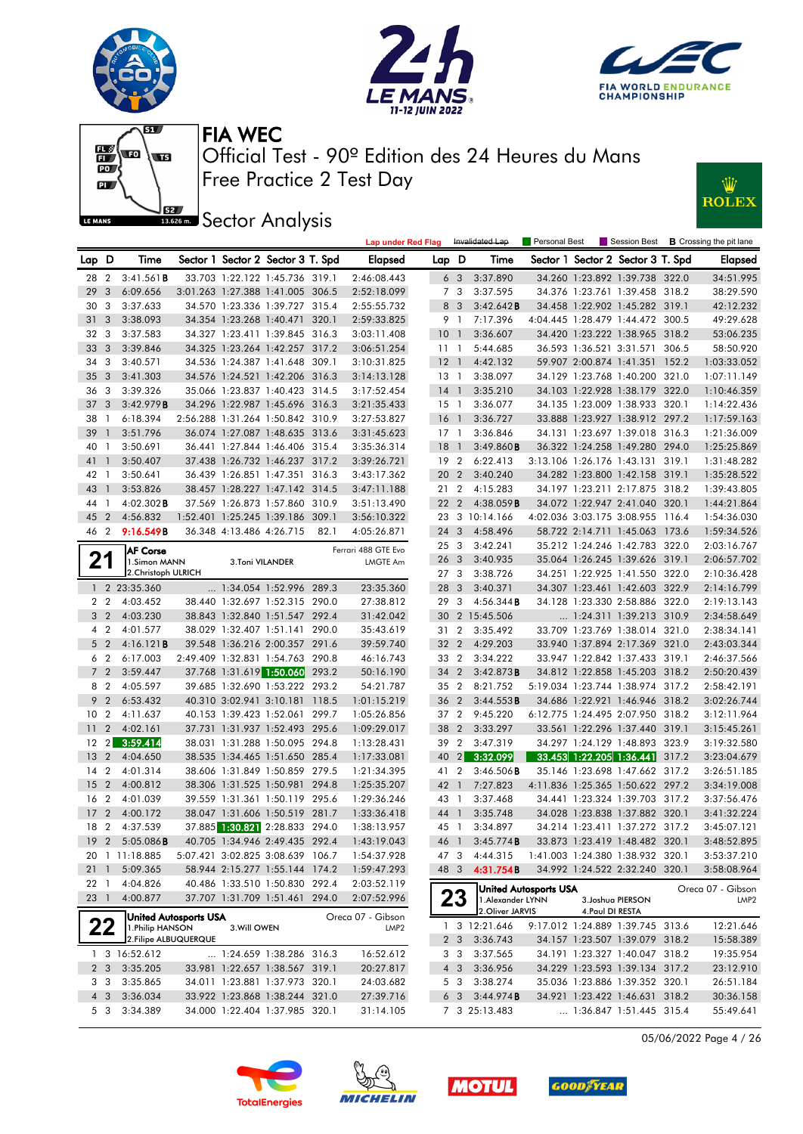







**Sector Analysis** 



|                 |                |                       |                              |                          |                                   |       | <b>Lap under Red Flag</b> |                 |                | Invalidated Lap     | Personal Best         |                  |                                   |       | Session Best <b>B</b> Crossing the pit lane |
|-----------------|----------------|-----------------------|------------------------------|--------------------------|-----------------------------------|-------|---------------------------|-----------------|----------------|---------------------|-----------------------|------------------|-----------------------------------|-------|---------------------------------------------|
| Lap D           |                | Time                  |                              |                          | Sector 1 Sector 2 Sector 3 T. Spd |       | <b>Elapsed</b>            | Lap D           |                | Time                |                       |                  | Sector 1 Sector 2 Sector 3 T. Spd |       | Elapsed                                     |
| 28 2            |                | 3:41.561B             |                              |                          | 33.703 1:22.122 1:45.736 319.1    |       | 2:46:08.443               |                 | 6 <sub>3</sub> | 3:37.890            |                       |                  | 34.260 1:23.892 1:39.738 322.0    |       | 34:51.995                                   |
| 29              | 3              | 6:09.656              |                              |                          | 3:01.263 1:27.388 1:41.005 306.5  |       | 2:52:18.099               |                 | 7 3            | 3:37.595            |                       |                  | 34.376 1:23.761 1:39.458 318.2    |       | 38:29.590                                   |
| 30              | 3              | 3:37.633              |                              |                          | 34.570 1:23.336 1:39.727 315.4    |       | 2:55:55.732               |                 | 8 3            | 3:42.642B           |                       |                  | 34.458 1:22.902 1:45.282 319.1    |       | 42:12.232                                   |
| 31              | 3              | 3:38.093              |                              |                          | 34.354 1:23.268 1:40.471 320.1    |       | 2:59:33.825               | 9 1             |                | 7:17.396            |                       |                  | 4:04.445 1:28.479 1:44.472 300.5  |       | 49:29.628                                   |
| 32 3            |                | 3:37.583              |                              |                          | 34.327 1:23.411 1:39.845 316.3    |       | 3:03:11.408               | 10              | $\overline{1}$ | 3:36.607            |                       |                  | 34.420 1:23.222 1:38.965 318.2    |       | 53:06.235                                   |
| 33              | -3             | 3:39.846              |                              |                          | 34.325 1:23.264 1:42.257 317.2    |       | 3:06:51.254               | 11 1            |                | 5:44.685            |                       |                  | 36.593 1:36.521 3:31.571 306.5    |       | 58:50.920                                   |
| 34              | 3              | 3:40.571              |                              |                          | 34.536 1:24.387 1:41.648 309.1    |       | 3:10:31.825               | $12-1$          |                | 4:42.132            |                       |                  | 59.907 2:00.874 1:41.351          | 152.2 | 1:03:33.052                                 |
| 35              | 3              | 3:41.303              |                              |                          | 34.576 1:24.521 1:42.206 316.3    |       | 3:14:13.128               | 13 1            |                | 3:38.097            |                       |                  | 34.129 1:23.768 1:40.200 321.0    |       | 1:07:11.149                                 |
| 36              | -3             | 3:39.326              |                              |                          | 35.066 1:23.837 1:40.423 314.5    |       | 3:17:52.454               | $14-1$          |                | 3:35.210            |                       |                  | 34.103 1:22.928 1:38.179 322.0    |       | 1:10:46.359                                 |
| 37              | 3              | 3:42.979B             |                              |                          | 34.296 1:22.987 1:45.696 316.3    |       | 3:21:35.433               | $15-1$          |                | 3:36.077            |                       |                  | 34.135 1:23.009 1:38.933 320.1    |       | 1:14:22.436                                 |
| 38              | -1             | 6:18.394              |                              |                          | 2:56.288 1:31.264 1:50.842 310.9  |       | 3:27:53.827               | 16 <sub>1</sub> |                | 3:36.727            |                       |                  | 33.888 1:23.927 1:38.912 297.2    |       | 1:17:59.163                                 |
| 39              | $\mathbf{1}$   | 3:51.796              |                              |                          | 36.074 1:27.087 1:48.635 313.6    |       | 3:31:45.623               | $17-1$          |                | 3:36.846            |                       |                  | 34.131 1:23.697 1:39.018 316.3    |       | 1:21:36.009                                 |
| 40              | - 1            | 3:50.691              |                              |                          | 36.441 1:27.844 1:46.406 315.4    |       | 3:35:36.314               | 18              | $\overline{1}$ | 3:49.860B           |                       |                  | 36.322 1:24.258 1:49.280 294.0    |       | 1:25:25.869                                 |
| 41              | $\mathbf{1}$   | 3:50.407              |                              |                          | 37.438 1:26.732 1:46.237 317.2    |       | 3:39:26.721               | 19 2            |                | 6:22.413            |                       |                  | 3:13.106 1:26.176 1:43.131 319.1  |       | 1:31:48.282                                 |
| 42              | -1             | 3:50.641              |                              |                          | 36.439 1:26.851 1:47.351 316.3    |       | 3:43:17.362               | 20 2            |                | 3:40.240            |                       |                  | 34.282 1:23.800 1:42.158 319.1    |       | 1:35:28.522                                 |
| 43              | $\mathbf{1}$   | 3:53.826              |                              |                          | 38.457 1:28.227 1:47.142 314.5    |       | 3:47:11.188               | 21              | $\overline{2}$ | 4:15.283            |                       |                  | 34.197 1:23.211 2:17.875 318.2    |       | 1:39:43.805                                 |
| 44              | - 1            | $4:02.302$ <b>B</b>   |                              |                          | 37.569 1:26.873 1:57.860 310.9    |       | 3:51:13.490               | 22 2            |                | $4:38.059$ <b>B</b> |                       |                  | 34.072 1:22.947 2:41.040 320.1    |       | 1:44:21.864                                 |
| 45              | $\overline{2}$ | 4:56.832              |                              |                          | 1:52.401 1:25.245 1:39.186 309.1  |       | 3:56:10.322               |                 |                | 23 3 10:14.166      |                       |                  | 4:02.036 3:03.175 3:08.955 116.4  |       | 1:54:36.030                                 |
| 46 2            |                | 9:16.549B             |                              | 36.348 4:13.486 4:26.715 |                                   | 82.1  | 4:05:26.871               | 24 3            |                | 4:58.496            |                       |                  | 58.722 2:14.711 1:45.063 173.6    |       | 1:59:34.526                                 |
|                 |                | <b>AF Corse</b>       |                              |                          |                                   |       | Ferrari 488 GTE Evo       | 25 3            |                | 3:42.241            |                       |                  | 35.212 1:24.246 1:42.783 322.0    |       | 2:03:16.767                                 |
| 21              |                | 1.Simon MANN          |                              | 3.Toni VILANDER          |                                   |       | LMGTE Am                  | 26 3            |                | 3:40.935            |                       |                  | 35.064 1:26.245 1:39.626 319.1    |       | 2:06:57.702                                 |
|                 |                | 2. Christoph ULRICH   |                              |                          |                                   |       |                           | 273             |                | 3:38.726            |                       |                  | 34.251 1:22.925 1:41.550 322.0    |       | 2:10:36.428                                 |
|                 |                | 1 2 23:35.360         |                              |                          | 1:34.054 1:52.996 289.3           |       | 23:35.360                 | 28 3            |                | 3:40.371            |                       |                  | 34.307 1:23.461 1:42.603 322.9    |       | 2:14:16.799                                 |
|                 | 2 <sub>2</sub> | 4:03.452              |                              |                          | 38.440 1:32.697 1:52.315 290.0    |       | 27:38.812                 | 29              | 3              | $4:56.344$ B        |                       |                  | 34.128 1:23.330 2:58.886 322.0    |       | 2:19:13.143                                 |
|                 | 3 <sub>2</sub> | 4:03.230              |                              |                          | 38.843 1:32.840 1:51.547 292.4    |       | 31:42.042                 |                 |                | 30 2 15:45.506      |                       |                  | 1:24.311 1:39.213 310.9           |       | 2:34:58.649                                 |
|                 | 4 2            | 4:01.577              |                              |                          | 38.029 1:32.407 1:51.141 290.0    |       | 35:43.619                 | 31              | $\overline{2}$ | 3:35.492            |                       |                  | 33.709 1:23.769 1:38.014 321.0    |       | 2:38:34.141                                 |
|                 | 5 <sub>2</sub> | 4:16.121B             |                              |                          | 39.548 1:36.216 2:00.357 291.6    |       | 39:59.740                 | 32 <sub>2</sub> |                | 4:29.203            |                       |                  | 33.940 1:37.894 2:17.369 321.0    |       | 2:43:03.344                                 |
|                 | 6 2            | 6:17.003              |                              |                          | 2:49.409 1:32.831 1:54.763 290.8  |       | 46:16.743                 | 33 2            |                | 3:34.222            |                       |                  | 33.947 1:22.842 1:37.433 319.1    |       | 2:46:37.566                                 |
|                 | 7 <sub>2</sub> | 3:59.447              |                              |                          | 37.768 1:31.619 1:50.060 293.2    |       | 50:16.190                 | 34 2            |                | 3:42.873B           |                       |                  | 34.812 1:22.858 1:45.203 318.2    |       | 2:50:20.439                                 |
|                 | 8 2            | 4:05.597              |                              |                          | 39.685 1:32.690 1:53.222 293.2    |       | 54:21.787                 | 35 2            |                | 8:21.752            |                       |                  | 5:19.034 1:23.744 1:38.974 317.2  |       | 2:58:42.191                                 |
| 9               | $\overline{2}$ | 6:53.432              |                              | 40.310 3:02.941 3:10.181 |                                   | 118.5 | 1:01:15.219               | 36 2            |                | 3:44.553B           |                       |                  | 34.686 1:22.921 1:46.946 318.2    |       | 3:02:26.744                                 |
| 10 <sub>2</sub> |                | 4:11.637              |                              |                          | 40.153 1:39.423 1:52.061 299.7    |       | 1:05:26.856               | 37 2            |                | 9:45.220            |                       |                  | 6:12.775 1:24.495 2:07.950 318.2  |       | 3:12:11.964                                 |
| 11              | $\overline{2}$ | 4:02.161              |                              |                          | 37.731 1:31.937 1:52.493 295.6    |       | 1:09:29.017               | 38 2            |                | 3:33.297            |                       |                  | 33.561 1:22.296 1:37.440 319.1    |       | 3:15:45.261                                 |
| $12 \,$         | $\mathbf{2}$   | 3:59.414              |                              |                          | 38.031 1:31.288 1:50.095 294.8    |       | 1:13:28.431               | 39 2            |                | 3:47.319            |                       |                  | 34.297 1:24.129 1:48.893 323.9    |       | 3:19:32.580                                 |
| 13              | $\overline{2}$ | 4:04.650              |                              |                          | 38.535 1:34.465 1:51.650 285.4    |       | 1:17:33.081               | 40              | 2              | 3:32.099            |                       |                  | 33.453 1:22.205 1:36.441 317.2    |       | 3:23:04.679                                 |
| 14              | $\overline{2}$ | 4:01.314              |                              |                          | 38.606 1:31.849 1:50.859 279.5    |       | 1:21:34.395               | 41              | $\overline{2}$ | $3:46.506$ <b>B</b> |                       |                  | 35.146 1:23.698 1:47.662 317.2    |       | 3:26:51.185                                 |
| 15              | $\overline{2}$ | 4:00.812              |                              |                          | 38.306 1:31.525 1:50.981 294.8    |       | 1:25:35.207               | 42 1            |                | 7:27.823            |                       |                  | 4:11.836 1:25.365 1:50.622 297.2  |       | 3:34:19.008                                 |
| 16              | $\overline{2}$ | 4:01.039              |                              |                          | 39.559 1:31.361 1:50.119 295.6    |       | 1:29:36.246               | 43 1            |                | 3:37.468            |                       |                  | 34.441 1:23.324 1:39.703 317.2    |       | 3:37:56.476                                 |
| 17              | $\overline{2}$ | 4:00.172              |                              |                          | 38.047 1:31.606 1:50.519 281.7    |       | 1:33:36.418               | 44              | $\overline{1}$ | 3:35.748            |                       |                  | 34.028 1:23.838 1:37.882 320.1    |       | 3:41:32.224                                 |
| 18 2            |                | 4:37.539              |                              |                          |                                   |       | 1:38:13.957               | 45 1            |                | 3:34.897            |                       |                  | 34.214 1:23.411 1:37.272 317.2    |       | 3:45:07.121                                 |
|                 | 192            | $5:05.086$ <b>B</b>   |                              |                          | 40.705 1:34.946 2:49.435 292.4    |       | 1:43:19.043               | 46 1            |                | $3:45.774$ <b>B</b> |                       |                  | 33.873 1:23.419 1:48.482 320.1    |       | 3:48:52.895                                 |
|                 |                | 20 1 11:18.885        |                              |                          | 5:07.421 3:02.825 3:08.639 106.7  |       | 1:54:37.928               | 473             |                | 4:44.315            |                       |                  | 1:41.003 1:24.380 1:38.932 320.1  |       | 3:53:37.210                                 |
| 211             |                | 5:09.365              |                              |                          | 58.944 2:15.277 1:55.144 174.2    |       | 1:59:47.293               | 48 3            |                | 4:31.754B           |                       |                  | 34.992 1:24.522 2:32.240 320.1    |       | 3:58:08.964                                 |
| 22 <sub>1</sub> |                | 4:04.826              |                              |                          | 40.486 1:33.510 1:50.830 292.4    |       | 2:03:52.119               |                 |                |                     | United Autosports USA |                  |                                   |       | Oreca 07 - Gibson                           |
| 23 1            |                | 4:00.877              |                              |                          | 37.707 1:31.709 1:51.461 294.0    |       | 2:07:52.996               |                 | 23             | 1. Alexander LYNN   |                       |                  | 3. Joshua PIERSON                 |       | LMP2                                        |
|                 |                |                       | <b>United Autosports USA</b> |                          |                                   |       | Oreca 07 - Gibson         |                 |                | 2. Oliver JARVIS    |                       | 4. Paul DI RESTA |                                   |       |                                             |
|                 | ZZ             | 1. Philip HANSON      |                              | 3. Will OWEN             |                                   |       | LMP <sub>2</sub>          |                 |                | 1 3 12:21.646       |                       |                  | 9:17.012 1:24.889 1:39.745 313.6  |       | 12:21.646                                   |
|                 |                | 2. Filipe ALBUQUERQUE |                              |                          |                                   |       |                           |                 | 2 <sub>3</sub> | 3:36.743            |                       |                  | 34.157 1:23.507 1:39.079 318.2    |       | 15:58.389                                   |
|                 |                | 1 3 16:52.612         |                              |                          | 1:24.659 1:38.286 316.3           |       | 16:52.612                 |                 | 3 3            | 3:37.565            |                       |                  | 34.191 1:23.327 1:40.047 318.2    |       | 19:35.954                                   |
|                 | 2 <sub>3</sub> | 3:35.205              |                              |                          | 33.981 1:22.657 1:38.567 319.1    |       | 20:27.817                 |                 | 4 3            | 3:36.956            |                       |                  | 34.229 1:23.593 1:39.134 317.2    |       | 23:12.910                                   |
|                 | 33             | 3:35.865              |                              |                          | 34.011 1:23.881 1:37.973 320.1    |       | 24:03.682                 |                 | 5 3            | 3:38.274            |                       |                  | 35.036 1:23.886 1:39.352 320.1    |       | 26:51.184                                   |
|                 | 4 3            | 3:36.034              |                              |                          | 33.922 1:23.868 1:38.244 321.0    |       | 27:39.716                 |                 | 6 3            | 3:44.974B           |                       |                  | 34.921 1:23.422 1:46.631 318.2    |       | 30:36.158                                   |
|                 | 53             | 3:34.389              |                              |                          | 34.000 1:22.404 1:37.985 320.1    |       | 31:14.105                 |                 |                | 7 3 25:13.483       |                       |                  | 1:36.847 1:51.445 315.4           |       | 55:49.641                                   |

05/06/2022 Page 4 / 26







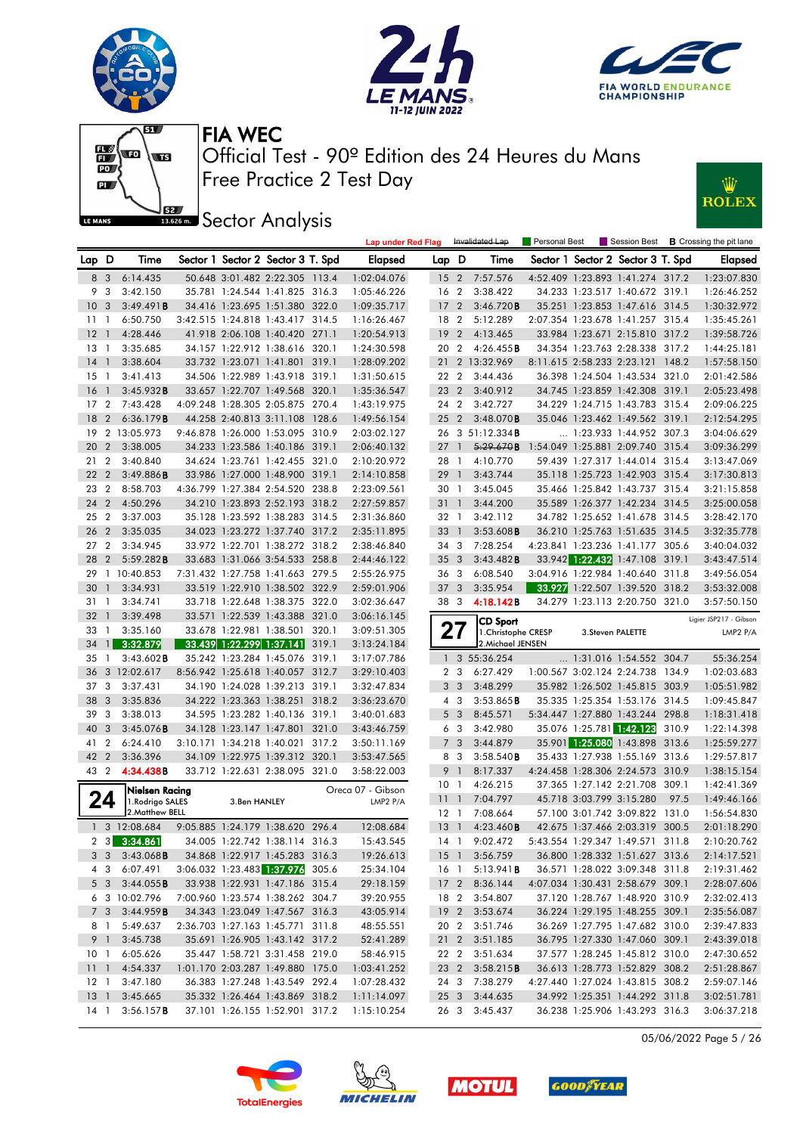







**JEE** Sector Analysis



|                 |                |                                     |                                |              |                                   |       | <b>Lap under Red Flag</b>     |                 |                | Invalidated Lap                        | Personal Best                    |                                   |      | Session Best <b>B</b> Crossing the pit lane |
|-----------------|----------------|-------------------------------------|--------------------------------|--------------|-----------------------------------|-------|-------------------------------|-----------------|----------------|----------------------------------------|----------------------------------|-----------------------------------|------|---------------------------------------------|
| Lap D           |                | Time                                |                                |              | Sector 1 Sector 2 Sector 3 T. Spd |       | Elapsed                       | Lap D           |                | Time                                   |                                  | Sector 1 Sector 2 Sector 3 T. Spd |      | <b>Elapsed</b>                              |
| 8 3             |                | 6:14.435                            |                                |              | 50.648 3:01.482 2:22.305 113.4    |       | 1:02:04.076                   |                 |                | 15 2 7:57.576                          |                                  | 4:52.409 1:23.893 1:41.274 317.2  |      | 1:23:07.830                                 |
| 9               | -3             | 3:42.150                            |                                |              | 35.781 1:24.544 1:41.825 316.3    |       | 1:05:46.226                   | 16 2            |                | 3:38.422                               |                                  | 34.233 1:23.517 1:40.672 319.1    |      | 1:26:46.252                                 |
| 10 <sub>3</sub> |                | 3:49.491B                           |                                |              | 34.416 1:23.695 1:51.380 322.0    |       | 1:09:35.717                   | 17 <sub>2</sub> |                | 3:46.720B                              |                                  | 35.251 1:23.853 1:47.616 314.5    |      | 1:30:32.972                                 |
| $11-1$          |                | 6:50.750                            |                                |              | 3:42.515 1:24.818 1:43.417 314.5  |       | 1:16:26.467                   | 18 2            |                | 5:12.289                               |                                  | 2:07.354 1:23.678 1:41.257 315.4  |      | 1:35:45.261                                 |
| $12-1$          |                | 4:28.446                            |                                |              | 41.918 2:06.108 1:40.420 271.1    |       | 1:20:54.913                   | 192             |                | 4:13.465                               |                                  | 33.984 1:23.671 2:15.810 317.2    |      | 1:39:58.726                                 |
| $13-1$          |                | 3:35.685                            |                                |              | 34.157 1:22.912 1:38.616 320.1    |       | 1:24:30.598                   | 20 2            |                | 4:26.455B                              |                                  | 34.354 1:23.763 2:28.338 317.2    |      | 1:44:25.181                                 |
| 14              | $\overline{1}$ | 3:38.604                            |                                |              | 33.732 1:23.071 1:41.801 319.1    |       | 1:28:09.202                   |                 |                | 21 2 13:32.969                         |                                  | 8:11.615 2:58.233 2:23.121 148.2  |      | 1:57:58.150                                 |
| $15-1$          |                | 3:41.413                            |                                |              | 34.506 1:22.989 1:43.918 319.1    |       | 1:31:50.615                   | 22 2            |                | 3:44.436                               |                                  | 36.398 1:24.504 1:43.534 321.0    |      | 2:01:42.586                                 |
| 16 <sub>1</sub> |                | 3:45.932B                           |                                |              | 33.657 1:22.707 1:49.568 320.1    |       | 1:35:36.547                   | 23 2            |                | 3:40.912                               |                                  | 34.745 1:23.859 1:42.308 319.1    |      | 2:05:23.498                                 |
| 17              | $\overline{2}$ | 7:43.428                            |                                |              | 4:09.248 1:28.305 2:05.875 270.4  |       | 1:43:19.975                   | 24 2            |                | 3:42.727                               |                                  | 34.229 1:24.715 1:43.783 315.4    |      | 2:09:06.225                                 |
| 18              | $\overline{2}$ | 6:36.179B                           |                                |              | 44.258 2:40.813 3:11.108 128.6    |       | 1:49:56.154                   | 25 <sub>2</sub> |                | 3:48.070B                              |                                  | 35.046 1:23.462 1:49.562 319.1    |      | 2:12:54.295                                 |
|                 |                | 19 2 13:05.973                      |                                |              | 9:46.878 1:26.000 1:53.095 310.9  |       | 2:03:02.127                   |                 |                | 26 3 51:12.334B                        |                                  | $\ldots$ 1:23.933 1:44.952 307.3  |      | 3:04:06.629                                 |
| 20 2            |                | 3:38.005                            |                                |              | 34.233 1:23.586 1:40.186 319.1    |       | 2:06:40.132                   | $27-1$          |                | 5:29.670B                              |                                  | 1:54.049 1:25.881 2:09.740 315.4  |      | 3:09:36.299                                 |
| 21              | $\overline{2}$ | 3:40.840                            |                                |              | 34.624 1:23.761 1:42.455 321.0    |       | 2:10:20.972                   | 28 1            |                | 4:10.770                               |                                  | 59.439 1:27.317 1:44.014 315.4    |      | 3:13:47.069                                 |
| 22 2            |                | 3:49.886B                           |                                |              | 33.986 1:27.000 1:48.900 319.1    |       | 2:14:10.858                   | 29              | $\overline{1}$ | 3:43.744                               |                                  | 35.118 1:25.723 1:42.903 315.4    |      | 3:17:30.813                                 |
| 23 2            |                | 8:58.703                            |                                |              | 4:36.799 1:27.384 2:54.520 238.8  |       | 2:23:09.561                   | 30 1            |                | 3:45.045                               |                                  | 35.466 1:25.842 1:43.737 315.4    |      | 3:21:15.858                                 |
| 24 2            |                | 4:50.296                            |                                |              | 34.210 1:23.893 2:52.193 318.2    |       | 2:27:59.857                   | $31\quad1$      |                | 3:44.200                               |                                  | 35.589 1:26.377 1:42.234 314.5    |      | 3:25:00.058                                 |
| 25              | $\overline{2}$ | 3:37.003                            |                                |              | 35.128 1:23.592 1:38.283 314.5    |       | 2:31:36.860                   | 32 1            |                | 3:42.112                               |                                  | 34.782 1:25.652 1:41.678 314.5    |      | 3:28:42.170                                 |
| 26 2            |                | 3:35.035                            |                                |              | 34.023 1:23.272 1:37.740 317.2    |       | 2:35:11.895                   | 33              | $\overline{1}$ | 3:53.608B                              |                                  | 36.210 1:25.763 1:51.635 314.5    |      | 3:32:35.778                                 |
| 27 <sub>2</sub> |                | 3:34.945                            |                                |              | 33.972 1:22.701 1:38.272 318.2    |       | 2:38:46.840                   | 34 3            |                | 7:28.254                               |                                  | 4:23.841 1:23.236 1:41.177 305.6  |      | 3:40:04.032                                 |
| 28              | $\overline{2}$ | 5:59.282B                           |                                |              | 33.683 1:31.066 3:54.533 258.8    |       | 2:44:46.122                   | 35 <sub>3</sub> |                | 3:43.482B                              |                                  | 33.942 1:22.432 1:47.108 319.1    |      | 3:43:47.514                                 |
| 29              |                | 1 10:40.853                         |                                |              | 7:31.432 1:27.758 1:41.663 279.5  |       | 2:55:26.975                   | 36 3            |                | 6:08.540                               |                                  | 3:04.916 1:22.984 1:40.640 311.8  |      | 3:49:56.054                                 |
| 30              | $\overline{1}$ | 3:34.931                            |                                |              | 33.519 1:22.910 1:38.502 322.9    |       | 2:59:01.906                   | 37 <sub>3</sub> |                | 3:35.954                               |                                  | 33.927 1:22.507 1:39.520 318.2    |      | 3:53:32.008                                 |
| 31 1            |                | 3:34.741                            |                                |              | 33.718 1:22.648 1:38.375 322.0    |       | 3:02:36.647                   | 383             |                | 4:18.142B                              |                                  | 34.279 1:23.113 2:20.750 321.0    |      | 3:57:50.150                                 |
| 32              | $\overline{1}$ | 3:39.498                            |                                |              | 33.571 1:22.539 1:43.388 321.0    |       | 3:06:16.145                   |                 |                |                                        |                                  |                                   |      | Ligier JSP217 - Gibson                      |
| 33              | $\overline{1}$ | 3:35.160                            |                                |              | 33.678 1:22.981 1:38.501          | 320.1 | 3:09:51.305                   |                 | 21             | <b>CD Sport</b><br>1. Christophe CRESP |                                  | 3. Steven PALETTE                 |      | LMP2 P/A                                    |
| 34              | $\mathbf{1}$   | 3:32.879                            |                                |              | 33.439 1:22.299 1:37.141          | 319.1 | 3:13:24.184                   |                 |                | 2. Michael JENSEN                      |                                  |                                   |      |                                             |
| $35-1$          |                | $3:43.602$ <b>B</b>                 |                                |              | 35.242 1:23.284 1:45.076 319.1    |       | 3:17:07.786                   |                 |                | 1 3 55:36.254                          |                                  | 1:31.016 1:54.552 304.7           |      | 55:36.254                                   |
| 36              |                | 3 12:02.617                         |                                |              | 8:56.942 1:25.618 1:40.057 312.7  |       | 3:29:10.403                   |                 | 2 <sub>3</sub> | 6:27.429                               |                                  | 1:00.567 3:02.124 2:24.738 134.9  |      | 1:02:03.683                                 |
| 37 3            |                | 3:37.431                            |                                |              | 34.190 1:24.028 1:39.213          | 319.1 | 3:32:47.834                   |                 | 3 <sub>3</sub> | 3:48.299                               |                                  | 35.982 1:26.502 1:45.815 303.9    |      | 1:05:51.982                                 |
| 38 3            |                | 3:35.836                            |                                |              | 34.222 1:23.363 1:38.251 318.2    |       | 3:36:23.670                   |                 | 4 3            | 3:53.865B                              |                                  | 35.335 1:25.354 1:53.176 314.5    |      | 1:09:45.847                                 |
| 39 3            |                | 3:38.013                            |                                |              | 34.595 1:23.282 1:40.136 319.1    |       | 3:40:01.683                   |                 | 5 <sub>3</sub> | 8:45.571                               |                                  | 5:34.447 1:27.880 1:43.244 298.8  |      | 1:18:31.418                                 |
| 40 3            |                | 3:45.076B                           |                                |              | 34.128 1:23.147 1:47.801 321.0    |       | 3:43:46.759                   |                 | 6 3            | 3:42.980                               |                                  | 35.076 1:25.781 1:42.123 310.9    |      | 1:22:14.398                                 |
| 41              | $\overline{2}$ | 6:24.410                            |                                |              | 3:10.171 1:34.218 1:40.021        | 317.2 | 3:50:11.169                   |                 | 7 <sub>3</sub> | 3:44.879                               |                                  | 35.901 1:25.080 1:43.898 313.6    |      | 1:25:59.277                                 |
| 42 2            |                | 3:36.396                            |                                |              | 34.109 1:22.975 1:39.312 320.1    |       | 3:53:47.565                   |                 | 8 3            | 3:58.540B                              |                                  | 35.433 1:27.938 1:55.169 313.6    |      | 1:29:57.817                                 |
| 43 2            |                | 4:34.438B                           |                                |              | 33.712 1:22.631 2:38.095 321.0    |       | 3:58:22.003                   | 9               | $\overline{1}$ | 8:17.337                               |                                  | 4:24.458 1:28.306 2:24.573 310.9  |      | 1:38:15.154                                 |
|                 |                |                                     |                                |              |                                   |       |                               | 10 <sub>1</sub> |                | 4:26.215                               |                                  | 37.365 1:27.142 2:21.708 309.1    |      | 1:42:41.369                                 |
|                 | 24             | Nielsen Racing<br>1. Rodrigo SALES  |                                | 3.Ben HANLEY |                                   |       | Oreca 07 - Gibson<br>LMP2 P/A | 11              | $\overline{1}$ | 7:04.797                               |                                  | 45.718 3:03.799 3:15.280          | 97.5 | 1:49:46.166                                 |
|                 |                | 2. Matthew BELL                     |                                |              |                                   |       |                               | 12 1            |                | 7:08.664                               |                                  | 57.100 3:01.742 3:09.822 131.0    |      | 1:56:54.830                                 |
|                 |                | 1 3 12:08.684                       |                                |              | 9:05.885 1:24.179 1:38.620 296.4  |       | 12:08.684                     | $13-1$          |                | 4:23.460B                              |                                  | 42.675 1:37.466 2:03.319 300.5    |      | 2:01:18.290                                 |
|                 |                | $2 \quad 3 \quad 3:34.861$          | 34.005 1:22.742 1:38.114 316.3 |              |                                   |       | 15:43.545                     |                 |                | 14 1 9:02.472                          | 5:43.554 1:29.347 1:49.571 311.8 |                                   |      | 2:10:20.762                                 |
|                 |                | $3 \quad 3 \quad 3:43.068$ <b>B</b> |                                |              | 34.868 1:22.917 1:45.283 316.3    |       | 19:26.613                     |                 |                | 15 1 3:56.759                          |                                  | 36.800 1:28.332 1:51.627 313.6    |      | 2:14:17.521                                 |
|                 |                | 4 3 6:07.491                        |                                |              | 3:06.032 1:23.483 1:37.976 305.6  |       | 25:34.104                     |                 |                | 16 1 5:13.941 <b>B</b>                 |                                  | 36.571 1:28.022 3:09.348 311.8    |      | 2:19:31.462                                 |
|                 |                | 5 3 3:44.055 <b>B</b>               |                                |              | 33.938 1:22.931 1:47.186 315.4    |       | 29:18.159                     |                 |                | 17 2 8:36.144                          |                                  | 4:07.034 1:30.431 2:58.679 309.1  |      | 2:28:07.606                                 |
|                 |                | 6 3 10:02.796                       |                                |              | 7:00.960 1:23.574 1:38.262 304.7  |       | 39:20.955                     |                 |                | 18 2 3:54.807                          |                                  | 37.120 1:28.767 1:48.920 310.9    |      | 2:32:02.413                                 |
|                 | 7 <sub>3</sub> | 3:44.959B                           |                                |              | 34.343 1:23.049 1:47.567 316.3    |       | 43:05.914                     |                 |                | 19 2 3:53.674                          |                                  | 36.224 1:29.195 1:48.255 309.1    |      | 2:35:56.087                                 |
|                 | 8 1            | 5:49.637                            |                                |              | 2:36.703 1:27.163 1:45.771 311.8  |       | 48:55.551                     |                 |                | 20 2 3:51.746                          |                                  | 36.269 1:27.795 1:47.682 310.0    |      | 2:39:47.833                                 |
|                 | 9 1            | 3:45.738                            |                                |              | 35.691 1:26.905 1:43.142 317.2    |       | 52:41.289                     |                 |                | 21 2 3:51.185                          |                                  | 36.795 1:27.330 1:47.060 309.1    |      | 2:43:39.018                                 |
| 10 <sub>1</sub> |                | 6:05.626                            |                                |              | 35.447 1:58.721 3:31.458 219.0    |       | 58:46.915                     |                 |                | 22 2 3:51.634                          |                                  | 37.577 1:28.245 1:45.812 310.0    |      | 2:47:30.652                                 |
| 1111            |                | 4:54.337                            |                                |              | 1:01.170 2:03.287 1:49.880 175.0  |       | 1:03:41.252                   | 23 2            |                | 3:58.215B                              |                                  | 36.613 1:28.773 1:52.829 308.2    |      | 2:51:28.867                                 |
|                 |                | 12 1 3:47.180                       |                                |              | 36.383 1:27.248 1:43.549 292.4    |       | 1:07:28.432                   |                 |                | 24 3 7:38.279                          |                                  | 4:27.440 1:27.024 1:43.815 308.2  |      | 2:59:07.146                                 |
|                 |                | 13 1 3:45.665                       |                                |              | 35.332 1:26.464 1:43.869 318.2    |       | 1:11:14.097                   |                 |                | 25 3 3:44.635                          |                                  | 34.992 1:25.351 1:44.292 311.8    |      | 3:02:51.781                                 |
| 14 1            |                | 3:56.157B                           |                                |              | 37.101 1:26.155 1:52.901 317.2    |       | 1:15:10.254                   |                 |                | 26 3 3:45.437                          |                                  | 36.238 1:25.906 1:43.293 316.3    |      | 3:06:37.218                                 |

05/06/2022 Page 5 / 26







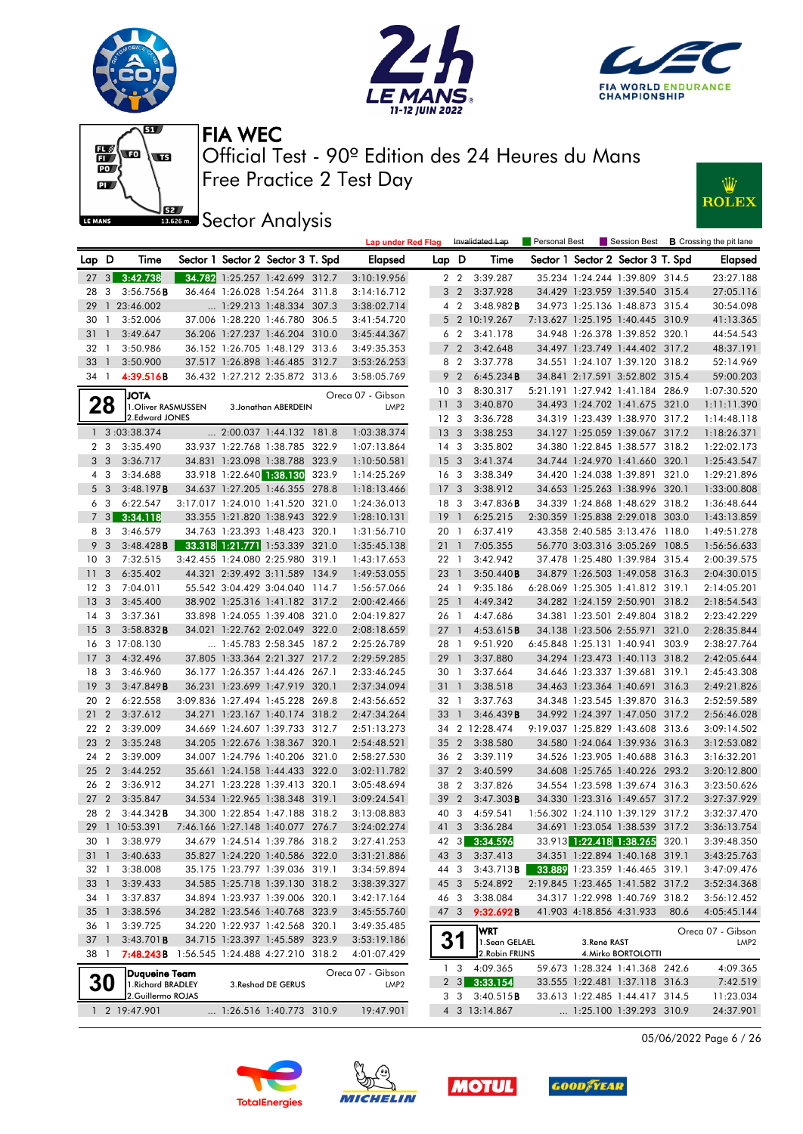







**Sector Analysis** 



|                         |                |                                                   |  |                                                                    | <b>Lap under Red Flag</b>             |                 |                         | Invalidated Lap                  | <b>Personal Best</b> |             |                                                                    |      | Session Best <b>B</b> Crossing the pit lane |
|-------------------------|----------------|---------------------------------------------------|--|--------------------------------------------------------------------|---------------------------------------|-----------------|-------------------------|----------------------------------|----------------------|-------------|--------------------------------------------------------------------|------|---------------------------------------------|
| Lap D                   |                | Time                                              |  | Sector 1 Sector 2 Sector 3 T. Spd                                  | Elapsed                               | Lap D           |                         | Time                             |                      |             | Sector 1 Sector 2 Sector 3 T. Spd                                  |      | <b>Elapsed</b>                              |
|                         |                | 27 3 3:42.738                                     |  | 34.782 1:25.257 1:42.699 312.7                                     | 3:10:19.956                           |                 | 2 2                     | 3:39.287                         |                      |             | 35.234 1:24.244 1:39.809 314.5                                     |      | 23:27.188                                   |
| 28                      | 3              | 3:56.756B                                         |  | 36.464 1:26.028 1:54.264 311.8                                     | 3:14:16.712                           |                 | 3 <sub>2</sub>          | 3:37.928                         |                      |             | 34.429 1:23.959 1:39.540 315.4                                     |      | 27:05.116                                   |
| 29                      |                | 1 23:46.002                                       |  | 1:29.213 1:48.334 307.3                                            | 3:38:02.714                           |                 | 4 2                     | 3:48.982B                        |                      |             | 34.973 1:25.136 1:48.873 315.4                                     |      | 30:54.098                                   |
| 30                      | $\overline{1}$ | 3:52.006                                          |  | 37.006 1:28.220 1:46.780 306.5                                     | 3:41:54.720                           |                 |                         | 5 2 10:19.267                    |                      |             | 7:13.627 1:25.195 1:40.445 310.9                                   |      | 41:13.365                                   |
| 31                      | $\overline{1}$ | 3:49.647                                          |  | 36.206 1:27.237 1:46.204 310.0                                     | 3:45:44.367                           |                 | 6 <sub>2</sub>          | 3:41.178                         |                      |             | 34.948 1:26.378 1:39.852 320.1                                     |      | 44:54.543                                   |
| 32 1                    |                | 3:50.986                                          |  | 36.152 1:26.705 1:48.129 313.6                                     | 3:49:35.353                           |                 | 7 <sup>2</sup>          | 3:42.648                         |                      |             | 34.497 1:23.749 1:44.402 317.2                                     |      | 48:37.191                                   |
| $33 \quad 1$            |                | 3:50.900                                          |  | 37.517 1:26.898 1:46.485 312.7                                     | 3:53:26.253                           |                 | 8 2                     | 3:37.778                         |                      |             | 34.551 1:24.107 1:39.120 318.2                                     |      | 52:14.969                                   |
| 34 1                    |                | 4:39.516B                                         |  | 36.432 1:27.212 2:35.872 313.6                                     | 3:58:05.769                           |                 | 9 <sub>2</sub>          | 6:45.234B                        |                      |             | 34.841 2:17.591 3:52.802 315.4                                     |      | 59:00.203                                   |
|                         |                | <b>JOTA</b>                                       |  |                                                                    | Oreca 07 - Gibson                     | 10 <sub>3</sub> |                         | 8:30.317                         |                      |             | 5:21.191 1:27.942 1:41.184 286.9                                   |      | 1:07:30.520                                 |
|                         | 28             | 1. Oliver RASMUSSEN                               |  | 3. Jonathan ABERDEIN                                               | LMP <sub>2</sub>                      | 11              | $\overline{\mathbf{3}}$ | 3:40.870                         |                      |             | 34.493 1:24.702 1:41.675 321.0                                     |      | 1:11:11.390                                 |
|                         |                | 2.Edward JONES                                    |  |                                                                    |                                       | 12 <sup>3</sup> |                         | 3:36.728                         |                      |             | 34.319 1:23.439 1:38.970 317.2                                     |      | 1:14:48.118                                 |
|                         |                | 1 3:03:38.374                                     |  | $\ldots$ 2:00.037 1:44.132 181.8                                   | 1:03:38.374                           | 13 <sup>3</sup> |                         | 3:38.253                         |                      |             | 34.127 1:25.059 1:39.067 317.2                                     |      | 1:18:26.371                                 |
|                         | 2 <sub>3</sub> | 3:35.490                                          |  | 33.937 1:22.768 1:38.785 322.9                                     | 1:07:13.864                           | 14 <sup>3</sup> |                         | 3:35.802                         |                      |             | 34.380 1:22.845 1:38.577 318.2                                     |      | 1:22:02.173                                 |
|                         | 3 <sub>3</sub> | 3:36.717                                          |  | 34.831 1:23.098 1:38.788 323.9                                     | 1:10:50.581                           | 15 <sub>3</sub> |                         | 3:41.374                         |                      |             | 34.744 1:24.970 1:41.660 320.1                                     |      | 1:25:43.547                                 |
|                         | 4 3            | 3:34.688                                          |  | 33.918 1:22.640 1:38.130 323.9                                     | 1:14:25.269                           | 16 <sub>3</sub> |                         | 3:38.349                         |                      |             | 34.420 1:24.038 1:39.891 321.0                                     |      | 1:29:21.896                                 |
|                         | 5 <sub>3</sub> | 3:48.197B                                         |  | 34.637 1:27.205 1:46.355 278.8                                     | 1:18:13.466                           | 17 <sub>3</sub> |                         | 3:38.912                         |                      |             | 34.653 1:25.263 1:38.996 320.1                                     |      | 1:33:00.808                                 |
|                         | 6 3            | 6:22.547                                          |  | 3:17.017 1:24.010 1:41.520 321.0                                   | 1:24:36.013                           | 18 3            |                         | 3:47.836B                        |                      |             | 34.339 1:24.868 1:48.629 318.2                                     |      | 1:36:48.644                                 |
|                         | $7 \quad 3$    | 3:34.118                                          |  | 33.355 1:21.820 1:38.943 322.9                                     | 1:28:10.131                           | 19              | $\bigcirc$              | 6:25.215                         |                      |             | 2:30.359 1:25.838 2:29.018 303.0                                   |      | 1:43:13.859                                 |
|                         | 8 3            | 3:46.579                                          |  | 34.763 1:23.393 1:48.423 320.1                                     | 1:31:56.710                           | 20 1            |                         | 6:37.419                         |                      |             | 43.358 2:40.585 3:13.476 118.0                                     |      | 1:49:51.278                                 |
|                         | 9 <sup>3</sup> | 3:48.428B                                         |  | 33.318 1:21.771 1:53.339 321.0                                     | 1:35:45.138                           | $21 \quad 1$    |                         | 7:05.355                         |                      |             | 56.770 3:03.316 3:05.269 108.5                                     |      | 1:56:56.633                                 |
| 10 <sub>3</sub>         |                | 7:32.515                                          |  | 3:42.455 1:24.080 2:25.980 319.1                                   | 1:43:17.653                           | 22 1            |                         | 3:42.942                         |                      |             | 37.478 1:25.480 1:39.984 315.4                                     |      | 2:00:39.575                                 |
| 11 <sub>3</sub>         |                | 6:35.402                                          |  | 44.321 2:39.492 3:11.589 134.9                                     | 1:49:53.055                           | 23 1            |                         | 3:50.440B                        |                      |             | 34.879 1:26.503 1:49.058 316.3                                     |      | 2:04:30.015                                 |
| 12 <sup>3</sup>         |                | 7:04.011                                          |  | 55.542 3:04.429 3:04.040 114.7                                     | 1:56:57.066                           | 24 1            |                         | 9:35.186                         |                      |             | 6:28.069 1:25.305 1:41.812 319.1                                   |      | 2:14:05.201                                 |
| 13 <sub>3</sub>         |                | 3:45.400                                          |  | 38.902 1:25.316 1:41.182 317.2                                     | 2:00:42.466                           |                 | $25 \quad 1$            | 4:49.342                         |                      |             | 34.282 1:24.159 2:50.901 318.2                                     |      | 2:18:54.543                                 |
| 14 3                    |                | 3:37.361                                          |  | 33.898 1:24.055 1:39.408 321.0                                     | 2:04:19.827                           | 26 1            |                         | 4:47.686                         |                      |             | 34.381 1:23.501 2:49.804 318.2                                     |      | 2:23:42.229                                 |
| 15 <sub>3</sub>         |                | 3:58.832B                                         |  | 34.021 1:22.762 2:02.049 322.0                                     | 2:08:18.659                           | 27              | $\overline{1}$          | 4:53.615 <b>B</b>                |                      |             | 34.138 1:23.506 2:55.971 321.0                                     |      | 2:28:35.844                                 |
|                         |                | 16 3 17:08.130                                    |  | 1:45.783 2:58.345 187.2                                            | 2:25:26.789                           | 28 1            |                         | 9:51.920                         |                      |             | 6:45.848 1:25.131 1:40.941 303.9                                   |      | 2:38:27.764                                 |
| 17                      | 3              | 4:32.496                                          |  | 37.805 1:33.364 2:21.327 217.2                                     | 2:29:59.285                           | 29 1            |                         | 3:37.880                         |                      |             | 34.294 1:23.473 1:40.113 318.2                                     |      | 2:42:05.644                                 |
| 18 3                    |                | 3:46.960                                          |  | 36.177 1:26.357 1:44.426 267.1                                     | 2:33:46.245                           | 30 1            |                         | 3:37.664                         |                      |             | 34.646 1:23.337 1:39.681 319.1                                     |      | 2:45:43.308                                 |
| 19 <sup>3</sup>         |                | 3:47.849B                                         |  | 36.231 1:23.699 1:47.919 320.1                                     | 2:37:34.094                           | 31 1            |                         | 3:38.518                         |                      |             | 34.463 1:23.364 1:40.691 316.3                                     |      | 2:49:21.826                                 |
| 20 2                    |                | 6:22.558                                          |  | 3:09.836 1:27.494 1:45.228 269.8                                   | 2:43:56.652                           | 32 1            |                         | 3:37.763                         |                      |             | 34.348 1:23.545 1:39.870 316.3                                     |      | 2:52:59.589                                 |
| 21 <sub>2</sub>         |                | 3:37.612                                          |  | 34.271 1:23.167 1:40.174 318.2                                     | 2:47:34.264                           | 33 1            |                         | 3:46.439 B                       |                      |             | 34.992 1:24.397 1:47.050 317.2                                     |      | 2:56:46.028                                 |
| 22 2                    |                | 3:39.009                                          |  | 34.669 1:24.607 1:39.733 312.7                                     | 2:51:13.273                           |                 |                         | 34 2 12:28.474                   |                      |             | 9:19.037 1:25.829 1:43.608 313.6                                   |      | 3:09:14.502                                 |
| 23 2                    |                | 3:35.248                                          |  | 34.205 1:22.676 1:38.367 320.1                                     | 2:54:48.521                           | 35              | $\overline{2}$          | 3:38.580                         |                      |             | 34.580 1:24.064 1:39.936 316.3                                     |      | 3:12:53.082                                 |
| 24 2                    |                | 3:39.009                                          |  | 34.007 1:24.796 1:40.206 321.0                                     | 2:58:27.530                           | 36 2            |                         | 3:39.119                         |                      |             | 34.526 1:23.905 1:40.688 316.3                                     |      | 3:16:32.201                                 |
| 25 2                    |                | 3:44.252                                          |  | 35.661 1:24.158 1:44.433 322.0                                     | 3:02:11.782                           | $37 \quad 2$    |                         | 3:40.599                         |                      |             | 34.608 1:25.765 1:40.226 293.2                                     |      | 3:20:12.800                                 |
| 26 2<br>27 <sub>2</sub> |                | 3:36.912                                          |  | 34.271 1:23.228 1:39.413 320.1                                     | 3:05:48.694                           | 38 2            |                         | 3:37.826                         |                      |             | 34.554 1:23.598 1:39.674 316.3                                     |      | 3:23:50.626                                 |
|                         |                | 3:35.847                                          |  | 34.534 1:22.965 1:38.348 319.1                                     | 3:09:24.541                           | 39<br>40 3      | $\overline{2}$          | 3:47.303B                        |                      |             | 34.330 1:23.316 1:49.657 317.2                                     |      | 3:27:37.929                                 |
| 28 2                    |                | $3:44.342$ B                                      |  | 34.300 1:22.854 1:47.188 318.2<br>7:46.166 1:27.148 1:40.077 276.7 | 3:13:08.883                           |                 |                         | 4:59.541                         |                      |             | 1:56.302 1:24.110 1:39.129 317.2<br>34.691 1:23.054 1:38.539 317.2 |      | 3:32:37.470                                 |
|                         |                | 29 1 10:53.391<br>30 1 3:38.979                   |  | 34.679 1:24.514 1:39.786 318.2                                     | 3:24:02.274<br>3:27:41.253            | 41 3            |                         | 3:36.284<br>42 3 3:34.596        |                      |             | 33.913 1:22.418 1:38.265 320.1                                     |      | 3:36:13.754<br>3:39:48.350                  |
|                         |                |                                                   |  |                                                                    |                                       |                 |                         |                                  |                      |             |                                                                    |      |                                             |
|                         |                | 31 1 3:40.633<br>3:38.008                         |  | 35.827 1:24.220 1:40.586 322.0<br>35.175 1:23.797 1:39.036 319.1   | 3:31:21.886                           |                 |                         | 43 3 3:37.413                    |                      |             | 34.351 1:22.894 1:40.168 319.1<br>33.889 1:23.359 1:46.465 319.1   |      | 3:43:25.763                                 |
| 32 1                    |                |                                                   |  |                                                                    | 3:34:59.894                           | 44 3            |                         | 3:43.713B                        |                      |             |                                                                    |      | 3:47:09.476                                 |
| 33 1                    |                | 3:39.433                                          |  | 34.585 1:25.718 1:39.130 318.2                                     | 3:38:39.327                           | 45 3<br>46 3    |                         | 5:24.892                         |                      |             | 2:19.845 1:23.465 1:41.582 317.2                                   |      | 3:52:34.368                                 |
| 34 1<br>$35 \quad 1$    |                | 3:37.837<br>3:38.596                              |  | 34.894 1:23.937 1:39.006 320.1<br>34.282 1:23.546 1:40.768 323.9   | 3:42:17.164                           |                 |                         | 3:38.084                         |                      |             | 34.317 1:22.998 1:40.769 318.2                                     |      | 3:56:12.452                                 |
|                         |                |                                                   |  |                                                                    | 3:45:55.760                           | 47 3            |                         | 9:32.692B                        |                      |             | 41.903 4:18.856 4:31.933                                           | 80.6 | 4:05:45.144                                 |
| 36 1<br>37 1            |                | 3:39.725<br>3:43.701B                             |  | 34.220 1:22.937 1:42.568 320.1<br>34.715 1:23.397 1:45.589 323.9   | 3:49:35.485                           |                 |                         | WRT                              |                      |             |                                                                    |      | Oreca 07 - Gibson                           |
| 38 1                    |                | <b>7:48.243B</b> 1:56.545 1:24.488 4:27.210 318.2 |  |                                                                    | 3:53:19.186<br>4:01:07.429            |                 | 31                      | 1.Sean GELAEL<br>2. Robin FRIJNS |                      | 3.René RAST | 4. Mirko BORTOLOTTI                                                |      | LMP <sub>2</sub>                            |
|                         |                |                                                   |  |                                                                    |                                       |                 | 1 <sub>3</sub>          | 4:09.365                         |                      |             | 59.673 1:28.324 1:41.368 242.6                                     |      | 4:09.365                                    |
|                         | 30             | Duqueine Team<br>1. Richard BRADLEY               |  | 3. Reshad DE GERUS                                                 | Oreca 07 - Gibson<br>LMP <sub>2</sub> |                 |                         | $2 \quad 3 \quad 3:33.154$       |                      |             | 33.555 1:22.481 1:37.118 316.3                                     |      | 7:42.519                                    |
|                         |                | 2.Guillermo ROJAS                                 |  |                                                                    |                                       |                 | 3 3                     | 3:40.515B                        |                      |             | 33.613 1:22.485 1:44.417 314.5                                     |      | 11:23.034                                   |
|                         |                | 1 2 19:47.901                                     |  | 1:26.516 1:40.773 310.9                                            | 19:47.901                             |                 |                         | 4 3 13:14.867                    |                      |             | 1:25.100 1:39.293 310.9                                            |      | 24:37.901                                   |

05/06/2022 Page 6 / 26







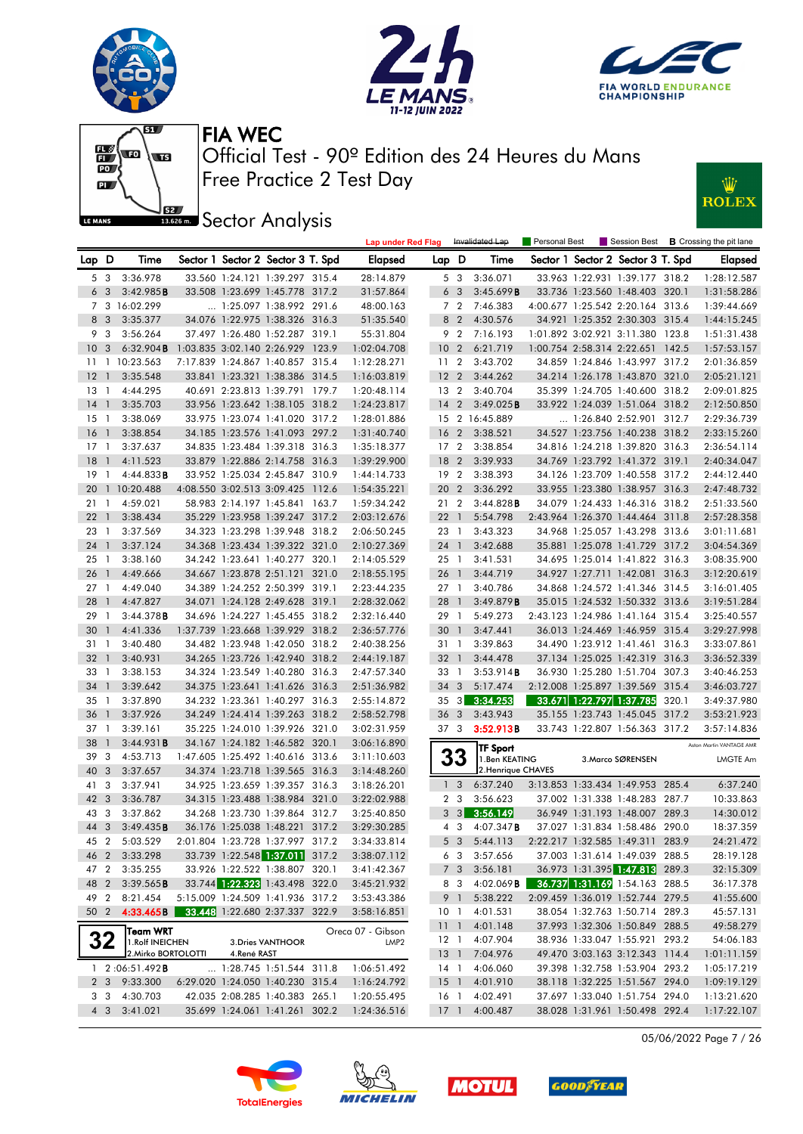







**IBER Sector Analysis** 

Lap D Time Sector 1 Sector 2 Sector 3 T. Spd Elapsed



|                 | 5 3            | 3:36.978                    |             | 33.560 1:24.121 1:39.297 315.4   | 28:14.879         |                 | 53             | 3:36.071              |  | 33.963 1:22.931 1:39.177 318.2   |       | 1:28:12.587              |
|-----------------|----------------|-----------------------------|-------------|----------------------------------|-------------------|-----------------|----------------|-----------------------|--|----------------------------------|-------|--------------------------|
|                 | 6 <sub>3</sub> | 3:42.985B                   |             | 33.508 1:23.699 1:45.778 317.2   | 31:57.864         |                 | 6 <sub>3</sub> | 3:45.699B             |  | 33.736 1:23.560 1:48.403 320.1   |       | 1:31:58.286              |
|                 |                | 7 3 16:02.299               |             | 1:25.097 1:38.992 291.6          | 48:00.163         |                 | 7 2            | 7:46.383              |  | 4:00.677 1:25.542 2:20.164 313.6 |       | 1:39:44.669              |
|                 | 8 3            | 3:35.377                    |             | 34.076 1:22.975 1:38.326 316.3   | 51:35.540         |                 | 8 2            | 4:30.576              |  | 34.921 1:25.352 2:30.303 315.4   |       | 1:44:15.245              |
|                 | 9 3            | 3:56.264                    |             | 37.497 1:26.480 1:52.287 319.1   | 55:31.804         |                 | 9 2            | 7:16.193              |  | 1:01.892 3:02.921 3:11.380 123.8 |       | 1:51:31.438              |
| 10 <sub>3</sub> |                | $6:32.904$ <b>B</b>         |             | 1:03.835 3:02.140 2:26.929 123.9 | 1:02:04.708       | 10              | $\overline{2}$ | 6:21.719              |  | 1:00.754 2:58.314 2:22.651 142.5 |       | 1:57:53.157              |
|                 |                | 11 1 10:23.563              |             | 7:17.839 1:24.867 1:40.857 315.4 | 1:12:28.271       | 11 <sub>2</sub> |                | 3:43.702              |  | 34.859 1:24.846 1:43.997 317.2   |       | 2:01:36.859              |
| $12-1$          |                | 3:35.548                    |             | 33.841 1:23.321 1:38.386 314.5   | 1:16:03.819       |                 |                | 12 2 3:44.262         |  | 34.214 1:26.178 1:43.870 321.0   |       | 2:05:21.121              |
| $13-1$          |                | 4:44.295                    |             | 40.691 2:23.813 1:39.791 179.7   | 1:20:48.114       |                 | 13 2           | 3:40.704              |  | 35.399 1:24.705 1:40.600 318.2   |       | 2:09:01.825              |
| $14-1$          |                | 3:35.703                    |             | 33.956 1:23.642 1:38.105 318.2   | 1:24:23.817       | 14              |                | 2 $3:49.025B$         |  | 33.922 1:24.039 1:51.064 318.2   |       | 2:12:50.850              |
| $15-1$          |                | 3:38.069                    |             | 33.975 1:23.074 1:41.020 317.2   | 1:28:01.886       |                 |                | 15 2 16:45.889        |  | 1:26.840 2:52.901 312.7          |       | 2:29:36.739              |
| $16-1$          |                | 3:38.854                    |             | 34.185 1:23.576 1:41.093 297.2   | 1:31:40.740       | 16              | $\overline{2}$ | 3:38.521              |  | 34.527 1:23.756 1:40.238 318.2   |       | 2:33:15.260              |
| $17-1$          |                | 3:37.637                    |             | 34.835 1:23.484 1:39.318 316.3   | 1:35:18.377       | 17              | 2              | 3:38.854              |  | 34.816 1:24.218 1:39.820 316.3   |       | 2:36:54.114              |
| 18 <sup>1</sup> |                | 4:11.523                    |             | 33.879 1:22.886 2:14.758 316.3   | 1:39:29.900       | 18              | 2              | 3:39.933              |  | 34.769 1:23.792 1:41.372 319.1   |       | 2:40:34.047              |
| 19 1            |                | 4:44.833B                   |             | 33.952 1:25.034 2:45.847 310.9   | 1:44:14.733       | 19 <sub>2</sub> |                | 3:38.393              |  | 34.126 1:23.709 1:40.558 317.2   |       | 2:44:12.440              |
|                 |                | 20 1 10:20.488              |             | 4:08.550 3:02.513 3:09.425 112.6 | 1:54:35.221       |                 |                | 20 2 3:36.292         |  | 33.955 1:23.380 1:38.957 316.3   |       | 2:47:48.732              |
| $21 \quad 1$    |                | 4:59.021                    |             | 58.983 2:14.197 1:45.841 163.7   | 1:59:34.242       | 21 2            |                | $3:44.828$ <b>B</b>   |  | 34.079 1:24.433 1:46.316 318.2   |       | 2:51:33.560              |
| $22 \quad 1$    |                | 3:38.434                    |             | 35.229 1:23.958 1:39.247 317.2   | 2:03:12.676       | 22 <sub>1</sub> |                | 5:54.798              |  | 2:43.964 1:26.370 1:44.464 311.8 |       | 2:57:28.358              |
| 23 1            |                | 3:37.569                    |             | 34.323 1:23.298 1:39.948 318.2   | 2:06:50.245       | 23 1            |                | 3:43.323              |  | 34.968 1:25.057 1:43.298 313.6   |       | 3:01:11.681              |
| 24 1            |                | 3:37.124                    |             | 34.368 1:23.434 1:39.322 321.0   | 2:10:27.369       | 24 1            |                | 3:42.688              |  | 35.881 1:25.078 1:41.729 317.2   |       | 3:04:54.369              |
| $25-1$          |                | 3:38.160                    |             | 34.242 1:23.641 1:40.277 320.1   | 2:14:05.529       | 25 1            |                | 3:41.531              |  | 34.695 1:25.014 1:41.822 316.3   |       | 3:08:35.900              |
| 26 1            |                | 4:49.666                    |             | 34.667 1:23.878 2:51.121 321.0   | 2:18:55.195       | 26 1            |                | 3:44.719              |  | 34.927 1:27.711 1:42.081 316.3   |       | 3:12:20.619              |
| $27-1$          |                | 4:49.040                    |             | 34.389 1:24.252 2:50.399 319.1   | 2:23:44.235       | 27 1            |                | 3:40.786              |  | 34.868 1:24.572 1:41.346 314.5   |       | 3:16:01.405              |
| 28 1            |                | 4:47.827                    |             | 34.071 1:24.128 2:49.628 319.1   | 2:28:32.062       | 28              | $\overline{1}$ | 3:49.879B             |  | 35.015 1:24.532 1:50.332 313.6   |       | 3:19:51.284              |
| 29 1            |                | 3:44.378B                   |             | 34.696 1:24.227 1:45.455 318.2   | 2:32:16.440       | 29 1            |                | 5:49.273              |  | 2:43.123 1:24.986 1:41.164 315.4 |       | 3:25:40.557              |
| 30 <sub>1</sub> |                | 4:41.336                    |             | 1:37.739 1:23.668 1:39.929 318.2 | 2:36:57.776       | 30              | $\overline{1}$ | 3:47.441              |  | 36.013 1:24.469 1:46.959 315.4   |       | 3:29:27.998              |
| 31 1            |                | 3:40.480                    |             | 34.482 1:23.948 1:42.050 318.2   | 2:40:38.256       | 31 1            |                | 3:39.863              |  | 34.490 1:23.912 1:41.461 316.3   |       | 3:33:07.861              |
| $32 \quad 1$    |                | 3:40.931                    |             | 34.265 1:23.726 1:42.940 318.2   | 2:44:19.187       | 32 <sub>1</sub> |                | 3:44.478              |  | 37.134 1:25.025 1:42.319 316.3   |       | 3:36:52.339              |
| $33 \quad 1$    |                | 3:38.153                    |             | 34.324 1:23.549 1:40.280 316.3   | 2:47:57.340       | 33 1            |                | 3:53.914B             |  | 36.930 1:25.280 1:51.704 307.3   |       | 3:40:46.253              |
| 34 1            |                | 3:39.642                    |             | 34.375 1:23.641 1:41.626 316.3   | 2:51:36.982       | 34 3            |                | 5:17.474              |  | 2:12.008 1:25.897 1:39.569 315.4 |       | 3:46:03.727              |
| 35 1            |                | 3:37.890                    |             | 34.232 1:23.361 1:40.297 316.3   | 2:55:14.872       |                 |                | 35 3 3:34.253         |  | 33.671 1:22.797 1:37.785 320.1   |       | 3:49:37.980              |
| 36 <sub>1</sub> |                | 3:37.926                    |             | 34.249 1:24.414 1:39.263 318.2   | 2:58:52.798       | 36 <sub>3</sub> |                | 3:43.943              |  | 35.155 1:23.743 1:45.045 317.2   |       | 3:53:21.923              |
| 37 1            |                | 3:39.161                    |             | 35.225 1:24.010 1:39.926 321.0   | 3:02:31.959       | 37 3            |                | 3:52.913B             |  | 33.743 1:22.807 1:56.363 317.2   |       | 3:57:14.836              |
| 38 1            |                | 3:44.931B                   |             | 34.167 1:24.182 1:46.582 320.1   | 3:06:16.890       |                 |                | <b>TF Sport</b>       |  |                                  |       | Aston Martin VANTAGE AMR |
| 39 3            |                | 4:53.713                    |             | 1:47.605 1:25.492 1:40.616 313.6 | 3:11:10.603       |                 | 33             | 1.Ben KEATING         |  | 3. Marco SØRENSEN                |       | LMGTE Am                 |
| 40 3            |                | 3:37.657                    |             | 34.374 1:23.718 1:39.565 316.3   | 3:14:48.260       |                 |                | 2. Henrique CHAVES    |  |                                  |       |                          |
| 41 3            |                | 3:37.941                    |             | 34.925 1:23.659 1:39.357 316.3   | 3:18:26.201       |                 | 1 <sub>3</sub> | 6:37.240              |  | 3:13.853 1:33.434 1:49.953 285.4 |       | 6:37.240                 |
| 42 3            |                | 3:36.787                    |             | 34.315 1:23.488 1:38.984 321.0   | 3:22:02.988       |                 | 2 3            | 3:56.623              |  | 37.002 1:31.338 1:48.283 287.7   |       | 10:33.863                |
| 43 3            |                | 3:37.862                    |             | 34.268 1:23.730 1:39.864 312.7   | 3:25:40.850       |                 | $3 \quad 3$    | 3:56.149              |  | 36.949 1:31.193 1:48.007 289.3   |       | 14:30.012                |
| 44 3            |                | 3:49.435B                   |             | 36.176 1:25.038 1:48.221 317.2   | 3:29:30.285       |                 | 4 3            | $4:07.347$ <b>B</b>   |  | 37.027 1:31.834 1:58.486 290.0   |       | 18:37.359                |
| 45 2            |                | 5:03.529                    |             | 2:01.804 1:23.728 1:37.997 317.2 | 3:34:33.814       |                 | 5 <sub>3</sub> | 5:44.113              |  | 2:22.217 1:32.585 1:49.311 283.9 |       | 24:21.472                |
| 46 2            |                | 3:33.298                    |             | 33.739 1:22.548 1:37.011 317.2   | 3:38:07.112       |                 | 6 3            | 3:57.656              |  | 37.003 1:31.614 1:49.039 288.5   |       | 28:19.128                |
| 47 2            |                | 3:35.255                    |             | 33.926 1:22.522 1:38.807 320.1   | 3:41:42.367       |                 | 7 <sup>3</sup> | 3:56.181              |  | 36.973 1:31.395 1:47.813         | 289.3 | 32:15.309                |
|                 |                | 48 2 3:39.565 <b>B</b>      |             | 33.744 1:22.323 1:43.498 322.0   | 3:45:21.932       |                 |                | 8 3 4:02.069 <b>B</b> |  | 36.737 1:31.169 1:54.163 288.5   |       | 36:17.378                |
| 49 2            |                | 8:21.454                    |             | 5:15.009 1:24.509 1:41.936 317.2 | 3:53:43.386       |                 | 9 1            | 5:38.222              |  | 2:09.459 1:36.019 1:52.744 279.5 |       | 41:55.600                |
| 50 2            |                | 4:33.465B                   |             | 33.448 1:22.680 2:37.337 322.9   | 3:58:16.851       | 10 1            |                | 4:01.531              |  | 38.054 1:32.763 1:50.714 289.3   |       | 45:57.131                |
|                 |                |                             |             |                                  | Oreca 07 - Gibson | 11 <sub>1</sub> |                | 4:01.148              |  | 37.993 1:32.306 1:50.849 288.5   |       | 49:58.279                |
|                 | 32             | Team WRT<br>1.Rolf INEICHEN |             | 3. Dries VANTHOOR                | LMP <sub>2</sub>  | $12-1$          |                | 4:07.904              |  | 38.936 1:33.047 1:55.921 293.2   |       | 54:06.183                |
|                 |                | 2. Mirko BORTOLOTTI         | 4.René RAST |                                  |                   | $13-1$          |                | 7:04.976              |  | 49.470 3:03.163 3:12.343 114.4   |       | 1:01:11.159              |
|                 |                | $1 \quad 2:06:51.492$ B     |             | 1:28.745 1:51.544 311.8          | 1:06:51.492       |                 | 14 1           | 4:06.060              |  | 39.398 1:32.758 1:53.904 293.2   |       | 1:05:17.219              |
|                 |                | 2 3 9:33.300                |             | 6:29.020 1:24.050 1:40.230 315.4 | 1:16:24.792       | 15 <sub>1</sub> |                | 4:01.910              |  | 38.118 1:32.225 1:51.567 294.0   |       | 1:09:19.129              |
|                 | 3 3            | 4:30.703                    |             | 42.035 2:08.285 1:40.383 265.1   | 1:20:55.495       | 16 <sub>1</sub> |                | 4:02.491              |  | 37.697 1:33.040 1:51.754 294.0   |       | 1:13:21.620              |
|                 | $4 \quad 3$    | 3:41.021                    |             | 35.699 1:24.061 1:41.261 302.2   | 1:24:36.516       | $17-1$          |                | 4:00.487              |  | 38.028 1:31.961 1:50.498 292.4   |       | 1:17:22.107              |

05/06/2022 Page 7 / 26







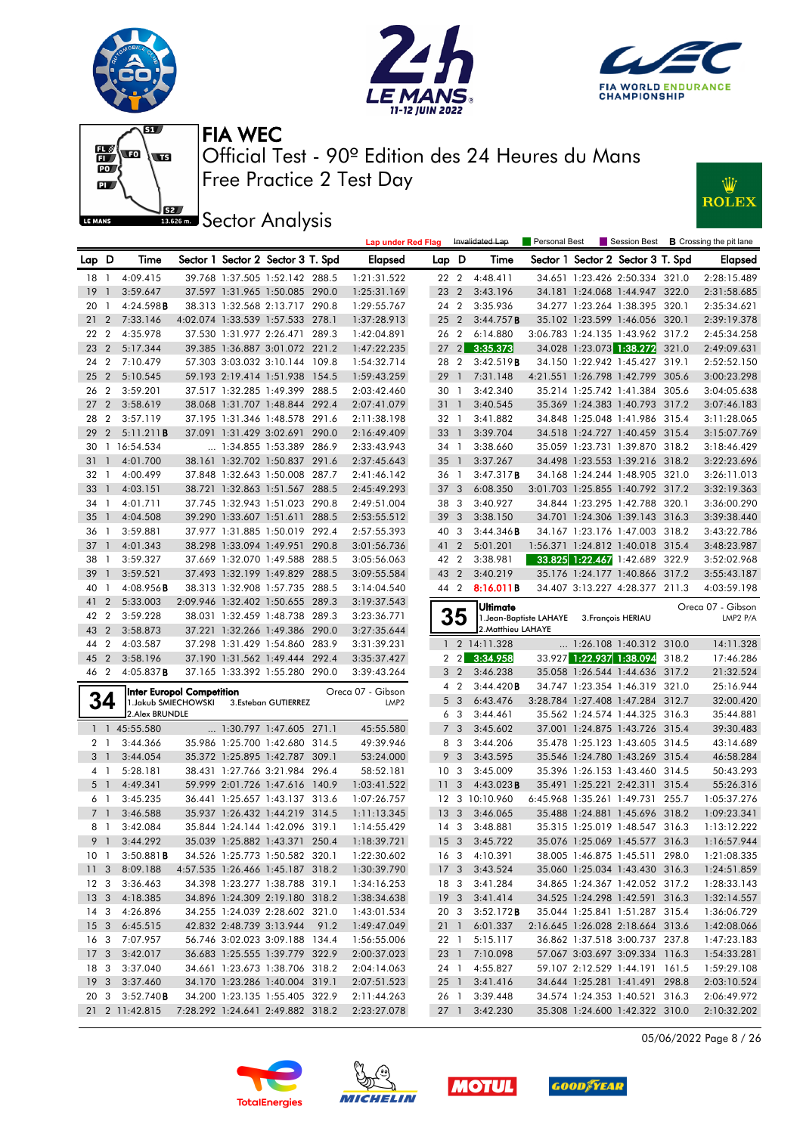







**JEE** Sector Analysis



|                 |                |                                                   |  |                                   |       | <b>Lap under Red Flag</b>             |                 |                | Invalidated Lap     | <b>Personal Best</b>                       |                                   | Session Best <b>B</b> Crossing the pit lane |
|-----------------|----------------|---------------------------------------------------|--|-----------------------------------|-------|---------------------------------------|-----------------|----------------|---------------------|--------------------------------------------|-----------------------------------|---------------------------------------------|
| Lap D           |                | Time                                              |  | Sector 1 Sector 2 Sector 3 T. Spd |       | Elapsed                               | Lap D           |                | Time                |                                            | Sector 1 Sector 2 Sector 3 T. Spd | Elapsed                                     |
| $18-1$          |                | 4:09.415                                          |  | 39.768 1:37.505 1:52.142 288.5    |       | 1:21:31.522                           | 22 2            |                | 4:48.411            |                                            | 34.651 1:23.426 2:50.334 321.0    | 2:28:15.489                                 |
| 19              | $\mathbf{1}$   | 3:59.647                                          |  | 37.597 1:31.965 1:50.085 290.0    |       | 1:25:31.169                           | 23 2            |                | 3:43.196            |                                            | 34.181 1:24.068 1:44.947 322.0    | 2:31:58.685                                 |
| 20              | $\mathbf{1}$   | 4:24.598B                                         |  | 38.313 1:32.568 2:13.717 290.8    |       | 1:29:55.767                           | 24 2            |                | 3:35.936            |                                            | 34.277 1:23.264 1:38.395 320.1    | 2:35:34.621                                 |
| 21              | $\overline{2}$ | 7:33.146                                          |  | 4:02.074 1:33.539 1:57.533 278.1  |       | 1:37:28.913                           | 25 <sub>2</sub> |                | 3:44.757B           |                                            | 35.102 1:23.599 1:46.056 320.1    | 2:39:19.378                                 |
| 22 2            |                | 4:35.978                                          |  | 37.530 1:31.977 2:26.471 289.3    |       | 1:42:04.891                           | 26 2            |                | 6:14.880            |                                            | 3:06.783 1:24.135 1:43.962 317.2  | 2:45:34.258                                 |
| 23              | $\overline{2}$ | 5:17.344                                          |  | 39.385 1:36.887 3:01.072 221.2    |       | 1:47:22.235                           | $27$ $2$        |                | 3:35.373            |                                            | 34.028 1:23.073 1:38.272 321.0    | 2:49:09.631                                 |
| 24              | $\overline{2}$ | 7:10.479                                          |  | 57.303 3:03.032 3:10.144 109.8    |       | 1:54:32.714                           | 28 2            |                | 3:42.519B           |                                            | 34.150 1:22.942 1:45.427 319.1    | 2:52:52.150                                 |
| 25              | $\overline{2}$ | 5:10.545                                          |  | 59.193 2:19.414 1:51.938 154.5    |       | 1:59:43.259                           | 29              | $\overline{1}$ | 7:31.148            |                                            | 4:21.551 1:26.798 1:42.799 305.6  | 3:00:23.298                                 |
| 26              | $\overline{2}$ | 3:59.201                                          |  | 37.517 1:32.285 1:49.399 288.5    |       | 2:03:42.460                           | 30 1            |                | 3:42.340            |                                            | 35.214 1:25.742 1:41.384 305.6    | 3:04:05.638                                 |
| 27              | $\overline{2}$ | 3:58.619                                          |  | 38.068 1:31.707 1:48.844 292.4    |       | 2:07:41.079                           | 31 1            |                | 3:40.545            |                                            | 35.369 1:24.383 1:40.793 317.2    | 3:07:46.183                                 |
| 28              | $\overline{2}$ | 3:57.119                                          |  | 37.195 1:31.346 1:48.578 291.6    |       | 2:11:38.198                           | 32 1            |                | 3:41.882            |                                            | 34.848 1:25.048 1:41.986 315.4    | 3:11:28.065                                 |
| 29              | $\overline{2}$ | 5:11.211B                                         |  | 37.091 1:31.429 3:02.691 290.0    |       | 2:16:49.409                           | 33 1            |                | 3:39.704            |                                            | 34.518 1:24.727 1:40.459 315.4    | 3:15:07.769                                 |
| 30              |                | 1 16:54.534                                       |  | 1:34.855 1:53.389 286.9           |       | 2:33:43.943                           | 34 1            |                | 3:38.660            |                                            | 35.059 1:23.731 1:39.870 318.2    | 3:18:46.429                                 |
| 31              | $\overline{1}$ | 4:01.700                                          |  | 38.161 1:32.702 1:50.837 291.6    |       | 2:37:45.643                           | 35 <sup>1</sup> |                | 3:37.267            |                                            | 34.498 1:23.553 1:39.216 318.2    | 3:22:23.696                                 |
| 32              | $\overline{1}$ | 4:00.499                                          |  | 37.848 1:32.643 1:50.008          | 287.7 | 2:41:46.142                           | 36 1            |                | 3:47.317B           |                                            | 34.168 1:24.244 1:48.905 321.0    | 3:26:11.013                                 |
| 33              | $\overline{1}$ | 4:03.151                                          |  | 38.721 1:32.863 1:51.567 288.5    |       | 2:45:49.293                           | 37 <sub>3</sub> |                | 6:08.350            |                                            | 3:01.703 1:25.855 1:40.792 317.2  | 3:32:19.363                                 |
| 34              | $\overline{1}$ | 4:01.711                                          |  | 37.745 1:32.943 1:51.023 290.8    |       | 2:49:51.004                           | 383             |                | 3:40.927            |                                            | 34.844 1:23.295 1:42.788 320.1    | 3:36:00.290                                 |
| 35              | $\overline{1}$ | 4:04.508                                          |  | 39.290 1:33.607 1:51.611 288.5    |       | 2:53:55.512                           | 39              | $\mathbf{3}$   | 3:38.150            |                                            | 34.701 1:24.306 1:39.143 316.3    | 3:39:38.440                                 |
| 36              | $\mathbf{1}$   | 3:59.881                                          |  | 37.977 1:31.885 1:50.019 292.4    |       | 2:57:55.393                           | 40              | -3             | 3:44.346B           |                                            | 34.167 1:23.176 1:47.003 318.2    | 3:43:22.786                                 |
| 37              | $\overline{1}$ | 4:01.343                                          |  | 38.298 1:33.094 1:49.951 290.8    |       | 3:01:56.736                           | 41 2            |                | 5:01.201            |                                            | 1:56.371 1:24.812 1:40.018 315.4  | 3:48:23.987                                 |
| 38              | $\overline{1}$ | 3:59.327                                          |  | 37.669 1:32.070 1:49.588 288.5    |       | 3:05:56.063                           | 42 2            |                | 3:38.981            |                                            | 33.825 1:22.467 1:42.689 322.9    | 3:52:02.968                                 |
| 39              | $\overline{1}$ | 3:59.521                                          |  | 37.493 1:32.199 1:49.829 288.5    |       | 3:09:55.584                           | 43 2            |                | 3:40.219            |                                            | 35.176 1:24.177 1:40.866 317.2    | 3:55:43.187                                 |
| 40              | $\mathbf{1}$   | 4:08.956B                                         |  | 38.313 1:32.908 1:57.735 288.5    |       | 3:14:04.540                           | 44 2            |                | 8:16.011B           |                                            | 34.407 3:13.227 4:28.377 211.3    | 4:03:59.198                                 |
| 41              | $\overline{2}$ | 5:33.003                                          |  | 2:09.946 1:32.402 1:50.655 289.3  |       | 3:19:37.543                           |                 |                |                     |                                            |                                   |                                             |
| 42              | $\overline{2}$ | 3:59.228                                          |  | 38.031 1:32.459 1:48.738 289.3    |       | 3:23:36.771                           |                 | 35             | Ultimate            |                                            |                                   | Oreca 07 - Gibson                           |
| 43              | $\overline{2}$ | 3:58.873                                          |  | 37.221 1:32.266 1:49.386 290.0    |       | 3:27:35.644                           |                 |                | 2. Matthieu LAHAYE  | 1. Jean-Baptiste LAHAYE 3. François HERIAU |                                   | LMP2 P/A                                    |
| 44              | $\overline{2}$ | 4:03.587                                          |  | 37.298 1:31.429 1:54.860 283.9    |       | 3:31:39.231                           |                 |                | 1 2 14:11.328       |                                            | $\ldots$ 1:26.108 1:40.312 310.0  | 14:11.328                                   |
| 45              | $\overline{2}$ | 3:58.196                                          |  | 37.190 1:31.562 1:49.444 292.4    |       | 3:35:37.427                           |                 | $2 \quad 2$    | 3:34.958            |                                            | 33.927 1:22.937 1:38.094 318.2    | 17:46.286                                   |
| 46 2            |                | 4:05.837B                                         |  | 37.165 1:33.392 1:55.280 290.0    |       | 3:39:43.264                           |                 | 3 <sub>2</sub> | 3:46.238            |                                            | 35.058 1:26.544 1:44.636 317.2    | 21:32.524                                   |
|                 |                |                                                   |  |                                   |       |                                       |                 | $4\quad2$      | 3:44.420B           |                                            | 34.747 1:23.354 1:46.319 321.0    | 25:16.944                                   |
|                 | 34             | Inter Europol Competition<br>1. Jakub SMIECHOWSKI |  | 3.Esteban GUTIERREZ               |       | Oreca 07 - Gibson<br>LMP <sub>2</sub> |                 | 5 <sub>3</sub> | 6:43.476            |                                            | 3:28.784 1:27.408 1:47.284 312.7  | 32:00.420                                   |
|                 |                | 2. Alex BRUNDLE                                   |  |                                   |       |                                       |                 | 6 3            | 3:44.461            |                                            | 35.562 1:24.574 1:44.325 316.3    | 35:44.881                                   |
|                 |                | 1 1 45:55.580                                     |  | 1:30.797 1:47.605 271.1           |       | 45:55.580                             |                 | 7 <sub>3</sub> | 3:45.602            |                                            | 37.001 1:24.875 1:43.726 315.4    | 39:30.483                                   |
|                 | 2 <sub>1</sub> | 3:44.366                                          |  | 35.986 1:25.700 1:42.680 314.5    |       | 49:39.946                             |                 | 8 3            | 3:44.206            |                                            | 35.478 1:25.123 1:43.605 314.5    | 43:14.689                                   |
| 3 1             |                | 3:44.054                                          |  | 35.372 1:25.895 1:42.787 309.1    |       | 53:24.000                             | 9               | 3              | 3:43.595            |                                            | 35.546 1:24.780 1:43.269 315.4    | 46:58.284                                   |
|                 | 4 1            | 5:28.181                                          |  | 38.431 1:27.766 3:21.984 296.4    |       | 58:52.181                             | 10 <sub>3</sub> |                | 3:45.009            |                                            | 35.396 1:26.153 1:43.460 314.5    | 50:43.293                                   |
|                 | 5 <sub>1</sub> | 4:49.341                                          |  | 59.999 2:01.726 1:47.616 140.9    |       | 1:03:41.522                           | 11              | 3              | $4:43.023$ <b>B</b> |                                            | 35.491 1:25.221 2:42.311 315.4    | 55:26.316                                   |
|                 | 6 1            | 3:45.235                                          |  | 36.441 1:25.657 1:43.137 313.6    |       | 1:07:26.757                           |                 |                | 12 3 10:10.960      |                                            | 6:45.968 1:35.261 1:49.731 255.7  | 1:05:37.276                                 |
|                 | 7 <sup>1</sup> | 3:46.588                                          |  | 35.937 1:26.432 1:44.219 314.5    |       | 1:11:13.345                           | 13 <sup>3</sup> |                | 3:46.065            |                                            | 35.488 1:24.881 1:45.696 318.2    | 1:09:23.341                                 |
|                 | 81             | 3:42.084                                          |  | 35.844 1:24.144 1:42.096 319.1    |       | 1:14:55.429                           | $14 \quad 3$    |                | 3:48.881            |                                            | 35.315 1:25.019 1:48.547 316.3    | 1:13:12.222                                 |
|                 |                | 9 1 3:44.292                                      |  | 35.039 1:25.882 1:43.371 250.4    |       | 1:18:39.721                           |                 |                | 15 3 3:45.722       |                                            | 35.076 1:25.069 1:45.577 316.3    | 1:16:57.944                                 |
| 10 <sub>1</sub> |                | 3:50.881B                                         |  | 34.526 1:25.773 1:50.582 320.1    |       | 1:22:30.602                           |                 |                | 16 3 4:10.391       |                                            | 38.005 1:46.875 1:45.511 298.0    | 1:21:08.335                                 |
| 11 <sub>3</sub> |                | 8:09.188                                          |  | 4:57.535 1:26.466 1:45.187 318.2  |       | 1:30:39.790                           |                 |                | 17 3 3:43.524       |                                            | 35.060 1:25.034 1:43.430 316.3    | 1:24:51.859                                 |
| 12 <sup>3</sup> |                | 3:36.463                                          |  | 34.398 1:23.277 1:38.788 319.1    |       | 1:34:16.253                           |                 |                | 18 3 3:41.284       |                                            | 34.865 1:24.367 1:42.052 317.2    | 1:28:33.143                                 |
|                 |                | 13 3 4:18.385                                     |  | 34.896 1:24.309 2:19.180 318.2    |       | 1:38:34.638                           |                 |                | 19 3 3:41.414       |                                            | 34.525 1:24.298 1:42.591 316.3    | 1:32:14.557                                 |
| $14 \quad 3$    |                | 4:26.896                                          |  | 34.255 1:24.039 2:28.602 321.0    |       | 1:43:01.534                           | 20 3            |                | 3:52.172B           |                                            | 35.044 1:25.841 1:51.287 315.4    | 1:36:06.729                                 |
| 15 <sub>3</sub> |                | 6:45.515                                          |  | 42.832 2:48.739 3:13.944          | 91.2  | 1:49:47.049                           | 21 1            |                | 6:01.337            |                                            | 2:16.645 1:26.028 2:18.664 313.6  | 1:42:08.066                                 |
| 16 3            |                | 7:07.957                                          |  | 56.746 3:02.023 3:09.188 134.4    |       | 1:56:55.006                           | 22 1            |                | 5:15.117            |                                            | 36.862 1:37.518 3:00.737 237.8    | 1:47:23.183                                 |
| 17 <sub>3</sub> |                | 3:42.017                                          |  | 36.683 1:25.555 1:39.779 322.9    |       | 2:00:37.023                           | 23 1            |                | 7:10.098            |                                            | 57.067 3:03.697 3:09.334 116.3    | 1:54:33.281                                 |
| 18 3            |                | 3:37.040                                          |  | 34.661 1:23.673 1:38.706 318.2    |       | 2:04:14.063                           | 24 1            |                | 4:55.827            |                                            | 59.107 2:12.529 1:44.191 161.5    | 1:59:29.108                                 |
| 19 <sub>3</sub> |                | 3:37.460                                          |  | 34.170 1:23.286 1:40.004 319.1    |       |                                       |                 |                | 3:41.416            |                                            | 34.644 1:25.281 1:41.491 298.8    | 2:03:10.524                                 |
| 20 3            |                | 3:52.740B                                         |  | 34.200 1:23.135 1:55.405 322.9    |       | 2:07:51.523<br>2:11:44.263            | 25 1<br>26 1    |                | 3:39.448            |                                            | 34.574 1:24.353 1:40.521 316.3    | 2:06:49.972                                 |
|                 |                | 21 2 11:42.815                                    |  | 7:28.292 1:24.641 2:49.882 318.2  |       | 2:23:27.078                           | 27 1            |                | 3:42.230            |                                            | 35.308 1:24.600 1:42.322 310.0    | 2:10:32.202                                 |
|                 |                |                                                   |  |                                   |       |                                       |                 |                |                     |                                            |                                   |                                             |

05/06/2022 Page 8 / 26







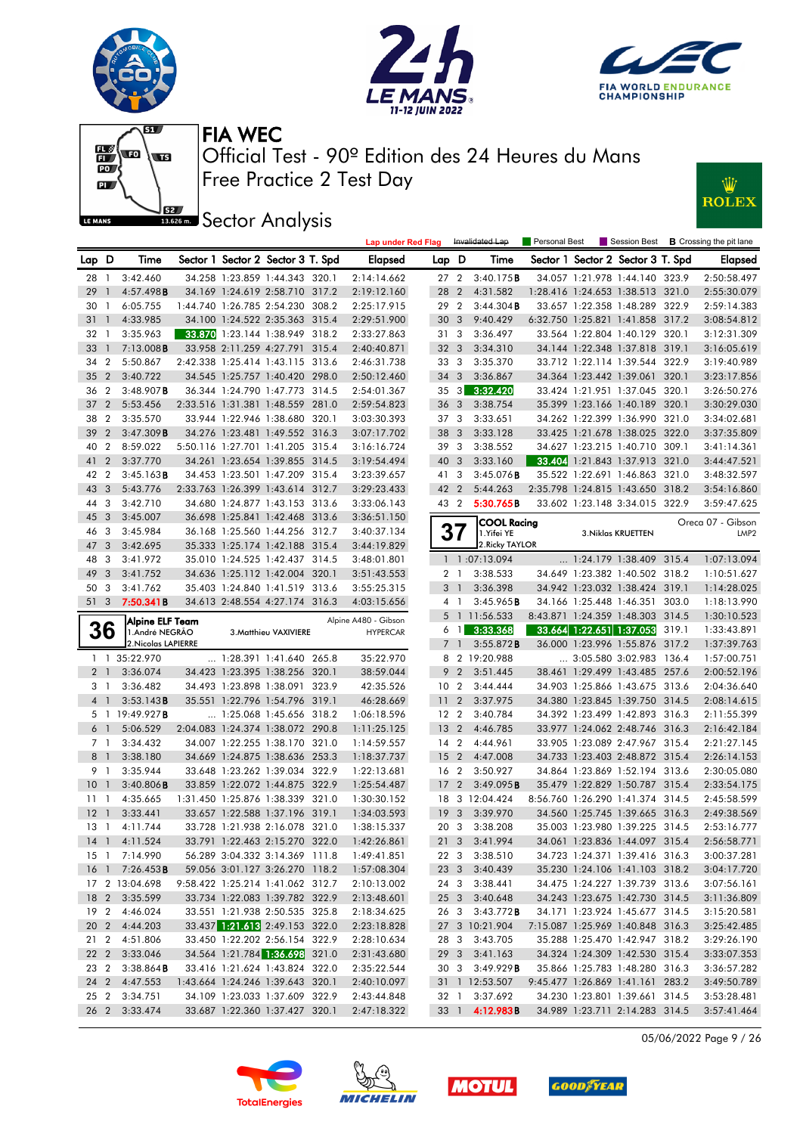





Personal Best **B** Crossing the pit lane



Free Practice 2 Test Day Official Test - 90º Edition des 24 Heures du Mans FIA WEC

**Lap under Red Flag** Invalidated Lap



**J**<br>**Bassem Sector Analysis** 

| Lap D          |                | Time                              |  | Sector 1 Sector 2 Sector 3 T. Spd | Elapsed                                    | Lap D           |    | Time                             |  | Sector 1 Sector 2 Sector 3 T. Spd |       | Elapsed           |
|----------------|----------------|-----------------------------------|--|-----------------------------------|--------------------------------------------|-----------------|----|----------------------------------|--|-----------------------------------|-------|-------------------|
| 28 1           |                | 3:42.460                          |  | 34.258 1:23.859 1:44.343 320.1    | 2:14:14.662                                |                 |    | 27 2 3:40.175 <b>B</b>           |  | 34.057 1:21.978 1:44.140 323.9    |       | 2:50:58.497       |
| 29             | $\overline{1}$ | 4:57.498B                         |  | 34.169 1:24.619 2:58.710 317.2    | 2:19:12.160                                | 28 2            |    | 4:31.582                         |  | 1:28.416 1:24.653 1:38.513 321.0  |       | 2:55:30.079       |
| 30             | $\overline{1}$ | 6:05.755                          |  | 1:44.740 1:26.785 2:54.230 308.2  | 2:25:17.915                                | 29 2            |    | 3:44.304B                        |  | 33.657 1:22.358 1:48.289 322.9    |       | 2:59:14.383       |
| 31             | $\mathbf{1}$   | 4:33.985                          |  | 34.100 1:24.522 2:35.363 315.4    | 2:29:51.900                                | 30 <sub>3</sub> |    | 9:40.429                         |  | 6:32.750 1:25.821 1:41.858 317.2  |       | 3:08:54.812       |
| 32 1           |                | 3:35.963                          |  | 33.870 1:23.144 1:38.949 318.2    | 2:33:27.863                                | 31 3            |    | 3:36.497                         |  | 33.564 1:22.804 1:40.129 320.1    |       | 3:12:31.309       |
| 33             | $\overline{1}$ | 7:13.008B                         |  | 33.958 2:11.259 4:27.791 315.4    | 2:40:40.871                                | 32 <sub>3</sub> |    | 3:34.310                         |  | 34.144 1:22.348 1:37.818 319.1    |       | 3:16:05.619       |
| 34             | $\overline{2}$ | 5:50.867                          |  | 2:42.338 1:25.414 1:43.115 313.6  | 2:46:31.738                                | 33 3            |    | 3:35.370                         |  | 33.712 1:22.114 1:39.544 322.9    |       | 3:19:40.989       |
| 35             | $\overline{2}$ | 3:40.722                          |  | 34.545 1:25.757 1:40.420 298.0    | 2:50:12.460                                | 34 3            |    | 3:36.867                         |  | 34.364 1:23.442 1:39.061 320.1    |       | 3:23:17.856       |
| 36 2           |                | $3:48.907$ B                      |  | 36.344 1:24.790 1:47.773 314.5    | 2:54:01.367                                | $35 \quad 3$    |    | 3:32.420                         |  | 33.424 1:21.951 1:37.045 320.1    |       | 3:26:50.276       |
| 37             | $\overline{2}$ | 5:53.456                          |  | 2:33.516 1:31.381 1:48.559 281.0  | 2:59:54.823                                | 36 <sub>3</sub> |    | 3:38.754                         |  | 35.399 1:23.166 1:40.189 320.1    |       | 3:30:29.030       |
| 38             | $\overline{2}$ | 3:35.570                          |  | 33.944 1:22.946 1:38.680 320.1    | 3:03:30.393                                | 37 3            |    | 3:33.651                         |  | 34.262 1:22.399 1:36.990 321.0    |       | 3:34:02.681       |
| 39             | $\overline{2}$ | 3:47.309B                         |  | 34.276 1:23.481 1:49.552 316.3    | 3:07:17.702                                | 38 3            |    | 3:33.128                         |  | 33.425 1:21.678 1:38.025 322.0    |       | 3:37:35.809       |
| 40             | $\overline{2}$ | 8:59.022                          |  | 5:50.116 1:27.701 1:41.205 315.4  | 3:16:16.724                                | 39 3            |    | 3:38.552                         |  | 34.627 1:23.215 1:40.710 309.1    |       | 3:41:14.361       |
| 41             | $\overline{2}$ | 3:37.770                          |  | 34.261 1:23.654 1:39.855 314.5    | 3:19:54.494                                | 40 3            |    | 3:33.160                         |  | 33.404 1:21.843 1:37.913 321.0    |       | 3:44:47.521       |
| 42             | $\overline{2}$ | 3:45.163B                         |  | 34.453 1:23.501 1:47.209 315.4    | 3:23:39.657                                | 41 3            |    | 3:45.076B                        |  | 35.522 1:22.691 1:46.863 321.0    |       | 3:48:32.597       |
| 43             | $\mathbf{3}$   | 5:43.776                          |  | 2:33.763 1:26.399 1:43.614 312.7  | 3:29:23.433                                | 42 2            |    | 5:44.263                         |  | 2:35.798 1:24.815 1:43.650 318.2  |       | 3:54:16.860       |
| 44 3           |                | 3:42.710                          |  | 34.680 1:24.877 1:43.153 313.6    | 3:33:06.143                                | 43 2            |    | 5:30.765B                        |  | 33.602 1:23.148 3:34.015 322.9    |       | 3:59:47.625       |
| 45             | $\mathbf{3}$   | 3:45.007                          |  | 36.698 1:25.841 1:42.468 313.6    | 3:36:51.150                                |                 |    |                                  |  |                                   |       | Oreca 07 - Gibson |
| 46             | -3             | 3:45.984                          |  | 36.168 1:25.560 1:44.256 312.7    | 3:40:37.134                                |                 |    | <b>COOL Racing</b><br>1.Yifei YE |  | 3. Niklas KRUETTEN                |       | LMP <sub>2</sub>  |
| 47             | $\mathbf{3}$   | 3:42.695                          |  | 35.333 1:25.174 1:42.188 315.4    | 3:44:19.829                                |                 |    | 2. Ricky TAYLOR                  |  |                                   |       |                   |
| 48             | -3             | 3:41.972                          |  | 35.010 1:24.525 1:42.437 314.5    | 3:48:01.801                                |                 |    | 1 1:07:13.094                    |  | 1:24.179 1:38.409 315.4           |       | 1:07:13.094       |
| 49             | $\overline{3}$ | 3:41.752                          |  | 34.636 1:25.112 1:42.004 320.1    | 3:51:43.553                                | 2 1             |    | 3:38.533                         |  | 34.649 1:23.382 1:40.502 318.2    |       | 1:10:51.627       |
| 50             | - 3            | 3:41.762                          |  | 35.403 1:24.840 1:41.519 313.6    | 3:55:25.315                                | 3 <sup>1</sup>  |    | 3:36.398                         |  | 34.942 1:23.032 1:38.424 319.1    |       | 1:14:28.025       |
| 51 3           |                | 7:50.341B                         |  | 34.613 2:48.554 4:27.174 316.3    | 4:03:15.656                                |                 | 41 | 3:45.965B                        |  | 34.166 1:25.448 1:46.351 303.0    |       | 1:18:13.990       |
|                |                |                                   |  |                                   |                                            |                 |    | 5 1 11:56.533                    |  | 8:43.871 1:24.359 1:48.303 314.5  |       | 1:30:10.523       |
|                | 36             | Alpine ELF Team<br>1.André NEGRÃO |  | 3. Matthieu VAXIVIERE             | Alpine A480 - Gibson<br><b>HYPERCAR</b>    | $6 \quad 1$     |    | 3:33.368                         |  | 33.664 1:22.651 1:37.053          | 319.1 | 1:33:43.891       |
|                |                | 2. Nicolas LAPIERRE               |  |                                   |                                            | 7 <sup>1</sup>  |    | 3:55.872B                        |  | 36.000 1:23.996 1:55.876 317.2    |       | 1:37:39.763       |
|                |                | 1 1 35:22.970                     |  | $\ldots$ 1:28.391 1:41.640 265.8  | 35:22.970                                  |                 |    | 8 2 19:20.988                    |  | 3:05.580 3:02.983 136.4           |       | 1:57:00.751       |
|                | 2 <sub>1</sub> | 3:36.074                          |  | 34.423 1:23.395 1:38.256 320.1    | 38:59.044                                  | 9 <sub>2</sub>  |    | 3:51.445                         |  | 38.461 1:29.499 1:43.485 257.6    |       | 2:00:52.196       |
|                | 31             | 3:36.482                          |  | 34.493 1:23.898 1:38.091 323.9    | 42:35.526                                  | 10 <sub>2</sub> |    | 3:44.444                         |  | 34.903 1:25.866 1:43.675 313.6    |       | 2:04:36.640       |
|                | 4 1            | 3:53.143B                         |  | 35.551 1:22.796 1:54.796 319.1    | 46:28.669                                  | 11 <sub>2</sub> |    | 3:37.975                         |  | 34.380 1:23.845 1:39.750 314.5    |       | 2:08:14.615       |
|                |                | 5 1 19:49.927B                    |  | 1:25.068 1:45.656 318.2           | 1:06:18.596                                | 12 <sub>2</sub> |    | 3:40.784                         |  | 34.392 1:23.499 1:42.893 316.3    |       | 2:11:55.399       |
|                | 6 1            | 5:06.529                          |  | 2:04.083 1:24.374 1:38.072 290.8  | 1:11:25.125                                | 13 <sub>2</sub> |    | 4:46.785                         |  | 33.977 1:24.062 2:48.746 316.3    |       | 2:16:42.184       |
| 7 <sub>1</sub> |                | 3:34.432                          |  | 34.007 1:22.255 1:38.170 321.0    | 1:14:59.557                                | $14 \quad 2$    |    | 4:44.961                         |  | 33.905 1:23.089 2:47.967 315.4    |       | 2:21:27.145       |
| 8 <sup>1</sup> |                | 3:38.180                          |  | 34.669 1:24.875 1:38.636 253.3    | 1:18:37.737                                | 15 <sub>2</sub> |    | 4:47.008                         |  | 34.733 1:23.403 2:48.872 315.4    |       | 2:26:14.153       |
| 9 1            |                | 3:35.944                          |  | 33.648 1:23.262 1:39.034 322.9    | 1:22:13.681                                | 16 <sub>2</sub> |    | 3:50.927                         |  | 34.864 1:23.869 1:52.194 313.6    |       | 2:30:05.080       |
| 10             | $\overline{1}$ | $3:40.806$ <b>B</b>               |  | 33.859 1:22.072 1:44.875 322.9    | 1:25:54.487                                | 17 <sub>2</sub> |    | 3:49.095B                        |  | 35.479 1:22.829 1:50.787 315.4    |       | 2:33:54.175       |
| $11-1$         |                | 4:35.665                          |  | 1:31.450 1:25.876 1:38.339 321.0  | 1:30:30.152                                |                 |    | 18 3 12:04.424                   |  | 8:56.760 1:26.290 1:41.374 314.5  |       | 2:45:58.599       |
| $12-1$         |                | 3:33.441                          |  | 33.657 1:22.588 1:37.196 319.1    | 1:34:03.593                                | 19 <sub>3</sub> |    | 3:39.970                         |  | 34.560 1:25.745 1:39.665 316.3    |       | 2:49:38.569       |
| 13 1           |                | 4:11.744                          |  | 33.728 1:21.938 2:16.078 321.0    | 1:38:15.337                                | 20 3            |    | 3:38.208                         |  | 35.003 1:23.980 1:39.225 314.5    |       | 2:53:16.777       |
|                |                | 14 1 4:11.524                     |  | 33.791 1:22.463 2:15.270 322.0    | 1:42:26.861                                | $21 \quad 3$    |    | 3:41.994                         |  | 34.061 1:23.836 1:44.097 315.4    |       | 2:56:58.771       |
|                |                | 15 1 7:14.990                     |  |                                   | 56.289 3:04.332 3:14.369 111.8 1:49:41.851 |                 |    | 22 3 3:38.510                    |  | 34.723 1:24.371 1:39.416 316.3    |       | 3:00:37.281       |
|                |                | 16 1 7:26.453 <b>B</b>            |  | 59.056 3:01.127 3:26.270 118.2    | 1:57:08.304                                |                 |    | 23 3 3:40.439                    |  | 35.230 1:24.106 1:41.103 318.2    |       | 3:04:17.720       |
|                |                | 17 2 13:04.698                    |  | 9:58.422 1:25.214 1:41.062 312.7  | 2:10:13.002                                |                 |    | 24 3 3:38.441                    |  | 34.475 1:24.227 1:39.739 313.6    |       | 3:07:56.161       |
|                |                | 18 2 3:35.599                     |  | 33.734 1:22.083 1:39.782 322.9    | 2:13:48.601                                |                 |    | 25 3 3:40.648                    |  | 34.243 1:23.675 1:42.730 314.5    |       | 3:11:36.809       |
|                |                | 19 2 4:46.024                     |  | 33.551 1:21.938 2:50.535 325.8    | 2:18:34.625                                | 26 3            |    | $3:43.772$ B                     |  | 34.171 1:23.924 1:45.677 314.5    |       | 3:15:20.581       |
|                |                | 20 2 4:44.203                     |  | 33.437 1:21.613 2:49.153 322.0    | 2:23:18.828                                |                 |    | 27 3 10:21.904                   |  | 7:15.087 1:25.969 1:40.848 316.3  |       | 3:25:42.485       |
|                |                | 21 2 4:51.806                     |  | 33.450 1:22.202 2:56.154 322.9    | 2:28:10.634                                |                 |    | 28 3 3:43.705                    |  | 35.288 1:25.470 1:42.947 318.2    |       | 3:29:26.190       |
|                |                | 22 2 3:33.046                     |  | 34.564 1:21.784 1:36.698 321.0    | 2:31:43.680                                |                 |    | 29 3 3:41.163                    |  | 34.324 1:24.309 1:42.530 315.4    |       | 3:33:07.353       |
| 23 2           |                | 3:38.864B                         |  | 33.416 1:21.624 1:43.824 322.0    | 2:35:22.544                                |                 |    | 30 3 3:49.929 <b>B</b>           |  | 35.866 1:25.783 1:48.280 316.3    |       | 3:36:57.282       |
|                |                | 24 2 4:47.553                     |  | 1:43.664 1:24.246 1:39.643 320.1  | 2:40:10.097                                |                 |    | 31 1 12:53.507                   |  | 9:45.477 1:26.869 1:41.161 283.2  |       | 3:49:50.789       |
| 25 2           |                | 3:34.751                          |  | 34.109 1:23.033 1:37.609 322.9    | 2:43:44.848                                |                 |    | 32 1 3:37.692                    |  | 34.230 1:23.801 1:39.661 314.5    |       | 3:53:28.481       |
|                |                | 26 2 3:33.474                     |  | 33.687 1:22.360 1:37.427 320.1    | 2:47:18.322                                |                 |    | 33 1 4:12.983B                   |  | 34.989 1:23.711 2:14.283 314.5    |       | 3:57:41.464       |

05/06/2022 Page 9 / 26







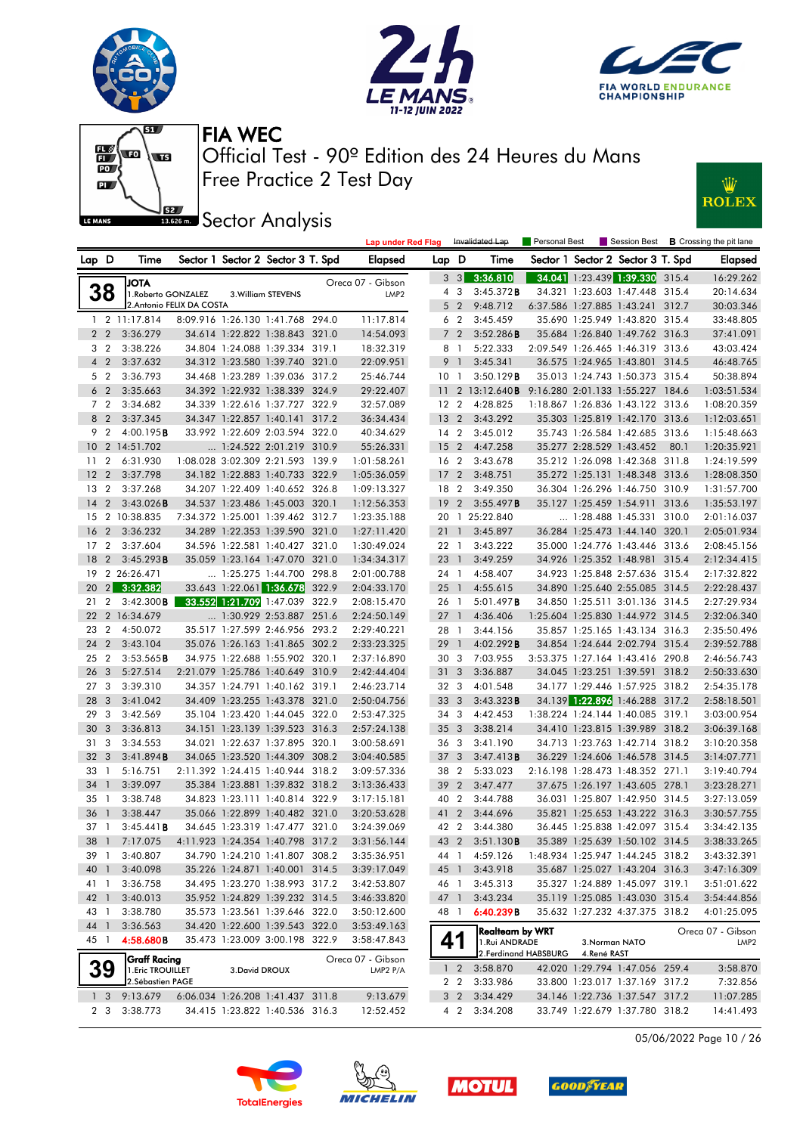





Ŵ

**ROLEX** 



Free Practice 2 Test Day Official Test - 90º Edition des 24 Heures du Mans FIA WEC

**ISSECT:** Sector Analysis

|                 |                |                                        |                                   |                    | <b>Lap under Red Flag</b> |                 |                | Invalidated Lap         | Personal Best         |                               |                                   |      | Session Best <b>B</b> Crossing the pit lane |
|-----------------|----------------|----------------------------------------|-----------------------------------|--------------------|---------------------------|-----------------|----------------|-------------------------|-----------------------|-------------------------------|-----------------------------------|------|---------------------------------------------|
| Lap D           |                | Time                                   | Sector 1 Sector 2 Sector 3 T. Spd |                    | Elapsed                   | Lap D           |                | Time                    |                       |                               | Sector 1 Sector 2 Sector 3 T. Spd |      | <b>Elapsed</b>                              |
|                 |                | <b>JOTA</b>                            |                                   |                    | Oreca 07 - Gibson         |                 | $3 \quad 3$    | 3:36.810                |                       |                               | 34.041 1:23.439 1:39.330 315.4    |      | 16:29.262                                   |
|                 | 38             | 1. Roberto GONZALEZ                    |                                   | 3. William STEVENS | LMP <sub>2</sub>          |                 | 43             | 3:45.372B               |                       |                               | 34.321 1:23.603 1:47.448 315.4    |      | 20:14.634                                   |
|                 |                | 2. Antonio FELIX DA COSTA              |                                   |                    |                           |                 | 5 <sub>2</sub> | 9:48.712                |                       |                               | 6:37.586 1:27.885 1:43.241 312.7  |      | 30:03.346                                   |
|                 |                | $1 \quad 2 \quad 11:17.814$            | 8:09.916 1:26.130 1:41.768 294.0  |                    | 11:17.814                 |                 | 6 <sub>2</sub> | 3:45.459                |                       |                               | 35.690 1:25.949 1:43.820 315.4    |      | 33:48.805                                   |
|                 | 2 <sub>2</sub> | 3:36.279                               | 34.614 1:22.822 1:38.843 321.0    |                    | 14:54.093                 |                 | 7 <sub>2</sub> | 3:52.286B               |                       |                               | 35.684 1:26.840 1:49.762 316.3    |      | 37:41.091                                   |
|                 | 3 <sub>2</sub> | 3:38.226                               | 34.804 1:24.088 1:39.334 319.1    |                    | 18:32.319                 |                 | 8 1            | 5:22.333                |                       |                               | 2:09.549 1:26.465 1:46.319 313.6  |      | 43:03.424                                   |
|                 | 4 <sup>2</sup> | 3:37.632                               | 34.312 1:23.580 1:39.740 321.0    |                    | 22:09.951                 |                 | 9 1            | 3:45.341                |                       |                               | 36.575 1:24.965 1:43.801 314.5    |      | 46:48.765                                   |
|                 | 5 <sub>2</sub> | 3:36.793                               | 34.468 1:23.289 1:39.036 317.2    |                    | 25:46.744                 | 10 <sub>1</sub> |                | 3:50.129B               |                       |                               | 35.013 1:24.743 1:50.373 315.4    |      | 50:38.894                                   |
|                 | 6 <sub>2</sub> | 3:35.663                               | 34.392 1:22.932 1:38.339 324.9    |                    | 29:22.407                 |                 |                | 11 2 13:12.640 <b>B</b> |                       |                               | 9:16.280 2:01.133 1:55.227 184.6  |      | 1:03:51.534                                 |
|                 | 7 <sub>2</sub> | 3:34.682                               | 34.339 1:22.616 1:37.727 322.9    |                    | 32:57.089                 | 12 <sub>2</sub> |                | 4:28.825                |                       |                               | 1:18.867 1:26.836 1:43.122 313.6  |      | 1:08:20.359                                 |
|                 | 8 2            | 3:37.345                               | 34.347 1:22.857 1:40.141 317.2    |                    | 36:34.434                 | 13 <sub>2</sub> |                | 3:43.292                |                       |                               | 35.303 1:25.819 1:42.170 313.6    |      | 1:12:03.651                                 |
|                 | 9 2            | 4:00.195B                              | 33.992 1:22.609 2:03.594 322.0    |                    | 40:34.629                 | $14 \quad 2$    |                | 3:45.012                |                       |                               | 35.743 1:26.584 1:42.685 313.6    |      | 1:15:48.663                                 |
|                 |                | 10 2 14:51.702                         | 1:24.522 2:01.219 310.9           |                    | 55:26.331                 | 15 <sub>2</sub> |                | 4:47.258                |                       | 35.277 2:28.529 1:43.452      |                                   | 80.1 | 1:20:35.921                                 |
| $11 \t2$        |                | 6:31.930                               | 1:08.028 3:02.309 2:21.593 139.9  |                    | 1:01:58.261               | 16 <sub>2</sub> |                | 3:43.678                |                       |                               | 35.212 1:26.098 1:42.368 311.8    |      | 1:24:19.599                                 |
| 12 <sub>2</sub> |                | 3:37.798                               | 34.182 1:22.883 1:40.733 322.9    |                    | 1:05:36.059               | 17 <sub>2</sub> |                | 3:48.751                |                       |                               | 35.272 1:25.131 1:48.348 313.6    |      | 1:28:08.350                                 |
| 13 <sub>2</sub> |                | 3:37.268                               | 34.207 1:22.409 1:40.652 326.8    |                    | 1:09:13.327               | 18 2            |                | 3:49.350                |                       |                               | 36.304 1:26.296 1:46.750 310.9    |      | 1:31:57.700                                 |
| $14 \quad 2$    |                | 3:43.026B                              | 34.537 1:23.486 1:45.003 320.1    |                    | 1:12:56.353               | 192             |                | 3:55.497B               |                       |                               | 35.127 1:25.459 1:54.911 313.6    |      | 1:35:53.197                                 |
|                 |                | 15 2 10:38.835                         | 7:34.372 1:25.001 1:39.462 312.7  |                    | 1:23:35.188               |                 |                | 20 1 25:22.840          |                       |                               | 1:28.488 1:45.331 310.0           |      | 2:01:16.037                                 |
| 16 <sub>2</sub> |                | 3:36.232                               | 34.289 1:22.353 1:39.590 321.0    |                    | 1:27:11.420               | 21              | $\overline{1}$ | 3:45.897                |                       |                               | 36.284 1:25.473 1:44.140 320.1    |      | 2:05:01.934                                 |
| 17 <sub>2</sub> |                | 3:37.604                               | 34.596 1:22.581 1:40.427 321.0    |                    | 1:30:49.024               | 22 1            |                | 3:43.222                |                       |                               | 35.000 1:24.776 1:43.446 313.6    |      | 2:08:45.156                                 |
| 18 2            |                | 3:45.293B                              | 35.059 1:23.164 1:47.070 321.0    |                    | 1:34:34.317               | 23 1            |                | 3:49.259                |                       |                               | 34.926 1:25.352 1:48.981 315.4    |      | 2:12:34.415                                 |
|                 |                | 19 2 26:26.471                         | 1:25.275 1:44.700 298.8           |                    | 2:01:00.788               | 24 1            |                | 4:58.407                |                       |                               | 34.923 1:25.848 2:57.636 315.4    |      | 2:17:32.822                                 |
| $20 \quad 2$    |                | 3:32.382                               | 33.643 1:22.061 1:36.678 322.9    |                    | 2:04:33.170               | $25 \quad 1$    |                | 4:55.615                |                       |                               | 34.890 1:25.640 2:55.085 314.5    |      | 2:22:28.437                                 |
| $21 \t2$        |                | $3:42.300$ <b>B</b>                    | 33.552 1:21.709 1:47.039 322.9    |                    | 2:08:15.470               | 26 1            |                | 5:01.497 <b>B</b>       |                       |                               | 34.850 1:25.511 3:01.136 314.5    |      | 2:27:29.934                                 |
|                 |                | 22 2 16:34.679                         | 1:30.929 2:53.887 251.6           |                    | 2:24:50.149               | $27-1$          |                | 4:36.406                |                       |                               | 1:25.604 1:25.830 1:44.972 314.5  |      | 2:32:06.340                                 |
| 23 2            |                | 4:50.072                               | 35.517 1:27.599 2:46.956 293.2    |                    | 2:29:40.221               | 28 1            |                | 3:44.156                |                       |                               | 35.857 1:25.165 1:43.134 316.3    |      | 2:35:50.496                                 |
| 24 2            |                | 3:43.104                               | 35.076 1:26.163 1:41.865 302.2    |                    | 2:33:23.325               | 29              | $\overline{1}$ | 4:02.292B               |                       |                               | 34.854 1:24.644 2:02.794 315.4    |      | 2:39:52.788                                 |
| 25 2            |                | 3:53.565B                              | 34.975 1:22.688 1:55.902 320.1    |                    | 2:37:16.890               | 30 <sub>3</sub> |                | 7:03.955                |                       |                               | 3:53.375 1:27.164 1:43.416 290.8  |      | 2:46:56.743                                 |
| 26 3            |                | 5:27.514                               | 2:21.079 1:25.786 1:40.649 310.9  |                    | 2:42:44.404               | 31 <sub>3</sub> |                | 3:36.887                |                       |                               | 34.045 1:23.251 1:39.591 318.2    |      | 2:50:33.630                                 |
| 27 <sub>3</sub> |                | 3:39.310                               | 34.357 1:24.791 1:40.162 319.1    |                    | 2:46:23.714               | 32 3            |                | 4:01.548                |                       |                               | 34.177 1:29.446 1:57.925 318.2    |      | 2:54:35.178                                 |
| 28 3            |                | 3:41.042                               | 34.409 1:23.255 1:43.378 321.0    |                    | 2:50:04.756               | 33 3            |                | 3:43.323B               |                       |                               | 34.139 1:22.896 1:46.288 317.2    |      | 2:58:18.501                                 |
| 29 3            |                | 3:42.569                               | 35.104 1:23.420 1:44.045 322.0    |                    | 2:53:47.325               | 34 3            |                | 4:42.453                |                       |                               | 1:38.224 1:24.144 1:40.085 319.1  |      | 3:03:00.954                                 |
| 30 3            |                | 3:36.813                               | 34.151 1:23.139 1:39.523 316.3    |                    | 2:57:24.138               | 35 <sub>3</sub> |                | 3:38.214                |                       |                               | 34.410 1:23.815 1:39.989 318.2    |      | 3:06:39.168                                 |
| 31 <sub>3</sub> |                | 3:34.553                               | 34.021 1:22.637 1:37.895 320.1    |                    | 3:00:58.691               | 36 3            |                | 3:41.190                |                       |                               | 34.713 1:23.763 1:42.714 318.2    |      | 3:10:20.358                                 |
| 32 3            |                | 3:41.894B                              | 34.065 1:23.520 1:44.309 308.2    |                    | 3:04:40.585               | 37 3            |                | 3:47.413B               |                       |                               | 36.229 1:24.606 1:46.578 314.5    |      | 3:14:07.771                                 |
| 33 1            |                | 5:16.751                               | 2:11.392 1:24.415 1:40.944 318.2  |                    | 3:09:57.336               | 38 2            |                | 5:33.023                |                       |                               | 2:16.198 1:28.473 1:48.352 271.1  |      | 3:19:40.794                                 |
| 34 1            |                | 3:39.097                               | 35.384 1:23.881 1:39.832 318.2    |                    | 3:13:36.433               | 39 2            |                | 3:47.477                |                       |                               | 37.675 1:26.197 1:43.605 278.1    |      | 3:23:28.271                                 |
| 351             |                | 3:38.748                               | 34.823 1:23.111 1:40.814 322.9    |                    | 3:17:15.181               | 40 2            |                | 3:44.788                |                       |                               | 36.031 1:25.807 1:42.950 314.5    |      | 3:27:13.059                                 |
| 36 <sub>1</sub> |                | 3:38.447                               | 35.066 1:22.899 1:40.482 321.0    |                    | 3:20:53.628               | 41 2            |                | 3:44.696                |                       |                               | 35.821 1:25.653 1:43.222 316.3    |      | 3:30:57.755                                 |
| $37-1$          |                | 3:45.441B                              | 34.645 1:23.319 1:47.477 321.0    |                    | 3:24:39.069               | 42 2            |                | 3:44.380                |                       |                               | 36.445 1:25.838 1:42.097 315.4    |      | 3:34:42.135                                 |
|                 |                | 38 1 7:17.075                          | 4:11.923 1:24.354 1:40.798 317.2  |                    | 3:31:56.144               |                 |                | 43 2 3:51.130B          |                       |                               | 35.389 1:25.639 1:50.102 314.5    |      | 3:38:33.265                                 |
| 39 1            |                | 3:40.807                               | 34.790 1:24.210 1:41.807 308.2    |                    | 3:35:36.951               | 44 1            |                | 4:59.126                |                       |                               | 1:48.934 1:25.947 1:44.245 318.2  |      | 3:43:32.391                                 |
| 40 1            |                | 3:40.098                               | 35.226 1:24.871 1:40.001 314.5    |                    | 3:39:17.049               | 45 1            |                | 3:43.918                |                       |                               | 35.687 1:25.027 1:43.204 316.3    |      | 3:47:16.309                                 |
| 41 1            |                | 3:36.758                               | 34.495 1:23.270 1:38.993 317.2    |                    | 3:42:53.807               | 46 1            |                | 3:45.313                |                       |                               | 35.327 1:24.889 1:45.097 319.1    |      | 3:51:01.622                                 |
| 42 1            |                | 3:40.013                               | 35.952 1:24.829 1:39.232 314.5    |                    | 3:46:33.820               | 47 1            |                | 3:43.234                |                       |                               | 35.119 1:25.085 1:43.030 315.4    |      | 3:54:44.856                                 |
| 43 1            |                | 3:38.780                               | 35.573 1:23.561 1:39.646 322.0    |                    | 3:50:12.600               | 48 1            |                | 6:40.239B               |                       |                               | 35.632 1:27.232 4:37.375 318.2    |      | 4:01:25.095                                 |
| 44 1            |                | 3:36.563                               | 34.420 1:22.600 1:39.543 322.0    |                    | 3:53:49.163               |                 |                | <b>Realteam by WRT</b>  |                       |                               |                                   |      | Oreca 07 - Gibson                           |
| 45 1            |                | 4:58.680B                              | 35.473 1:23.009 3:00.198 322.9    |                    | 3:58:47.843               | 41              |                | 1.Rui ANDRADE           | 2. Ferdinand HABSBURG | 3. Norman NATO<br>4.René RAST |                                   |      | LMP <sub>2</sub>                            |
|                 |                | Graff Racing                           |                                   |                    | Oreca 07 - Gibson         |                 |                | 3:58.870                |                       |                               | 42.020 1:29.794 1:47.056 259.4    |      | 3:58.870                                    |
|                 | <b>39</b>      | 1. Eric TROUILLET<br>2. Sébastien PAGE | 3. David DROUX                    |                    | LMP2 P/A                  |                 | $1\quad2$      | 2 2 3:33.986            |                       |                               | 33.800 1:23.017 1:37.169 317.2    |      | 7:32.856                                    |
|                 | 1 <sup>3</sup> | 9:13.679                               | 6:06.034 1:26.208 1:41.437 311.8  |                    | 9:13.679                  |                 | $3\quad2$      | 3:34.429                |                       |                               | 34.146 1:22.736 1:37.547 317.2    |      | 11:07.285                                   |
|                 | 2 3            | 3:38.773                               | 34.415 1:23.822 1:40.536 316.3    |                    | 12:52.452                 |                 |                | 4 2 3:34.208            |                       |                               | 33.749 1:22.679 1:37.780 318.2    |      | 14:41.493                                   |
|                 |                |                                        |                                   |                    |                           |                 |                |                         |                       |                               |                                   |      |                                             |









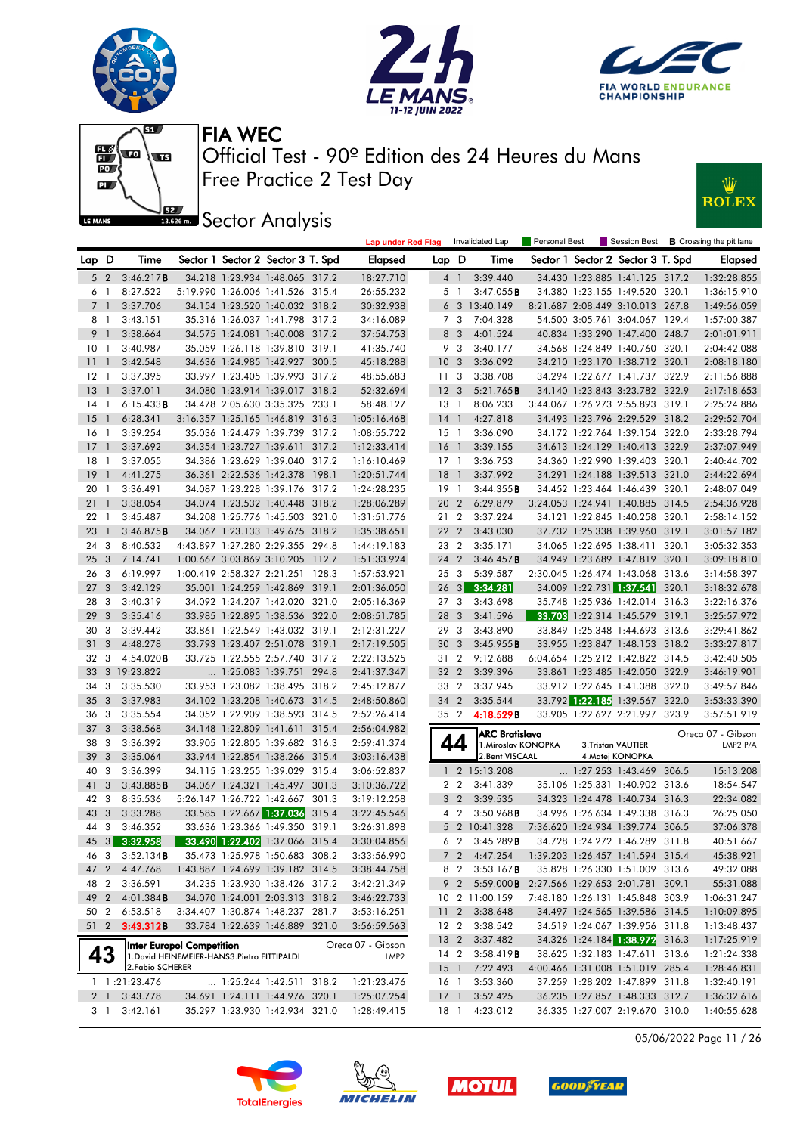







**Sector Analysis** 



|       |                |                  |                                              |                            |                                   |       | Lap under Red Flag |                 |                | Invalidated Lap                              | Personal Best |                                   |       | Session Best <b>B</b> Crossing the pit lane |
|-------|----------------|------------------|----------------------------------------------|----------------------------|-----------------------------------|-------|--------------------|-----------------|----------------|----------------------------------------------|---------------|-----------------------------------|-------|---------------------------------------------|
| Lap D |                | Time             |                                              |                            | Sector 1 Sector 2 Sector 3 T. Spd |       | Elapsed            | Lap D           |                | Time                                         |               | Sector 1 Sector 2 Sector 3 T. Spd |       | <b>Elapsed</b>                              |
|       | 5 <sub>2</sub> | 3:46.217B        |                                              |                            | 34.218 1:23.934 1:48.065 317.2    |       | 18:27.710          |                 | 4 1            | 3:39.440                                     |               | 34.430 1:23.885 1:41.125 317.2    |       | 1:32:28.855                                 |
| 6 1   |                | 8:27.522         |                                              |                            | 5:19.990 1:26.006 1:41.526 315.4  |       | 26:55.232          |                 | 5 <sub>1</sub> | 3:47.055B                                    |               | 34.380 1:23.155 1:49.520 320.1    |       | 1:36:15.910                                 |
| 7 1   |                | 3:37.706         |                                              |                            | 34.154 1:23.520 1:40.032 318.2    |       | 30:32.938          |                 |                | 6 3 13:40.149                                |               | 8:21.687 2:08.449 3:10.013 267.8  |       | 1:49:56.059                                 |
| 8 1   |                | 3:43.151         |                                              |                            | 35.316 1:26.037 1:41.798 317.2    |       | 34:16.089          |                 | 7 3            | 7:04.328                                     |               | 54.500 3:05.761 3:04.067 129.4    |       | 1:57:00.387                                 |
| 9     | $\overline{1}$ | 3:38.664         |                                              |                            | 34.575 1:24.081 1:40.008 317.2    |       | 37:54.753          |                 | 8 3            | 4:01.524                                     |               | 40.834 1:33.290 1:47.400 248.7    |       | 2:01:01.911                                 |
| 10    | -1             | 3:40.987         |                                              |                            | 35.059 1:26.118 1:39.810 319.1    |       | 41:35.740          |                 | 9 3            | 3:40.177                                     |               | 34.568 1:24.849 1:40.760          | 320.1 | 2:04:42.088                                 |
| 11    | $\overline{1}$ | 3:42.548         |                                              |                            | 34.636 1:24.985 1:42.927 300.5    |       | 45:18.288          | 10 <sub>3</sub> |                | 3:36.092                                     |               | 34.210 1:23.170 1:38.712 320.1    |       | 2:08:18.180                                 |
| 12    | -1             | 3:37.395         |                                              |                            | 33.997 1:23.405 1:39.993 317.2    |       | 48:55.683          | 11              | -3             | 3:38.708                                     |               | 34.294 1:22.677 1:41.737 322.9    |       | 2:11:56.888                                 |
| 13    | $\overline{1}$ | 3:37.011         |                                              |                            | 34.080 1:23.914 1:39.017 318.2    |       | 52:32.694          | 12 <sup>3</sup> |                | 5:21.765B                                    |               | 34.140 1:23.843 3:23.782 322.9    |       | 2:17:18.653                                 |
| 14    | -1             | 6:15.433B        |                                              |                            | 34.478 2:05.630 3:35.325          | 233.1 | 58:48.127          | 13 1            |                | 8:06.233                                     |               | 3:44.067 1:26.273 2:55.893 319.1  |       | 2:25:24.886                                 |
| 15    | $\overline{1}$ | 6:28.341         |                                              |                            | 3:16.357 1:25.165 1:46.819 316.3  |       | 1:05:16.468        | $14-1$          |                | 4:27.818                                     |               | 34.493 1:23.796 2:29.529 318.2    |       | 2:29:52.704                                 |
| 16    | -1             | 3:39.254         |                                              |                            | 35.036 1:24.479 1:39.739 317.2    |       | 1:08:55.722        | $15-1$          |                | 3:36.090                                     |               | 34.172 1:22.764 1:39.154 322.0    |       | 2:33:28.794                                 |
| 17    | $\overline{1}$ | 3:37.692         |                                              |                            | 34.354 1:23.727 1:39.611 317.2    |       | 1:12:33.414        | 16 <sub>1</sub> |                | 3:39.155                                     |               | 34.613 1:24.129 1:40.413 322.9    |       | 2:37:07.949                                 |
| 18    | -1             | 3:37.055         |                                              |                            | 34.386 1:23.629 1:39.040 317.2    |       | 1:16:10.469        | $17-1$          |                | 3:36.753                                     |               | 34.360 1:22.990 1:39.403 320.1    |       | 2:40:44.702                                 |
| 19    | $\overline{1}$ | 4:41.275         |                                              |                            | 36.361 2:22.536 1:42.378 198.1    |       | 1:20:51.744        | 18              | $\overline{1}$ | 3:37.992                                     |               | 34.291 1:24.188 1:39.513 321.0    |       | 2:44:22.694                                 |
| 20    | -1             | 3:36.491         |                                              |                            | 34.087 1:23.228 1:39.176 317.2    |       | 1:24:28.235        | 19 1            |                | 3:44.355B                                    |               | 34.452 1:23.464 1:46.439 320.1    |       | 2:48:07.049                                 |
| 21    | $\overline{1}$ | 3:38.054         |                                              |                            | 34.074 1:23.532 1:40.448 318.2    |       | 1:28:06.289        | 20              | $\overline{2}$ | 6:29.879                                     |               | 3:24.053 1:24.941 1:40.885        | 314.5 | 2:54:36.928                                 |
| 22    | $\overline{1}$ | 3:45.487         |                                              |                            | 34.208 1:25.776 1:45.503 321.0    |       | 1:31:51.776        | 21 2            |                | 3:37.224                                     |               | 34.121 1:22.845 1:40.258 320.1    |       | 2:58:14.152                                 |
| 23    | $\overline{1}$ | 3:46.875B        |                                              |                            | 34.067 1:23.133 1:49.675 318.2    |       | 1:35:38.651        | 22              | $\overline{2}$ | 3:43.030                                     |               | 37.732 1:25.338 1:39.960 319.1    |       | 3:01:57.182                                 |
| 24    | 3              | 8:40.532         |                                              |                            | 4:43.897 1:27.280 2:29.355 294.8  |       | 1:44:19.183        | 23 2            |                | 3:35.171                                     |               | 34.065 1:22.695 1:38.411 320.1    |       | 3:05:32.353                                 |
| 25    | 3              | 7:14.741         |                                              | 1:00.667 3:03.869 3:10.205 |                                   | 112.7 | 1:51:33.924        | 24              | $\overline{2}$ | 3:46.457B                                    |               | 34.949 1:23.689 1:47.819 320.1    |       | 3:09:18.810                                 |
| 26    | 3              | 6:19.997         |                                              | 1:00.419 2:58.327 2:21.251 |                                   | 128.3 | 1:57:53.921        | 25 3            |                | 5:39.587                                     |               | 2:30.045 1:26.474 1:43.068        | 313.6 | 3:14:58.397                                 |
| 27    | 3              | 3:42.129         |                                              |                            | 35.001 1:24.259 1:42.869 319.1    |       | 2:01:36.050        | $26 \quad 3$    |                | 3:34.281                                     |               | 34.009 1:22.731 1:37.541          | 320.1 | 3:18:32.678                                 |
| 28    | 3              | 3:40.319         |                                              |                            | 34.092 1:24.207 1:42.020 321.0    |       | 2:05:16.369        | 27              | 3              | 3:43.698                                     |               | 35.748 1:25.936 1:42.014 316.3    |       | 3:22:16.376                                 |
| 29    | 3              | 3:35.416         |                                              |                            | 33.985 1:22.895 1:38.536 322.0    |       | 2:08:51.785        | 28              | 3              | 3:41.596                                     |               | 33.703 1:22.314 1:45.579 319.1    |       | 3:25:57.972                                 |
| 30    | 3              | 3:39.442         |                                              |                            | 33.861 1:22.549 1:43.032 319.1    |       | 2:12:31.227        | 29              | 3              | 3:43.890                                     |               | 33.849 1:25.348 1:44.693 313.6    |       | 3:29:41.862                                 |
| 31    | 3              | 4:48.278         |                                              |                            | 33.793 1:23.407 2:51.078 319.1    |       | 2:17:19.505        | 30 <sub>3</sub> |                | 3:45.955B                                    |               | 33.955 1:23.847 1:48.153 318.2    |       | 3:33:27.817                                 |
| 32    | 3              | 4:54.020B        |                                              |                            | 33.725 1:22.555 2:57.740 317.2    |       | 2:22:13.525        | 31 2            |                | 9:12.688                                     |               | 6:04.654 1:25.212 1:42.822 314.5  |       | 3:42:40.505                                 |
| 33    |                | 3 19:23.822      |                                              |                            | 1:25.083 1:39.751 294.8           |       | 2:41:37.347        | 32 2            |                | 3:39.396                                     |               | 33.861 1:23.485 1:42.050 322.9    |       | 3:46:19.901                                 |
| 34    | 3              | 3:35.530         |                                              |                            | 33.953 1:23.082 1:38.495 318.2    |       | 2:45:12.877        | 33 2            |                | 3:37.945                                     |               | 33.912 1:22.645 1:41.388 322.0    |       | 3:49:57.846                                 |
| 35    | 3              | 3:37.983         |                                              |                            | 34.102 1:23.208 1:40.673 314.5    |       | 2:48:50.860        | 34              | $\overline{2}$ | 3:35.544                                     |               | 33.792 1:22.185 1:39.567 322.0    |       | 3:53:33.390                                 |
| 36    | 3              | 3:35.554         |                                              |                            | 34.052 1:22.909 1:38.593 314.5    |       | 2:52:26.414        | 35 2            |                | 4:18.529B                                    |               | 33.905 1:22.627 2:21.997 323.9    |       | 3:57:51.919                                 |
| 37    | 3              | 3:38.568         |                                              |                            | 34.148 1:22.809 1:41.611 315.4    |       | 2:56:04.982        |                 |                |                                              |               |                                   |       |                                             |
| 38    | 3              | 3:36.392         |                                              |                            | 33.905 1:22.805 1:39.682 316.3    |       | 2:59:41.374        |                 | 44             | <b>ARC Bratislava</b><br>1. Miroslav KONOPKA |               | 3.Tristan VAUTIER                 |       | Oreca 07 - Gibson<br>LMP2 P/A               |
| 39    | 3              | 3:35.064         |                                              |                            | 33.944 1:22.854 1:38.266 315.4    |       | 3:03:16.438        |                 |                | 2. Bent VISCAAL                              |               | 4.Matej KONOPKA                   |       |                                             |
| 40    | 3              | 3:36.399         |                                              |                            | 34.115 1:23.255 1:39.029 315.4    |       | 3:06:52.837        | $\mathbf{1}$    |                | 2 15:13.208                                  |               | $\ldots$ 1:27.253 1:43.469 306.5  |       | 15:13.208                                   |
| 41    | 3              | 3:43.885B        |                                              |                            | 34.067 1:24.321 1:45.497 301.3    |       | 3:10:36.722        |                 | 2 <sub>2</sub> | 3:41.339                                     |               | 35.106 1:25.331 1:40.902          | 313.6 | 18:54.547                                   |
| 42    | 3              | 8:35.536         |                                              |                            | 5:26.147 1:26.722 1:42.667 301.3  |       | 3:19:12.258        |                 | 3 <sub>2</sub> | 3:39.535                                     |               | 34.323 1:24.478 1:40.734 316.3    |       | 22:34.082                                   |
| 43    | 3              | 3:33.288         |                                              |                            | 33.585 1:22.667 1:37.036          | 315.4 | 3:22:45.546        |                 | 4 <sub>2</sub> | $3:50.968$ <b>B</b>                          |               | 34.996 1:26.634 1:49.338 316.3    |       | 26:25.050                                   |
| 44    | 3              | 3:46.352         |                                              |                            | 33.636 1:23.366 1:49.350 319.1    |       | 3:26:31.898        |                 |                | 5 2 10:41.328                                |               | 7:36.620 1:24.934 1:39.774 306.5  |       | 37:06.378                                   |
|       |                | 45 3 3:32.958    |                                              |                            | 33.490 1:22.402 1:37.066 315.4    |       | 3:30:04.856        |                 |                | $6\quad 2\quad 3:45.289 \text{B}$            |               | 34.728 1:24.272 1:46.289 311.8    |       | 40:51.667                                   |
| 46 3  |                | 3:52.134B        |                                              |                            | 35.473 1:25.978 1:50.683 308.2    |       | 3:33:56.990        |                 | 7 2            | 4:47.254                                     |               | 1:39.203 1:26.457 1:41.594 315.4  |       | 45:38.921                                   |
| 47    | $\overline{2}$ | 4:47.768         |                                              |                            | 1:43.887 1:24.699 1:39.182 314.5  |       | 3:38:44.758        |                 | 8 2            | $3:53.167$ <b>B</b>                          |               | 35.828 1:26.330 1:51.009 313.6    |       | 49:32.088                                   |
| 48    | $\overline{2}$ | 3:36.591         |                                              |                            | 34.235 1:23.930 1:38.426 317.2    |       | 3:42:21.349        |                 | 9 2            | 5:59.000B 2:27.566 1:29.653 2:01.781 309.1   |               |                                   |       | 55:31.088                                   |
| 49 2  |                | 4:01.384B        |                                              |                            | 34.070 1:24.001 2:03.313 318.2    |       | 3:46:22.733        |                 |                | 10 2 11:00.159                               |               | 7:48.180 1:26.131 1:45.848 303.9  |       | 1:06:31.247                                 |
| 50 2  |                | 6:53.518         |                                              |                            | 3:34.407 1:30.874 1:48.237 281.7  |       | 3:53:16.251        | 11 <sub>2</sub> |                | 3:38.648                                     |               | 34.497 1:24.565 1:39.586 314.5    |       | 1:10:09.895                                 |
|       |                | 51 2 3:43.312B   |                                              |                            | 33.784 1:22.639 1:46.889 321.0    |       | 3:56:59.563        | 12 <sub>2</sub> |                | 3:38.542                                     |               | 34.519 1:24.067 1:39.956 311.8    |       | 1:13:48.437                                 |
|       |                |                  |                                              |                            |                                   |       |                    | 13 <sub>2</sub> |                | 3:37.482                                     |               | 34.326 1:24.184 1:38.972 316.3    |       | 1:17:25.919                                 |
|       |                |                  | Inter Europol Competition                    |                            |                                   |       | Oreca 07 - Gibson  | 14 2            |                | 3:58.419B                                    |               | 38.625 1:32.183 1:47.611 313.6    |       | 1:21:24.338                                 |
|       | 43             | 2. Fabio SCHERER | 1. David HEINEMEIER-HANS3. Pietro FITTIPALDI |                            |                                   |       | LMP <sub>2</sub>   |                 |                | 15 1 7:22.493                                |               | 4:00.466 1:31.008 1:51.019 285.4  |       | 1:28:46.831                                 |
|       |                | 1 1:21:23.476    |                                              |                            | 1:25.244 1:42.511 318.2           |       | 1:21:23.476        | 16 1            |                | 3:53.360                                     |               | 37.259 1:28.202 1:47.899 311.8    |       | 1:32:40.191                                 |
|       | 2 1            | 3:43.778         |                                              |                            | 34.691 1:24.111 1:44.976 320.1    |       | 1:25:07.254        | $17-1$          |                | 3:52.425                                     |               | 36.235 1:27.857 1:48.333 312.7    |       | 1:36:32.616                                 |
|       | 3 1            | 3:42.161         |                                              |                            | 35.297 1:23.930 1:42.934 321.0    |       | 1:28:49.415        | 18 1            |                | 4:23.012                                     |               | 36.335 1:27.007 2:19.670 310.0    |       | 1:40:55.628                                 |
|       |                |                  |                                              |                            |                                   |       |                    |                 |                |                                              |               |                                   |       |                                             |

05/06/2022 Page 11 / 26







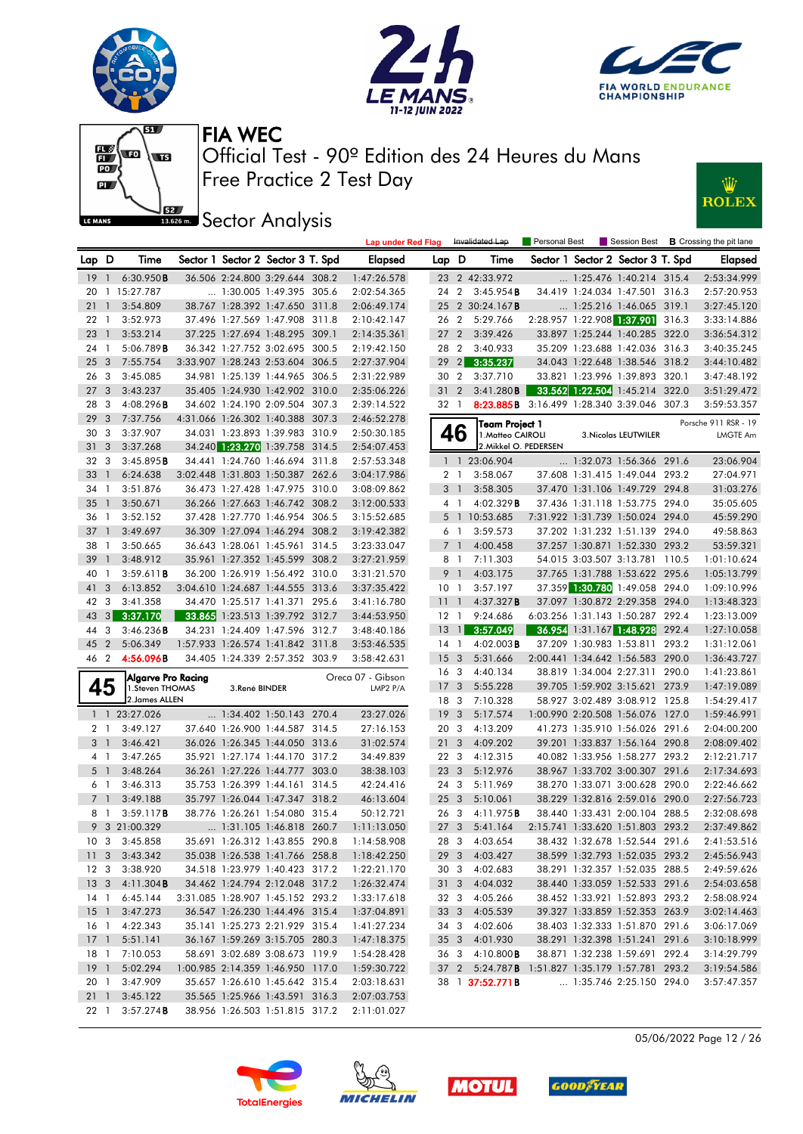











|                 |                |                    |               |                                   |       | <b>Lap under Red Flag</b> |                 |                | Invalidated Lap                                 | Personal Best | Session Best                      |       | <b>B</b> Crossing the pit lane |
|-----------------|----------------|--------------------|---------------|-----------------------------------|-------|---------------------------|-----------------|----------------|-------------------------------------------------|---------------|-----------------------------------|-------|--------------------------------|
| Lap D           |                | Time               |               | Sector 1 Sector 2 Sector 3 T. Spd |       | <b>Elapsed</b>            | Lap D           |                | Time                                            |               | Sector 1 Sector 2 Sector 3 T. Spd |       | <b>Elapsed</b>                 |
| $19-1$          |                | 6:30.950B          |               | 36.506 2:24.800 3:29.644 308.2    |       | 1:47:26.578               |                 |                | 23 2 42:33.972                                  |               | 1:25.476 1:40.214 315.4           |       | 2:53:34.999                    |
|                 |                | 20 1 15:27.787     |               | 1:30.005 1:49.395 305.6           |       | 2:02:54.365               | 242             |                | $3:45.954$ B                                    |               | 34.419 1:24.034 1:47.501 316.3    |       | 2:57:20.953                    |
| 21              | $\mathbf{1}$   | 3:54.809           |               | 38.767 1:28.392 1:47.650 311.8    |       | 2:06:49.174               | 25              |                | 2 30:24.167 <b>B</b>                            |               | 1:25.216 1:46.065 319.1           |       | 3:27:45.120                    |
| 22 <sub>1</sub> |                | 3:52.973           |               | 37.496 1:27.569 1:47.908 311.8    |       | 2:10:42.147               | 26              | $\overline{2}$ | 5:29.766                                        |               | 2:28.957 1:22.908 1:37.901 316.3  |       | 3:33:14.886                    |
| 23              | $\overline{1}$ | 3:53.214           |               | 37.225 1:27.694 1:48.295 309.1    |       | 2:14:35.361               | 27              | $\overline{2}$ | 3:39.426                                        |               | 33.897 1:25.244 1:40.285 322.0    |       | 3:36:54.312                    |
| 24 1            |                | 5:06.789B          |               | 36.342 1:27.752 3:02.695 300.5    |       | 2:19:42.150               | 28 2            |                | 3:40.933                                        |               | 35.209 1:23.688 1:42.036 316.3    |       | 3:40:35.245                    |
| 25              | 3              | 7:55.754           |               | 3:33.907 1:28.243 2:53.604 306.5  |       | 2:27:37.904               | 29              | 2              | 3:35.237                                        |               | 34.043 1:22.648 1:38.546 318.2    |       | 3:44:10.482                    |
| 26              | 3              | 3:45.085           |               | 34.981 1:25.139 1:44.965 306.5    |       | 2:31:22.989               | 30              | $\overline{2}$ | 3:37.710                                        |               | 33.821 1:23.996 1:39.893 320.1    |       | 3:47:48.192                    |
| 27              | 3              | 3:43.237           |               | 35.405 1:24.930 1:42.902 310.0    |       | 2:35:06.226               | 31              | $\overline{2}$ | 3:41.280B                                       |               | 33.562 1:22.504 1:45.214 322.0    |       | 3:51:29.472                    |
| 28              | 3              | $4:08.296$ B       |               | 34.602 1:24.190 2:09.504 307.3    |       | 2:39:14.522               | 32 1            |                | 8:23.885B 3:16.499 1:28.340 3:39.046 307.3      |               |                                   |       | 3:59:53.357                    |
| 29              | 3              | 7:37.756           |               | 4:31.066 1:26.302 1:40.388 307.3  |       | 2:46:52.278               |                 |                | Team Project 1                                  |               |                                   |       | Porsche 911 RSR - 19           |
| 30              | 3              | 3:37.907           |               | 34.031 1:23.893 1:39.983 310.9    |       | 2:50:30.185               | 46              |                | 1. Matteo CAIROLI                               |               | 3. Nicolas LEUTWILER              |       | <b>LMGTE Am</b>                |
| 31              | 3              | 3:37.268           |               | 34.240 1:23.270 1:39.758 314.5    |       | 2:54:07.453               |                 |                | 2. Mikkel O. PEDERSEN                           |               |                                   |       |                                |
| 32 3            |                | 3:45.895B          |               | 34.441 1:24.760 1:46.694 311.8    |       | 2:57:53.348               |                 |                | 1 1 23:06.904                                   |               | 1:32.073 1:56.366 291.6           |       | 23:06.904                      |
| 33              | $\mathbf{1}$   | 6:24.638           |               | 3:02.448 1:31.803 1:50.387 262.6  |       | 3:04:17.986               | 2 1             |                | 3:58.067                                        |               | 37.608 1:31.415 1:49.044 293.2    |       | 27:04.971                      |
| 34              | $\overline{1}$ | 3:51.876           |               | 36.473 1:27.428 1:47.975 310.0    |       | 3:08:09.862               | 3               | $\overline{1}$ | 3:58.305                                        |               | 37.470 1:31.106 1:49.729 294.8    |       | 31:03.276                      |
| 35              | $\mathbf{1}$   | 3:50.671           |               | 36.266 1:27.663 1:46.742 308.2    |       | 3:12:00.533               | 4 1             |                | 4:02.329B                                       |               | 37.436 1:31.118 1:53.775 294.0    |       | 35:05.605                      |
| 36 1            |                | 3:52.152           |               | 37.428 1:27.770 1:46.954 306.5    |       | 3:15:52.685               |                 |                | 5 1 10:53.685                                   |               | 7:31.922 1:31.739 1:50.024 294.0  |       | 45:59.290                      |
| 37              | $\mathbf{1}$   | 3:49.697           |               | 36.309 1:27.094 1:46.294 308.2    |       | 3:19:42.382               | 6 1             |                | 3:59.573                                        |               | 37.202 1:31.232 1:51.139 294.0    |       | 49:58.863                      |
| 38              | $\overline{1}$ | 3:50.665           |               | 36.643 1:28.061 1:45.961          | 314.5 | 3:23:33.047               | 7 <sup>1</sup>  |                | 4:00.458                                        |               | 37.257 1:30.871 1:52.330 293.2    |       | 53:59.321                      |
| 39              | $\mathbf{1}$   | 3:48.912           |               | 35.961 1:27.352 1:45.599 308.2    |       | 3:27:21.959               | 8 1             |                | 7:11.303                                        |               | 54.015 3:03.507 3:13.781 110.5    |       | 1:01:10.624                    |
| 40              | -1             | 3:59.611B          |               | 36.200 1:26.919 1:56.492 310.0    |       | 3:31:21.570               | 9               | $\overline{1}$ | 4:03.175                                        |               | 37.765 1:31.788 1:53.622 295.6    |       | 1:05:13.799                    |
| 41              | 3              | 6:13.852           |               | 3:04.610 1:24.687 1:44.555 313.6  |       | 3:37:35.422               | 10              | $\overline{1}$ | 3:57.197                                        |               | 37.359 1:30.780 1:49.058 294.0    |       | 1:09:10.996                    |
| 42              | 3              | 3:41.358           |               | 34.470 1:25.517 1:41.371          | 295.6 | 3:41:16.780               | 11              | $\mathbf{1}$   | 4:37.327B                                       |               | 37.097 1:30.872 2:29.358 294.0    |       | 1:13:48.323                    |
| 43              | 3 <sup>1</sup> | 3:37.170           |               | 33.865 1:23.513 1:39.792 312.7    |       | 3:44:53.950               | 12 1            |                | 9:24.686                                        |               | 6:03.256 1:31.143 1:50.287 292.4  |       | 1:23:13.009                    |
| 44              | 3              | 3:46.236B          |               | 34.231 1:24.409 1:47.596 312.7    |       | 3:48:40.186               | 13              | $\mathbf{1}$   | 3:57.049                                        |               | 36.954 1:31.167 1:48.928 292.4    |       | 1:27:10.058                    |
| 45              | $\overline{2}$ | 5:06.349           |               | 1:57.933 1:26.574 1:41.842 311.8  |       | 3:53:46.535               | 14              | $\mathbf{1}$   | $4:02.003$ <b>B</b>                             |               | 37.209 1:30.983 1:53.811          | 293.2 | 1:31:12.061                    |
| 46 2            |                | 4:56.096B          |               | 34.405 1:24.339 2:57.352 303.9    |       | 3:58:42.631               | 15              | 3              | 5:31.666                                        |               | 2:00.441 1:34.642 1:56.583 290.0  |       | 1:36:43.727                    |
|                 |                | Algarve Pro Racing |               |                                   |       | Oreca 07 - Gibson         | 16              | - 3            | 4:40.134                                        |               | 38.819 1:34.004 2:27.311 290.0    |       | 1:41:23.861                    |
| 45              |                | 1.Steven THOMAS    | 3.René BINDER |                                   |       | LMP2 P/A                  | 17              | 3              | 5:55.228                                        |               | 39.705 1:59.902 3:15.621 273.9    |       | 1:47:19.089                    |
|                 |                | 2. James ALLEN     |               |                                   |       |                           | 18              | 3              | 7:10.328                                        |               | 58.927 3:02.489 3:08.912 125.8    |       | 1:54:29.417                    |
|                 |                | 1 1 23:27.026      |               | $\ldots$ 1:34.402 1:50.143 270.4  |       | 23:27.026                 | 19              | 3              | 5:17.574                                        |               | 1:00.990 2:20.508 1:56.076 127.0  |       | 1:59:46.991                    |
| 2 <sub>1</sub>  |                | 3:49.127           |               | 37.640 1:26.900 1:44.587 314.5    |       | 27:16.153                 | 20              | - 3            | 4:13.209                                        |               | 41.273 1:35.910 1:56.026 291.6    |       | 2:04:00.200                    |
| 3 <sub>1</sub>  |                | 3:46.421           |               | 36.026 1:26.345 1:44.050 313.6    |       | 31:02.574                 | 21              | 3              | 4:09.202                                        |               | 39.201 1:33.837 1:56.164 290.8    |       | 2:08:09.402                    |
| $4-1$           |                | 3:47.265           |               | 35.921 1:27.174 1:44.170 317.2    |       | 34:49.839                 | 22              | -3             | 4:12.315                                        |               | 40.082 1:33.956 1:58.277 293.2    |       | 2:12:21.717                    |
| 5 <sub>1</sub>  |                | 3:48.264           |               | 36.261 1:27.226 1:44.777 303.0    |       | 38:38.103                 | 23              | $\overline{3}$ | 5:12.976                                        |               | 38.967 1:33.702 3:00.307 291.6    |       | 2:17:34.693                    |
| 6 1             |                | 3:46.313           |               | 35.753 1:26.399 1:44.161 314.5    |       | 42:24.416                 | 24 3            |                | 5:11.969                                        |               | 38.270 1:33.071 3:00.628 290.0    |       | 2:22:46.662                    |
| 7 <sup>1</sup>  |                | 3:49.188           |               | 35.797 1:26.044 1:47.347 318.2    |       | 46:13.604                 | 25              | $\mathbf{3}$   | 5:10.061                                        |               | 38.229 1:32.816 2:59.016 290.0    |       | 2:27:56.723                    |
| 8               | $\overline{1}$ | 3:59.117B          |               | 38.776 1:26.261 1:54.080 315.4    |       | 50:12.721                 | 26              | 3              | 4:11.975B                                       |               | 38.440 1:33.431 2:00.104 288.5    |       | 2:32:08.698                    |
|                 |                | 9 3 21:00.329      |               | 1:31.105 1:46.818 260.7           |       | 1:11:13.050               | 27 <sub>3</sub> |                | 5:41.164                                        |               | 2:15.741 1:33.620 1:51.803 293.2  |       | 2:37:49.862                    |
| 10 <sub>3</sub> |                | 3:45.858           |               | 35.691 1:26.312 1:43.855 290.8    |       | 1:14:58.908               |                 |                | 28 3 4:03.654                                   |               | 38.432 1:32.678 1:52.544 291.6    |       | 2:41:53.516                    |
|                 |                | 11 3 3:43.342      |               | 35.038 1:26.538 1:41.766 258.8    |       | 1:18:42.250               |                 |                | 29 3 4:03.427                                   |               | 38.599 1:32.793 1:52.035 293.2    |       | 2:45:56.943                    |
| 12 3            |                | 3:38.920           |               | 34.518 1:23.979 1:40.423 317.2    |       | 1:22:21.170               |                 |                | 30 3 4:02.683                                   |               | 38.291 1:32.357 1:52.035 288.5    |       | 2:49:59.626                    |
| 13 <sub>3</sub> |                | 4:11.304B          |               | 34.462 1:24.794 2:12.048 317.2    |       | 1:26:32.474               |                 |                | 31 3 4:04.032                                   |               | 38.440 1:33.059 1:52.533 291.6    |       | 2:54:03.658                    |
| 14 1            |                | 6:45.144           |               | 3:31.085 1:28.907 1:45.152 293.2  |       | 1:33:17.618               |                 |                | 32 3 4:05.266                                   |               | 38.452 1:33.921 1:52.893 293.2    |       | 2:58:08.924                    |
| $15-1$          |                | 3:47.273           |               | 36.547 1:26.230 1:44.496 315.4    |       | 1:37:04.891               |                 |                | 33 3 4:05.539                                   |               | 39.327 1:33.859 1:52.353 263.9    |       | 3:02:14.463                    |
| 16 1            |                | 4:22.343           |               | 35.141 1:25.273 2:21.929 315.4    |       | 1:41:27.234               |                 |                | 34 3 4:02.606                                   |               | 38.403 1:32.333 1:51.870 291.6    |       | 3:06:17.069                    |
| 17 <sub>1</sub> |                | 5:51.141           |               | 36.167 1:59.269 3:15.705 280.3    |       | 1:47:18.375               |                 |                | 35 3 4:01.930                                   |               | 38.291 1:32.398 1:51.241 291.6    |       | 3:10:18.999                    |
| 18 1            |                | 7:10.053           |               | 58.691 3:02.689 3:08.673 119.9    |       | 1:54:28.428               |                 |                | 36 3 4:10.800 <b>B</b>                          |               | 38.871 1:32.238 1:59.691 292.4    |       | 3:14:29.799                    |
| $19-1$          |                | 5:02.294           |               | 1:00.985 2:14.359 1:46.950 117.0  |       | 1:59:30.722               |                 |                | 37 2 5:24.787B 1:51.827 1:35.179 1:57.781 293.2 |               |                                   |       | 3:19:54.586                    |
| 20 1            |                | 3:47.909           |               | 35.657 1:26.610 1:45.642 315.4    |       | 2:03:18.631               |                 |                | 38 1 <b>37:52.771B</b>                          |               | 1:35.746 2:25.150 294.0           |       | 3:57:47.357                    |
| $21 \quad 1$    |                | 3:45.122           |               | 35.565 1:25.966 1:43.591 316.3    |       | 2:07:03.753               |                 |                |                                                 |               |                                   |       |                                |





22 1 3:57.274B 38.956 1:26.503 1:51.815 317.2 2:11:01.027





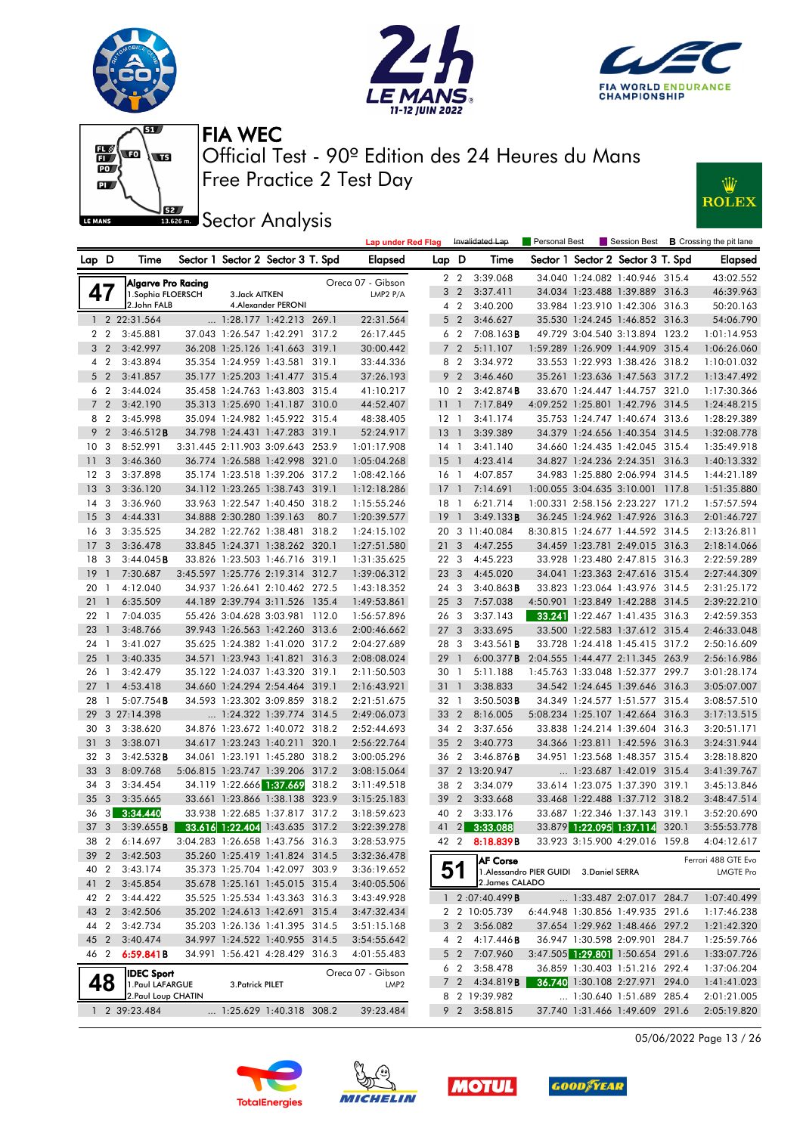







**Lap under Red Flag** Invalidated Lap

**J**<br>**Bassem Sector Analysis** 



| Lap D           |                | Time                                  |                          | Sector 1 Sector 2 Sector 3 T. Spd                          |       | Elapsed                               | Lap D           |                | Time                  |                                          | Sector 1 Sector 2 Sector 3 T. Spd                                |       | <b>Elapsed</b>                   |
|-----------------|----------------|---------------------------------------|--------------------------|------------------------------------------------------------|-------|---------------------------------------|-----------------|----------------|-----------------------|------------------------------------------|------------------------------------------------------------------|-------|----------------------------------|
|                 |                | Algarve Pro Racing                    |                          |                                                            |       | Oreca 07 - Gibson                     |                 | 22             | 3:39.068              |                                          | 34.040 1:24.082 1:40.946 315.4                                   |       | 43:02.552                        |
| 47              |                | 1. Sophia FLOERSCH                    | 3. Jack AITKEN           |                                                            |       | LMP2 $P/A$                            |                 | 3 2            | 3:37.411              |                                          | 34.034 1:23.488 1:39.889 316.3                                   |       | 46:39.963                        |
|                 |                | 2.John FALB                           |                          | 4. Alexander PERONI                                        |       |                                       |                 | 42             | 3:40.200              |                                          | 33.984 1:23.910 1:42.306 316.3                                   |       | 50:20.163                        |
|                 |                | 1 2 22:31.564                         |                          | $\ldots$ 1:28.177 1:42.213 269.1                           |       | 22:31.564                             | 5 <sub>2</sub>  |                | 3:46.627              |                                          | 35.530 1:24.245 1:46.852 316.3                                   |       | 54:06.790                        |
|                 | 2 <sub>2</sub> | 3:45.881                              |                          | 37.043 1:26.547 1:42.291 317.2                             |       | 26:17.445                             | 6 2             |                | 7:08.163B             |                                          | 49.729 3:04.540 3:13.894 123.2                                   |       | 1:01:14.953                      |
| 3               | $\overline{2}$ | 3:42.997                              |                          | 36.208 1:25.126 1:41.663 319.1                             |       | 30:00.442                             | 7 <sup>2</sup>  |                | 5:11.107              |                                          | 1:59.289 1:26.909 1:44.909 315.4                                 |       | 1:06:26.060                      |
|                 | 4 2            | 3:43.894                              |                          | 35.354 1:24.959 1:43.581 319.1                             |       | 33:44.336                             | 8 2             |                | 3:34.972              |                                          | 33.553 1:22.993 1:38.426 318.2                                   |       | 1:10:01.032                      |
|                 | 5 <sub>2</sub> | 3:41.857                              |                          | 35.177 1:25.203 1:41.477 315.4                             |       | 37:26.193                             | 9 <sub>2</sub>  |                | 3:46.460              |                                          | 35.261 1:23.636 1:47.563 317.2                                   |       | 1:13:47.492                      |
|                 | 62             | 3:44.024                              |                          | 35.458 1:24.763 1:43.803 315.4                             |       | 41:10.217                             | 10 <sub>2</sub> |                | 3:42.874B             |                                          | 33.670 1:24.447 1:44.757 321.0                                   |       | 1:17:30.366                      |
|                 | 7 <sub>2</sub> | 3:42.190                              |                          | 35.313 1:25.690 1:41.187 310.0                             |       | 44:52.407                             | 11              | $\overline{1}$ | 7:17.849              |                                          | 4:09.252 1:25.801 1:42.796 314.5                                 |       | 1:24:48.215                      |
| 8               | $\overline{2}$ | 3:45.998                              |                          | 35.094 1:24.982 1:45.922 315.4                             |       | 48:38.405                             | 12 <sub>1</sub> |                | 3:41.174              |                                          | 35.753 1:24.747 1:40.674 313.6                                   |       | 1:28:29.389                      |
| 9               | $\overline{2}$ | 3:46.512B                             |                          | 34.798 1:24.431 1:47.283 319.1                             |       | 52:24.917                             | 13              | $\overline{1}$ | 3:39.389              |                                          | 34.379 1:24.656 1:40.354 314.5                                   |       | 1:32:08.778                      |
| 10              | -3             | 8:52.991                              |                          | 3:31.445 2:11.903 3:09.643 253.9                           |       | 1:01:17.908                           | 14 1            |                | 3:41.140              |                                          | 34.660 1:24.435 1:42.045 315.4                                   |       | 1:35:49.918                      |
| $\overline{11}$ | 3              | 3:46.360                              |                          | 36.774 1:26.588 1:42.998 321.0                             |       | 1:05:04.268                           | 15              | - 1            | 4:23.414              |                                          | 34.827 1:24.236 2:24.351 316.3                                   |       | 1:40:13.332                      |
| 12              | 3              | 3:37.898                              |                          | 35.174 1:23.518 1:39.206 317.2                             |       | 1:08:42.166                           | 16 1            |                | 4:07.857              |                                          | 34.983 1:25.880 2:06.994 314.5                                   |       | 1:44:21.189                      |
| 13              | 3              | 3:36.120                              |                          | 34.112 1:23.265 1:38.743 319.1                             |       | 1:12:18.286                           | 17              | $\overline{1}$ | 7:14.691              |                                          | 1:00.055 3:04.635 3:10.001 117.8                                 |       | 1:51:35.880                      |
| 14              | -3             | 3:36.960                              |                          | 33.963 1:22.547 1:40.450 318.2                             |       | 1:15:55.246                           | 18 1            |                | 6:21.714              |                                          | 1:00.331 2:58.156 2:23.227 171.2                                 |       | 1:57:57.594                      |
| 15              | 3              | 4:44.331                              | 34.888 2:30.280 1:39.163 |                                                            | 80.7  | 1:20:39.577                           | 19              | $\overline{1}$ | 3:49.133B             |                                          | 36.245 1:24.962 1:47.926 316.3                                   |       | 2:01:46.727                      |
| 16              | 3              | 3:35.525                              |                          | 34.282 1:22.762 1:38.481                                   | 318.2 | 1:24:15.102                           | 20              |                | 3 11:40.084           |                                          | 8:30.815 1:24.677 1:44.592 314.5                                 |       | 2:13:26.811                      |
| 17              | 3              | 3:36.478                              |                          | 33.845 1:24.371 1:38.262 320.1                             |       | 1:27:51.580                           | 21              | 3              | 4:47.255              |                                          | 34.459 1:23.781 2:49.015 316.3                                   |       | 2:18:14.066                      |
| 18              | -3             | 3:44.045B                             |                          | 33.826 1:23.503 1:46.716 319.1                             |       | 1:31:35.625                           | 22 3            |                | 4:45.223              |                                          | 33.928 1:23.480 2:47.815 316.3                                   |       | 2:22:59.289                      |
| 19              | $\mathbf{1}$   | 7:30.687                              |                          | 3:45.597 1:25.776 2:19.314 312.7                           |       | 1:39:06.312                           | 23 3            |                | 4:45.020              |                                          | 34.041 1:23.363 2:47.616 315.4                                   |       | 2:27:44.309                      |
| 20              | $\overline{1}$ | 4:12.040                              |                          | 34.937 1:26.641 2:10.462 272.5                             |       | 1:43:18.352                           | 24 3            |                | $3:40.863$ B          |                                          | 33.823 1:23.064 1:43.976 314.5                                   |       | 2:31:25.172                      |
| 21              | 1              | 6:35.509                              |                          | 44.189 2:39.794 3:11.526 135.4                             |       | 1:49:53.861                           | 25 <sub>3</sub> |                | 7:57.038              |                                          | 4:50.901 1:23.849 1:42.288 314.5                                 |       | 2:39:22.210                      |
| 22              | - 1            | 7:04.035                              |                          | 55.426 3:04.628 3:03.981 112.0                             |       | 1:56:57.896                           | 26 3            |                | 3:37.143              |                                          | 33.241 1:22.467 1:41.435 316.3                                   |       | 2:42:59.353                      |
| 23              | $\mathbf{1}$   | 3:48.766                              |                          | 39.943 1:26.563 1:42.260 313.6                             |       | 2:00:46.662                           | 27 <sub>3</sub> |                | 3:33.695              |                                          | 33.500 1:22.583 1:37.612 315.4                                   |       | 2:46:33.048                      |
| 24              | $\overline{1}$ | 3:41.027                              |                          | 35.625 1:24.382 1:41.020 317.2                             |       | 2:04:27.689                           | 28              | $\mathbf{3}$   | $3:43.561$ <b>B</b>   |                                          | 33.728 1:24.418 1:45.415 317.2                                   |       | 2:50:16.609                      |
| 25              | -1             | 3:40.335                              |                          | 34.571 1:23.943 1:41.821                                   | 316.3 | 2:08:08.024                           | 29              | - 1            | $6:00.377$ <b>B</b>   |                                          | 2:04.555 1:44.477 2:11.345 263.9                                 |       | 2:56:16.986                      |
| 26              | - 1            | 3:42.479                              |                          | 35.122 1:24.037 1:43.320 319.1                             |       | 2:11:50.503                           | 30 1            |                | 5:11.188              |                                          | 1:45.763 1:33.048 1:52.377 299.7                                 |       | 3:01:28.174                      |
| 27              | $\mathbf{1}$   | 4:53.418                              |                          | 34.660 1:24.294 2:54.464 319.1                             |       | 2:16:43.921                           | 31              | -1             | 3:38.833              |                                          | 34.542 1:24.645 1:39.646 316.3                                   |       | 3:05:07.007                      |
| 28<br>29        | $\mathbf{1}$   | $5:07.754$ B                          |                          | 34.593 1:23.302 3:09.859 318.2                             |       | 2:21:51.675                           | 32 1            |                | $3:50.503$ B          |                                          | 34.349 1:24.577 1:51.577 315.4                                   |       | 3:08:57.510                      |
|                 |                | 3 27:14.398                           |                          | 1:24.322 1:39.774 314.5                                    |       | 2:49:06.073                           | 33 2<br>34 2    |                | 8:16.005              |                                          | 5:08.234 1:25.107 1:42.664 316.3                                 |       | 3:17:13.515                      |
| 30<br>31        | 3<br>3         | 3:38.620<br>3:38.071                  |                          | 34.876 1:23.672 1:40.072 318.2<br>34.617 1:23.243 1:40.211 | 320.1 | 2:52:44.693<br>2:56:22.764            | 35 <sub>2</sub> |                | 3:37.656<br>3:40.773  |                                          | 33.838 1:24.214 1:39.604 316.3<br>34.366 1:23.811 1:42.596 316.3 |       | 3:20:51.171<br>3:24:31.944       |
| 32              | 3              | 3:42.532B                             |                          | 34.061 1:23.191 1:45.280 318.2                             |       | 3:00:05.296                           | 36 2            |                | $3:46.876$ B          |                                          | 34.951 1:23.568 1:48.357 315.4                                   |       | 3:28:18.820                      |
| 33              | 3              | 8:09.768                              |                          | 5:06.815 1:23.747 1:39.206                                 | 317.2 | 3:08:15.064                           | 37              |                | 2 13:20.947           |                                          | $\ldots$ 1:23.687 1:42.019 315.4                                 |       | 3:41:39.767                      |
| 34              | 3              | 3:34.454                              | 34.119 1:22.666 1:37.669 |                                                            | 318.2 | 3:11:49.518                           | 38 2            |                | 3:34.079              |                                          | 33.614 1:23.075 1:37.390 319.1                                   |       | 3:45:13.846                      |
| 35              | 3              | 3:35.665                              |                          | 33.661 1:23.866 1:38.138                                   | 323.9 | 3:15:25.183                           | 39              | $\overline{2}$ | 3:33.668              |                                          | 33.468 1:22.488 1:37.712 318.2                                   |       | 3:48:47.514                      |
| 36              | 3 <sup>1</sup> | 3:34.440                              |                          | 33.938 1:22.685 1:37.817 317.2                             |       | 3:18:59.623                           | 40              | $\overline{2}$ | 3:33.176              |                                          | 33.687 1:22.346 1:37.143 319.1                                   |       | 3:52:20.690                      |
| 37              | 3              | 3:39.655B                             |                          | 33.616 1:22.404 1:43.635 317.2                             |       | 3:22:39.278                           | 41              | $\overline{2}$ | 3:33.088              |                                          | 33.879 1:22.095 1:37.114                                         | 320.1 | 3:55:53.778                      |
| 38 2            |                | 6:14.697                              |                          | 3:04.283 1:26.658 1:43.756 316.3                           |       | 3:28:53.975                           | 42 2            |                | 8:18.839B             |                                          | 33.923 3:15.900 4:29.016 159.8                                   |       | 4:04:12.617                      |
|                 |                | 39 2 3:42.503                         |                          | 35.260 1:25.419 1:41.824 314.5                             |       | 3:32:36.478                           |                 |                |                       |                                          |                                                                  |       |                                  |
|                 | 40 2           | 3:43.174                              |                          | 35.373 1:25.704 1:42.097 303.9                             |       | 3:36:19.652                           |                 | 51             | <b>AF Corse</b>       | 1. Alessandro PIER GUIDI 3. Daniel SERRA |                                                                  |       | Ferrari 488 GTE Evo<br>LMGTE Pro |
| 41 2            |                | 3:45.854                              |                          | 35.678 1:25.161 1:45.015 315.4                             |       | 3:40:05.506                           |                 |                | 2. James CALADO       |                                          |                                                                  |       |                                  |
| 42 2            |                | 3:44.422                              |                          | 35.525 1:25.534 1:43.363 316.3                             |       | 3:43:49.928                           |                 |                | 1 $2:07:40.499B$      |                                          | 1:33.487 2:07.017 284.7                                          |       | 1:07:40.499                      |
|                 |                | 43 2 3:42.506                         |                          | 35.202 1:24.613 1:42.691 315.4                             |       | 3:47:32.434                           |                 |                | 2 2 10:05.739         |                                          | 6:44.948 1:30.856 1:49.935 291.6                                 |       | 1:17:46.238                      |
| 44 2            |                | 3:42.734                              |                          | 35.203 1:26.136 1:41.395 314.5                             |       | 3:51:15.168                           |                 |                | 3 2 3:56.082          |                                          | 37.654 1:29.962 1:48.466 297.2                                   |       | 1:21:42.320                      |
| 45 2            |                | 3:40.474                              |                          | 34.997 1:24.522 1:40.955 314.5                             |       | 3:54:55.642                           |                 |                | 4 2 4:17.446 <b>B</b> |                                          | 36.947 1:30.598 2:09.901 284.7                                   |       | 1:25:59.766                      |
| 46 2            |                | 6:59.841B                             |                          | 34.991 1:56.421 4:28.429 316.3                             |       | 4:01:55.483                           |                 |                | 5 2 7:07.960          |                                          | 3:47.505 1:29.801 1:50.654 291.6                                 |       | 1:33:07.726                      |
|                 |                |                                       |                          |                                                            |       |                                       |                 | 6 2            | 3:58.478              |                                          | 36.859 1:30.403 1:51.216 292.4                                   |       | 1:37:06.204                      |
|                 |                | <b>IDEC Sport</b><br>1. Paul LAFARGUE | 3. Patrick PILET         |                                                            |       | Oreca 07 - Gibson<br>LMP <sub>2</sub> |                 | 7 <sub>2</sub> | 4:34.819 <b>B</b>     |                                          | 36.740 1:30.108 2:27.971 294.0                                   |       | 1:41:41.023                      |
|                 |                | 2. Paul Loup CHATIN                   |                          |                                                            |       |                                       |                 |                | 8 2 19:39.982         |                                          | 1:30.640 1:51.689 285.4                                          |       | 2:01:21.005                      |
|                 |                | 1 2 39:23.484                         |                          | 1:25.629 1:40.318 308.2                                    |       | 39:23.484                             |                 |                | 9 2 3:58.815          |                                          | 37.740 1:31.466 1:49.609 291.6                                   |       | 2:05:19.820                      |
|                 |                |                                       |                          |                                                            |       |                                       |                 |                |                       |                                          |                                                                  |       |                                  |

05/06/2022 Page 13 / 26







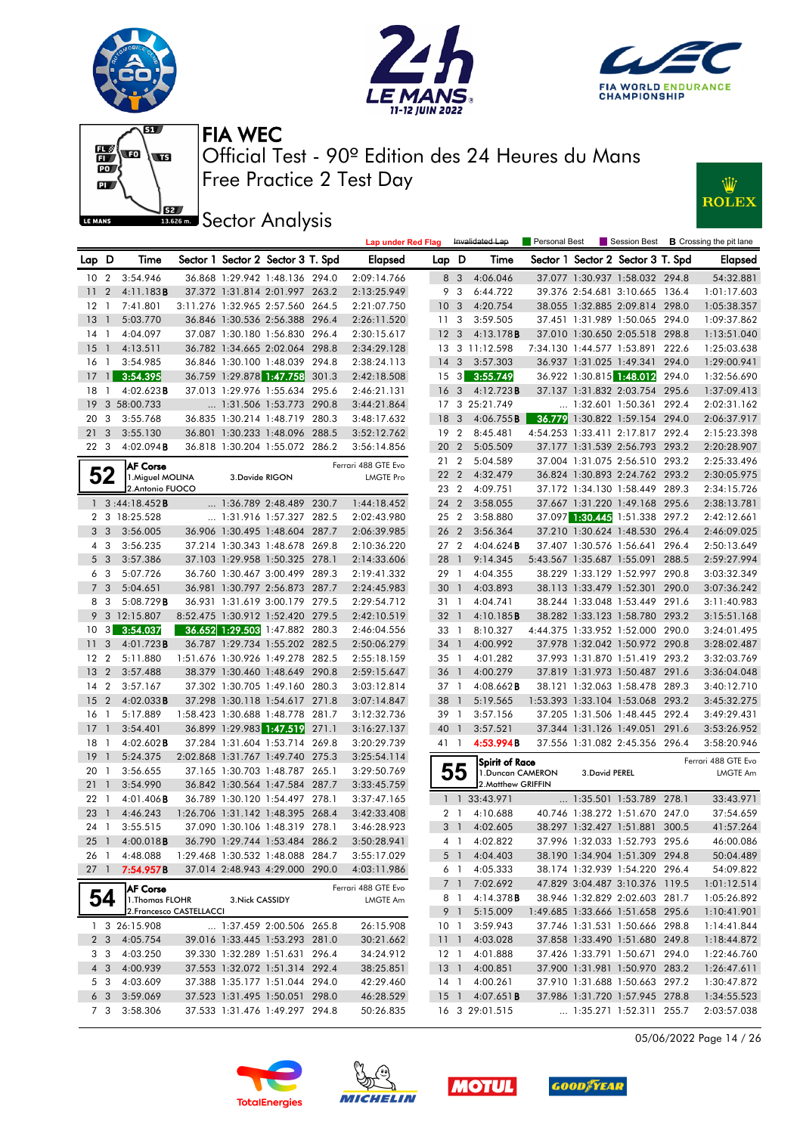





W

**ROLEX** 



Free Practice 2 Test Day Official Test - 90º Edition des 24 Heures du Mans FIA WEC

**ISSECT:** Sector Analysis

|                  |                |                          |                 |                                   | <b>Lap under Red Flag</b> |                 |                         | Invalidated Lap        | <b>Personal Best</b> |                |                                   |       | Session Best <b>B</b> Crossing the pit lane |
|------------------|----------------|--------------------------|-----------------|-----------------------------------|---------------------------|-----------------|-------------------------|------------------------|----------------------|----------------|-----------------------------------|-------|---------------------------------------------|
| Lap              | D              | Time                     |                 | Sector 1 Sector 2 Sector 3 T. Spd | Elapsed                   | Lap D           |                         | Time                   |                      |                | Sector 1 Sector 2 Sector 3 T. Spd |       | <b>Elapsed</b>                              |
| 10 <sub>2</sub>  |                | 3:54.946                 |                 | 36.868 1:29.942 1:48.136 294.0    | 2:09:14.766               |                 | 8 3                     | 4:06.046               |                      |                | 37.077 1:30.937 1:58.032 294.8    |       | 54:32.881                                   |
| 11               | $\overline{c}$ | 4:11.183B                |                 | 37.372 1:31.814 2:01.997 263.2    | 2:13:25.949               |                 | 9 3                     | 6:44.722               |                      |                | 39.376 2:54.681 3:10.665 136.4    |       | 1:01:17.603                                 |
| 12 <sub>1</sub>  |                | 7:41.801                 |                 | 3:11.276 1:32.965 2:57.560 264.5  | 2:21:07.750               | 10 <sub>3</sub> |                         | 4:20.754               |                      |                | 38.055 1:32.885 2:09.814 298.0    |       | 1:05:38.357                                 |
| 13 <sup>7</sup>  | $\mathbf{1}$   | 5:03.770                 |                 | 36.846 1:30.536 2:56.388 296.4    | 2:26:11.520               |                 | 11 <sub>3</sub>         | 3:59.505               |                      |                | 37.451 1:31.989 1:50.065 294.0    |       | 1:09:37.862                                 |
| $14-1$           |                | 4:04.097                 |                 | 37.087 1:30.180 1:56.830 296.4    | 2:30:15.617               | 12 <sub>3</sub> |                         | 4:13.178B              |                      |                | 37.010 1:30.650 2:05.518 298.8    |       | 1:13:51.040                                 |
| $15-1$           |                | 4:13.511                 |                 | 36.782 1:34.665 2:02.064 298.8    | 2:34:29.128               |                 |                         | 13 3 11:12.598         |                      |                | 7:34.130 1:44.577 1:53.891 222.6  |       | 1:25:03.638                                 |
| 16 1             |                | 3:54.985                 |                 | 36.846 1:30.100 1:48.039 294.8    | 2:38:24.113               | $14 \quad 3$    |                         | 3:57.303               |                      |                | 36.937 1:31.025 1:49.341 294.0    |       | 1:29:00.941                                 |
| 17               | $\mathbf{1}$   | 3:54.395                 |                 | 36.759 1:29.878 1:47.758 301.3    | 2:42:18.508               |                 | $15 \quad 3$            | 3:55.749               |                      |                | 36.922 1:30.815 1:48.012          | 294.0 | 1:32:56.690                                 |
| $18-1$           |                | 4:02.623B                |                 | 37.013 1:29.976 1:55.634 295.6    | 2:46:21.131               | <b>16</b>       | $\overline{\mathbf{3}}$ | 4:12.723B              |                      |                | 37.137 1:31.832 2:03.754 295.6    |       | 1:37:09.413                                 |
| 19               |                | 3 58:00.733              |                 | 1:31.506 1:53.773 290.8           | 3:44:21.864               |                 |                         | 17 3 25:21.749         |                      |                | 1:32.601 1:50.361 292.4           |       | 2:02:31.162                                 |
| 20               | 3              | 3:55.768                 |                 | 36.835 1:30.214 1:48.719 280.3    | 3:48:17.632               | 18              | - 3                     | 4:06.755B              |                      |                | 36.779 1:30.822 1:59.154 294.0    |       | 2:06:37.917                                 |
| 21               | $\mathbf{3}$   | 3:55.130                 |                 | 36.801 1:30.233 1:48.096 288.5    | 3:52:12.762               | 19              | $\overline{2}$          | 8:45.481               |                      |                | 4:54.253 1:33.411 2:17.817 292.4  |       | 2:15:23.398                                 |
| 22 3             |                | $4:02.094$ B             |                 | 36.818 1:30.204 1:55.072 286.2    | 3:56:14.856               |                 | 20 2                    | 5:05.509               |                      |                | 37.177 1:31.539 2:56.793 293.2    |       | 2:20:28.907                                 |
|                  |                | <b>AF Corse</b>          |                 |                                   | Ferrari 488 GTE Evo       |                 | 21 2                    | 5:04.589               |                      |                | 37.004 1:31.075 2:56.510 293.2    |       | 2:25:33.496                                 |
|                  | 52             | 1. Miguel MOLINA         | 3.Davide RIGON  |                                   | <b>LMGTE Pro</b>          |                 | 22 <sub>2</sub>         | 4:32.479               |                      |                | 36.824 1:30.893 2:24.762 293.2    |       | 2:30:05.975                                 |
|                  |                | 2. Antonio FUOCO         |                 |                                   |                           |                 | 23 2                    | 4:09.751               |                      |                | 37.172 1:34.130 1:58.449 289.3    |       | 2:34:15.726                                 |
| $\mathbf{1}$     |                | 3:44:18.452B             |                 | 1:36.789 2:48.489 230.7           | 1:44:18.452               |                 | 24 2                    | 3:58.055               |                      |                | 37.667 1:31.220 1:49.168 295.6    |       | 2:38:13.781                                 |
|                  |                | 2 3 18:25.528            |                 | 1:31.916 1:57.327 282.5           | 2:02:43.980               |                 | 25 2                    | 3:58.880               |                      |                | 37.097 1:30.445 1:51.338 297.2    |       | 2:42:12.661                                 |
| 3                | 3              | 3:56.005                 |                 | 36.906 1:30.495 1:48.604 287.7    | 2:06:39.985               |                 | 26 2                    | 3:56.364               |                      |                | 37.210 1:30.624 1:48.530 296.4    |       | 2:46:09.025                                 |
| $4 \quad 3$      |                | 3:56.235                 |                 | 37.214 1:30.343 1:48.678 269.8    | 2:10:36.220               |                 | 27 <sub>2</sub>         | 4:04.624B              |                      |                | 37.407 1:30.576 1:56.641 296.4    |       | 2:50:13.649                                 |
| 5 <sub>3</sub>   |                | 3:57.386                 |                 | 37.103 1:29.958 1:50.325 278.1    | 2:14:33.606               | 28              | $\overline{1}$          | 9:14.345               |                      |                | 5:43.567 1:35.687 1:55.091        | 288.5 | 2:59:27.994                                 |
| 6 <sub>3</sub>   |                | 5:07.726                 |                 | 36.760 1:30.467 3:00.499 289.3    | 2:19:41.332               |                 | 29 1                    | 4:04.355               |                      |                | 38.229 1:33.129 1:52.997 290.8    |       | 3:03:32.349                                 |
| 7 <sub>3</sub>   |                | 5:04.651                 |                 | 36.981 1:30.797 2:56.873 287.7    | 2:24:45.983               |                 | 30 <sub>1</sub>         | 4:03.893               |                      |                | 38.113 1:33.479 1:52.301 290.0    |       | 3:07:36.242                                 |
| 8                | 3              | 5:08.729B                |                 | 36.931 1:31.619 3:00.179 279.5    | 2:29:54.712               |                 | 31 1                    | 4:04.741               |                      |                | 38.244 1:33.048 1:53.449 291.6    |       | 3:11:40.983                                 |
| 9                |                | 3 12:15.807              |                 | 8:52.475 1:30.912 1:52.420 279.5  | 2:42:10.519               |                 | 32 1                    | 4:10.185B              |                      |                | 38.282 1:33.123 1:58.780 293.2    |       | 3:15:51.168                                 |
| 10               | 3              | 3:54.037                 |                 | 36.652 1:29.503 1:47.882 280.3    | 2:46:04.556               |                 | 33 1                    | 8:10.327               |                      |                | 4:44.375 1:33.952 1:52.000 290.0  |       | 3:24:01.495                                 |
| 11               | 3              | 4:01.723 <b>B</b>        |                 | 36.787 1:29.734 1:55.202 282.5    | 2:50:06.279               |                 | 34 1                    | 4:00.992               |                      |                | 37.978 1:32.042 1:50.972 290.8    |       | 3:28:02.487                                 |
| 12 <sub>2</sub>  |                | 5:11.880                 |                 | 1:51.676 1:30.926 1:49.278 282.5  | 2:55:18.159               |                 | $35-1$                  | 4:01.282               |                      |                | 37.993 1:31.870 1:51.419 293.2    |       | 3:32:03.769                                 |
| 13 <sup>7</sup>  | $\overline{2}$ | 3:57.488                 |                 | 38.379 1:30.460 1:48.649 290.8    | 2:59:15.647               |                 | 36 <sub>1</sub>         | 4:00.279               |                      |                | 37.819 1:31.973 1:50.487 291.6    |       | 3:36:04.048                                 |
| 14               | $\overline{2}$ | 3:57.167                 |                 | 37.302 1:30.705 1:49.160 280.3    | 3:03:12.814               | 37 1            |                         | $4:08.662$ <b>B</b>    |                      |                | 38.121 1:32.063 1:58.478 289.3    |       | 3:40:12.710                                 |
| 15 <sup>15</sup> | $\overline{2}$ | $4:02.033$ B             |                 | 37.298 1:30.118 1:54.617 271.8    | 3:07:14.847               | 38              | $\overline{1}$          | 5:19.565               |                      |                | 1:53.393 1:33.104 1:53.068 293.2  |       | 3:45:32.275                                 |
| 16 <sub>1</sub>  |                | 5:17.889                 |                 | 1:58.423 1:30.688 1:48.778 281.7  | 3:12:32.736               |                 | 39 1                    | 3:57.156               |                      |                | 37.205 1:31.506 1:48.445 292.4    |       | 3:49:29.431                                 |
| 17 <sup>7</sup>  | $\mathbf{1}$   | 3:54.401                 |                 | 36.899 1:29.983 1:47.519 271.1    | 3:16:27.137               | 40              | $\overline{1}$          | 3:57.521               |                      |                | 37.344 1:31.126 1:49.051 291.6    |       | 3:53:26.952                                 |
| $18-1$           |                | $4:02.602$ <b>B</b>      |                 | 37.284 1:31.604 1:53.714 269.8    | 3:20:29.739               |                 | 41 1                    | 4:53.994B              |                      |                | 37.556 1:31.082 2:45.356 296.4    |       | 3:58:20.946                                 |
| $19-1$           |                | 5:24.375                 |                 | 2:02.868 1:31.767 1:49.740 275.3  | 3:25:54.114               |                 |                         | <b>Spirit of Race</b>  |                      |                |                                   |       | Ferrari 488 GTE Evo                         |
| 20 1             |                | 3:56.655                 |                 | 37.165 1:30.703 1:48.787 265.1    | 3:29:50.769               |                 | 55                      | 1. Duncan CAMERON      |                      | 3. David PEREL |                                   |       | <b>LMGTE Am</b>                             |
| 21               | $\mathbf{1}$   | 3:54.990                 |                 | 36.842 1:30.564 1:47.584 287.7    | 3:33:45.759               |                 |                         | 2.Matthew GRIFFIN      |                      |                |                                   |       |                                             |
| 22 1             |                | $4:01.406$ B             |                 | 36.789 1:30.120 1:54.497 278.1    | 3:37:47.165               |                 |                         | 1 1 33:43.971          |                      |                | 1:35.501 1:53.789 278.1           |       | 33:43.971                                   |
| 23               | $\mathbf{1}$   | 4:46.243                 |                 | 1:26.706 1:31.142 1:48.395 268.4  | 3:42:33.408               |                 | 2 <sub>1</sub>          | 4:10.688               |                      |                | 40.746 1:38.272 1:51.670 247.0    |       | 37:54.659                                   |
| 24 1             |                | 3:55.515                 |                 | 37.090 1:30.106 1:48.319 278.1    | 3:46:28.923               |                 | 3 <sup>1</sup>          | 4:02.605               |                      |                | 38.297 1:32.427 1:51.881 300.5    |       | 41:57.264                                   |
|                  |                | 25 1 4:00.018 <b>B</b>   |                 | 36.790 1:29.744 1:53.484 286.2    | 3:50:28.941               |                 | 4 1                     | 4:02.822               |                      |                | 37.996 1:32.033 1:52.793 295.6    |       | 46:00.086                                   |
|                  |                | 26 1 4:48.088            |                 | 1:29.468 1:30.532 1:48.088 284.7  | 3:55:17.029               |                 |                         | 5 1 4:04.403           |                      |                | 38.190 1:34.904 1:51.309 294.8    |       | 50:04.489                                   |
| $27 \quad 1$     |                | 7:54.957B                |                 | 37.014 2:48.943 4:29.000 290.0    | 4:03:11.986               |                 | 61                      | 4:05.333               |                      |                | 38.174 1:32.939 1:54.220 296.4    |       | 54:09.822                                   |
|                  |                | <b>AF Corse</b>          |                 |                                   | Ferrari 488 GTE Evo       |                 |                         | 7 1 7:02.692           |                      |                | 47.829 3:04.487 3:10.376 119.5    |       | 1:01:12.514                                 |
|                  | 54             | 1. Thomas FLOHR          | 3. Nick CASSIDY |                                   | LMGTE Am                  |                 | 8 1                     | 4:14.378B              |                      |                | 38.946 1:32.829 2:02.603 281.7    |       | 1:05:26.892                                 |
|                  |                | 2. Francesco CASTELLACCI |                 |                                   |                           |                 | 9 1                     | 5:15.009               |                      |                | 1:49.685 1:33.666 1:51.658 295.6  |       | 1:10:41.901                                 |
|                  |                | 1 3 26:15.908            |                 | 1:37.459 2:00.506 265.8           | 26:15.908                 |                 | 10 <sub>1</sub>         | 3:59.943               |                      |                | 37.746 1:31.531 1:50.666 298.8    |       | 1:14:41.844                                 |
|                  | 2 <sub>3</sub> | 4:05.754                 |                 | 39.016 1:33.445 1:53.293 281.0    | 30:21.662                 |                 |                         | 11 1 4:03.028          |                      |                | 37.858 1:33.490 1:51.680 249.8    |       | 1:18:44.872                                 |
| 3 3              |                | 4:03.250                 |                 | 39.330 1:32.289 1:51.631 296.4    | 34:24.912                 |                 | $12-1$                  | 4:01.888               |                      |                | 37.426 1:33.791 1:50.671 294.0    |       | 1:22:46.760                                 |
| $4 \overline{3}$ |                | 4:00.939                 |                 | 37.553 1:32.072 1:51.314 292.4    | 38:25.851                 |                 |                         | 13 1 4:00.851          |                      |                | 37.900 1:31.981 1:50.970 283.2    |       | 1:26:47.611                                 |
|                  | 5 3            | 4:03.609                 |                 | 37.388 1:35.177 1:51.044 294.0    | 42:29.460                 |                 | 14 1                    | 4:00.261               |                      |                | 37.910 1:31.688 1:50.663 297.2    |       | 1:30:47.872                                 |
| 6 <sub>3</sub>   |                | 3:59.069                 |                 | 37.523 1:31.495 1:50.051 298.0    | 46:28.529                 |                 |                         | 15 1 4:07.651 <b>B</b> |                      |                | 37.986 1:31.720 1:57.945 278.8    |       | 1:34:55.523                                 |
|                  |                | 7 3 3:58.306             |                 | 37.533 1:31.476 1:49.297 294.8    | 50:26.835                 |                 |                         | 16 3 29:01.515         |                      |                | $\ldots$ 1:35.271 1:52.311 255.7  |       | 2:03:57.038                                 |

05/06/2022 Page 14 / 26







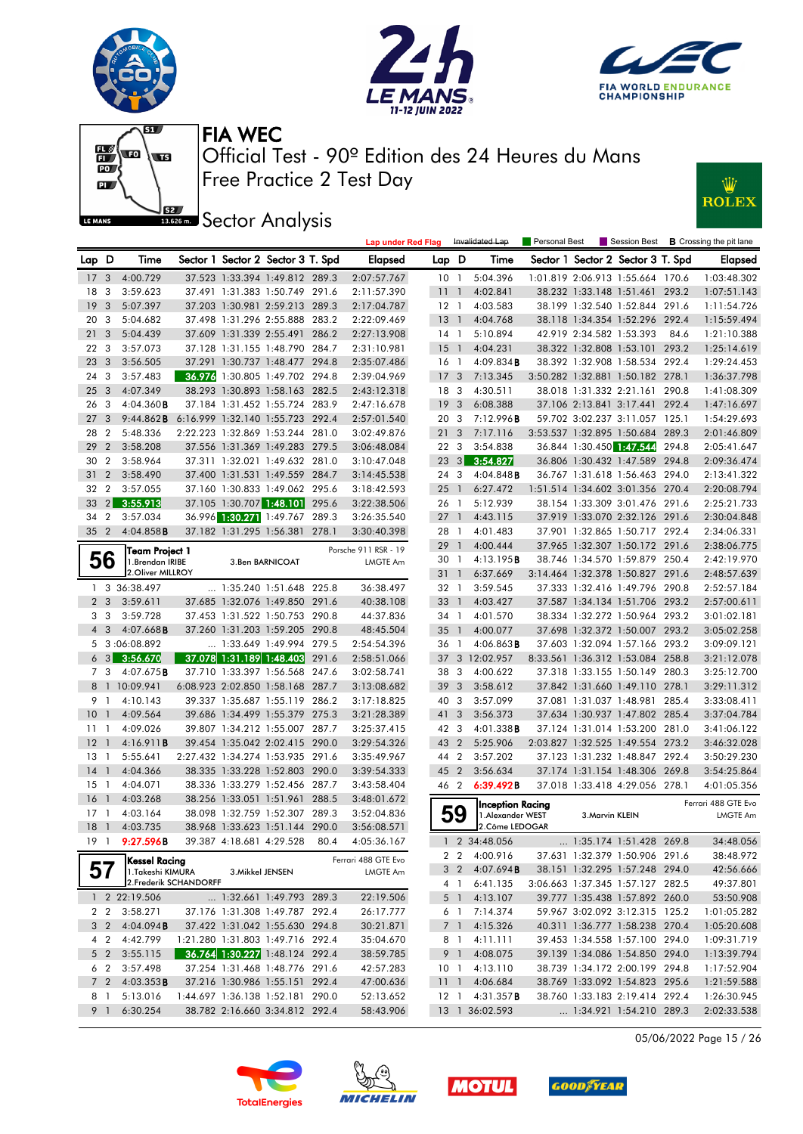







**JEE** Sector Analysis



|                 |                |                                          |        |                            |                                   |       | <b>Lap under Red Flag</b> |                 |                 | Invalidated Lap                              | Personal Best |                          | Session Best                      |       | <b>B</b> Crossing the pit lane         |
|-----------------|----------------|------------------------------------------|--------|----------------------------|-----------------------------------|-------|---------------------------|-----------------|-----------------|----------------------------------------------|---------------|--------------------------|-----------------------------------|-------|----------------------------------------|
| Lap D           |                | Time                                     |        |                            | Sector 1 Sector 2 Sector 3 T. Spd |       | <b>Elapsed</b>            | Lap D           |                 | Time                                         |               |                          | Sector 1 Sector 2 Sector 3 T. Spd |       | <b>Elapsed</b>                         |
| 17 <sub>3</sub> |                | 4:00.729                                 |        |                            | 37.523 1:33.394 1:49.812 289.3    |       | 2:07:57.767               |                 | 10 <sub>1</sub> | 5:04.396                                     |               |                          | 1:01.819 2:06.913 1:55.664 170.6  |       | 1:03:48.302                            |
| 18              | 3              | 3:59.623                                 |        |                            | 37.491 1:31.383 1:50.749 291.6    |       | 2:11:57.390               | 11              | $\overline{1}$  | 4:02.841                                     |               |                          | 38.232 1:33.148 1:51.461 293.2    |       | 1:07:51.143                            |
| 19              | 3              | 5:07.397                                 |        |                            | 37.203 1:30.981 2:59.213 289.3    |       | 2:17:04.787               |                 | $12-1$          | 4:03.583                                     |               |                          | 38.199 1:32.540 1:52.844 291.6    |       | 1:11:54.726                            |
| 20              | 3              | 5:04.682                                 |        | 37.498 1:31.296 2:55.888   |                                   | 283.2 | 2:22:09.469               | 13              | $\overline{1}$  | 4:04.768                                     |               |                          | 38.118 1:34.354 1:52.296 292.4    |       | 1:15:59.494                            |
| 21              | 3              | 5:04.439                                 |        | 37.609 1:31.339 2:55.491   |                                   | 286.2 | 2:27:13.908               |                 | 14 1            | 5:10.894                                     |               | 42.919 2:34.582 1:53.393 |                                   | 84.6  | 1:21:10.388                            |
| 22              | - 3            | 3:57.073                                 |        |                            | 37.128 1:31.155 1:48.790 284.7    |       | 2:31:10.981               | 15              | $\overline{1}$  | 4:04.231                                     |               |                          | 38.322 1:32.808 1:53.101          | 293.2 | 1:25:14.619                            |
| 23              | 3              | 3:56.505                                 |        |                            | 37.291 1:30.737 1:48.477          | 294.8 | 2:35:07.486               |                 | 16 1            | $4:09.834$ <b>B</b>                          |               |                          | 38.392 1:32.908 1:58.534 292.4    |       | 1:29:24.453                            |
| 24              | 3              | 3:57.483                                 | 36.976 |                            | 1:30.805 1:49.702                 | 294.8 | 2:39:04.969               | 17 <sub>3</sub> |                 | 7:13.345                                     |               |                          | 3:50.282 1:32.881 1:50.182 278.1  |       | 1:36:37.798                            |
| 25              | -3             | 4:07.349                                 |        |                            | 38.293 1:30.893 1:58.163 282.5    |       | 2:43:12.318               |                 | 18 3            | 4:30.511                                     |               |                          | 38.018 1:31.332 2:21.161 290.8    |       | 1:41:08.309                            |
| 26              | 3              | $4:04.360$ B                             |        |                            | 37.184 1:31.452 1:55.724 283.9    |       | 2:47:16.678               | 19              | $\mathbf{3}$    | 6:08.388                                     |               |                          | 37.106 2:13.841 3:17.441          | 292.4 | 1:47:16.697                            |
| 27              | 3              | 9:44.862B                                |        |                            | 6:16.999 1:32.140 1:55.723 292.4  |       | 2:57:01.540               |                 | 20 3            | 7:12.996B                                    |               |                          | 59.702 3:02.237 3:11.057 125.1    |       | 1:54:29.693                            |
| 28              | $\overline{2}$ | 5:48.336                                 |        | 2:22.223 1:32.869 1:53.244 |                                   | 281.0 | 3:02:49.876               | 21              | 3               | 7:17.116                                     |               |                          | 3:53.537 1:32.895 1:50.684        | 289.3 | 2:01:46.809                            |
| 29              | $\overline{2}$ | 3:58.208                                 |        |                            | 37.556 1:31.369 1:49.283 279.5    |       | 3:06:48.084               |                 | 22 3            | 3:54.838                                     |               | 36.844 1:30.450 1:47.544 |                                   | 294.8 | 2:05:41.647                            |
| 30              | $\overline{2}$ | 3:58.964                                 |        |                            | 37.311 1:32.021 1:49.632 281.0    |       | 3:10:47.048               |                 | $23 \quad 3$    | 3:54.827                                     |               |                          | 36.806 1:30.432 1:47.589          | 294.8 | 2:09:36.474                            |
| 31              | $\overline{2}$ | 3:58.490                                 |        |                            | 37.400 1:31.531 1:49.559 284.7    |       | 3:14:45.538               |                 | 24 3            | $4:04.848$ <b>B</b>                          |               |                          | 36.767 1:31.618 1:56.463 294.0    |       | 2:13:41.322                            |
| 32              | $\overline{2}$ | 3:57.055                                 |        |                            | 37.160 1:30.833 1:49.062 295.6    |       | 3:18:42.593               | 25              | $\overline{1}$  | 6:27.472                                     |               |                          | 1:51.514 1:34.602 3:01.356 270.4  |       | 2:20:08.794                            |
| 33              | 2              | 3:55.913                                 |        |                            | 37.105 1:30.707 1:48.101          | 295.6 | 3:22:38.506               |                 | 26 1            | 5:12.939                                     |               |                          | 38.154 1:33.309 3:01.476 291.6    |       | 2:25:21.733                            |
| 34              | $\overline{2}$ | 3:57.034                                 |        |                            | 36.996 1:30.271 1:49.767 289.3    |       | 3:26:35.540               | $27-1$          |                 | 4:43.115                                     |               |                          | 37.919 1:33.070 2:32.126 291.6    |       | 2:30:04.848                            |
| 35              | $\overline{2}$ | $4:04.858$ B                             |        | 37.182 1:31.295 1:56.381   |                                   | 278.1 | 3:30:40.398               |                 | 28 1            | 4:01.483                                     |               |                          | 37.901 1:32.865 1:50.717          | 292.4 | 2:34:06.331                            |
|                 |                |                                          |        |                            |                                   |       | Porsche 911 RSR - 19      | 29              | $\overline{1}$  | 4:00.444                                     |               |                          | 37.965 1:32.307 1:50.172 291.6    |       | 2:38:06.775                            |
|                 | 56             | Team Project 1<br>1. Brendan IRIBE       |        |                            | 3.Ben BARNICOAT                   |       | <b>LMGTE Am</b>           | 30 <sub>1</sub> |                 | 4:13.195B                                    |               |                          | 38.746 1:34.570 1:59.879 250.4    |       | 2:42:19.970                            |
|                 |                | 2. Oliver MILLROY                        |        |                            |                                   |       |                           | 311             |                 | 6:37.669                                     |               |                          | 3:14.464 1:32.378 1:50.827 291.6  |       | 2:48:57.639                            |
|                 |                | 1 3 36:38.497                            |        | $\ldots$ 1:35.240 1:51.648 |                                   | 225.8 | 36:38.497                 |                 | 32 1            | 3:59.545                                     |               |                          | 37.333 1:32.416 1:49.796 290.8    |       | 2:52:57.184                            |
| 2 <sub>3</sub>  |                | 3:59.611                                 |        |                            | 37.685 1:32.076 1:49.850 291.6    |       | 40:38.108                 | 33              | - 1             | 4:03.427                                     |               |                          | 37.587 1:34.134 1:51.706 293.2    |       | 2:57:00.611                            |
| 3               | 3              | 3:59.728                                 |        |                            | 37.453 1:31.522 1:50.753 290.8    |       | 44:37.836                 |                 | 34 1            | 4:01.570                                     |               |                          | 38.334 1:32.272 1:50.964 293.2    |       | 3:01:02.181                            |
| $\overline{4}$  | 3              | $4:07.668$ <b>B</b>                      |        |                            | 37.260 1:31.203 1:59.205 290.8    |       | 48:45.504                 | $35-1$          |                 | 4:00.077                                     |               |                          | 37.698 1:32.372 1:50.007 293.2    |       | 3:05:02.258                            |
| 5               |                | 3:06:08.892                              |        |                            | 1:33.649 1:49.994 279.5           |       | 2:54:54.396               |                 | 36 1            | $4:06.863$ <b>B</b>                          |               |                          | 37.603 1:32.094 1:57.166          | 293.2 | 3:09:09.121                            |
| 6               | 3              | 3:56.670                                 |        | 37.078 1:31.189 1:48.403   |                                   | 291.6 | 2:58:51.066               | 37              |                 | 3 12:02.957                                  |               |                          | 8:33.561 1:36.312 1:53.084 258.8  |       | 3:21:12.078                            |
| 7 3             |                | $4:07.675$ <b>B</b>                      |        | 37.710 1:33.397 1:56.568   |                                   | 247.6 | 3:02:58.741               | 38              | -3              | 4:00.622                                     |               |                          | 37.318 1:33.155 1:50.149          | 280.3 | 3:25:12.700                            |
|                 |                | 8 1 10:09.941                            |        |                            | 6:08.923 2:02.850 1:58.168 287.7  |       | 3:13:08.682               |                 | 39 <sub>3</sub> | 3:58.612                                     |               |                          | 37.842 1:31.660 1:49.110 278.1    |       | 3:29:11.312                            |
| 9               | $\mathbf{1}$   | 4:10.143                                 |        |                            | 39.337 1:35.687 1:55.119 286.2    |       | 3:17:18.825               | 40              | 3               | 3:57.099                                     |               |                          | 37.081 1:31.037 1:48.981          | 285.4 | 3:33:08.411                            |
| 10              | $\mathbf{1}$   | 4:09.564                                 |        |                            | 39.686 1:34.499 1:55.379 275.3    |       | 3:21:28.389               | 41              | 3               | 3:56.373                                     |               |                          | 37.634 1:30.937 1:47.802 285.4    |       | 3:37:04.784                            |
| $11-1$          |                | 4:09.026                                 |        |                            | 39.807 1:34.212 1:55.007 287.7    |       | 3:25:37.415               |                 | 42 3            | $4:01.338$ B                                 |               |                          | 37.124 1:31.014 1:53.200 281.0    |       | 3:41:06.122                            |
| 12              | $\overline{1}$ | 4:16.911B                                |        |                            | 39.454 1:35.042 2:02.415 290.0    |       | 3:29:54.326               |                 | 43 2            | 5:25.906                                     |               |                          | 2:03.827 1:32.525 1:49.554 273.2  |       | 3:46:32.028                            |
| 13              | $\overline{1}$ | 5:55.641                                 |        |                            | 2:27.432 1:34.274 1:53.935 291.6  |       | 3:35:49.967               |                 | 44 2            | 3:57.202                                     |               |                          | 37.123 1:31.232 1:48.847 292.4    |       | 3:50:29.230                            |
| 14              | $\overline{1}$ | 4:04.366                                 |        |                            | 38.335 1:33.228 1:52.803 290.0    |       | 3:39:54.333               | 45 2            |                 | 3:56.634                                     |               |                          | 37.174 1:31.154 1:48.306 269.8    |       | 3:54:25.864                            |
| 15              | $\overline{1}$ | 4:04.071                                 |        |                            | 38.336 1:33.279 1:52.456 287.7    |       | 3:43:58.404               |                 | 46 2            | 6:39.492B                                    |               |                          | 37.018 1:33.418 4:29.056 278.1    |       | 4:01:05.356                            |
| 16              | $\overline{1}$ | 4:03.268                                 |        | 38.256 1:33.051 1:51.961   |                                   | 288.5 | 3:48:01.672               |                 |                 |                                              |               |                          |                                   |       |                                        |
| 17              | -1             | 4:03.164                                 |        | 38.098 1:32.759 1:52.307   |                                   | 289.3 | 3:52:04.836               |                 | 59              | <b>Inception Racing</b><br>1. Alexander WEST |               | 3. Marvin KLEIN          |                                   |       | Ferrari 488 GTE Evo<br><b>LMGTE Am</b> |
| 18              | $\overline{1}$ | 4:03.735                                 |        |                            | 38.968 1:33.623 1:51.144 290.0    |       | 3:56:08.571               |                 |                 | 2.Côme LEDOGAR                               |               |                          |                                   |       |                                        |
| 191             |                | 9:27.596B                                |        | 39.387 4:18.681 4:29.528   |                                   | 80.4  | 4:05:36.167               |                 |                 | 1 2 34:48.056                                |               |                          | 1:35.174 1:51.428 269.8           |       | 34:48.056                              |
|                 |                |                                          |        |                            |                                   |       | Ferrari 488 GTE Evo       |                 |                 | 2 2 4:00.916                                 |               |                          | 37.631 1:32.379 1:50.906 291.6    |       | 38:48.972                              |
|                 |                | <b>Kessel Racing</b><br>1.Takeshi KIMURA |        |                            | 3. Mikkel JENSEN                  |       | LMGTE Am                  |                 |                 | 3 2 4:07.694 <b>B</b>                        |               |                          | 38.151 1:32.295 1:57.248 294.0    |       | 42:56.666                              |
|                 |                | 2. Frederik SCHANDORFF                   |        |                            |                                   |       |                           |                 |                 | 4 1 6:41.135                                 |               |                          | 3:06.663 1:37.345 1:57.127 282.5  |       | 49:37.801                              |
|                 |                | 1 2 22:19.506                            |        |                            | 1:32.661 1:49.793 289.3           |       | 22:19.506                 |                 | 5 1             | 4:13.107                                     |               |                          | 39.777 1:35.438 1:57.892 260.0    |       | 53:50.908                              |
|                 | $2\quad 2$     | 3:58.271                                 |        |                            | 37.176 1:31.308 1:49.787 292.4    |       | 26:17.777                 |                 |                 | 6 1 7:14.374                                 |               |                          | 59.967 3:02.092 3:12.315 125.2    |       | 1:01:05.282                            |
| 3 <sub>2</sub>  |                | 4:04.094B                                |        |                            | 37.422 1:31.042 1:55.630 294.8    |       | 30:21.871                 |                 | 7 1             | 4:15.326                                     |               |                          | 40.311 1:36.777 1:58.238 270.4    |       | 1:05:20.608                            |
|                 | 4 2            | 4:42.799                                 |        |                            | 1:21.280 1:31.803 1:49.716 292.4  |       | 35:04.670                 |                 |                 | 8 1 4:11.111                                 |               |                          | 39.453 1:34.558 1:57.100 294.0    |       | 1:09:31.719                            |
|                 | $5\quad2$      | 3:55.115                                 |        |                            | 36.764 1:30.227 1:48.124 292.4    |       | 38:59.785                 |                 | 9 1             | 4:08.075                                     |               |                          | 39.139 1:34.086 1:54.850 294.0    |       | 1:13:39.794                            |
|                 | 6 2            | 3:57.498                                 |        |                            | 37.254 1:31.468 1:48.776 291.6    |       | 42:57.283                 |                 | 10 <sub>1</sub> | 4:13.110                                     |               |                          | 38.739 1:34.172 2:00.199 294.8    |       | 1:17:52.904                            |
| 7 <sub>2</sub>  |                | 4:03.353B                                |        |                            | 37.216 1:30.986 1:55.151 292.4    |       | 47:00.636                 | 11 <sub>1</sub> |                 | 4:06.684                                     |               |                          | 38.769 1:33.092 1:54.823 295.6    |       | 1:21:59.588                            |
| 8 1             |                | 5:13.016                                 |        |                            | 1:44.697 1:36.138 1:52.181 290.0  |       | 52:13.652                 |                 |                 | 12 1 4:31.357 <b>B</b>                       |               |                          | 38.760 1:33.183 2:19.414 292.4    |       | 1:26:30.945                            |
| 9 <sub>1</sub>  |                | 6:30.254                                 |        |                            | 38.782 2:16.660 3:34.812 292.4    |       | 58:43.906                 |                 |                 | 13 1 36:02.593                               |               |                          | 1:34.921 1:54.210 289.3           |       | 2:02:33.538                            |

05/06/2022 Page 15 / 26







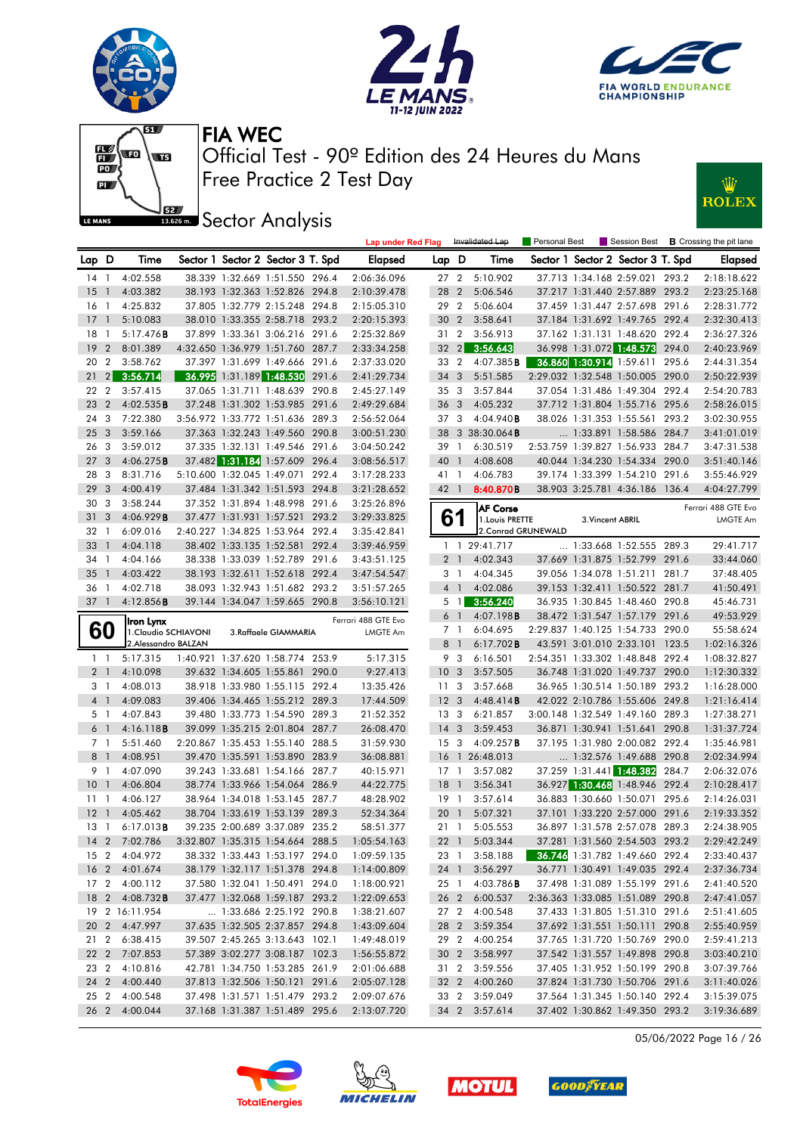







**JEE** Sector Analysis



|                |                         |                                   |  |                                   |       | <b>Lap under Red Flag</b> |                 |                | Invalidated Lap                    | <b>Personal Best</b> |                  |                                   |       | Session Best <b>B</b> Crossing the pit lane |
|----------------|-------------------------|-----------------------------------|--|-----------------------------------|-------|---------------------------|-----------------|----------------|------------------------------------|----------------------|------------------|-----------------------------------|-------|---------------------------------------------|
| Lap D          |                         | Time                              |  | Sector 1 Sector 2 Sector 3 T. Spd |       | Elapsed                   | Lap D           |                | Time                               |                      |                  | Sector 1 Sector 2 Sector 3 T. Spd |       | <b>Elapsed</b>                              |
| 14 1           |                         | 4:02.558                          |  | 38.339 1:32.669 1:51.550 296.4    |       | 2:06:36.096               | 27 <sub>2</sub> |                | 5:10.902                           |                      |                  | 37.713 1:34.168 2:59.021 293.2    |       | 2:18:18.622                                 |
| 15             | $\overline{1}$          | 4:03.382                          |  | 38.193 1:32.363 1:52.826 294.8    |       | 2:10:39.478               | 28              | 2              | 5:06.546                           |                      |                  | 37.217 1:31.440 2:57.889 293.2    |       | 2:23:25.168                                 |
| $16-1$         |                         | 4:25.832                          |  | 37.805 1:32.779 2:15.248 294.8    |       | 2:15:05.310               | 29 2            |                | 5:06.604                           |                      |                  | 37.459 1:31.447 2:57.698 291.6    |       | 2:28:31.772                                 |
| 17             | $\overline{1}$          | 5:10.083                          |  | 38.010 1:33.355 2:58.718 293.2    |       | 2:20:15.393               | 30 <sub>2</sub> |                | 3:58.641                           |                      |                  | 37.184 1:31.692 1:49.765 292.4    |       | 2:32:30.413                                 |
| 18             | $\overline{1}$          | 5:17.476B                         |  | 37.899 1:33.361 3:06.216 291.6    |       | 2:25:32.869               | 31 <sub>2</sub> |                | 3:56.913                           |                      |                  | 37.162 1:31.131 1:48.620 292.4    |       | 2:36:27.326                                 |
| 19             | $\overline{2}$          | 8:01.389                          |  | 4:32.650 1:36.979 1:51.760 287.7  |       | 2:33:34.258               | $32 \quad 2$    |                | 3:56.643                           |                      |                  | 36.998 1:31.072 1:48.573          | 294.0 | 2:40:23.969                                 |
| 20 2           |                         | 3:58.762                          |  | 37.397 1:31.699 1:49.666 291.6    |       | 2:37:33.020               | 33 2            |                | 4:07.385B                          |                      |                  | 36.860 1:30.914 1:59.611 295.6    |       | 2:44:31.354                                 |
| 21             |                         | 2 3:56.714                        |  | 36.995 1:31.189 1:48.530          | 291.6 | 2:41:29.734               | 34 3            |                | 5:51.585                           |                      |                  | 2:29.032 1:32.548 1:50.005 290.0  |       | 2:50:22.939                                 |
| 22             | $\overline{2}$          | 3:57.415                          |  | 37.065 1:31.711 1:48.639 290.8    |       | 2:45:27.149               | 35 <sub>3</sub> |                | 3:57.844                           |                      |                  | 37.054 1:31.486 1:49.304 292.4    |       | 2:54:20.783                                 |
| 23             | $\overline{2}$          | 4:02.535B                         |  | 37.248 1:31.302 1:53.985 291.6    |       | 2:49:29.684               | 36 <sub>3</sub> |                | 4:05.232                           |                      |                  | 37.712 1:31.804 1:55.716 295.6    |       | 2:58:26.015                                 |
| 24 3           |                         | 7:22.380                          |  | 3:56.972 1:33.772 1:51.636 289.3  |       | 2:56:52.064               | 37 3            |                | 4:04.940B                          |                      |                  | 38.026 1:31.353 1:55.561 293.2    |       | 3:02:30.955                                 |
| 25             | $\mathbf{3}$            | 3:59.166                          |  | 37.363 1:32.243 1:49.560 290.8    |       | 3:00:51.230               |                 |                | 38 3 38:30.064 <b>B</b>            |                      |                  | 1:33.891 1:58.586 284.7           |       | 3:41:01.019                                 |
| 26             | -3                      | 3:59.012                          |  | 37.335 1:32.131 1:49.546 291.6    |       | 3:04:50.242               | 39              | $\overline{1}$ | 6:30.519                           |                      |                  | 2:53.759 1:39.827 1:56.933 284.7  |       | 3:47:31.538                                 |
| 27             | $\overline{\mathbf{3}}$ | 4:06.275B                         |  | 37.482 1:31.184 1:57.609 296.4    |       | 3:08:56.517               | 40              | $\mathbf{1}$   | 4:08.608                           |                      |                  | 40.044 1:34.230 1:54.334 290.0    |       | 3:51:40.146                                 |
| 28             | $\overline{\mathbf{3}}$ | 8:31.716                          |  | 5:10.600 1:32.045 1:49.071 292.4  |       | 3:17:28.233               | 41 1            |                | 4:06.783                           |                      |                  | 39.174 1:33.399 1:54.210 291.6    |       | 3:55:46.929                                 |
| 29             | $\mathbf{3}$            | 4:00.419                          |  | 37.484 1:31.342 1:51.593 294.8    |       | 3:21:28.652               | 42 1            |                | 8:40.870B                          |                      |                  | 38.903 3:25.781 4:36.186 136.4    |       | 4:04:27.799                                 |
| 30             | 3                       | 3:58.244                          |  | 37.352 1:31.894 1:48.998 291.6    |       | 3:25:26.896               |                 |                |                                    |                      |                  |                                   |       |                                             |
| 31             | 3                       | 4:06.929B                         |  | 37.477 1:31.931 1:57.521 293.2    |       | 3:29:33.825               |                 | 61             | <b>AF Corse</b><br>1. Louis PRETTE |                      | 3. Vincent ABRIL |                                   |       | Ferrari 488 GTE Evo<br>LMGTE Am             |
| 32             | $\overline{1}$          | 6:09.016                          |  | 2:40.227 1:34.825 1:53.964 292.4  |       | 3:35:42.841               |                 |                | 2. Conrad GRUNEWALD                |                      |                  |                                   |       |                                             |
| 33             | $\overline{1}$          | 4:04.118                          |  | 38.402 1:33.135 1:52.581 292.4    |       | 3:39:46.959               |                 | $1\quad1$      | 29:41.717                          |                      |                  | 1:33.668 1:52.555 289.3           |       | 29:41.717                                   |
| 34             | $\overline{1}$          | 4:04.166                          |  | 38.338 1:33.039 1:52.789 291.6    |       | 3:43:51.125               |                 | 2 <sub>1</sub> | 4:02.343                           |                      |                  | 37.669 1:31.875 1:52.799 291.6    |       | 33:44.060                                   |
| 35             | -1                      | 4:03.422                          |  | 38.193 1:32.611 1:52.618 292.4    |       | 3:47:54.547               |                 | 3 1            | 4:04.345                           |                      |                  | 39.056 1:34.078 1:51.211 281.7    |       | 37:48.405                                   |
| 36 1           |                         | 4:02.718                          |  | 38.093 1:32.943 1:51.682 293.2    |       | 3:51:57.265               |                 | 4 1            | 4:02.086                           |                      |                  | 39.153 1:32.411 1:50.522 281.7    |       | 41:50.491                                   |
| $37-1$         |                         | 4:12.856B                         |  | 39.144 1:34.047 1:59.665 290.8    |       | 3:56:10.121               |                 | $5 \quad 1$    | 3:56.240                           |                      |                  | 36.935 1:30.845 1:48.460 290.8    |       | 45:46.731                                   |
|                |                         |                                   |  |                                   |       | Ferrari 488 GTE Evo       |                 | $6-1$          | 4:07.198B                          |                      |                  | 38.472 1:31.547 1:57.179 291.6    |       | 49:53.929                                   |
| 60             |                         | Iron Lynx<br>1. Claudio SCHIAVONI |  | 3.Raffaele GIAMMARIA              |       | LMGTE Am                  |                 | 7 <sub>1</sub> | 6:04.695                           |                      |                  | 2:29.837 1:40.125 1:54.733 290.0  |       | 55:58.624                                   |
|                |                         | 2. Alessandro BALZAN              |  |                                   |       |                           |                 | 8 <sup>1</sup> | $6:17.702$ <b>B</b>                |                      |                  | 43.591 3:01.010 2:33.101 123.5    |       | 1:02:16.326                                 |
| $1\quad$       |                         | 5:17.315                          |  | 1:40.921 1:37.620 1:58.774 253.9  |       | 5:17.315                  |                 | 9 3            | 6:16.501                           |                      |                  | 2:54.351 1:33.302 1:48.848 292.4  |       | 1:08:32.827                                 |
| 2 <sub>1</sub> |                         | 4:10.098                          |  | 39.632 1:34.605 1:55.861 290.0    |       | 9:27.413                  | 10 <sub>3</sub> |                | 3:57.505                           |                      |                  | 36.748 1:31.020 1:49.737 290.0    |       | 1:12:30.332                                 |
| 3 1            |                         | 4:08.013                          |  | 38.918 1:33.980 1:55.115 292.4    |       | 13:35.426                 | 11 <sub>3</sub> |                | 3:57.668                           |                      |                  | 36.965 1:30.514 1:50.189 293.2    |       | 1:16:28.000                                 |
| 4 <sup>1</sup> |                         | 4:09.083                          |  | 39.406 1:34.465 1:55.212 289.3    |       | 17:44.509                 | 12 <sup>3</sup> |                | 4:48.414B                          |                      |                  | 42.022 2:10.786 1:55.606 249.8    |       | 1:21:16.414                                 |
| 5 1            |                         | 4:07.843                          |  | 39.480 1:33.773 1:54.590 289.3    |       | 21:52.352                 | 13 <sub>3</sub> |                | 6:21.857                           |                      |                  | 3:00.148 1:32.549 1:49.160 289.3  |       | 1:27:38.271                                 |
| 6 <sup>1</sup> |                         | 4:16.118B                         |  | 39.099 1:35.215 2:01.804 287.7    |       | 26:08.470                 | 14 <sub>3</sub> |                | 3:59.453                           |                      |                  | 36.871 1:30.941 1:51.641 290.8    |       | 1:31:37.724                                 |
| 7 <sub>1</sub> |                         | 5:51.460                          |  | 2:20.867 1:35.453 1:55.140 288.5  |       | 31:59.930                 | 15 <sub>3</sub> |                | 4:09.257B                          |                      |                  | 37.195 1:31.980 2:00.082 292.4    |       | 1:35:46.981                                 |
| 8 <sup>1</sup> |                         | 4:08.951                          |  | 39.470 1:35.591 1:53.890 283.9    |       | 36:08.881                 |                 |                | 16 1 26:48.013                     |                      |                  | 1:32.576 1:49.688 290.8           |       | 2:02:34.994                                 |
| 9 1            |                         | 4:07.090                          |  | 39.243 1:33.681 1:54.166 287.7    |       | 40:15.971                 | $17-1$          |                | 3:57.082                           |                      |                  | 37.259 1:31.441 1:48.382 284.7    |       | 2:06:32.076                                 |
| 10             | $\overline{1}$          | 4:06.804                          |  | 38.774 1:33.966 1:54.064 286.9    |       | 44:22.775                 | 18              | $\overline{1}$ | 3:56.341                           |                      |                  | 36.927 1:30.468 1:48.946 292.4    |       | 2:10:28.417                                 |
| 1111           |                         | 4:06.127                          |  | 38.964 1:34.018 1:53.145 287.7    |       | 48:28.902                 | 19 1            |                | 3:57.614                           |                      |                  | 36.883 1:30.660 1:50.071 295.6    |       | 2:14:26.031                                 |
| 12             | $\overline{1}$          | 4:05.462                          |  | 38.704 1:33.619 1:53.139 289.3    |       | 52:34.364                 | 20 <sub>1</sub> |                | 5:07.321                           |                      |                  | 37.101 1:33.220 2:57.000 291.6    |       | 2:19:33.352                                 |
| $13-1$         |                         | 6:17.013B                         |  | 39.235 2:00.689 3:37.089 235.2    |       | 58:51.377                 | $21 \quad 1$    |                | 5:05.553                           |                      |                  | 36.897 1:31.578 2:57.078 289.3    |       | 2:24:38.905                                 |
|                |                         | 14 2 7:02.786                     |  | 3:32.807 1:35.315 1:54.664 288.5  |       | 1:05:54.163               |                 |                | 22 1 5:03.344                      |                      |                  | 37.281 1:31.560 2:54.503 293.2    |       | 2:29:42.249                                 |
|                |                         | 15 2 4:04.972                     |  | 38.332 1:33.443 1:53.197 294.0    |       | 1:09:59.135               |                 |                | 23 1 3:58.188                      |                      |                  | 36.746 1:31.782 1:49.660 292.4    |       | 2:33:40.437                                 |
|                |                         | 16 2 4:01.674                     |  | 38.179 1:32.117 1:51.378 294.8    |       | 1:14:00.809               |                 |                | 24 1 3:56.297                      |                      |                  | 36.771 1:30.491 1:49.035 292.4    |       | 2:37:36.734                                 |
|                |                         | 17 2 4:00.112                     |  | 37.580 1:32.041 1:50.491 294.0    |       | 1:18:00.921               |                 |                | 25 1 4:03.786 <b>B</b>             |                      |                  | 37.498 1:31.089 1:55.199 291.6    |       | 2:41:40.520                                 |
|                |                         | 18 2 4:08.732B                    |  | 37.477 1:32.068 1:59.187 293.2    |       | 1:22:09.653               |                 |                | 26 2 6:00.537                      |                      |                  | 2:36.363 1:33.085 1:51.089 290.8  |       | 2:47:41.057                                 |
|                |                         | 19 2 16:11.954                    |  | 1:33.686 2:25.192 290.8           |       | 1:38:21.607               |                 |                | 27 2 4:00.548                      |                      |                  | 37.433 1:31.805 1:51.310 291.6    |       | 2:51:41.605                                 |
|                |                         | 20 2 4:47.997                     |  | 37.635 1:32.505 2:37.857 294.8    |       | 1:43:09.604               | 28 2            |                | 3:59.354                           |                      |                  | 37.692 1:31.551 1:50.111 290.8    |       | 2:55:40.959                                 |
| 21 2           |                         | 6:38.415                          |  | 39.507 2:45.265 3:13.643 102.1    |       | 1:49:48.019               | 29 2            |                | 4:00.254                           |                      |                  | 37.765 1:31.720 1:50.769 290.0    |       | 2:59:41.213                                 |
| 22 2           |                         | 7:07.853                          |  | 57.389 3:02.277 3:08.187 102.3    |       | 1:56:55.872               | 30 <sub>2</sub> |                | 3:58.997                           |                      |                  | 37.542 1:31.557 1:49.898 290.8    |       | 3:03:40.210                                 |
| 23 2           |                         | 4:10.816                          |  | 42.781 1:34.750 1:53.285 261.9    |       | 2:01:06.688               | 31 2            |                | 3:59.556                           |                      |                  | 37.405 1:31.952 1:50.199 290.8    |       | 3:07:39.766                                 |
|                |                         | 24 2 4:00.440                     |  | 37.813 1:32.506 1:50.121 291.6    |       | 2:05:07.128               |                 |                | 32 2 4:00.260                      |                      |                  | 37.824 1:31.730 1:50.706 291.6    |       | 3:11:40.026                                 |
| 25 2           |                         | 4:00.548                          |  | 37.498 1:31.571 1:51.479 293.2    |       | 2:09:07.676               | 33 2            |                | 3:59.049                           |                      |                  | 37.564 1:31.345 1:50.140 292.4    |       | 3:15:39.075                                 |
| 26 2           |                         | 4:00.044                          |  | 37.168 1:31.387 1:51.489 295.6    |       | 2:13:07.720               |                 |                | 34 2 3:57.614                      |                      |                  | 37.402 1:30.862 1:49.350 293.2    |       | 3:19:36.689                                 |

05/06/2022 Page 16 / 26







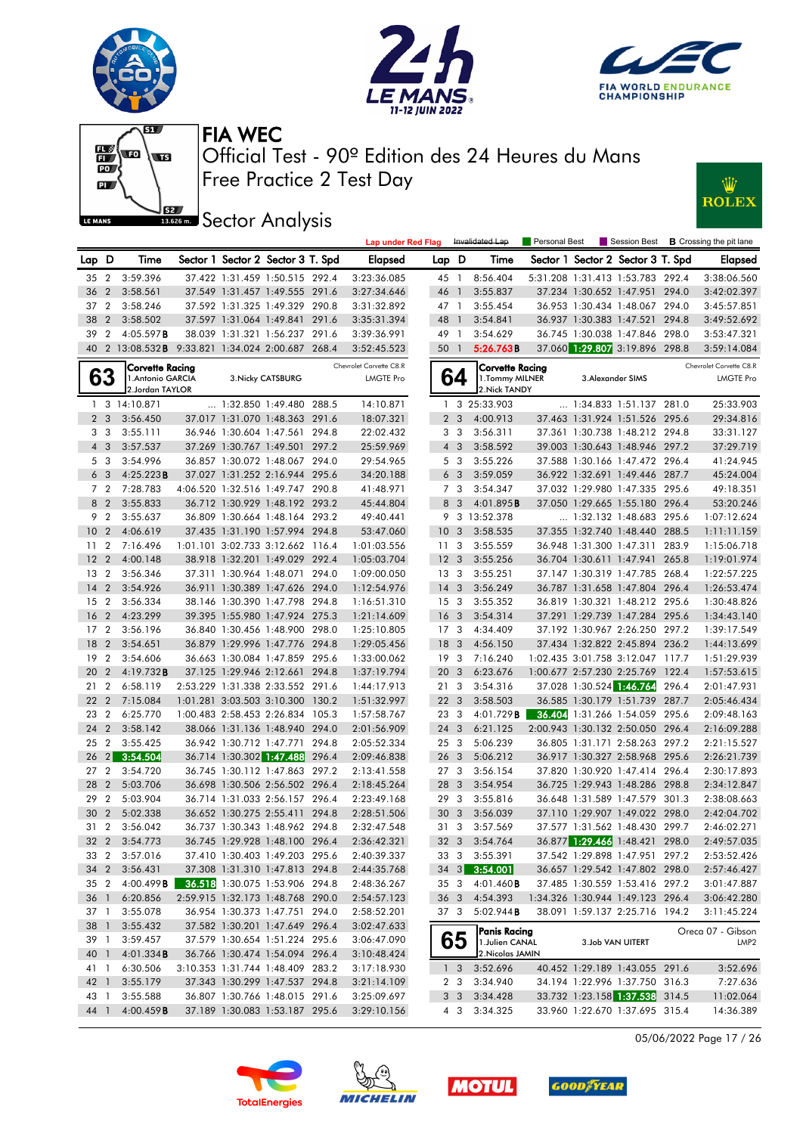









**J**<br>**Bassem Sector Analysis** 

|                 |                 |                                                  |                          |                                   |       | <b>Lap under Red Flag</b> |                 |                  | Invalidated Lap                     | Personal Best | Session Best                      |       | <b>B</b> Crossing the pit lane |
|-----------------|-----------------|--------------------------------------------------|--------------------------|-----------------------------------|-------|---------------------------|-----------------|------------------|-------------------------------------|---------------|-----------------------------------|-------|--------------------------------|
| Lap.            | D               | Time                                             |                          | Sector 1 Sector 2 Sector 3 T. Spd |       | Elapsed                   | Lap             | D                | Time                                |               | Sector 1 Sector 2 Sector 3 T. Spd |       | <b>Elapsed</b>                 |
|                 | 35 2            | 3:59.396                                         |                          | 37.422 1:31.459 1:50.515 292.4    |       | 3:23:36.085               | 45 1            |                  | 8:56.404                            |               | 5:31.208 1:31.413 1:53.783 292.4  |       | 3:38:06.560                    |
| 36              | $\overline{2}$  | 3:58.561                                         |                          | 37.549 1:31.457 1:49.555 291.6    |       | 3:27:34.646               | 46 1            |                  | 3:55.837                            |               | 37.234 1:30.652 1:47.951 294.0    |       | 3:42:02.397                    |
| 37              | $\overline{2}$  | 3:58.246                                         |                          | 37.592 1:31.325 1:49.329 290.8    |       | 3:31:32.892               | 47 1            |                  | 3:55.454                            |               | 36.953 1:30.434 1:48.067 294.0    |       | 3:45:57.851                    |
| 38              | $\overline{2}$  | 3:58.502                                         |                          | 37.597 1:31.064 1:49.841 291.6    |       | 3:35:31.394               | 48 1            |                  | 3:54.841                            |               | 36.937 1:30.383 1:47.521          | 294.8 | 3:49:52.692                    |
| 39              | $\overline{2}$  | 4:05.597B                                        |                          | 38.039 1:31.321 1:56.237 291.6    |       | 3:39:36.991               | 49 1            |                  | 3:54.629                            |               | 36.745 1:30.038 1:47.846 298.0    |       | 3:53:47.321                    |
|                 |                 | 40 2 13:08.532B 9:33.821 1:34.024 2:00.687 268.4 |                          |                                   |       | 3:52:45.523               | 50 1            |                  | 5:26.763B                           |               | 37.060 1:29.807 3:19.896 298.8    |       | 3:59:14.084                    |
|                 |                 | Corvette Racing                                  |                          |                                   |       | Chevrolet Corvette C8.R   |                 |                  | Corvette Racing                     |               |                                   |       | Chevrolet Corvette C8.R        |
|                 | 63              | 1. Antonio GARCIA                                |                          | 3. Nicky CATSBURG                 |       | <b>LMGTE Pro</b>          |                 | 64               | 1. Tommy MILNER                     |               | 3. Alexander SIMS                 |       | <b>LMGTE Pro</b>               |
|                 |                 | 2.Jordan TAYLOR                                  |                          |                                   |       |                           |                 |                  | 2. Nick TANDY                       |               |                                   |       |                                |
|                 |                 | 1 3 14:10.871                                    |                          | $\ldots$ 1:32.850 1:49.480 288.5  |       | 14:10.871                 |                 |                  | 1 3 25:33.903                       |               | 1:34.833 1:51.137 281.0           |       | 25:33.903                      |
|                 | 2 <sub>3</sub>  | 3:56.450                                         |                          | 37.017 1:31.070 1:48.363 291.6    |       | 18:07.321                 | $\overline{2}$  | 3                | 4:00.913                            |               | 37.463 1:31.924 1:51.526          | 295.6 | 29:34.816                      |
|                 | 3 <sub>3</sub>  | 3:55.111                                         |                          | 36.946 1:30.604 1:47.561          | 294.8 | 22:02.432                 |                 | 3 <sub>3</sub>   | 3:56.311                            |               | 37.361 1:30.738 1:48.212 294.8    |       | 33:31.127                      |
|                 | $4\quad3$       | 3:57.537                                         |                          | 37.269 1:30.767 1:49.501 297.2    |       | 25:59.969                 |                 | $4 \overline{3}$ | 3:58.592                            |               | 39.003 1:30.643 1:48.946 297.2    |       | 37:29.719                      |
|                 | 5 3             | 3:54.996                                         |                          | 36.857 1:30.072 1:48.067 294.0    |       | 29:54.965                 |                 | 5 <sub>3</sub>   | 3:55.226                            |               | 37.588 1:30.166 1:47.472 296.4    |       | 41:24.945                      |
|                 | 6 <sub>3</sub>  | 4:25.223B                                        |                          | 37.027 1:31.252 2:16.944 295.6    |       | 34:20.188                 |                 | 6 <sub>3</sub>   | 3:59.059                            |               | 36.922 1:32.691 1:49.446 287.7    |       | 45:24.004                      |
|                 | 7 <sub>2</sub>  | 7:28.783                                         |                          | 4:06.520 1:32.516 1:49.747 290.8  |       | 41:48.971                 |                 | 7 3              | 3:54.347                            |               | 37.032 1:29.980 1:47.335 295.6    |       | 49:18.351                      |
|                 | 8 2             | 3:55.833                                         |                          | 36.712 1:30.929 1:48.192 293.2    |       | 45:44.804                 | 8               | $\overline{3}$   | 4:01.895B                           |               | 37.050 1:29.665 1:55.180 296.4    |       | 53:20.246                      |
| 9               | $\overline{2}$  | 3:55.637                                         |                          | 36.809 1:30.664 1:48.164 293.2    |       | 49:40.441                 |                 |                  | 9 3 13:52.378                       |               | 1:32.132 1:48.683 295.6           |       | 1:07:12.624                    |
| 10 <sub>2</sub> |                 | 4:06.619                                         |                          | 37.435 1:31.190 1:57.994 294.8    |       | 53:47.060                 | 10 <sub>3</sub> |                  | 3:58.535                            |               | 37.355 1:32.740 1:48.440 288.5    |       | 1:11:11.159                    |
| 11              | $\overline{2}$  | 7:16.496                                         |                          | 1:01.101 3:02.733 3:12.662 116.4  |       | 1:01:03.556               | 11              | 3                | 3:55.559                            |               | 36.948 1:31.300 1:47.311 283.9    |       | 1:15:06.718                    |
| 12              | $\overline{2}$  | 4:00.148                                         |                          | 38.918 1:32.201 1:49.029 292.4    |       | 1:05:03.704               | 12              | 3                | 3:55.256                            |               | 36.704 1:30.611 1:47.941 265.8    |       | 1:19:01.974                    |
| 13              | $\overline{2}$  | 3:56.346                                         |                          | 37.311 1:30.964 1:48.071          | 294.0 | 1:09:00.050               | 13 <sub>3</sub> |                  | 3:55.251                            |               | 37.147 1:30.319 1:47.785 268.4    |       | 1:22:57.225                    |
| 14              | $\overline{2}$  | 3:54.926                                         |                          | 36.911 1:30.389 1:47.626 294.0    |       | 1:12:54.976               | 14              | 3                | 3:56.249                            |               | 36.787 1:31.658 1:47.804 296.4    |       | 1:26:53.474                    |
| 15              | $\overline{2}$  | 3:56.334                                         |                          | 38.146 1:30.390 1:47.798 294.8    |       | 1:16:51.310               | 15 <sub>3</sub> |                  | 3:55.352                            |               | 36.819 1:30.321 1:48.212 295.6    |       | 1:30:48.826                    |
| 16              | $\overline{2}$  | 4:23.299                                         |                          | 39.395 1:55.980 1:47.924 275.3    |       | 1:21:14.609               | 16 <sub>3</sub> |                  | 3:54.314                            |               | 37.291 1:29.739 1:47.284 295.6    |       | 1:34:43.140                    |
| 17              | $\overline{2}$  | 3:56.196                                         |                          | 36.840 1:30.456 1:48.900 298.0    |       | 1:25:10.805               | 17 <sub>3</sub> |                  | 4:34.409                            |               | 37.192 1:30.967 2:26.250 297.2    |       | 1:39:17.549                    |
| 18              | $\overline{2}$  | 3:54.651                                         |                          | 36.879 1:29.996 1:47.776 294.8    |       | 1:29:05.456               | 18              | 3                | 4:56.150                            |               | 37.434 1:32.822 2:45.894 236.2    |       | 1:44:13.699                    |
| 19              | $\overline{2}$  | 3:54.606                                         |                          | 36.663 1:30.084 1:47.859 295.6    |       | 1:33:00.062               | 19 <sup>3</sup> |                  | 7:16.240                            |               | 1:02.435 3:01.758 3:12.047 117.7  |       | 1:51:29.939                    |
| 20              | $\overline{2}$  | 4:19.732B                                        |                          | 37.125 1:29.946 2:12.661 294.8    |       | 1:37:19.794               | 20              | 3                | 6:23.676                            |               | 1:00.677 2:57.230 2:25.769 122.4  |       | 1:57:53.615                    |
| 21              | $\overline{2}$  | 6:58.119                                         |                          | 2:53.229 1:31.338 2:33.552 291.6  |       | 1:44:17.913               | 21              | 3                | 3:54.316                            |               | 37.028 1:30.524 1:46.764          | 296.4 | 2:01:47.931                    |
| 22              | $\overline{2}$  | 7:15.084                                         |                          | 1:01.281 3:03.503 3:10.300        | 130.2 | 1:51:32.997               | 22 3            |                  | 3:58.503                            |               | 36.585 1:30.179 1:51.739 287.7    |       | 2:05:46.434                    |
|                 | 23 2            | 6:25.770                                         |                          | 1:00.483 2:58.453 2:26.834 105.3  |       | 1:57:58.767               | 23 3            |                  | 4:01.729 <b>B</b>                   |               | 36.404 1:31.266 1:54.059 295.6    |       | 2:09:48.163                    |
| 24              | $\overline{2}$  | 3:58.142                                         |                          | 38.066 1:31.136 1:48.940 294.0    |       | 2:01:56.909               | 24 3            |                  | 6:21.125                            |               | 2:00.943 1:30.132 2:50.050 296.4  |       | 2:16:09.288                    |
| 25              | $\overline{2}$  | 3:55.425                                         |                          | 36.942 1:30.712 1:47.771 294.8    |       | 2:05:52.334               | 253             |                  | 5:06.239                            |               | 36.805 1:31.171 2:58.263 297.2    |       | 2:21:15.527                    |
| 26              | 2               | 3:54.504                                         |                          | 36.714 1:30.302 1:47.488          | 296.4 | 2:09:46.838               | 26 3            |                  | 5:06.212                            |               | 36.917 1:30.327 2:58.968 295.6    |       | 2:26:21.739                    |
|                 | 27 2            | 3:54.720                                         |                          | 36.745 1:30.112 1:47.863 297.2    |       | 2:13:41.558               | 27 <sub>3</sub> |                  | 3:56.154                            |               | 37.820 1:30.920 1:47.414 296.4    |       | 2:30:17.893                    |
| 28              | $\overline{2}$  | 5:03.706                                         |                          | 36.698 1:30.506 2:56.502 296.4    |       | 2:18:45.264               | 28 3            |                  | 3:54.954                            |               | 36.725 1:29.943 1:48.286 298.8    |       | 2:34:12.847                    |
| 29              | $\overline{2}$  | 5:03.904                                         |                          | 36.714 1:31.033 2:56.157 296.4    |       | 2:23:49.168               | 29              | 3                | 3:55.816                            |               | 36.648 1:31.589 1:47.579 301.3    |       | 2:38:08.663                    |
| 30              | $\overline{2}$  | 5:02.338                                         | 36.652 1:30.275 2:55.411 |                                   | 294.8 | 2:28:51.506               | 30              | 3                | 3:56.039                            |               | 37.110 1:29.907 1:49.022 298.0    |       | 2:42:04.702                    |
|                 | 31 2            | 3:56.042                                         |                          | 36.737 1:30.343 1:48.962 294.8    |       | 2:32:47.548               | 31 <sub>3</sub> |                  | 3:57.569                            |               | 37.577 1:31.562 1:48.430 299.7    |       | 2:46:02.271                    |
|                 | 32 2            | 3:54.773                                         |                          | 36.745 1:29.928 1:48.100 296.4    |       | 2:36:42.321               |                 |                  | 32 3 3:54.764                       |               | 36.877 1:29.466 1:48.421 298.0    |       | 2:49:57.035                    |
|                 | 33 2            | 3:57.016                                         |                          | 37.410 1:30.403 1:49.203 295.6    |       | 2:40:39.337               |                 |                  | 33 3 3:55.391                       |               | 37.542 1:29.898 1:47.951 297.2    |       | 2:53:52.426                    |
|                 | 34 2            | 3:56.431                                         |                          | 37.308 1:31.310 1:47.813 294.8    |       | 2:44:35.768               |                 |                  | 34 3 3:54.001                       |               | 36.657 1:29.542 1:47.802 298.0    |       | 2:57:46.427                    |
|                 | 35 2            | 4:00.499 B                                       |                          | 36.518 1:30.075 1:53.906 294.8    |       | 2:48:36.267               |                 |                  | 35 3 4:01.460 <b>B</b>              |               | 37.485 1:30.559 1:53.416 297.2    |       | 3:01:47.887                    |
|                 | 36 <sub>1</sub> | 6:20.856                                         |                          | 2:59.915 1:32.173 1:48.768 290.0  |       | 2:54:57.123               | 36 3            |                  | 4:54.393                            |               | 1:34.326 1:30.944 1:49.123 296.4  |       | 3:06:42.280                    |
|                 | 37 1            | 3:55.078                                         |                          | 36.954 1:30.373 1:47.751 294.0    |       | 2:58:52.201               | 37 3            |                  | 5:02.944B                           |               | 38.091 1:59.137 2:25.716 194.2    |       | 3:11:45.224                    |
|                 | 38 1            | 3:55.432                                         |                          | 37.582 1:30.201 1:47.649 296.4    |       | 3:02:47.633               |                 |                  |                                     |               |                                   |       |                                |
|                 | 39 1            | 3:59.457                                         |                          | 37.579 1:30.654 1:51.224 295.6    |       | 3:06:47.090               |                 |                  | <b>Panis Racing</b>                 |               |                                   |       | Oreca 07 - Gibson              |
| 40 1            |                 | 4:01.334B                                        |                          | 36.766 1:30.474 1:54.094 296.4    |       | 3:10:48.424               |                 | 65               | 1. Julien CANAL<br>2. Nicolas JAMIN |               | 3.Job VAN UITERT                  |       | LMP2                           |
| 41 1            |                 | 6:30.506                                         |                          | 3:10.353 1:31.744 1:48.409 283.2  |       | 3:17:18.930               |                 | $1\quad3$        | 3:52.696                            |               | 40.452 1:29.189 1:43.055 291.6    |       | 3:52.696                       |
| 42 1            |                 | 3:55.179                                         |                          | 37.343 1:30.299 1:47.537 294.8    |       | 3:21:14.109               |                 | 2 <sub>3</sub>   | 3:34.940                            |               | 34.194 1:22.996 1:37.750 316.3    |       | 7:27.636                       |
|                 | 43 1            | 3:55.588                                         |                          | 36.807 1:30.766 1:48.015 291.6    |       | 3:25:09.697               |                 | 3 <sub>3</sub>   | 3:34.428                            |               | 33.732 1:23.158 1:37.538 314.5    |       | 11:02.064                      |
| 44 1            |                 | 4:00.459B                                        |                          | 37.189 1:30.083 1:53.187 295.6    |       | 3:29:10.156               |                 | 4 3              | 3:34.325                            |               | 33.960 1:22.670 1:37.695 315.4    |       | 14:36.389                      |
|                 |                 |                                                  |                          |                                   |       |                           |                 |                  |                                     |               |                                   |       |                                |

05/06/2022 Page 17 / 26







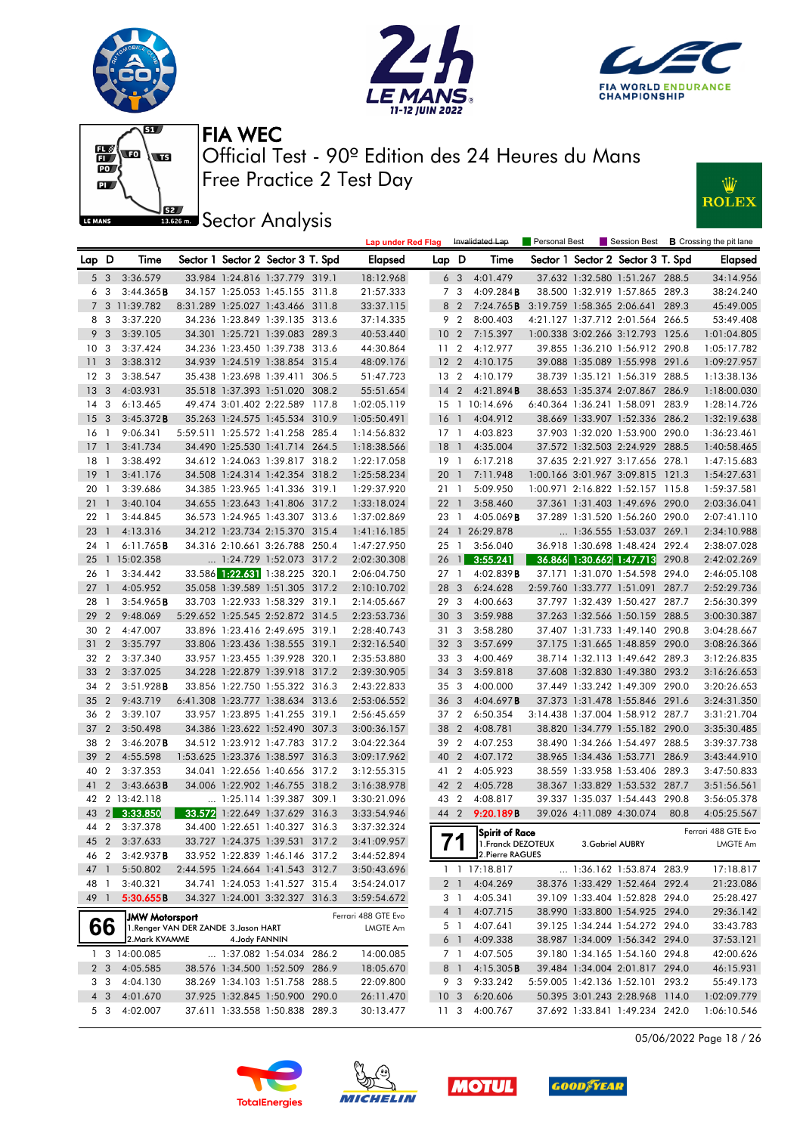







**J**<br>**Barrow** Sector Analysis



|                 |                |                                       |                |                                   | <b>Lap under Red Flag</b> |                 |                | Invalidated Lap       | <b>Personal Best</b> |                          |                                   |       | Session Best <b>B</b> Crossing the pit lane |
|-----------------|----------------|---------------------------------------|----------------|-----------------------------------|---------------------------|-----------------|----------------|-----------------------|----------------------|--------------------------|-----------------------------------|-------|---------------------------------------------|
| Lap D           |                | Time                                  |                | Sector 1 Sector 2 Sector 3 T. Spd | Elapsed                   | Lap D           |                | Time                  |                      |                          | Sector 1 Sector 2 Sector 3 T. Spd |       | <b>Elapsed</b>                              |
|                 | 5 <sub>3</sub> | 3:36.579                              |                | 33.984 1:24.816 1:37.779 319.1    | 18:12.968                 |                 | 6 3            | 4:01.479              |                      |                          | 37.632 1:32.580 1:51.267 288.5    |       | 34:14.956                                   |
|                 | 63             | 3:44.365B                             |                | 34.157 1:25.053 1:45.155 311.8    | 21:57.333                 |                 | 7 3            | 4:09.284B             |                      |                          | 38.500 1:32.919 1:57.865 289.3    |       | 38:24.240                                   |
|                 |                | 7 3 11:39.782                         |                | 8:31.289 1:25.027 1:43.466 311.8  | 33:37.115                 |                 | 8 2            | 7:24.765 <b>B</b>     |                      |                          | 3:19.759 1:58.365 2:06.641 289.3  |       | 45:49.005                                   |
|                 | 83             | 3:37.220                              |                | 34.236 1:23.849 1:39.135 313.6    | 37:14.335                 |                 | 9 2            | 8:00.403              |                      |                          | 4:21.127 1:37.712 2:01.564 266.5  |       | 53:49.408                                   |
|                 | 9 <sub>3</sub> | 3:39.105                              |                | 34.301 1:25.721 1:39.083 289.3    | 40:53.440                 | 10 <sub>2</sub> |                | 7:15.397              |                      |                          | 1:00.338 3:02.266 3:12.793 125.6  |       | 1:01:04.805                                 |
| 10              | - 3            | 3:37.424                              |                | 34.236 1:23.450 1:39.738 313.6    | 44:30.864                 | 11 <sub>2</sub> |                | 4:12.977              |                      |                          | 39.855 1:36.210 1:56.912 290.8    |       | 1:05:17.782                                 |
| 11              | 3              | 3:38.312                              |                | 34.939 1:24.519 1:38.854 315.4    | 48:09.176                 | 12 <sub>2</sub> |                | 4:10.175              |                      |                          | 39.088 1:35.089 1:55.998 291.6    |       | 1:09:27.957                                 |
| 12 <sub>3</sub> |                | 3:38.547                              |                | 35.438 1:23.698 1:39.411 306.5    | 51:47.723                 | 13 2            |                | 4:10.179              |                      |                          | 38.739 1:35.121 1:56.319 288.5    |       | 1:13:38.136                                 |
| - 13            | $\mathbf{3}$   | 4:03.931                              |                | 35.518 1:37.393 1:51.020 308.2    | 55:51.654                 | $14 \quad 2$    |                | 4:21.894B             |                      |                          | 38.653 1:35.374 2:07.867 286.9    |       | 1:18:00.030                                 |
| 14              | -3             | 6:13.465                              |                | 49.474 3:01.402 2:22.589 117.8    | 1:02:05.119               |                 |                | 15 1 10:14.696        |                      |                          | 6:40.364 1:36.241 1:58.091        | 283.9 | 1:28:14.726                                 |
| 15 <sub>3</sub> |                | 3:45.372B                             |                | 35.263 1:24.575 1:45.534 310.9    | 1:05:50.491               | 16 <sub>1</sub> |                | 4:04.912              |                      |                          | 38.669 1:33.907 1:52.336 286.2    |       | 1:32:19.638                                 |
| 16 1            |                | 9:06.341                              |                | 5:59.511 1:25.572 1:41.258 285.4  | 1:14:56.832               | 17 1            |                | 4:03.823              |                      |                          | 37.903 1:32.020 1:53.900 290.0    |       | 1:36:23.461                                 |
| 17              | $\overline{1}$ | 3:41.734                              |                | 34.490 1:25.530 1:41.714 264.5    | 1:18:38.566               | 18 <sup>1</sup> |                | 4:35.004              |                      |                          | 37.572 1:32.503 2:24.929 288.5    |       | 1:40:58.465                                 |
| 18              | $\overline{1}$ | 3:38.492                              |                | 34.612 1:24.063 1:39.817 318.2    | 1:22:17.058               | 19 1            |                | 6:17.218              |                      |                          | 37.635 2:21.927 3:17.656 278.1    |       | 1:47:15.683                                 |
| 19              | $\overline{1}$ | 3:41.176                              |                | 34.508 1:24.314 1:42.354 318.2    | 1:25:58.234               | 20              | $\overline{1}$ | 7:11.948              |                      |                          | 1:00.166 3:01.967 3:09.815 121.3  |       | 1:54:27.631                                 |
| 20              | - 1            | 3:39.686                              |                | 34.385 1:23.965 1:41.336 319.1    | 1:29:37.920               | 21 1            |                | 5:09.950              |                      |                          | 1:00.971 2:16.822 1:52.157 115.8  |       | 1:59:37.581                                 |
| 21              | $\overline{1}$ | 3:40.104                              |                | 34.655 1:23.643 1:41.806 317.2    | 1:33:18.024               | $22 \quad 1$    |                | 3:58.460              |                      |                          | 37.361 1:31.403 1:49.696 290.0    |       | 2:03:36.041                                 |
| 22 1            |                | 3:44.845                              |                | 36.573 1:24.965 1:43.307 313.6    | 1:37:02.869               | 23 1            |                | 4:05.069B             |                      |                          | 37.289 1:31.520 1:56.260 290.0    |       | 2:07:41.110                                 |
| 23              | $\overline{1}$ | 4:13.316                              |                | 34.212 1:23.734 2:15.370 315.4    | 1:41:16.185               |                 |                | 24 1 26:29.878        |                      |                          | 1:36.555 1:53.037 269.1           |       | 2:34:10.988                                 |
| 24              | $\mathbf{1}$   | $6:11.765$ <b>B</b>                   |                | 34.316 2:10.661 3:26.788 250.4    | 1:47:27.950               | $25 \quad 1$    |                | 3:56.040              |                      |                          | 36.918 1:30.698 1:48.424 292.4    |       | 2:38:07.028                                 |
| 25              |                | 1 15:02.358                           |                | 1:24.729 1:52.073 317.2           | 2:02:30.308               |                 |                | 26 1 3:55.241         |                      |                          | 36.866 1:30.662 1:47.713 290.8    |       | 2:42:02.269                                 |
| 26              | $\overline{1}$ | 3:34.442                              |                | 33.586 1:22.631 1:38.225 320.1    | 2:06:04.750               | 27 <sub>1</sub> |                | 4:02.839B             |                      |                          | 37.171 1:31.070 1:54.598          | 294.0 | 2:46:05.108                                 |
| 27              | $\overline{1}$ | 4:05.952                              |                | 35.058 1:39.589 1:51.305 317.2    | 2:10:10.702               | 28              | 3              | 6:24.628              |                      |                          | 2:59.760 1:33.777 1:51.091 287.7  |       | 2:52:29.736                                 |
| 28              | $\overline{1}$ | 3:54.965B                             |                | 33.703 1:22.933 1:58.329 319.1    | 2:14:05.667               | 29              | $\mathbf{3}$   | 4:00.663              |                      |                          | 37.797 1:32.439 1:50.427 287.7    |       | 2:56:30.399                                 |
| 29              | $\overline{2}$ | 9:48.069                              |                | 5:29.652 1:25.545 2:52.872 314.5  | 2:23:53.736               | 30              | $\mathbf{3}$   | 3:59.988              |                      |                          | 37.263 1:32.566 1:50.159 288.5    |       | 3:00:30.387                                 |
| 30              | $\overline{2}$ | 4:47.007                              |                | 33.896 1:23.416 2:49.695 319.1    | 2:28:40.743               | 31 3            |                | 3:58.280              |                      |                          | 37.407 1:31.733 1:49.140 290.8    |       | 3:04:28.667                                 |
| 31              | $\overline{2}$ | 3:35.797                              |                | 33.806 1:23.436 1:38.555 319.1    | 2:32:16.540               | 32 3            |                | 3:57.699              |                      |                          | 37.175 1:31.665 1:48.859 290.0    |       | 3:08:26.366                                 |
| 32              | $\overline{2}$ | 3:37.340                              |                | 33.957 1:23.455 1:39.928 320.1    | 2:35:53.880               | 33 3            |                | 4:00.469              |                      |                          | 38.714 1:32.113 1:49.642 289.3    |       | 3:12:26.835                                 |
| 33              | $\overline{2}$ | 3:37.025                              |                | 34.228 1:22.879 1:39.918 317.2    | 2:39:30.905               | 34 <sub>3</sub> |                | 3:59.818              |                      |                          | 37.608 1:32.830 1:49.380 293.2    |       | 3:16:26.653                                 |
| 34              | $\overline{2}$ | 3:51.928B                             |                | 33.856 1:22.750 1:55.322 316.3    | 2:43:22.833               | 35 3            |                | 4:00.000              |                      |                          | 37.449 1:33.242 1:49.309 290.0    |       | 3:20:26.653                                 |
| 35              | $\overline{2}$ | 9:43.719                              |                | 6:41.308 1:23.777 1:38.634 313.6  | 2:53:06.552               | 36              | 3              | 4:04.697B             |                      |                          | 37.373 1:31.478 1:55.846 291.6    |       | 3:24:31.350                                 |
| 36              | $\overline{2}$ | 3:39.107                              |                | 33.957 1:23.895 1:41.255 319.1    | 2:56:45.659               | 37 2            |                | 6:50.354              |                      |                          | 3:14.438 1:37.004 1:58.912 287.7  |       | 3:31:21.704                                 |
| 37              | $\overline{2}$ | 3:50.498                              |                | 34.386 1:23.622 1:52.490 307.3    | 3:00:36.157               | 38              | $\overline{2}$ | 4:08.781              |                      |                          | 38.820 1:34.779 1:55.182 290.0    |       | 3:35:30.485                                 |
| 38              | $\overline{2}$ | $3:46.207$ <b>B</b>                   |                | 34.512 1:23.912 1:47.783 317.2    | 3:04:22.364               | 39 2            |                | 4:07.253              |                      |                          | 38.490 1:34.266 1:54.497 288.5    |       | 3:39:37.738                                 |
| 39              | $\overline{2}$ | 4:55.598                              |                | 1:53.625 1:23.376 1:38.597 316.3  | 3:09:17.962               | 40              | $\overline{2}$ | 4:07.172              |                      |                          | 38.965 1:34.436 1:53.771 286.9    |       | 3:43:44.910                                 |
| 40              | $\overline{2}$ | 3:37.353                              |                | 34.041 1:22.656 1:40.656 317.2    | 3:12:55.315               | 41 2            |                | 4:05.923              |                      |                          | 38.559 1:33.958 1:53.406 289.3    |       | 3:47:50.833                                 |
| 41              | $\mathbf{2}$   | $3:43.663$ <b>B</b>                   |                | 34.006 1:22.902 1:46.755 318.2    |                           | 42 2            |                | 4:05.728              |                      |                          | 38.367 1:33.829 1:53.532 287.7    |       |                                             |
|                 |                |                                       |                |                                   | 3:16:38.978               |                 |                |                       |                      |                          |                                   |       | 3:51:56.561                                 |
| 43              |                | 42 2 13:42.118                        |                | 1:25.114 1:39.387 309.1           | 3:30:21.096               | 43 2<br>44 2    |                | 4:08.817              |                      |                          | 39.337 1:35.037 1:54.443 290.8    | 80.8  | 3:56:05.378                                 |
|                 | 2              | 3:33.850                              |                | 33.572 1:22.649 1:37.629 316.3    | 3:33:54.946               |                 |                | 9:20.189B             |                      | 39.026 4:11.089 4:30.074 |                                   |       | 4:05:25.567                                 |
| 44              | 2              | 3:37.378                              |                | 34.400 1:22.651 1:40.327 316.3    | 3:37:32.324               |                 |                | <b>Spirit of Race</b> |                      |                          |                                   |       | Ferrari 488 GTE Evo                         |
|                 |                | 45 2 3:37.633                         |                | 33.727 1:24.375 1:39.531 317.2    | 3:41:09.957               |                 |                | 1. Franck DEZOTEUX    |                      | 3. Gabriel AUBRY         |                                   |       | LMGTE Am                                    |
| 46 2            |                | 3:42.937B                             |                | 33.952 1:22.839 1:46.146 317.2    | 3:44:52.894               |                 |                | 2. Pierre RAGUES      |                      |                          |                                   |       |                                             |
| 47 1            |                | 5:50.802                              |                | 2:44.595 1:24.664 1:41.543 312.7  | 3:50:43.696               |                 |                | 1 1 17:18.817         |                      |                          | 1:36.162 1:53.874 283.9           |       | 17:18.817                                   |
| 48 1            |                | 3:40.321                              |                | 34.741 1:24.053 1:41.527 315.4    | 3:54:24.017               |                 | 2 <sub>1</sub> | 4:04.269              |                      |                          | 38.376 1:33.429 1:52.464 292.4    |       | 21:23.086                                   |
| 49 1            |                | 5:30.655B                             |                | 34.327 1:24.001 3:32.327 316.3    | 3:59:54.672               |                 | 3 1            | 4:05.341              |                      |                          | 39.109 1:33.404 1:52.828 294.0    |       | 25:28.427                                   |
|                 |                | <b>JMW Motorsport</b>                 |                |                                   | Ferrari 488 GTE Evo       |                 | 4 1            | 4:07.715              |                      |                          | 38.990 1:33.800 1:54.925 294.0    |       | 29:36.142                                   |
|                 | 66             | 1. Renger VAN DER ZANDE 3. Jason HART |                |                                   | LMGTE Am                  |                 | 5 1            | 4:07.641              |                      |                          | 39.125 1:34.244 1:54.272 294.0    |       | 33:43.783                                   |
|                 |                | 2. Mark KVAMME                        | 4. Jody FANNIN |                                   |                           |                 |                | 6 1 4:09.338          |                      |                          | 38.987 1:34.009 1:56.342 294.0    |       | 37:53.121                                   |
|                 |                | 1 3 14:00.085                         |                | 1:37.082 1:54.034 286.2           | 14:00.085                 |                 | 7 1            | 4:07.505              |                      |                          | 39.180 1:34.165 1:54.160 294.8    |       | 42:00.626                                   |
|                 | 2 3            | 4:05.585                              |                | 38.576 1:34.500 1:52.509 286.9    | 18:05.670                 |                 | 8 1            | 4:15.305B             |                      |                          | 39.484 1:34.004 2:01.817 294.0    |       | 46:15.931                                   |
|                 | 33             | 4:04.130                              |                | 38.269 1:34.103 1:51.758 288.5    | 22:09.800                 |                 | 93             | 9:33.242              |                      |                          | 5:59.005 1:42.136 1:52.101 293.2  |       | 55:49.173                                   |
|                 | 4 3            | 4:01.670                              |                | 37.925 1:32.845 1:50.900 290.0    | 26:11.470                 |                 |                | 10 3 6:20.606         |                      |                          | 50.395 3:01.243 2:28.968 114.0    |       | 1:02:09.779                                 |
|                 | 5 3            | 4:02.007                              |                | 37.611 1:33.558 1:50.838 289.3    | 30:13.477                 | 11 <sub>3</sub> |                | 4:00.767              |                      |                          | 37.692 1:33.841 1:49.234 242.0    |       | 1:06:10.546                                 |

05/06/2022 Page 18 / 26







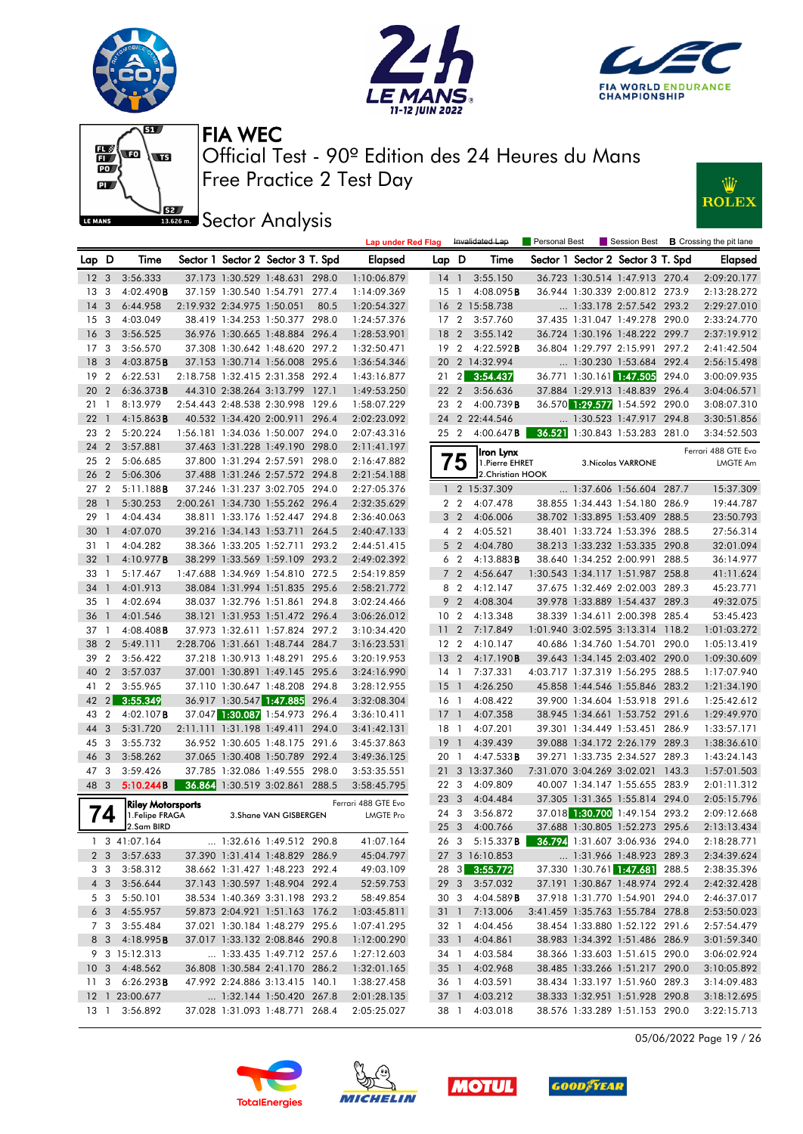







**JEE** Sector Analysis



|                 |                 |                                             |                            |                                   |       | <b>Lap under Red Flag</b>               |                 |                | Invalidated Lap                                       | Personal Best |                                   | Session Best <b>B</b> Crossing the pit lane |
|-----------------|-----------------|---------------------------------------------|----------------------------|-----------------------------------|-------|-----------------------------------------|-----------------|----------------|-------------------------------------------------------|---------------|-----------------------------------|---------------------------------------------|
| Lap D           |                 | Time                                        |                            | Sector 1 Sector 2 Sector 3 T. Spd |       | Elapsed                                 | Lap D           |                | Time                                                  |               | Sector 1 Sector 2 Sector 3 T. Spd | Elapsed                                     |
| 12 <sup>3</sup> |                 | 3:56.333                                    |                            | 37.173 1:30.529 1:48.631 298.0    |       | 1:10:06.879                             | 14 <sup>1</sup> |                | 3:55.150                                              |               | 36.723 1:30.514 1:47.913 270.4    | 2:09:20.177                                 |
| 13              | $\overline{3}$  | 4:02.490B                                   |                            | 37.159 1:30.540 1:54.791          | 277.4 | 1:14:09.369                             | $15-1$          |                | 4:08.095B                                             |               | 36.944 1:30.339 2:00.812 273.9    | 2:13:28.272                                 |
| 14 <sub>3</sub> |                 | 6:44.958                                    | 2:19.932 2:34.975 1:50.051 |                                   | 80.5  | 1:20:54.327                             |                 |                | 16 2 15:58.738                                        |               | 1:33.178 2:57.542 293.2           | 2:29:27.010                                 |
| 15 <sup>3</sup> |                 | 4:03.049                                    |                            | 38.419 1:34.253 1:50.377 298.0    |       | 1:24:57.376                             | 17 <sub>2</sub> |                | 3:57.760                                              |               | 37.435 1:31.047 1:49.278 290.0    | 2:33:24.770                                 |
| 16 <sub>3</sub> |                 | 3:56.525                                    |                            | 36.976 1:30.665 1:48.884 296.4    |       | 1:28:53.901                             | 18 2            |                | 3:55.142                                              |               | 36.724 1:30.196 1:48.222 299.7    | 2:37:19.912                                 |
| 17 <sub>3</sub> |                 | 3:56.570                                    |                            | 37.308 1:30.642 1:48.620 297.2    |       | 1:32:50.471                             | 192             |                | 4:22.592B                                             |               | 36.804 1:29.797 2:15.991 297.2    | 2:41:42.504                                 |
| 18 <sup>3</sup> |                 | 4:03.875B                                   |                            | 37.153 1:30.714 1:56.008 295.6    |       | 1:36:54.346                             | 20              |                | 2 14:32.994                                           |               | 1:30.230 1:53.684 292.4           | 2:56:15.498                                 |
| 19              | $\overline{2}$  | 6:22.531                                    |                            | 2:18.758 1:32.415 2:31.358 292.4  |       | 1:43:16.877                             | 21              | $\overline{2}$ | 3:54.437                                              |               | 36.771 1:30.161 1:47.505 294.0    | 3:00:09.935                                 |
| 20              | $\overline{2}$  | 6:36.373B                                   |                            | 44.310 2:38.264 3:13.799 127.1    |       | 1:49:53.250                             | 22 2            |                | 3:56.636                                              |               | 37.884 1:29.913 1:48.839 296.4    | 3:04:06.571                                 |
| 21              | $\overline{1}$  | 8:13.979                                    |                            | 2:54.443 2:48.538 2:30.998 129.6  |       | 1:58:07.229                             | 23 2            |                | 4:00.739B                                             |               | 36.570 1:29.577 1:54.592 290.0    | 3:08:07.310                                 |
| 22              | $\overline{1}$  | 4:15.863B                                   |                            | 40.532 1:34.420 2:00.911 296.4    |       | 2:02:23.092                             |                 |                | 24 2 22:44.546                                        |               | 1:30.523 1:47.917 294.8           | 3:30:51.856                                 |
| 23              | $\overline{2}$  | 5:20.224                                    |                            | 1:56.181 1:34.036 1:50.007 294.0  |       | 2:07:43.316                             | 25 2            |                | 4:00.647B                                             |               | 36.521 1:30.843 1:53.283 281.0    | 3:34:52.503                                 |
| 24 2            |                 | 3:57.881                                    |                            | 37.463 1:31.228 1:49.190 298.0    |       | 2:11:41.197                             |                 |                |                                                       |               |                                   |                                             |
| 25              | $\overline{2}$  | 5:06.685                                    |                            | 37.800 1:31.294 2:57.591 298.0    |       | 2:16:47.882                             |                 | 5              | Iron Lynx<br>1. Pierre EHRET                          |               | 3. Nicolas VARRONE                | Ferrari 488 GTE Evo<br>LMGTE Am             |
| 26              | $\overline{2}$  | 5:06.306                                    |                            | 37.488 1:31.246 2:57.572 294.8    |       | 2:21:54.188                             |                 |                | 2. Christian HOOK                                     |               |                                   |                                             |
| 27              | $\overline{2}$  | 5:11.188B                                   |                            | 37.246 1:31.237 3:02.705 294.0    |       | 2:27:05.376                             |                 |                | 1 2 15:37.309                                         |               | 1:37.606 1:56.604 287.7           | 15:37.309                                   |
| 28              | $\overline{1}$  | 5:30.253                                    |                            | 2:00.261 1:34.730 1:55.262 296.4  |       | 2:32:35.629                             |                 | 2 <sub>2</sub> | 4:07.478                                              |               | 38.855 1:34.443 1:54.180 286.9    | 19:44.787                                   |
| 29              | $\overline{1}$  | 4:04.434                                    |                            | 38.811 1:33.176 1:52.447 294.8    |       | 2:36:40.063                             |                 | 3 <sub>2</sub> | 4:06.006                                              |               | 38.702 1:33.895 1:53.409 288.5    | 23:50.793                                   |
| 30              | $\overline{1}$  | 4:07.070                                    |                            | 39.216 1:34.143 1:53.711 264.5    |       | 2:40:47.133                             |                 | 4 <sup>2</sup> | 4:05.521                                              |               | 38.401 1:33.724 1:53.396 288.5    | 27:56.314                                   |
| 31              | $\overline{1}$  | 4:04.282                                    |                            | 38.366 1:33.205 1:52.711 293.2    |       | 2:44:51.415                             |                 | 5 <sub>2</sub> | 4:04.780                                              |               | 38.213 1:33.232 1:53.335 290.8    | 32:01.094                                   |
| 32 1            |                 | 4:10.977B                                   |                            | 38.299 1:33.569 1:59.109 293.2    |       | 2:49:02.392                             |                 | 6 <sub>2</sub> | 4:13.883B                                             |               | 38.640 1:34.252 2:00.991 288.5    | 36:14.977                                   |
| 33              | -1              | 5:17.467                                    |                            | 1:47.688 1:34.969 1:54.810 272.5  |       | 2:54:19.859                             |                 | 7 <sub>2</sub> | 4:56.647                                              |               | 1:30.543 1:34.117 1:51.987 258.8  | 41:11.624                                   |
| 34 1            |                 | 4:01.913                                    |                            | 38.084 1:31.994 1:51.835 295.6    |       | 2:58:21.772                             |                 | 8 2            | 4:12.147                                              |               | 37.675 1:32.469 2:02.003 289.3    | 45:23.771                                   |
| 35              | $\overline{1}$  | 4:02.694                                    |                            | 38.037 1:32.796 1:51.861 294.8    |       | 3:02:24.466                             |                 | 9 <sub>2</sub> | 4:08.304                                              |               | 39.978 1:33.889 1:54.437 289.3    | 49:32.075                                   |
| 36              | $\overline{1}$  | 4:01.546                                    |                            | 38.121 1:31.953 1:51.472 296.4    |       | 3:06:26.012                             | 10 <sub>2</sub> |                | 4:13.348                                              |               | 38.339 1:34.611 2:00.398 285.4    | 53:45.423                                   |
| 37              | $\overline{1}$  | $4:08.408$ <b>B</b>                         |                            | 37.973 1:32.611 1:57.824 297.2    |       | 3:10:34.420                             | 11              | $\overline{2}$ | 7:17.849                                              |               | 1:01.940 3:02.595 3:13.314 118.2  | 1:01:03.272                                 |
| 38              | $\overline{2}$  | 5:49.111                                    |                            | 2:28.706 1:31.661 1:48.744 284.7  |       | 3:16:23.531                             | 12 <sub>2</sub> |                | 4:10.147                                              |               | 40.686 1:34.760 1:54.701 290.0    | 1:05:13.419                                 |
| 39              | $\overline{2}$  | 3:56.422                                    |                            | 37.218 1:30.913 1:48.291 295.6    |       | 3:20:19.953                             | 13 <sub>2</sub> |                | 4:17.190B                                             |               | 39.643 1:34.145 2:03.402 290.0    | 1:09:30.609                                 |
| 40              | $\overline{2}$  | 3:57.037                                    |                            | 37.001 1:30.891 1:49.145 295.6    |       | 3:24:16.990                             | $14-1$          |                | 7:37.331                                              |               | 4:03.717 1:37.319 1:56.295 288.5  | 1:17:07.940                                 |
| 41              | $\overline{2}$  | 3:55.965                                    |                            | 37.110 1:30.647 1:48.208 294.8    |       | 3:28:12.955                             | 15              | $\overline{1}$ | 4:26.250                                              |               | 45.858 1:44.546 1:55.846 283.2    | 1:21:34.190                                 |
| $42 \quad 2$    |                 | 3:55.349                                    |                            | 36.917 1:30.547 1:47.885          | 296.4 | 3:32:08.304                             | 16 1            |                | 4:08.422                                              |               | 39.900 1:34.604 1:53.918 291.6    | 1:25:42.612                                 |
| 43 2            |                 | $4:02.107$ B                                |                            | 37.047 1:30.087 1:54.973 296.4    |       | 3:36:10.411                             | $17-1$          |                | 4:07.358                                              |               | 38.945 1:34.661 1:53.752 291.6    | 1:29:49.970                                 |
| 44              | 3               | 5:31.720                                    | 2:11.111 1:31.198 1:49.411 |                                   | 294.0 | 3:41:42.131                             | 18 1            |                | 4:07.201                                              |               | 39.301 1:34.449 1:53.451 286.9    | 1:33:57.171                                 |
| 45 3            |                 | 3:55.732                                    |                            | 36.952 1:30.605 1:48.175 291.6    |       | 3:45:37.863                             | 19              | $\overline{1}$ | 4:39.439                                              |               | 39.088 1:34.172 2:26.179 289.3    | 1:38:36.610                                 |
| 46 3            |                 | 3:58.262                                    |                            | 37.065 1:30.408 1:50.789 292.4    |       | 3:49:36.125                             | 20 1            |                | 4:47.533B                                             |               | 39.271 1:33.735 2:34.527 289.3    | 1:43:24.143                                 |
| 47 3            |                 | 3:59.426                                    |                            | 37.785 1:32.086 1:49.555 298.0    |       | 3:53:35.551                             | 21              |                | 3 13:37.360                                           |               | 7:31.070 3:04.269 3:02.021 143.3  | 1:57:01.503                                 |
| 48 3            |                 | 5:10.244B                                   |                            | 36.864 1:30.519 3:02.861 288.5    |       | 3:58:45.795                             | 22 3            |                | 4:09.809                                              |               | 40.007 1:34.147 1:55.655 283.9    | 2:01:11.312                                 |
|                 |                 |                                             |                            |                                   |       |                                         | 23              | 3              | 4:04.484                                              |               | 37.305 1:31.365 1:55.814 294.0    | 2:05:15.796                                 |
|                 | $\overline{14}$ | <b>Riley Motorsports</b><br>1. Felipe FRAGA |                            | 3. Shane VAN GISBERGEN            |       | Ferrari 488 GTE Evo<br><b>LMGTE Pro</b> | 24 3            |                | 3:56.872                                              |               | 37.018 1:30.700 1:49.154 293.2    | 2:09:12.668                                 |
|                 |                 | 2.Sam BIRD                                  |                            |                                   |       |                                         | 25 <sub>3</sub> |                | 4:00.766                                              |               | 37.688 1:30.805 1:52.273 295.6    | 2:13:13.434                                 |
|                 |                 | 1 3 41:07.164                               |                            | 1:32.616 1:49.512 290.8           |       | 41:07.164                               |                 |                | 26 3 5:15.337 <b>B</b> 36.794 1:31.607 3:06.936 294.0 |               |                                   | 2:18:28.771                                 |
|                 |                 | 2 3 3:57.633                                |                            | 37.390 1:31.414 1:48.829 286.9    |       | 45:04.797                               |                 |                | 27 3 16:10.853                                        |               | 1:31.966 1:48.923 289.3           | 2:34:39.624                                 |
|                 |                 | 3 3 3:58.312                                |                            | 38.662 1:31.427 1:48.223 292.4    |       | 49:03.109                               |                 |                | 28 3 3:55.772                                         |               | 37.330 1:30.761 1:47.681 288.5    | 2:38:35.396                                 |
|                 |                 | 4 3 3:56.644                                |                            | 37.143 1:30.597 1:48.904 292.4    |       | 52:59.753                               |                 |                | 29 3 3:57.032                                         |               | 37.191 1:30.867 1:48.974 292.4    | 2:42:32.428                                 |
|                 | 5 3             | 5:50.101                                    |                            | 38.534 1:40.369 3:31.198 293.2    |       | 58:49.854                               | 30 3            |                | 4:04.589B                                             |               | 37.918 1:31.770 1:54.901 294.0    | 2:46:37.017                                 |
|                 |                 | $6\quad 3\quad 4:55.957$                    |                            | 59.873 2:04.921 1:51.163 176.2    |       | 1:03:45.811                             |                 |                | 31 1 7:13.006                                         |               | 3:41.459 1:35.763 1:55.784 278.8  | 2:53:50.023                                 |
|                 | 7 3             | 3:55.484                                    |                            | 37.021 1:30.184 1:48.279 295.6    |       | 1:07:41.295                             | 32 1            |                | 4:04.456                                              |               | 38.454 1:33.880 1:52.122 291.6    | 2:57:54.479                                 |
|                 |                 | 8 3 4:18.995 <b>B</b>                       |                            | 37.017 1:33.132 2:08.846 290.8    |       | 1:12:00.290                             |                 |                | 33 1 4:04.861                                         |               | 38.983 1:34.392 1:51.486 286.9    | 3:01:59.340                                 |
|                 |                 | 9 3 15:12.313                               |                            | 1:33.435 1:49.712 257.6           |       | 1:27:12.603                             | 34 1            |                | 4:03.584                                              |               | 38.366 1:33.603 1:51.615 290.0    | 3:06:02.924                                 |
|                 |                 | 10 3 4:48.562                               |                            | 36.808 1:30.584 2:41.170 286.2    |       | 1:32:01.165                             |                 |                | 35 1 4:02.968                                         |               | 38.485 1:33.266 1:51.217 290.0    | 3:10:05.892                                 |
|                 |                 | 11 3 6:26.293 <b>B</b>                      |                            | 47.992 2:24.886 3:13.415 140.1    |       | 1:38:27.458                             | 36 1            |                | 4:03.591                                              |               | 38.434 1:33.197 1:51.960 289.3    | 3:14:09.483                                 |
|                 |                 | 12 1 23:00.677                              |                            | 1:32.144 1:50.420 267.8           |       | 2:01:28.135                             |                 |                | 37 1 4:03.212                                         |               | 38.333 1:32.951 1:51.928 290.8    | 3:18:12.695                                 |
|                 |                 | 13 1 3:56.892                               |                            | 37.028 1:31.093 1:48.771 268.4    |       | 2:05:25.027                             | 38 1            |                | 4:03.018                                              |               | 38.576 1:33.289 1:51.153 290.0    | 3:22:15.713                                 |

05/06/2022 Page 19 / 26





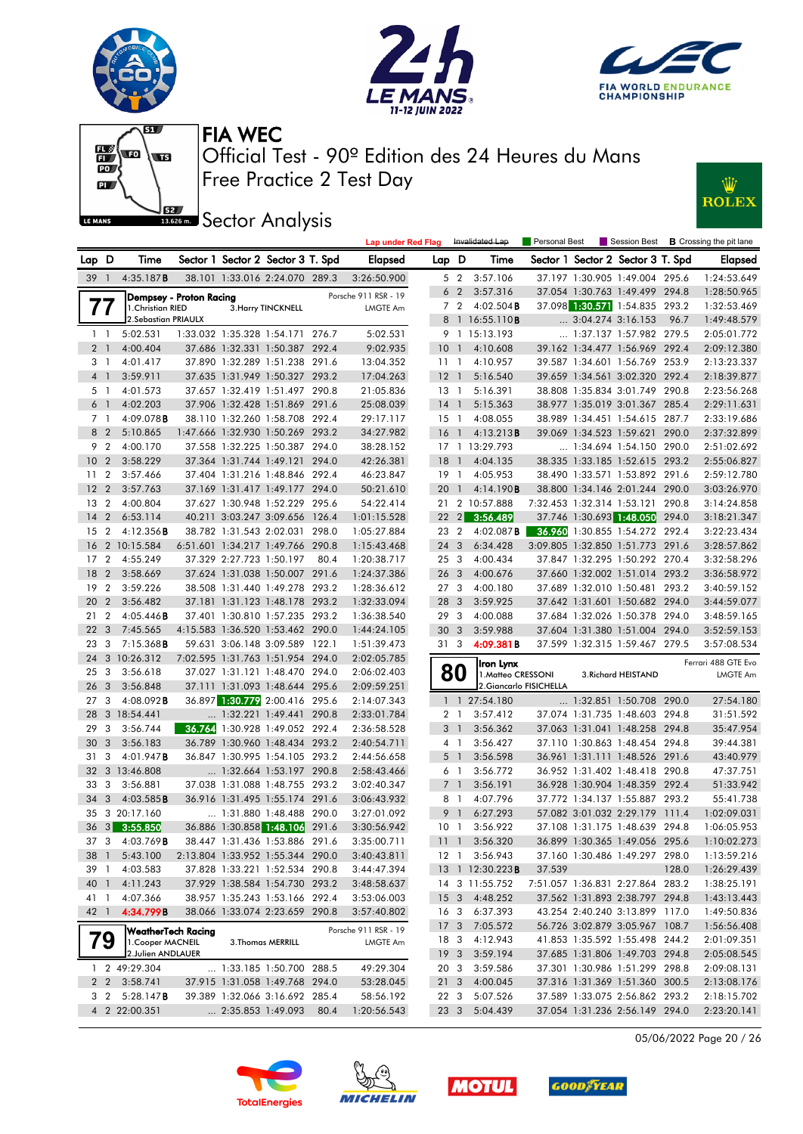







**JEE** Sector Analysis



|                 |                |                     |                                |                            |                                   |      | <b>Lap under Red Flag</b> |                 |                | Invalidated Lap         | Personal Best           |                                   |       | Session Best <b>B</b> Crossing the pit lane |
|-----------------|----------------|---------------------|--------------------------------|----------------------------|-----------------------------------|------|---------------------------|-----------------|----------------|-------------------------|-------------------------|-----------------------------------|-------|---------------------------------------------|
| Lap D           |                | Time                |                                |                            | Sector 1 Sector 2 Sector 3 T. Spd |      | <b>Elapsed</b>            | Lap D           |                | Time                    |                         | Sector 1 Sector 2 Sector 3 T. Spd |       | <b>Elapsed</b>                              |
| $39-1$          |                | 4:35.187B           |                                |                            | 38.101 1:33.016 2:24.070 289.3    |      | 3:26:50.900               |                 | 5 2            | 3:57.106                |                         | 37.197 1:30.905 1:49.004 295.6    |       | 1:24:53.649                                 |
|                 |                |                     | <b>Dempsey - Proton Racing</b> |                            |                                   |      | Porsche 911 RSR - 19      |                 | 6 <sub>2</sub> | 3:57.316                |                         | 37.054 1:30.763 1:49.499 294.8    |       | 1:28:50.965                                 |
|                 | $\prime\prime$ | 1. Christian RIED   |                                |                            | 3. Harry TINCKNELL                |      | <b>LMGTE Am</b>           |                 | 7 <sub>2</sub> | $4:02.504$ <b>B</b>     |                         | 37.098 1:30.571 1:54.835 293.2    |       | 1:32:53.469                                 |
|                 |                | 2.Sebastian PRIAULX |                                |                            |                                   |      |                           |                 |                | 8 1 16:55.110B          |                         | $\ldots$ 3:04.274 3:16.153        | 96.7  | 1:49:48.579                                 |
|                 | $1\quad$       | 5:02.531            |                                |                            | 1:33.032 1:35.328 1:54.171 276.7  |      | 5:02.531                  |                 |                | 9 1 15:13.193           |                         | 1:37.137 1:57.982 279.5           |       | 2:05:01.772                                 |
|                 | 2 <sub>1</sub> | 4:00.404            |                                |                            | 37.686 1:32.331 1:50.387 292.4    |      | 9:02.935                  | 10 <sub>1</sub> |                | 4:10.608                |                         | 39.162 1:34.477 1:56.969 292.4    |       | 2:09:12.380                                 |
|                 | 3 <sub>1</sub> | 4:01.417            |                                |                            | 37.890 1:32.289 1:51.238 291.6    |      | 13:04.352                 | $11-1$          |                | 4:10.957                |                         | 39.587 1:34.601 1:56.769 253.9    |       | 2:13:23.337                                 |
|                 | 4 1            | 3:59.911            |                                |                            | 37.635 1:31.949 1:50.327 293.2    |      | 17:04.263                 | 12 <sub>1</sub> |                | 5:16.540                |                         | 39.659 1:34.561 3:02.320 292.4    |       | 2:18:39.877                                 |
|                 | 5 1            | 4:01.573            |                                |                            | 37.657 1:32.419 1:51.497 290.8    |      | 21:05.836                 | $13-1$          |                | 5:16.391                |                         | 38.808 1:35.834 3:01.749 290.8    |       | 2:23:56.268                                 |
|                 | 6 <sup>1</sup> | 4:02.203            |                                |                            | 37.906 1:32.428 1:51.869 291.6    |      | 25:08.039                 | $14-1$          |                | 5:15.363                |                         | 38.977 1:35.019 3:01.367 285.4    |       | 2:29:11.631                                 |
|                 | 7 <sub>1</sub> | 4:09.078B           |                                |                            | 38.110 1:32.260 1:58.708 292.4    |      | 29:17.117                 | $15-1$          |                | 4:08.055                |                         | 38.989 1:34.451 1:54.615 287.7    |       | 2:33:19.686                                 |
|                 | 8 2            | 5:10.865            |                                |                            | 1:47.666 1:32.930 1:50.269 293.2  |      | 34:27.982                 | 16 1            |                | 4:13.213B               |                         | 39.069 1:34.523 1:59.621 290.0    |       | 2:37:32.899                                 |
|                 | 9 2            | 4:00.170            |                                |                            | 37.558 1:32.225 1:50.387 294.0    |      | 38:28.152                 |                 |                | 17 1 13:29.793          |                         | $\ldots$ 1:34.694 1:54.150 290.0  |       | 2:51:02.692                                 |
| 10 <sub>2</sub> |                | 3:58.229            |                                |                            | 37.364 1:31.744 1:49.121 294.0    |      | 42:26.381                 | 18              | $\overline{1}$ | 4:04.135                |                         | 38.335 1:33.185 1:52.615 293.2    |       | 2:55:06.827                                 |
| 11 <sub>2</sub> |                | 3:57.466            |                                |                            | 37.404 1:31.216 1:48.846 292.4    |      | 46:23.847                 | $19-1$          |                | 4:05.953                |                         | 38.490 1:33.571 1:53.892 291.6    |       | 2:59:12.780                                 |
| 12 <sub>2</sub> |                | 3:57.763            |                                |                            | 37.169 1:31.417 1:49.177 294.0    |      | 50:21.610                 |                 | 20 1           | 4:14.190B               |                         | 38.800 1:34.146 2:01.244 290.0    |       | 3:03:26.970                                 |
| 13              | $\overline{2}$ | 4:00.804            |                                |                            | 37.627 1:30.948 1:52.229 295.6    |      | 54:22.414                 |                 |                | 21 2 10:57.888          |                         | 7:32.453 1:32.314 1:53.121 290.8  |       | 3:14:24.858                                 |
| 14              | $\overline{2}$ | 6:53.114            |                                |                            | 40.211 3:03.247 3:09.656 126.4    |      | 1:01:15.528               | $22 \quad 2$    |                | 3:56.489                |                         | 37.746 1:30.693 1:48.050          | 294.0 | 3:18:21.347                                 |
| 15 <sub>2</sub> |                | $4:12.356$ B        |                                |                            | 38.782 1:31.543 2:02.031 298.0    |      | 1:05:27.884               | 23 2            |                | $4:02.087$ <b>B</b>     |                         | 36.960 1:30.855 1:54.272 292.4    |       | 3:22:23.434                                 |
| 16              |                | 2 10:15.584         |                                |                            | 6:51.601 1:34.217 1:49.766 290.8  |      | 1:15:43.468               | 24 3            |                | 6:34.428                |                         | 3:09.805 1:32.850 1:51.773 291.6  |       | 3:28:57.862                                 |
| 17              | $\overline{2}$ | 4:55.249            |                                | 37.329 2:27.723 1:50.197   |                                   | 80.4 | 1:20:38.717               | 25 3            |                | 4:00.434                |                         | 37.847 1:32.295 1:50.292 270.4    |       | 3:32:58.296                                 |
| 18              | $\overline{2}$ | 3:58.669            |                                |                            | 37.624 1:31.038 1:50.007 291.6    |      | 1:24:37.386               | 26 <sub>3</sub> |                | 4:00.676                |                         | 37.660 1:32.002 1:51.014 293.2    |       | 3:36:58.972                                 |
|                 | 19 2           | 3:59.226            |                                |                            | 38.508 1:31.440 1:49.278 293.2    |      | 1:28:36.612               | 273             |                | 4:00.180                |                         | 37.689 1:32.010 1:50.481 293.2    |       | 3:40:59.152                                 |
| 20              | 2              | 3:56.482            |                                |                            | 37.181 1:31.123 1:48.178 293.2    |      | 1:32:33.094               | 28 3            |                | 3:59.925                |                         | 37.642 1:31.601 1:50.682 294.0    |       | 3:44:59.077                                 |
| 21              | $\overline{2}$ | $4:05.446$ B        |                                |                            | 37.401 1:30.810 1:57.235 293.2    |      | 1:36:38.540               | 293             |                | 4:00.088                |                         | 37.684 1:32.026 1:50.378 294.0    |       | 3:48:59.165                                 |
| 22              | $\mathbf{3}$   | 7:45.565            |                                |                            | 4:15.583 1:36.520 1:53.462 290.0  |      | 1:44:24.105               | 30 <sub>3</sub> |                | 3:59.988                |                         | 37.604 1:31.380 1:51.004 294.0    |       | 3:52:59.153                                 |
| 23 3            |                | $7:15.368$ <b>B</b> |                                |                            | 59.631 3:06.148 3:09.589 122.1    |      | 1:51:39.473               | 313             |                | 4:09.381B               |                         | 37.599 1:32.315 1:59.467 279.5    |       | 3:57:08.534                                 |
| 24              |                | 3 10:26.312         |                                |                            | 7:02.595 1:31.763 1:51.954 294.0  |      | 2:02:05.785               |                 |                | Iron Lynx               |                         |                                   |       | Ferrari 488 GTE Evo                         |
| 25              | 3              | 3:56.618            |                                |                            | 37.027 1:31.121 1:48.470 294.0    |      | 2:06:02.403               |                 | 80             | 1. Matteo CRESSONI      |                         | 3. Richard HEISTAND               |       | <b>LMGTE Am</b>                             |
| 26              | $\mathbf{3}$   | 3:56.848            |                                |                            | 37.111 1:31.093 1:48.644 295.6    |      | 2:09:59.251               |                 |                |                         | 2. Giancarlo FISICHELLA |                                   |       |                                             |
| 27 <sub>3</sub> |                | $4:08.092$ <b>B</b> |                                |                            | 36.897 1:30.779 2:00.416 295.6    |      | 2:14:07.343               |                 |                | 1 1 27:54.180           |                         | 1:32.851 1:50.708 290.0           |       | 27:54.180                                   |
| 28              |                | 3 18:54.441         |                                |                            | $\ldots$ 1:32.221 1:49.441 290.8  |      | 2:33:01.784               |                 | 2 <sub>1</sub> | 3:57.412                |                         | 37.074 1:31.735 1:48.603 294.8    |       | 31:51.592                                   |
| 29              | 3              | 3:56.744            |                                |                            | 36.764 1:30.928 1:49.052 292.4    |      | 2:36:58.528               |                 | 3 <sup>1</sup> | 3:56.362                |                         | 37.063 1:31.041 1:48.258 294.8    |       | 35:47.954                                   |
| 30              | 3              | 3:56.183            |                                |                            | 36.789 1:30.960 1:48.434 293.2    |      | 2:40:54.711               |                 | 4 1            | 3:56.427                |                         | 37.110 1:30.863 1:48.454 294.8    |       | 39:44.381                                   |
| 31 3            |                | 4:01.947 <b>B</b>   |                                |                            | 36.847 1:30.995 1:54.105 293.2    |      | 2:44:56.658               |                 | 5 <sub>1</sub> | 3:56.598                |                         | 36.961 1:31.111 1:48.526 291.6    |       | 43:40.979                                   |
| 32              |                | 3 13:46.808         |                                |                            | $\ldots$ 1:32.664 1:53.197 290.8  |      | 2:58:43.466               |                 | 61             | 3:56.772                |                         | 36.952 1:31.402 1:48.418 290.8    |       | 47:37.751                                   |
| 33              | 3              | 3:56.881            |                                |                            | 37.038 1:31.088 1:48.755 293.2    |      | 3:02:40.347               |                 | 7 <sup>1</sup> | 3:56.191                |                         | 36.928 1:30.904 1:48.359 292.4    |       | 51:33.942                                   |
| 34              | 3              | 4:03.585B           |                                |                            | 36.916 1:31.495 1:55.174 291.6    |      | 3:06:43.932               |                 | 8 1            | 4:07.796                |                         | 37.772 1:34.137 1:55.887 293.2    |       | 55:41.738                                   |
|                 |                | 35 3 20:17.160      |                                |                            | 1:31.880 1:48.488 290.0           |      | 3:27:01.092               |                 | 9 1            | 6:27.293                |                         | 57.082 3:01.032 2:29.179 111.4    |       | 1:02:09.031                                 |
|                 |                | 36 3 3:55.850       |                                |                            | 36.886 1:30.858 1:48.106 291.6    |      | 3:30:56.942               | 10 <sub>1</sub> |                | 3:56.922                |                         | 37.108 1:31.175 1:48.639 294.8    |       | 1:06:05.953                                 |
|                 |                | 37 3 4:03.769B      |                                |                            | 38.447 1:31.436 1:53.886 291.6    |      | 3:35:00.711               |                 |                | 11 1 3:56.320           |                         | 36.899 1:30.365 1:49.056 295.6    |       | 1:10:02.273                                 |
| 38 1            |                | 5:43.100            |                                |                            | 2:13.804 1:33.952 1:55.344 290.0  |      | 3:40:43.811               |                 |                | 12 1 3:56.943           |                         | 37.160 1:30.486 1:49.297 298.0    |       | 1:13:59.216                                 |
| 39 1            |                | 4:03.583            |                                |                            | 37.828 1:33.221 1:52.534 290.8    |      | 3:44:47.394               |                 |                | 13 1 12:30.223 <b>B</b> | 37.539                  |                                   | 128.0 | 1:26:29.439                                 |
| 40 1            |                | 4:11.243            |                                |                            | 37.929 1:38.584 1:54.730 293.2    |      | 3:48:58.637               |                 |                | 14 3 11:55.752          |                         | 7:51.057 1:36.831 2:27.864 283.2  |       | 1:38:25.191                                 |
| 41 1            |                | 4:07.366            |                                |                            | 38.957 1:35.243 1:53.166 292.4    |      | 3:53:06.003               |                 |                | 15 3 4:48.252           |                         | 37.562 1:31.893 2:38.797 294.8    |       | 1:43:13.443                                 |
| 42 1            |                | 4:34.799B           |                                |                            | 38.066 1:33.074 2:23.659 290.8    |      | 3:57:40.802               |                 |                | 16 3 6:37.393           |                         | 43.254 2:40.240 3:13.899 117.0    |       | 1:49:50.836                                 |
|                 |                | WeatherTech Racing  |                                |                            |                                   |      | Porsche 911 RSR - 19      |                 |                | 17 3 7:05.572           |                         | 56.726 3:02.879 3:05.967 108.7    |       | 1:56:56.408                                 |
|                 | 79             | 1. Cooper MACNEIL   |                                |                            | 3. Thomas MERRILL                 |      | LMGTE Am                  | 18 3            |                | 4:12.943                |                         | 41.853 1:35.592 1:55.498 244.2    |       | 2:01:09.351                                 |
|                 |                | 2.Julien ANDLAUER   |                                |                            |                                   |      |                           | 19 <sup>3</sup> |                | 3:59.194                |                         | 37.685 1:31.806 1:49.703 294.8    |       | 2:05:08.545                                 |
|                 |                | 1 2 49:29.304       |                                |                            | 1:33.185 1:50.700 288.5           |      | 49:29.304                 | 20 3            |                | 3:59.586                |                         | 37.301 1:30.986 1:51.299 298.8    |       | 2:09:08.131                                 |
|                 |                | 2 2 3:58.741        |                                |                            | 37.915 1:31.058 1:49.768 294.0    |      | 53:28.045                 | 21 3            |                | 4:00.045                |                         | 37.316 1:31.369 1:51.360 300.5    |       | 2:13:08.176                                 |
|                 | 3 2            | 5:28.147B           |                                |                            | 39.389 1:32.066 3:16.692 285.4    |      | 58:56.192                 | 22 3            |                | 5:07.526                |                         | 37.589 1:33.075 2:56.862 293.2    |       | 2:18:15.702                                 |
|                 |                | 4 2 22:00.351       |                                | $\ldots$ 2:35.853 1:49.093 |                                   | 80.4 | 1:20:56.543               |                 | 23 3           | 5:04.439                |                         | 37.054 1:31.236 2:56.149 294.0    |       | 2:23:20.141                                 |

05/06/2022 Page 20 / 26







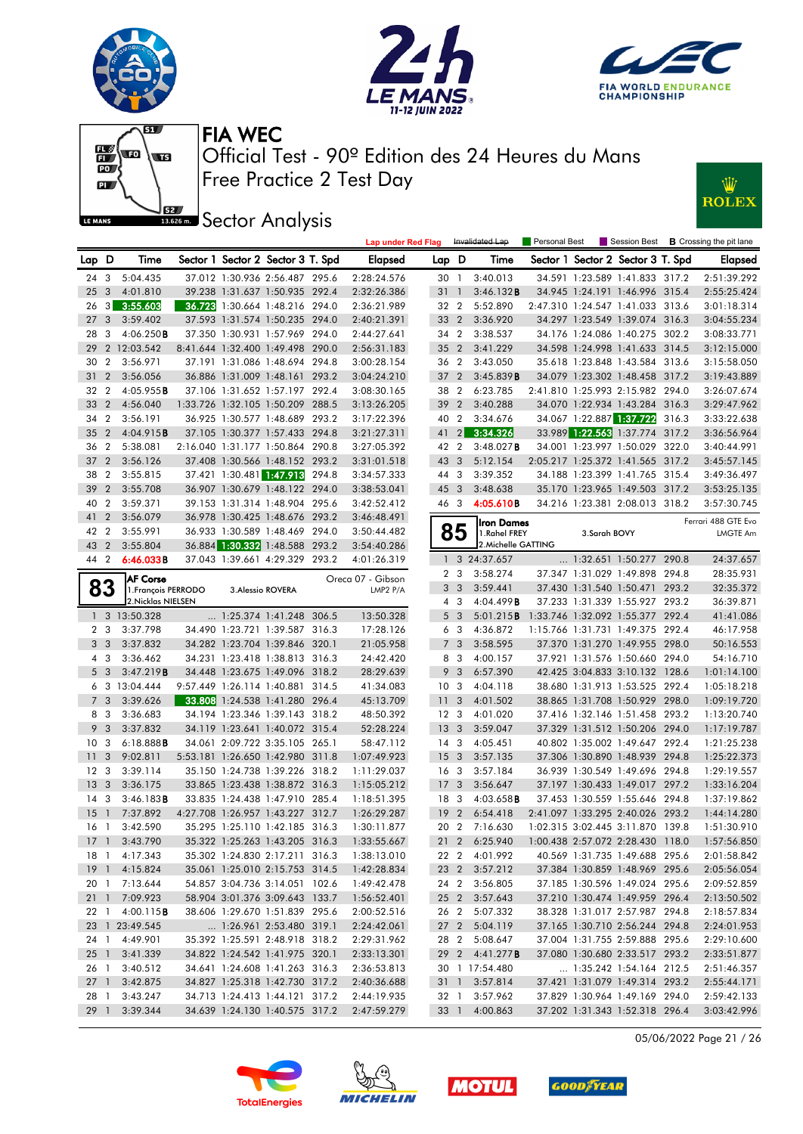











|                 |                |                                        |  |                                   |       | <b>Lap under Red Flag</b>     |                 |                | Invalidated Lap            | <b>Personal Best</b> |              |                                   |       | Session Best <b>B</b> Crossing the pit lane |
|-----------------|----------------|----------------------------------------|--|-----------------------------------|-------|-------------------------------|-----------------|----------------|----------------------------|----------------------|--------------|-----------------------------------|-------|---------------------------------------------|
| Lap D           |                | Time                                   |  | Sector 1 Sector 2 Sector 3 T. Spd |       | Elapsed                       | Lap D           |                | Time                       |                      |              | Sector 1 Sector 2 Sector 3 T. Spd |       | Elapsed                                     |
| 24 3            |                | 5:04.435                               |  | 37.012 1:30.936 2:56.487 295.6    |       | 2:28:24.576                   | 30 1            |                | 3:40.013                   |                      |              | 34.591 1:23.589 1:41.833 317.2    |       | 2:51:39.292                                 |
| 25              | 3              | 4:01.810                               |  | 39.238 1:31.637 1:50.935 292.4    |       | 2:32:26.386                   | 31 1            |                | 3:46.132B                  |                      |              | 34.945 1:24.191 1:46.996 315.4    |       | 2:55:25.424                                 |
| 26              | 3              | 3:55.603                               |  | 36.728 1:30.664 1:48.216 294.0    |       | 2:36:21.989                   | 32 2            |                | 5:52.890                   |                      |              | 2:47.310 1:24.547 1:41.033 313.6  |       | 3:01:18.314                                 |
| 27              | 3              | 3:59.402                               |  | 37.593 1:31.574 1:50.235 294.0    |       | 2:40:21.391                   | 33 2            |                | 3:36.920                   |                      |              | 34.297 1:23.549 1:39.074 316.3    |       | 3:04:55.234                                 |
| 28              | 3              | 4:06.250B                              |  | 37.350 1:30.931 1:57.969 294.0    |       | 2:44:27.641                   | 34 2            |                | 3:38.537                   |                      |              | 34.176 1:24.086 1:40.275 302.2    |       | 3:08:33.771                                 |
| 29              |                | 2 12:03.542                            |  | 8:41.644 1:32.400 1:49.498 290.0  |       | 2:56:31.183                   | 35 <sub>2</sub> |                | 3:41.229                   |                      |              | 34.598 1:24.998 1:41.633 314.5    |       | 3:12:15.000                                 |
| 30              | $\overline{2}$ | 3:56.971                               |  | 37.191 1:31.086 1:48.694 294.8    |       | 3:00:28.154                   | 36 2            |                | 3:43.050                   |                      |              | 35.618 1:23.848 1:43.584 313.6    |       | 3:15:58.050                                 |
| 31              | $\overline{2}$ | 3:56.056                               |  | 36.886 1:31.009 1:48.161 293.2    |       | 3:04:24.210                   | 37              | $\overline{2}$ | 3:45.839B                  |                      |              | 34.079 1:23.302 1:48.458 317.2    |       | 3:19:43.889                                 |
| 32              | $\overline{2}$ | 4:05.955B                              |  | 37.106 1:31.652 1:57.197 292.4    |       | 3:08:30.165                   | 38 2            |                | 6:23.785                   |                      |              | 2:41.810 1:25.993 2:15.982 294.0  |       | 3:26:07.674                                 |
| 33              | $\overline{2}$ | 4:56.040                               |  | 1:33.726 1:32.105 1:50.209 288.5  |       | 3:13:26.205                   | 39              | $\overline{2}$ | 3:40.288                   |                      |              | 34.070 1:22.934 1:43.284 316.3    |       | 3:29:47.962                                 |
| 34              | $\overline{2}$ | 3:56.191                               |  | 36.925 1:30.577 1:48.689 293.2    |       | 3:17:22.396                   | 40 2            |                | 3:34.676                   |                      |              | 34.067 1:22.887 1:37.722          | 316.3 | 3:33:22.638                                 |
| 35              | $\overline{2}$ | 4:04.915B                              |  | 37.105 1:30.377 1:57.433 294.8    |       | 3:21:27.311                   | 41              | $\overline{2}$ | 3:34.326                   |                      |              | 33.989 1:22.563 1:37.774 317.2    |       | 3:36:56.964                                 |
| 36              | $\overline{2}$ | 5:38.081                               |  | 2:16.040 1:31.177 1:50.864 290.8  |       | 3:27:05.392                   | 42 2            |                | 3:48.027B                  |                      |              | 34.001 1:23.997 1:50.029 322.0    |       | 3:40:44.991                                 |
| 37              | $\overline{2}$ | 3:56.126                               |  | 37.408 1:30.566 1:48.152 293.2    |       | 3:31:01.518                   | 43 3            |                | 5:12.154                   |                      |              | 2:05.217 1:25.372 1:41.565 317.2  |       | 3:45:57.145                                 |
| 38              | $\overline{2}$ | 3:55.815                               |  | 37.421 1:30.481 1:47.913          | 294.8 | 3:34:57.333                   | 44 3            |                | 3:39.352                   |                      |              | 34.188 1:23.399 1:41.765 315.4    |       | 3:49:36.497                                 |
| 39              | $\overline{2}$ | 3:55.708                               |  | 36.907 1:30.679 1:48.122 294.0    |       | 3:38:53.041                   | 45 3            |                | 3:48.638                   |                      |              | 35.170 1:23.965 1:49.503 317.2    |       | 3:53:25.135                                 |
| 40              | $\overline{2}$ | 3:59.371                               |  | 39.153 1:31.314 1:48.904 295.6    |       | 3:42:52.412                   | 46 3            |                | 4:05.610B                  |                      |              | 34.216 1:23.381 2:08.013 318.2    |       | 3:57:30.745                                 |
| 41              | $\overline{2}$ | 3:56.079                               |  | 36.978 1:30.425 1:48.676 293.2    |       | 3:46:48.491                   |                 |                |                            |                      |              |                                   |       | Ferrari 488 GTE Evo                         |
| 42              | $\overline{2}$ | 3:55.991                               |  | 36.933 1:30.589 1:48.469 294.0    |       | 3:50:44.482                   |                 | 85             | Iron Dames<br>1.Rahel FREY |                      | 3.Sarah BOVY |                                   |       | <b>LMGTE Am</b>                             |
| 43              | $\overline{2}$ | 3:55.804                               |  | 36.884 1:30.332 1:48.588 293.2    |       | 3:54:40.286                   |                 |                | 2. Michelle GATTING        |                      |              |                                   |       |                                             |
| 44 2            |                | 6:46.033B                              |  | 37.043 1:39.661 4:29.329 293.2    |       | 4:01:26.319                   | $\mathbf{1}$    |                | 3 24:37.657                |                      |              | 1:32.651 1:50.277 290.8           |       | 24:37.657                                   |
|                 |                |                                        |  |                                   |       |                               | 2 <sub>3</sub>  |                | 3:58.274                   |                      |              | 37.347 1:31.029 1:49.898 294.8    |       | 28:35.931                                   |
|                 | 83             | <b>AF Corse</b><br>1. François PERRODO |  | 3. Alessio ROVERA                 |       | Oreca 07 - Gibson<br>LMP2 P/A |                 | 3 <sub>3</sub> | 3:59.441                   |                      |              | 37.430 1:31.540 1:50.471 293.2    |       | 32:35.372                                   |
|                 |                | 2. Nicklas NIELSEN                     |  |                                   |       |                               |                 | 4 3            | 4:04.499B                  |                      |              | 37.233 1:31.339 1:55.927 293.2    |       | 36:39.871                                   |
|                 |                | 1 3 13:50.328                          |  | 1:25.374 1:41.248 306.5           |       | 13:50.328                     |                 | 5 <sub>3</sub> | 5:01.215B                  |                      |              | 1:33.746 1:32.092 1:55.377 292.4  |       | 41:41.086                                   |
| 2 <sub>3</sub>  |                | 3:37.798                               |  | 34.490 1:23.721 1:39.587 316.3    |       | 17:28.126                     |                 | 6 3            | 4:36.872                   |                      |              | 1:15.766 1:31.731 1:49.375 292.4  |       | 46:17.958                                   |
| 3 <sub>3</sub>  |                | 3:37.832                               |  | 34.282 1:23.704 1:39.846 320.1    |       | 21:05.958                     |                 | 7 <sub>3</sub> | 3:58.595                   |                      |              | 37.370 1:31.270 1:49.955 298.0    |       | 50:16.553                                   |
| 4 3             |                | 3:36.462                               |  | 34.231 1:23.418 1:38.813 316.3    |       | 24:42.420                     |                 | 8 3            | 4:00.157                   |                      |              | 37.921 1:31.576 1:50.660 294.0    |       | 54:16.710                                   |
|                 | 5 <sub>3</sub> | 3:47.219B                              |  | 34.448 1:23.675 1:49.096 318.2    |       | 28:29.639                     |                 | 9 <sup>3</sup> | 6:57.390                   |                      |              | 42.425 3:04.833 3:10.132 128.6    |       | 1:01:14.100                                 |
|                 |                | 6 3 13:04.444                          |  | 9:57.449 1:26.114 1:40.881 314.5  |       | 41:34.083                     | 10 <sub>3</sub> |                | 4:04.118                   |                      |              | 38.680 1:31.913 1:53.525 292.4    |       | 1:05:18.218                                 |
| 7 <sub>3</sub>  |                | 3:39.626                               |  | 33.808 1:24.538 1:41.280 296.4    |       | 45:13.709                     | 11              | 3              | 4:01.502                   |                      |              | 38.865 1:31.708 1:50.929 298.0    |       | 1:09:19.720                                 |
| 8 3             |                | 3:36.683                               |  | 34.194 1:23.346 1:39.143 318.2    |       | 48:50.392                     | 12 <sup>3</sup> |                | 4:01.020                   |                      |              | 37.416 1:32.146 1:51.458 293.2    |       | 1:13:20.740                                 |
| 9               | 3              | 3:37.832                               |  | 34.119 1:23.641 1:40.072 315.4    |       | 52:28.224                     | 13 <sub>3</sub> |                | 3:59.047                   |                      |              | 37.329 1:31.512 1:50.206 294.0    |       | 1:17:19.787                                 |
| 10              | 3              | 6:18.888B                              |  | 34.061 2:09.722 3:35.105 265.1    |       | 58:47.112                     | $14 \quad 3$    |                | 4:05.451                   |                      |              | 40.802 1:35.002 1:49.647 292.4    |       | 1:21:25.238                                 |
| 11              | 3              | 9:02.811                               |  | 5:53.181 1:26.650 1:42.980 311.8  |       | 1:07:49.923                   | 15 <sub>3</sub> |                | 3:57.135                   |                      |              | 37.306 1:30.890 1:48.939 294.8    |       | 1:25:22.373                                 |
| 12 <sup>3</sup> |                | 3:39.114                               |  | 35.150 1:24.738 1:39.226 318.2    |       | 1:11:29.037                   | 16 <sub>3</sub> |                | 3:57.184                   |                      |              | 36.939 1:30.549 1:49.696 294.8    |       | 1:29:19.557                                 |
| 13              | 3              | 3:36.175                               |  | 33.865 1:23.438 1:38.872 316.3    |       | 1:15:05.212                   | 17              | 3              | 3:56.647                   |                      |              | 37.197 1:30.433 1:49.017 297.2    |       | 1:33:16.204                                 |
| 14              | 3              | 3:46.183B                              |  | 33.835 1:24.438 1:47.910 285.4    |       | 1:18:51.395                   | 18 3            |                | 4:03.658 <b>B</b>          |                      |              | 37.453 1:30.559 1:55.646 294.8    |       | 1:37:19.862                                 |
| 15              | $\overline{1}$ | 7:37.892                               |  | 4:27.708 1:26.957 1:43.227 312.7  |       | 1:26:29.287                   | 19 <sup>°</sup> | $\overline{2}$ | 6:54.418                   |                      |              | 2:41.097 1:33.295 2:40.026 293.2  |       | 1:44:14.280                                 |
| 16 1            |                | 3:42.590                               |  | 35.295 1:25.110 1:42.185 316.3    |       | 1:30:11.877                   |                 |                | 20 2 7:16.630              |                      |              | 1:02.315 3:02.445 3:11.870 139.8  |       | 1:51:30.910                                 |
|                 |                | 17 1 3:43.790                          |  | 35.322 1:25.263 1:43.205 316.3    |       | 1:33:55.667                   |                 |                | 21 2 6:25.940              |                      |              | 1:00.438 2:57.072 2:28.430 118.0  |       | 1:57:56.850                                 |
|                 |                | 18 1 4:17.343                          |  | 35.302 1:24.830 2:17.211 316.3    |       | 1:38:13.010                   |                 |                | 22 2 4:01.992              |                      |              | 40.569 1:31.735 1:49.688 295.6    |       | 2:01:58.842                                 |
|                 |                | 19 1 4:15.824                          |  | 35.061 1:25.010 2:15.753 314.5    |       | 1:42:28.834                   |                 |                | 23 2 3:57.212              |                      |              | 37.384 1:30.859 1:48.969 295.6    |       | 2:05:56.054                                 |
|                 |                | 20 1 7:13.644                          |  | 54.857 3:04.736 3:14.051 102.6    |       | 1:49:42.478                   |                 |                | 24 2 3:56.805              |                      |              | 37.185 1:30.596 1:49.024 295.6    |       | 2:09:52.859                                 |
|                 |                | 21 1 7:09.923                          |  | 58.904 3:01.376 3:09.643 133.7    |       | 1:56:52.401                   |                 |                | 25 2 3:57.643              |                      |              | 37.210 1:30.474 1:49.959 296.4    |       | 2:13:50.502                                 |
|                 |                | 22 1 4:00.115 <b>B</b>                 |  | 38.606 1:29.670 1:51.839 295.6    |       | 2:00:52.516                   |                 | 26 2           | 5:07.332                   |                      |              | 38.328 1:31.017 2:57.987 294.8    |       | 2:18:57.834                                 |
|                 |                | 23 1 23:49.545                         |  | 1:26.961 2:53.480 319.1           |       | 2:24:42.061                   |                 |                | 27 2 5:04.119              |                      |              | 37.165 1:30.710 2:56.244 294.8    |       | 2:24:01.953                                 |
|                 |                | 24 1 4:49.901                          |  | 35.392 1:25.591 2:48.918 318.2    |       | 2:29:31.962                   |                 | 28 2           | 5:08.647                   |                      |              | 37.004 1:31.755 2:59.888 295.6    |       | 2:29:10.600                                 |
|                 |                | 25 1 3:41.339                          |  | 34.822 1:24.542 1:41.975 320.1    |       | 2:33:13.301                   |                 |                | 29 2 4:41.277 <b>B</b>     |                      |              | 37.080 1:30.680 2:33.517 293.2    |       | 2:33:51.877                                 |
| 26 1            |                | 3:40.512                               |  | 34.641 1:24.608 1:41.263 316.3    |       | 2:36:53.813                   |                 |                | 30 1 17:54.480             |                      |              | 1:35.242 1:54.164 212.5           |       | 2:51:46.357                                 |
|                 |                | 27 1 3:42.875                          |  | 34.827 1:25.318 1:42.730 317.2    |       | 2:40:36.688                   |                 |                | 31 1 3:57.814              |                      |              | 37.421 1:31.079 1:49.314 293.2    |       | 2:55:44.171                                 |
| 28 1            |                | 3:43.247                               |  | 34.713 1:24.413 1:44.121 317.2    |       | 2:44:19.935                   | 32 1            |                | 3:57.962                   |                      |              | 37.829 1:30.964 1:49.169 294.0    |       | 2:59:42.133                                 |
|                 |                | 29 1 3:39.344                          |  | 34.639 1:24.130 1:40.575 317.2    |       | 2:47:59.279                   |                 |                | 33 1 4:00.863              |                      |              | 37.202 1:31.343 1:52.318 296.4    |       | 3:03:42.996                                 |

05/06/2022 Page 21 / 26







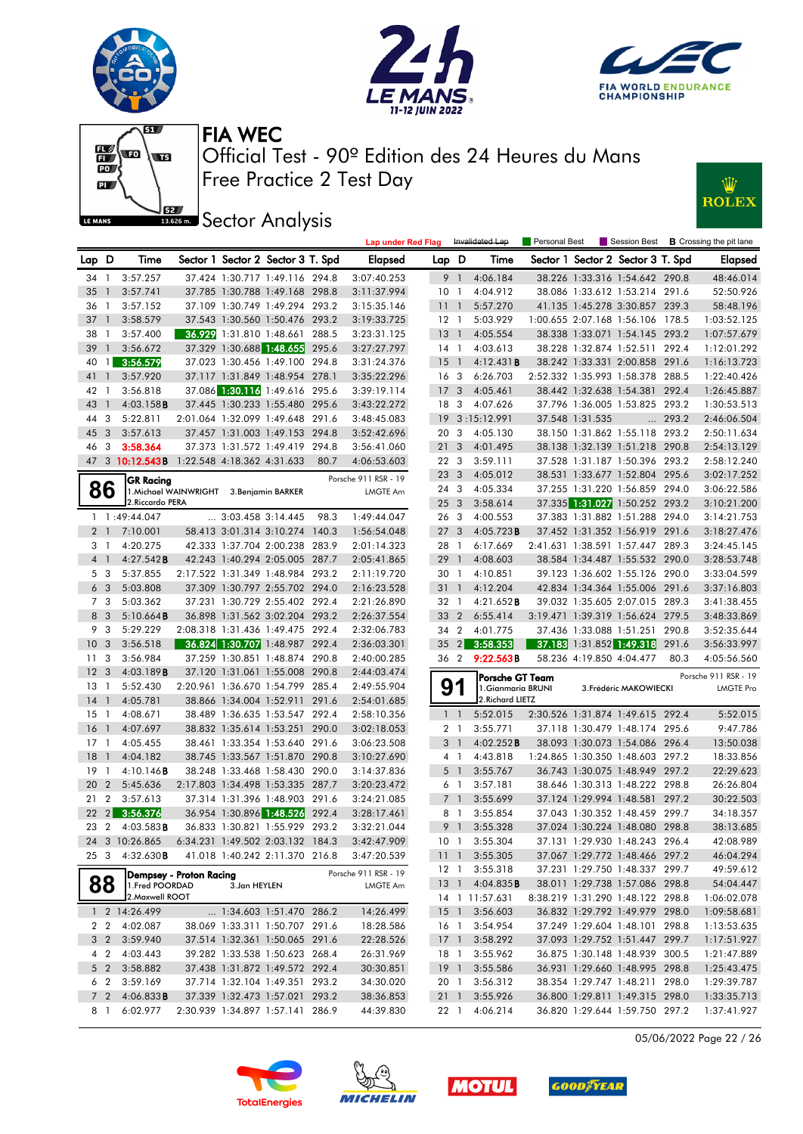







**ISSECT:** Sector Analysis



|                |                     |                                            |                                          |                            |                                                                    |       | <b>Lap under Red Flag</b>  |                        |                | Invalidated Lap        | Personal Best |                          |                                                                  |       | Session Best <b>B</b> Crossing the pit lane |
|----------------|---------------------|--------------------------------------------|------------------------------------------|----------------------------|--------------------------------------------------------------------|-------|----------------------------|------------------------|----------------|------------------------|---------------|--------------------------|------------------------------------------------------------------|-------|---------------------------------------------|
| Lap D          |                     | Time                                       |                                          |                            | Sector 1 Sector 2 Sector 3 T. Spd                                  |       | <b>Elapsed</b>             | Lap D                  |                | Time                   |               |                          | Sector 1 Sector 2 Sector 3 T. Spd                                |       | <b>Elapsed</b>                              |
| 34 1           |                     | 3:57.257                                   |                                          |                            | 37.424 1:30.717 1:49.116 294.8                                     |       | 3:07:40.253                |                        | 9 1            | 4:06.184               |               |                          | 38.226 1:33.316 1:54.642 290.8                                   |       | 48:46.014                                   |
| 35             | -1                  | 3:57.741                                   |                                          |                            | 37.785 1:30.788 1:49.168 298.8                                     |       | 3:11:37.994                | 10 <sub>1</sub>        |                | 4:04.912               |               |                          | 38.086 1:33.612 1:53.214 291.6                                   |       | 52:50.926                                   |
| 36             | -1                  | 3:57.152                                   |                                          |                            | 37.109 1:30.749 1:49.294 293.2                                     |       | 3:15:35.146                | 1111                   |                | 5:57.270               |               |                          | 41.135 1:45.278 3:30.857 239.3                                   |       | 58:48.196                                   |
| 37             | $\overline{1}$      | 3:58.579                                   |                                          |                            | 37.543 1:30.560 1:50.476 293.2                                     |       | 3:19:33.725                | $12-1$                 |                | 5:03.929               |               |                          | 1:00.655 2:07.168 1:56.106 178.5                                 |       | 1:03:52.125                                 |
| 38             | -1                  | 3:57.400                                   |                                          |                            | 36.929 1:31.810 1:48.661                                           | 288.5 | 3:23:31.125                | 13                     | $\overline{1}$ | 4:05.554               |               |                          | 38.338 1:33.071 1:54.145 293.2                                   |       | 1:07:57.679                                 |
| 39             | $\mathbf{1}$        | 3:56.672                                   |                                          | 37.329 1:30.688 1:48.655   |                                                                    | 295.6 | 3:27:27.797                | 14 1                   |                | 4:03.613               |               |                          | 38.228 1:32.874 1:52.511 292.4                                   |       | 1:12:01.292                                 |
| 40             | $\mathbf{1}$        | 3:56.579                                   |                                          |                            | 37.023 1:30.456 1:49.100 294.8                                     |       | 3:31:24.376                | 15                     | $\overline{1}$ | 4:12.431B              |               |                          | 38.242 1:33.331 2:00.858 291.6                                   |       | 1:16:13.723                                 |
| 41             | $\mathbf{1}$        | 3:57.920                                   |                                          |                            | 37.117 1:31.849 1:48.954 278.1                                     |       | 3:35:22.296                | 16 <sub>3</sub>        |                | 6:26.703               |               |                          | 2:52.332 1:35.993 1:58.378 288.5                                 |       | 1:22:40.426                                 |
| 42 1           |                     | 3:56.818                                   |                                          |                            | 37.086 1:30.116 1:49.616 295.6                                     |       | 3:39:19.114                | 17                     | 3              | 4:05.461               |               |                          | 38.442 1:32.638 1:54.381 292.4                                   |       | 1:26:45.887                                 |
| 43             | $\overline{1}$      | $4:03.158$ <b>B</b>                        |                                          |                            | 37.445 1:30.233 1:55.480 295.6                                     |       | 3:43:22.272                | 18                     | 3              | 4:07.626               |               |                          | 37.796 1:36.005 1:53.825 293.2                                   |       | 1:30:53.513                                 |
| 44             | 3                   | 5:22.811                                   |                                          |                            | 2:01.064 1:32.099 1:49.648 291.6                                   |       | 3:48:45.083                | 19                     |                | 3:15:12.991            |               | 37.548 1:31.535          | $\cdots$                                                         | 293.2 | 2:46:06.504                                 |
| 45             | 3                   | 3:57.613                                   |                                          |                            | 37.457 1:31.003 1:49.153 294.8                                     |       | 3:52:42.696                | 20 3                   |                | 4:05.130               |               |                          | 38.150 1:31.862 1:55.118 293.2                                   |       | 2:50:11.634                                 |
| 46             | -3                  | 3:58.364                                   |                                          |                            | 37.373 1:31.572 1:49.419 294.8                                     |       | 3:56:41.060                | 21                     | 3              | 4:01.495               |               |                          | 38.138 1:32.139 1:51.218 290.8                                   |       | 2:54:13.129                                 |
|                |                     | 47 3 10:12.543B 1:22.548 4:18.362 4:31.633 |                                          |                            |                                                                    | 80.7  | 4:06:53.603                | 22 3                   |                | 3:59.111               |               |                          | 37.528 1:31.187 1:50.396 293.2                                   |       | 2:58:12.240                                 |
|                |                     | <b>GR Racing</b>                           |                                          |                            |                                                                    |       | Porsche 911 RSR - 19       | 23 3                   |                | 4:05.012               |               |                          | 38.531 1:33.677 1:52.804 295.6                                   |       | 3:02:17.252                                 |
| 86             |                     |                                            | 1. Michael WAINWRIGHT 3. Benjamin BARKER |                            |                                                                    |       | <b>LMGTE Am</b>            | 24 3                   |                | 4:05.334               |               |                          | 37.255 1:31.220 1:56.859 294.0                                   |       | 3:06:22.586                                 |
|                |                     | 2. Riccardo PERA                           |                                          |                            |                                                                    |       |                            | 25 3                   |                | 3:58.614               |               |                          | 37.335 1:31.027 1:50.252 293.2                                   |       | 3:10:21.200                                 |
|                |                     | 1 1:49:44.047                              |                                          | $\ldots$ 3:03.458 3:14.445 |                                                                    | 98.3  | 1:49:44.047                | 26 3                   |                | 4:00.553               |               |                          | 37.383 1:31.882 1:51.288 294.0                                   |       | 3:14:21.753                                 |
| 2 1            |                     | 7:10.001                                   |                                          |                            | 58.413 3:01.314 3:10.274 140.3                                     |       | 1:56:54.048                | 27 3                   |                | 4:05.723B              |               |                          | 37.452 1:31.352 1:56.919 291.6                                   |       | 3:18:27.476                                 |
| 31             |                     | 4:20.275                                   |                                          | 42.333 1:37.704 2:00.238   |                                                                    | 283.9 | 2:01:14.323                | 28 1                   |                | 6:17.669               |               |                          | 2:41.631 1:38.591 1:57.447 289.3                                 |       | 3:24:45.145                                 |
| 4 1            |                     | 4:27.542B                                  |                                          |                            | 42.243 1:40.294 2:05.005 287.7                                     |       | 2:05:41.865                | 29                     | $\overline{1}$ | 4:08.603               |               |                          | 38.584 1:34.487 1:55.532 290.0                                   |       | 3:28:53.748                                 |
| 5 <sub>3</sub> |                     | 5:37.855                                   |                                          |                            | 2:17.522 1:31.349 1:48.984 293.2                                   |       | 2:11:19.720                | 30 1                   |                | 4:10.851               |               |                          | 39.123 1:36.602 1:55.126 290.0                                   |       | 3:33:04.599                                 |
| 6 <sub>3</sub> |                     | 5:03.808                                   |                                          |                            | 37.309 1:30.797 2:55.702 294.0                                     |       | 2:16:23.528                | 31 <sub>1</sub>        |                | 4:12.204               |               |                          | 42.834 1:34.364 1:55.006 291.6                                   |       | 3:37:16.803                                 |
| 7 3            |                     | 5:03.362                                   |                                          |                            | 37.231 1:30.729 2:55.402 292.4                                     |       | 2:21:26.890                | 32 1                   |                | 4:21.652 <b>B</b>      |               |                          | 39.032 1:35.605 2:07.015 289.3                                   |       | 3:41:38.455                                 |
| 8 3            |                     | 5:10.664B                                  |                                          |                            | 36.898 1:31.562 3:02.204 293.2                                     |       | 2:26:37.554                | 33 2                   |                | 6:55.414               |               |                          | 3:19.471 1:39.319 1:56.624 279.5                                 |       | 3:48:33.869                                 |
| 9 3            |                     | 5:29.229                                   |                                          |                            | 2:08.318 1:31.436 1:49.475 292.4                                   |       | 2:32:06.783                | 34 2                   |                | 4:01.775               |               |                          | 37.436 1:33.088 1:51.251 290.8                                   |       | 3:52:35.644                                 |
| 10             | $\mathbf{3}$        | 3:56.518                                   |                                          |                            | 36.824 1:30.707 1:48.987 292.4                                     |       | 2:36:03.301                | 35                     | 2              | 3:58.353               |               |                          | 37.183 1:31.852 1:49.318 291.6                                   |       | 3:56:33.997                                 |
| 11             | 3                   | 3:56.984                                   |                                          |                            | 37.259 1:30.851 1:48.874 290.8                                     |       | 2:40:00.285                | 36 2                   |                | 9:22.563B              |               | 58.236 4:19.850 4:04.477 |                                                                  | 80.3  | 4:05:56.560                                 |
| 12             | -3                  | 4:03.189B                                  |                                          |                            | 37.120 1:31.061 1:55.008 290.8                                     |       | 2:44:03.474                |                        |                | Porsche GT Team        |               |                          |                                                                  |       | Porsche 911 RSR - 19                        |
| 13             | $\overline{1}$      | 5:52.430                                   |                                          |                            | 2:20.961 1:36.670 1:54.799 285.4                                   |       | 2:49:55.904                | 9                      |                | 1. Gianmaria BRUNI     |               |                          | 3. Frédéric MAKOWIECKI                                           |       | <b>LMGTE Pro</b>                            |
| 14             | $\overline{1}$      | 4:05.781                                   |                                          |                            | 38.866 1:34.004 1:52.911                                           | 291.6 | 2:54:01.685                |                        |                | 2. Richard LIETZ       |               |                          |                                                                  |       |                                             |
| 15             | $\overline{1}$      | 4:08.671                                   |                                          |                            | 38.489 1:36.635 1:53.547 292.4                                     |       | 2:58:10.356                |                        | $1\quad$       | 5:52.015               |               |                          | 2:30.526 1:31.874 1:49.615 292.4                                 |       | 5:52.015                                    |
| 16             | $\overline{1}$      | 4:07.697                                   |                                          |                            | 38.832 1:35.614 1:53.251 290.0                                     |       | 3:02:18.053                |                        | 2 <sub>1</sub> | 3:55.771               |               |                          | 37.118 1:30.479 1:48.174 295.6                                   |       | 9:47.786                                    |
| 17             | -1                  | 4:05.455                                   |                                          |                            | 38.461 1:33.354 1:53.640 291.6                                     |       | 3:06:23.508                | 3 <sup>1</sup>         |                | 4:02.252B              |               |                          | 38.093 1:30.073 1:54.086 296.4                                   |       | 13:50.038                                   |
| 18             | $\overline{1}$      | 4:04.182                                   |                                          |                            | 38.745 1:33.567 1:51.870                                           | 290.8 | 3:10:27.690                | $4-1$                  |                | 4:43.818               |               |                          | 1:24.865 1:30.350 1:48.603 297.2                                 |       | 18:33.856                                   |
| 19             | - 1                 | 4:10.146B                                  |                                          |                            | 38.248 1:33.468 1:58.430 290.0                                     |       | 3:14:37.836                |                        | $5-1$          | 3:55.767               |               |                          | 36.743 1:30.075 1:48.949 297.2                                   |       | 22:29.623                                   |
| 20             | $\overline{2}$      | 5:45.636                                   |                                          |                            | 2:17.803 1:34.498 1:53.335                                         | 287.7 | 3:20:23.472                | 6 1                    | 7 <sup>1</sup> | 3:57.181               |               |                          | 38.646 1:30.313 1:48.222 298.8<br>37.124 1:29.994 1:48.581       |       | 26:26.804                                   |
| 21<br>22       | 2<br>2 <sup>2</sup> | 3:57.613                                   |                                          |                            | 37.314 1:31.396 1:48.903 291.6                                     | 292.4 | 3:24:21.085                |                        | 8 1            | 3:55.699               |               |                          |                                                                  | 297.2 | 30:22.503                                   |
| 23 2           |                     | 3:56.376<br>4:03.583B                      |                                          |                            | 36.954 1:30.896 1:48.526<br>36.833 1:30.821 1:55.929 293.2         |       | 3:28:17.461                |                        | 9 1            | 3:55.854               |               |                          | 37.043 1:30.352 1:48.459 299.7<br>37.024 1:30.224 1:48.080 298.8 |       | 34:18.357                                   |
|                |                     |                                            |                                          |                            |                                                                    |       | 3:32:21.044                |                        |                | 3:55.328               |               |                          |                                                                  |       | 38:13.685                                   |
| 25 3           |                     | 24 3 10:26.865<br>4:32.630B                |                                          |                            | 6:34.231 1:49.502 2:03.132 184.3<br>41.018 1:40.242 2:11.370 216.8 |       | 3:42:47.909<br>3:47:20.539 | 10 <sub>1</sub><br>111 |                | 3:55.304<br>3:55.305   |               |                          | 37.131 1:29.930 1:48.243 296.4<br>37.067 1:29.772 1:48.466 297.2 |       | 42:08.989<br>46:04.294                      |
|                |                     |                                            |                                          |                            |                                                                    |       |                            | 12 1                   |                | 3:55.318               |               |                          | 37.231 1:29.750 1:48.337 299.7                                   |       | 49:59.612                                   |
| 88             |                     |                                            | Dempsey - Proton Racing                  |                            |                                                                    |       | Porsche 911 RSR - 19       |                        |                | 13 1 4:04.835 <b>B</b> |               |                          | 38.011 1:29.738 1:57.086 298.8                                   |       | 54:04.447                                   |
|                |                     | 1. Fred POORDAD<br>2. Maxwell ROOT         |                                          | 3.Jan HEYLEN               |                                                                    |       | LMGTE Am                   |                        |                | 14 1 11:57.631         |               |                          | 8:38.219 1:31.290 1:48.122 298.8                                 |       | 1:06:02.078                                 |
|                |                     | 1 2 14:26.499                              |                                          |                            | $\ldots$ 1:34.603 1:51.470 286.2                                   |       | 14:26.499                  |                        |                | 15 1 3:56.603          |               |                          | 36.832 1:29.792 1:49.979 298.0                                   |       | 1:09:58.681                                 |
|                |                     | 2 2 4:02.087                               |                                          |                            | 38.069 1:33.311 1:50.707 291.6                                     |       | 18:28.586                  | 16 1                   |                | 3:54.954               |               |                          | 37.249 1:29.604 1:48.101 298.8                                   |       | 1:13:53.635                                 |
|                | 3 2                 | 3:59.940                                   |                                          |                            | 37.514 1:32.361 1:50.065 291.6                                     |       | 22:28.526                  | 17 <sup>1</sup>        |                | 3:58.292               |               |                          | 37.093 1:29.752 1:51.447 299.7                                   |       | 1:17:51.927                                 |
|                | 4 2                 | 4:03.443                                   |                                          |                            | 39.282 1:33.538 1:50.623 268.4                                     |       | 26:31.969                  | 18 1                   |                | 3:55.962               |               |                          | 36.875 1:30.148 1:48.939 300.5                                   |       | 1:21:47.889                                 |
|                | $5\quad2$           | 3:58.882                                   |                                          |                            | 37.438 1:31.872 1:49.572 292.4                                     |       | 30:30.851                  | $19-1$                 |                | 3:55.586               |               |                          | 36.931 1:29.660 1:48.995 298.8                                   |       | 1:25:43.475                                 |
|                | 6 2                 | 3:59.169                                   |                                          |                            | 37.714 1:32.104 1:49.351 293.2                                     |       | 34:30.020                  | 20 1                   |                | 3:56.312               |               |                          | 38.354 1:29.747 1:48.211 298.0                                   |       | 1:29:39.787                                 |
| 7 <sub>2</sub> |                     | 4:06.833B                                  |                                          |                            | 37.339 1:32.473 1:57.021 293.2                                     |       | 38:36.853                  | $21 \quad 1$           |                | 3:55.926               |               |                          | 36.800 1:29.811 1:49.315 298.0                                   |       | 1:33:35.713                                 |
|                | 81                  | 6:02.977                                   |                                          |                            | 2:30.939 1:34.897 1:57.141 286.9                                   |       | 44:39.830                  | 22 1                   |                | 4:06.214               |               |                          | 36.820 1:29.644 1:59.750 297.2                                   |       | 1:37:41.927                                 |

05/06/2022 Page 22 / 26







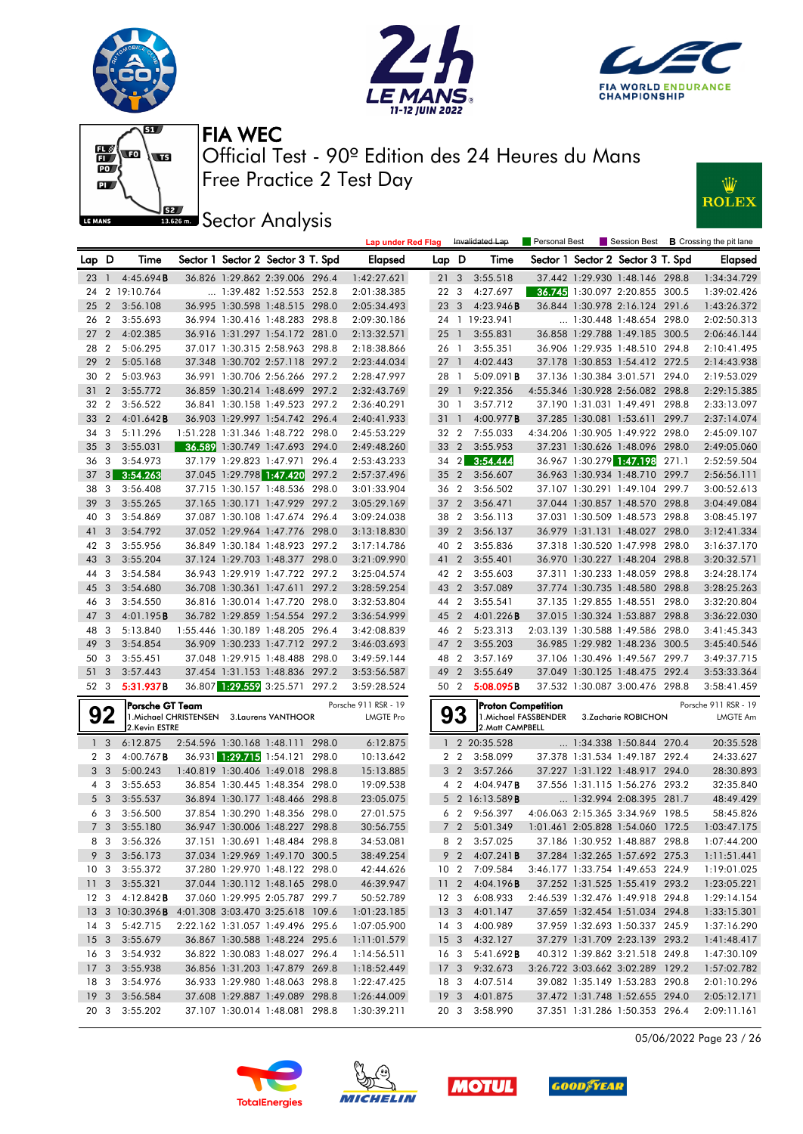







**JEE** Sector Analysis



|                                    |                                  |                                                          |                                            |                                                                  |       | <b>Lap under Red Flag</b>  |                                    |                 | Invalidated Lap                   | Personal Best         |                                                                    |       | Session Best <b>B</b> Crossing the pit lane |
|------------------------------------|----------------------------------|----------------------------------------------------------|--------------------------------------------|------------------------------------------------------------------|-------|----------------------------|------------------------------------|-----------------|-----------------------------------|-----------------------|--------------------------------------------------------------------|-------|---------------------------------------------|
| Lap D                              |                                  | Time                                                     |                                            | Sector 1 Sector 2 Sector 3 T. Spd                                |       | Elapsed                    | Lap D                              |                 | Time                              |                       | Sector 1 Sector 2 Sector 3 T. Spd                                  |       | <b>Elapsed</b>                              |
| 23                                 | $\overline{1}$                   | 4:45.694B                                                |                                            | 36.826 1:29.862 2:39.006 296.4                                   |       | 1:42:27.621                | 21                                 | 3               | 3:55.518                          |                       | 37.442 1:29.930 1:48.146 298.8                                     |       | 1:34:34.729                                 |
| 24                                 |                                  | 2 19:10.764                                              |                                            | 1:39.482 1:52.553 252.8                                          |       | 2:01:38.385                | 22 3                               |                 | 4:27.697                          |                       | 36.745 1:30.097 2:20.855 300.5                                     |       | 1:39:02.426                                 |
| 25                                 | $\overline{2}$                   | 3:56.108                                                 |                                            | 36.995 1:30.598 1:48.515 298.0                                   |       | 2:05:34.493                | 23                                 | 3               | 4:23.946B                         |                       | 36.844 1:30.978 2:16.124 291.6                                     |       | 1:43:26.372                                 |
| 26                                 | $\overline{2}$                   | 3:55.693                                                 |                                            | 36.994 1:30.416 1:48.283 298.8                                   |       | 2:09:30.186                |                                    |                 | 24 1 19:23.941                    |                       | 1:30.448 1:48.654 298.0                                            |       | 2:02:50.313                                 |
| 27                                 | $\overline{2}$                   | 4:02.385                                                 |                                            | 36.916 1:31.297 1:54.172 281.0                                   |       | 2:13:32.571                | 25                                 | $\overline{1}$  | 3:55.831                          |                       | 36.858 1:29.788 1:49.185 300.5                                     |       | 2:06:46.144                                 |
| 28                                 | $\overline{2}$                   | 5:06.295                                                 |                                            | 37.017 1:30.315 2:58.963 298.8                                   |       | 2:18:38.866                | 26 1                               |                 | 3:55.351                          |                       | 36.906 1:29.935 1:48.510 294.8                                     |       | 2:10:41.495                                 |
| 29                                 | $\overline{2}$                   | 5:05.168                                                 |                                            | 37.348 1:30.702 2:57.118 297.2                                   |       | 2:23:44.034                | $27-1$                             |                 | 4:02.443                          |                       | 37.178 1:30.853 1:54.412 272.5                                     |       | 2:14:43.938                                 |
| 30                                 | $\overline{2}$                   | 5:03.963                                                 |                                            | 36.991 1:30.706 2:56.266 297.2                                   |       | 2:28:47.997                | 28 1                               |                 | 5:09.091B                         |                       | 37.136 1:30.384 3:01.571 294.0                                     |       | 2:19:53.029                                 |
| 31                                 | $\overline{2}$                   | 3:55.772                                                 |                                            | 36.859 1:30.214 1:48.699 297.2                                   |       | 2:32:43.769                | 29 1                               |                 | 9:22.356                          |                       | 4:55.346 1:30.928 2:56.082 298.8                                   |       | 2:29:15.385                                 |
| 32                                 | $\overline{2}$                   | 3:56.522                                                 |                                            | 36.841 1:30.158 1:49.523 297.2                                   |       | 2:36:40.291                | 30 1                               |                 | 3:57.712                          |                       | 37.190 1:31.031 1:49.491 298.8                                     |       | 2:33:13.097                                 |
| 33                                 | $\overline{2}$                   | 4:01.642B                                                |                                            | 36.903 1:29.997 1:54.742 296.4                                   |       | 2:40:41.933                | 31 1                               |                 | 4:00.977B                         |                       | 37.285 1:30.081 1:53.611 299.7                                     |       | 2:37:14.074                                 |
| 34                                 | 3                                | 5:11.296                                                 |                                            | 1:51.228 1:31.346 1:48.722 298.0                                 |       | 2:45:53.229                | 32 2                               |                 | 7:55.033                          |                       | 4:34.206 1:30.905 1:49.922 298.0                                   |       | 2:45:09.107                                 |
| 35                                 | 3                                | 3:55.031                                                 |                                            | 36.589 1:30.749 1:47.693 294.0                                   |       | 2:49:48.260                | 33                                 | $\overline{2}$  | 3:55.953                          |                       | 37.231 1:30.626 1:48.096 298.0                                     |       | 2:49:05.060                                 |
| 36                                 | 3                                | 3:54.973                                                 |                                            | 37.179 1:29.823 1:47.971                                         | 296.4 | 2:53:43.233                | 34 2                               |                 | 3:54.444                          |                       | 36.967 1:30.279 1:47.198                                           | 271.1 | 2:52:59.504                                 |
| 37                                 | 3                                | 3:54.263                                                 |                                            | 37.045 1:29.798 1:47.420                                         | 297.2 | 2:57:37.496                | 35 2                               |                 | 3:56.607                          |                       | 36.963 1:30.934 1:48.710 299.7                                     |       | 2:56:56.111                                 |
| 38                                 | 3                                | 3:56.408                                                 |                                            | 37.715 1:30.157 1:48.536 298.0                                   |       | 3:01:33.904                | 36 2                               |                 | 3:56.502                          |                       | 37.107 1:30.291 1:49.104 299.7                                     |       | 3:00:52.613                                 |
| 39                                 | 3                                | 3:55.265                                                 |                                            | 37.165 1:30.171 1:47.929 297.2                                   |       | 3:05:29.169                | $37 \quad 2$                       |                 | 3:56.471                          |                       | 37.044 1:30.857 1:48.570 298.8                                     |       | 3:04:49.084                                 |
| 40                                 | -3                               | 3:54.869                                                 |                                            | 37.087 1:30.108 1:47.674 296.4                                   |       | 3:09:24.038                | 38 2                               |                 | 3:56.113                          |                       | 37.031 1:30.509 1:48.573 298.8                                     |       | 3:08:45.197                                 |
| 41                                 | 3                                | 3:54.792                                                 |                                            | 37.052 1:29.964 1:47.776 298.0                                   |       | 3:13:18.830                | 39                                 | $\overline{2}$  | 3:56.137                          |                       | 36.979 1:31.131 1:48.027 298.0                                     |       | 3:12:41.334                                 |
| 42 3                               |                                  | 3:55.956                                                 |                                            | 36.849 1:30.184 1:48.923 297.2                                   |       | 3:17:14.786                | 40 2                               |                 | 3:55.836                          |                       | 37.318 1:30.520 1:47.998 298.0                                     |       | 3:16:37.170                                 |
| 43                                 | $\overline{\mathbf{3}}$          | 3:55.204                                                 |                                            | 37.124 1:29.703 1:48.377 298.0                                   |       | 3:21:09.990                | 41 2                               |                 | 3:55.401                          |                       | 36.970 1:30.227 1:48.204 298.8                                     |       | 3:20:32.571                                 |
| 44                                 | $\overline{\mathbf{3}}$          | 3:54.584                                                 |                                            | 36.943 1:29.919 1:47.722 297.2                                   |       | 3:25:04.574                | 42 2                               |                 | 3:55.603                          |                       | 37.311 1:30.233 1:48.059 298.8                                     |       | 3:24:28.174                                 |
| 45                                 | $\overline{\mathbf{3}}$          | 3:54.680                                                 |                                            | 36.708 1:30.361 1:47.611 297.2                                   |       | 3:28:59.254                | 43 2                               |                 | 3:57.089                          |                       | 37.774 1:30.735 1:48.580 298.8                                     |       | 3:28:25.263                                 |
| 46                                 | - 3                              | 3:54.550                                                 |                                            | 36.816 1:30.014 1:47.720 298.0                                   |       | 3:32:53.804                | 44 2                               |                 | 3:55.541                          |                       | 37.135 1:29.855 1:48.551 298.0                                     |       | 3:32:20.804                                 |
| 47 3                               |                                  | 4:01.195 <b>B</b>                                        |                                            | 36.782 1:29.859 1:54.554 297.2                                   |       | 3:36:54.999                | 45 2                               |                 | 4:01.226B                         |                       | 37.015 1:30.324 1:53.887 298.8                                     |       | 3:36:22.030                                 |
| 48                                 | - 3                              | 5:13.840                                                 |                                            | 1:55.446 1:30.189 1:48.205 296.4                                 |       | 3:42:08.839                | 46 2                               |                 | 5:23.313                          |                       | 2:03.139 1:30.588 1:49.586 298.0                                   |       | 3:41:45.343                                 |
| 49                                 | 3                                | 3:54.854                                                 |                                            | 36.909 1:30.233 1:47.712 297.2                                   |       | 3:46:03.693                | 47 2                               |                 | 3:55.203                          |                       | 36.985 1:29.982 1:48.236 300.5                                     |       | 3:45:40.546                                 |
| 50 3                               |                                  | 3:55.451                                                 |                                            | 37.048 1:29.915 1:48.488 298.0                                   |       | 3:49:59.144                | 48 2                               |                 | 3:57.169                          |                       | 37.106 1:30.496 1:49.567 299.7                                     |       | 3:49:37.715                                 |
| 51                                 | $\overline{3}$                   | 3:57.443                                                 |                                            | 37.454 1:31.153 1:48.836 297.2                                   |       | 3:53:56.587                | 49 2                               |                 | 3:55.649                          |                       | 37.049 1:30.125 1:48.475 292.4                                     |       | 3:53:33.364                                 |
| 52 3                               |                                  | 5:31.937B                                                |                                            | 36.807 1:29.559 3:25.571 297.2                                   |       | 3:59:28.524                | 50 2                               |                 | 5:08.095B                         |                       | 37.532 1:30.087 3:00.476 298.8                                     |       | 3:58:41.459                                 |
|                                    |                                  | Porsche GT Team                                          |                                            |                                                                  |       | Porsche 911 RSR - 19       |                                    |                 | <b>Proton Competition</b>         |                       |                                                                    |       | Porsche 911 RSR - 19                        |
|                                    | 92                               |                                                          | 1. Michael CHRISTENSEN 3. Laurens VANTHOOR |                                                                  |       | <b>LMGTE Pro</b>           |                                    | 93              |                                   | 1. Michael FASSBENDER | 3.Zacharie ROBICHON                                                |       | LMGTE Am                                    |
|                                    |                                  | 2.Kevin ESTRE                                            |                                            |                                                                  |       |                            |                                    |                 | 2. Matt CAMPBELL                  |                       |                                                                    |       |                                             |
|                                    | 1 <sub>3</sub><br>2 <sub>3</sub> | 6:12.875<br>$4:00.767$ <b>B</b>                          |                                            | 2:54.596 1:30.168 1:48.111 298.0<br>36.931 1:29.715 1:54.121     | 298.0 | 6:12.875<br>10:13.642      | $\mathbf{1}$                       | 2 <sub>2</sub>  | 2 20:35.528<br>3:58.099           |                       | 1:34.338 1:50.844 270.4<br>37.378 1:31.534 1:49.187                | 292.4 | 20:35.528<br>24:33.627                      |
|                                    | 3 <sub>3</sub>                   | 5:00.243                                                 |                                            | 1:40.819 1:30.406 1:49.018 298.8                                 |       | 15:13.885                  |                                    | 3 <sub>2</sub>  | 3:57.266                          |                       | 37.227 1:31.122 1:48.917 294.0                                     |       | 28:30.893                                   |
|                                    | $4 \overline{3}$                 | 3:55.653                                                 |                                            | 36.854 1:30.445 1:48.354 298.0                                   |       | 19:09.538                  |                                    | 4 <sub>2</sub>  | 4:04.947B                         |                       | 37.556 1:31.115 1:56.276 293.2                                     |       | 32:35.840                                   |
|                                    | 5 <sub>3</sub>                   | 3:55.537                                                 |                                            | 36.894 1:30.177 1:48.466 298.8                                   |       | 23:05.075                  | 5                                  |                 | 2 16:13.589B                      |                       | 1:32.994 2:08.395 281.7                                            |       | 48:49.429                                   |
|                                    | 6 <sub>3</sub>                   | 3:56.500                                                 |                                            | 37.854 1:30.290 1:48.356 298.0                                   |       | 27:01.575                  |                                    | 6 <sub>2</sub>  | 9:56.397                          |                       | 4:06.063 2:15.365 3:34.969 198.5                                   |       | 58:45.826                                   |
|                                    | 7 <sub>3</sub>                   | 3:55.180                                                 |                                            | 36.947 1:30.006 1:48.227 298.8                                   |       | 30:56.755                  |                                    | 7 <sub>2</sub>  | 5:01.349                          |                       | 1:01.461 2:05.828 1:54.060 172.5                                   |       | 1:03:47.175                                 |
|                                    |                                  |                                                          |                                            | 37.151 1:30.691 1:48.484 298.8                                   |       | 34:53.081                  |                                    |                 |                                   |                       | 37.186 1:30.952 1:48.887 298.8                                     |       |                                             |
|                                    | 8 3                              | 3:56.326                                                 |                                            |                                                                  |       |                            |                                    | 8 2             | 3:57.025                          |                       |                                                                    |       | 1:07:44.200                                 |
| 10 <sub>3</sub>                    | 9 3                              | 3:56.173<br>3:55.372                                     |                                            | 37.034 1:29.969 1:49.170 300.5<br>37.280 1:29.970 1:48.122 298.0 |       | 38:49.254                  |                                    | 10 <sub>2</sub> | 9 2 4:07.241 <b>B</b><br>7:09.584 |                       | 37.284 1:32.265 1:57.692 275.3<br>3:46.177 1:33.754 1:49.653 224.9 |       | 1:11:51.441                                 |
|                                    |                                  |                                                          |                                            | 37.044 1:30.112 1:48.165 298.0                                   |       | 42:44.626                  |                                    |                 |                                   |                       | 37.252 1:31.525 1:55.419 293.2                                     |       | 1:19:01.025                                 |
| 11 <sub>3</sub><br>12 <sup>3</sup> |                                  | 3:55.321<br>4:12.842B                                    |                                            | 37.060 1:29.995 2:05.787 299.7                                   |       | 46:39.947<br>50:52.789     | 11 <sub>2</sub><br>12 <sup>3</sup> |                 | 4:04.196B<br>6:08.933             |                       | 2:46.539 1:32.476 1:49.918 294.8                                   |       | 1:23:05.221                                 |
|                                    |                                  | 13 3 10:30.396 <b>B</b> 4:01.308 3:03.470 3:25.618 109.6 |                                            |                                                                  |       | 1:01:23.185                |                                    |                 |                                   |                       | 37.659 1:32.454 1:51.034 294.8                                     |       | 1:29:14.154                                 |
| $14 \quad 3$                       |                                  | 5:42.715                                                 |                                            | 2:22.162 1:31.057 1:49.496 295.6                                 |       | 1:07:05.900                | 14 <sub>3</sub>                    |                 | 13 3 4:01.147<br>4:00.989         |                       | 37.959 1:32.693 1:50.337 245.9                                     |       | 1:33:15.301<br>1:37:16.290                  |
| 15 <sub>3</sub>                    |                                  | 3:55.679                                                 |                                            | 36.867 1:30.588 1:48.224 295.6                                   |       | 1:11:01.579                |                                    |                 | 4:32.127                          |                       | 37.279 1:31.709 2:23.139 293.2                                     |       | 1:41:48.417                                 |
| 16 3                               |                                  | 3:54.932                                                 |                                            | 36.822 1:30.083 1:48.027 296.4                                   |       |                            | 15 <sub>3</sub>                    | 16 3            |                                   |                       | 40.312 1:39.862 3:21.518 249.8                                     |       | 1:47:30.109                                 |
| 17 3                               |                                  | 3:55.938                                                 |                                            | 36.856 1:31.203 1:47.879 269.8                                   |       | 1:14:56.511<br>1:18:52.449 |                                    |                 | 5:41.692 <b>B</b><br>9:32.673     |                       | 3:26.722 3:03.662 3:02.289 129.2                                   |       | 1:57:02.782                                 |
| 18 3                               |                                  | 3:54.976                                                 |                                            | 36.933 1:29.980 1:48.063 298.8                                   |       | 1:22:47.425                | 17 3<br>18 3                       |                 | 4:07.514                          |                       | 39.082 1:35.149 1:53.283 290.8                                     |       | 2:01:10.296                                 |
| 19 <sub>3</sub>                    |                                  | 3:56.584                                                 |                                            | 37.608 1:29.887 1:49.089 298.8                                   |       | 1:26:44.009                | 19 <sup>3</sup>                    |                 | 4:01.875                          |                       | 37.472 1:31.748 1:52.655 294.0                                     |       | 2:05:12.171                                 |
|                                    |                                  | 20 3 3:55.202                                            |                                            | 37.107 1:30.014 1:48.081 298.8                                   |       | 1:30:39.211                |                                    |                 | 20 3 3:58.990                     |                       | 37.351 1:31.286 1:50.353 296.4                                     |       | 2:09:11.161                                 |

05/06/2022 Page 23 / 26







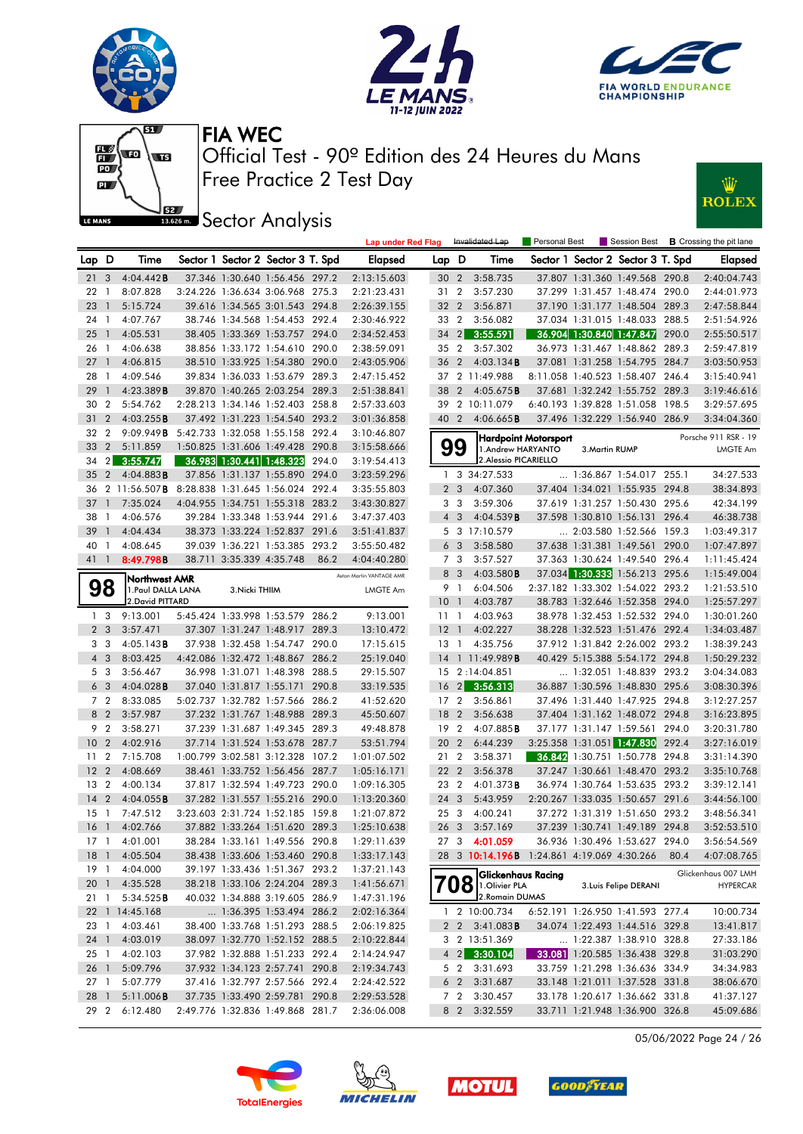





Personal Best **B** Crossing the pit lane



Free Practice 2 Test Day Official Test - 90º Edition des 24 Heures du Mans FIA WEC

**Lap under Red Flag** Invalidated Lap



**ISECO** Analysis

| Lap D           |                | Time                                                     |                                  |                          | Sector 1 Sector 2 Sector 3 T. Spd |       | <b>Elapsed</b>           | Lap D           |                | Time                                            |                      |                | Sector 1 Sector 2 Sector 3 T. Spd |       | <b>Elapsed</b>                   |
|-----------------|----------------|----------------------------------------------------------|----------------------------------|--------------------------|-----------------------------------|-------|--------------------------|-----------------|----------------|-------------------------------------------------|----------------------|----------------|-----------------------------------|-------|----------------------------------|
| 21 <sub>3</sub> |                | 4:04.442B                                                |                                  |                          | 37.346 1:30.640 1:56.456 297.2    |       | 2:13:15.603              | 30 <sub>2</sub> |                | 3:58.735                                        |                      |                | 37.807 1:31.360 1:49.568 290.8    |       | 2:40:04.743                      |
| 22              | $\overline{1}$ | 8:07.828                                                 |                                  |                          | 3:24.226 1:36.634 3:06.968 275.3  |       | 2:21:23.431              | 31 2            |                | 3:57.230                                        |                      |                | 37.299 1:31.457 1:48.474 290.0    |       | 2:44:01.973                      |
| 23              | $\overline{1}$ | 5:15.724                                                 |                                  |                          | 39.616 1:34.565 3:01.543 294.8    |       | 2:26:39.155              | 32 2            |                | 3:56.871                                        |                      |                | 37.190 1:31.177 1:48.504 289.3    |       | 2:47:58.844                      |
| 24              | $\overline{1}$ | 4:07.767                                                 |                                  |                          | 38.746 1:34.568 1:54.453 292.4    |       | 2:30:46.922              | 33 2            |                | 3:56.082                                        |                      |                | 37.034 1:31.015 1:48.033 288.5    |       | 2:51:54.926                      |
| 25              | $\overline{1}$ | 4:05.531                                                 |                                  |                          | 38.405 1:33.369 1:53.757 294.0    |       | 2:34:52.453              | 34              | $\vert$ 2      | 3:55.591                                        |                      |                | 36.904 1:30.840 1:47.847          | 290.0 | 2:55:50.517                      |
| 26              | $\overline{1}$ | 4:06.638                                                 |                                  |                          | 38.856 1:33.172 1:54.610 290.0    |       | 2:38:59.091              | 35 2            |                | 3:57.302                                        |                      |                | 36.973 1:31.467 1:48.862 289.3    |       | 2:59:47.819                      |
| 271             |                | 4:06.815                                                 |                                  |                          | 38.510 1:33.925 1:54.380 290.0    |       | 2:43:05.906              | 36              | $\overline{2}$ | $4:03.134$ <b>B</b>                             |                      |                | 37.081 1:31.258 1:54.795 284.7    |       | 3:03:50.953                      |
| 28              | $\overline{1}$ | 4:09.546                                                 |                                  |                          | 39.834 1:36.033 1:53.679 289.3    |       | 2:47:15.452              |                 |                | 37 2 11:49.988                                  |                      |                | 8:11.058 1:40.523 1:58.407 246.4  |       | 3:15:40.941                      |
| 29              | $\overline{1}$ | 4:23.389B                                                |                                  |                          | 39.870 1:40.265 2:03.254 289.3    |       | 2:51:38.841              | 38              |                | 2 $4:05.675B$                                   |                      |                | 37.681 1:32.242 1:55.752 289.3    |       | 3:19:46.616                      |
| 30              | $\overline{2}$ | 5:54.762                                                 |                                  |                          | 2:28.213 1:34.146 1:52.403 258.8  |       | 2:57:33.603              | 39              |                | 2 10:11.079                                     |                      |                | 6:40.193 1:39.828 1:51.058 198.5  |       | 3:29:57.695                      |
| 31              | $\overline{2}$ | 4:03.255B                                                |                                  |                          | 37.492 1:31.223 1:54.540 293.2    |       | 3:01:36.858              | 40 2            |                | $4:06.665$ B                                    |                      |                | 37.496 1:32.229 1:56.940 286.9    |       | 3:34:04.360                      |
| 32 2            |                | 9:09.949B                                                | 5:42.733 1:32.058 1:55.158 292.4 |                          |                                   |       | 3:10:46.807              |                 |                |                                                 |                      |                |                                   |       |                                  |
| 33              | $\overline{2}$ | 5:11.859                                                 |                                  |                          | 1:50.825 1:31.606 1:49.428 290.8  |       | 3:15:58.666              | 99              |                | 1.Andrew HARYANTO                               | Hardpoint Motorsport | 3. Martin RUMP |                                   |       | Porsche 911 RSR - 19<br>LMGTE Am |
| 34              | $\overline{2}$ | 3:55.747                                                 |                                  |                          | 36.983 1:30.441 1:48.323          | 294.0 | 3:19:54.413              |                 |                | 2. Alessio PICARIELLO                           |                      |                |                                   |       |                                  |
| 35              | 2              | 4:04.883B                                                |                                  |                          | 37.856 1:31.137 1:55.890 294.0    |       | 3:23:59.296              |                 |                | 1 3 34:27.533                                   |                      |                | $\ldots$ 1:36.867 1:54.017 255.1  |       | 34:27.533                        |
|                 |                | 36 2 11:56.507 <b>B</b> 8:28.838 1:31.645 1:56.024 292.4 |                                  |                          |                                   |       | 3:35:55.803              |                 | 2 <sub>3</sub> | 4:07.360                                        |                      |                | 37.404 1:34.021 1:55.935 294.8    |       | 38:34.893                        |
| 37              | $\overline{1}$ | 7:35.024                                                 |                                  |                          | 4:04.955 1:34.751 1:55.318 283.2  |       | 3:43:30.827              |                 | 3 3            | 3:59.306                                        |                      |                | 37.619 1:31.257 1:50.430 295.6    |       | 42:34.199                        |
| 38              | $\overline{1}$ | 4:06.576                                                 |                                  |                          | 39.284 1:33.348 1:53.944 291.6    |       | 3:47:37.403              |                 | $4\quad3$      | 4:04.539B                                       |                      |                | 37.598 1:30.810 1:56.131 296.4    |       | 46:38.738                        |
| 39              | $\overline{1}$ | 4:04.434                                                 |                                  |                          | 38.373 1:33.224 1:52.837 291.6    |       | 3:51:41.837              |                 |                | 5 3 17:10.579                                   |                      |                | 2:03.580 1:52.566 159.3           |       | 1:03:49.317                      |
| 40 1            |                | 4:08.645                                                 |                                  |                          | 39.039 1:36.221 1:53.385 293.2    |       | 3:55:50.482              |                 | 6 <sub>3</sub> | 3:58.580                                        |                      |                | 37.638 1:31.381 1:49.561          | 290.0 | 1:07:47.897                      |
| 411             |                | 8:49.798B                                                |                                  | 38.711 3:35.339 4:35.748 |                                   |       | 4:04:40.280              |                 |                |                                                 |                      |                | 37.363 1:30.624 1:49.540 296.4    |       |                                  |
|                 |                |                                                          |                                  |                          |                                   | 86.2  |                          |                 | 7 3            | 3:57.527                                        |                      |                |                                   |       | 1:11:45.424                      |
|                 |                | Northwest AMR                                            |                                  |                          |                                   |       | Aston Martin VANTAGE AMR |                 | 8 3<br>9 1     | 4:03.580B<br>6:04.506                           |                      |                | 37.034 1:30.333 1:56.213 295.6    |       | 1:15:49.004                      |
|                 | 98             | 1. Paul DALLA LANA<br>2. David PITTARD                   |                                  | 3. Nicki THIIM           |                                   |       | LMGTE Am                 |                 |                |                                                 |                      |                | 2:37.182 1:33.302 1:54.022 293.2  |       | 1:21:53.510                      |
|                 |                |                                                          |                                  |                          |                                   |       |                          | $10-1$          |                | 4:03.787                                        |                      |                | 38.783 1:32.646 1:52.358 294.0    |       | 1:25:57.297                      |
|                 | 1 <sub>3</sub> | 9:13.001                                                 |                                  |                          | 5:45.424 1:33.998 1:53.579 286.2  |       | 9:13.001                 | $11-1$          |                | 4:03.963                                        |                      |                | 38.978 1:32.453 1:52.532 294.0    |       | 1:30:01.260                      |
|                 | 2 <sub>3</sub> | 3:57.471                                                 |                                  |                          | 37.307 1:31.247 1:48.917 289.3    |       | 13:10.472                | 12 <sup>1</sup> |                | 4:02.227                                        |                      |                | 38.228 1:32.523 1:51.476 292.4    |       | 1:34:03.487                      |
|                 | 3 <sub>3</sub> | 4:05.143B                                                |                                  |                          | 37.938 1:32.458 1:54.747 290.0    |       | 17:15.615                | 13              | $\overline{1}$ | 4:35.756                                        |                      |                | 37.912 1:31.842 2:26.002 293.2    |       | 1:38:39.243                      |
|                 | $4\quad3$      | 8:03.425                                                 |                                  |                          | 4:42.086 1:32.472 1:48.867 286.2  |       | 25:19.040                |                 |                | 14 1 11:49.989 <b>B</b>                         |                      |                | 40.429 5:15.388 5:54.172 294.8    |       | 1:50:29.232                      |
|                 | 5 3            | 3:56.467                                                 |                                  |                          | 36.998 1:31.071 1:48.398 288.5    |       | 29:15.507                |                 |                | 15 2:14:04.851                                  |                      |                | 1:32.051 1:48.839 293.2           |       | 3:04:34.083                      |
|                 | 6 <sub>3</sub> | $4:04.028$ B                                             |                                  |                          | 37.040 1:31.817 1:55.171 290.8    |       | 33:19.535                | 16              | 2              | 3:56.313                                        |                      |                | 36.887 1:30.596 1:48.830 295.6    |       | 3:08:30.396                      |
|                 | 7 <sub>2</sub> | 8:33.085                                                 |                                  |                          | 5:02.737 1:32.782 1:57.566 286.2  |       | 41:52.620                | 17 <sub>2</sub> |                | 3:56.861                                        |                      |                | 37.496 1:31.440 1:47.925 294.8    |       | 3:12:27.257                      |
|                 | 8 2            | 3:57.987                                                 |                                  |                          | 37.232 1:31.767 1:48.988 289.3    |       | 45:50.607                | 18              | $\overline{2}$ | 3:56.638                                        |                      |                | 37.404 1:31.162 1:48.072 294.8    |       | 3:16:23.895                      |
|                 | 9 <sub>2</sub> | 3:58.271                                                 |                                  |                          | 37.239 1:31.687 1:49.345 289.3    |       | 49:48.878                | 19 <sup>2</sup> |                | 4:07.885B                                       |                      |                | 37.177 1:31.147 1:59.561 294.0    |       | 3:20:31.780                      |
| 10 <sub>2</sub> |                | 4:02.916                                                 |                                  |                          | 37.714 1:31.524 1:53.678 287.7    |       | 53:51.794                | 20              | $\overline{2}$ | 6:44.239                                        |                      |                | 3:25.358 1:31.051 1:47.830 292.4  |       | 3:27:16.019                      |
| 11              | $\overline{2}$ | 7:15.708                                                 |                                  |                          | 1:00.799 3:02.581 3:12.328 107.2  |       | 1:01:07.502              | 21 2            |                | 3:58.371                                        |                      |                | 36.842 1:30.751 1:50.778 294.8    |       | 3:31:14.390                      |
| 12 <sub>2</sub> |                | 4:08.669                                                 |                                  |                          | 38.461 1:33.752 1:56.456 287.7    |       | 1:05:16.171              | 22 2            |                | 3:56.378                                        |                      |                | 37.247 1:30.661 1:48.470 293.2    |       | 3:35:10.768                      |
| 13              | $\overline{2}$ | 4:00.134                                                 |                                  |                          | 37.817 1:32.594 1:49.723 290.0    |       | 1:09:16.305              | 23              | $\overline{2}$ | $4:01.373$ B                                    |                      |                | 36.974 1:30.764 1:53.635 293.2    |       | 3:39:12.141                      |
| $14 \quad 2$    |                | 4:04.055B                                                |                                  |                          | 37.282 1:31.557 1:55.216 290.0    |       | 1:13:20.360              | $24 \quad 3$    |                | 5:43.959                                        |                      |                | 2:20.267 1:33.035 1:50.657 291.6  |       | 3:44:56.100                      |
| $15-1$          |                | 7:47.512                                                 |                                  |                          | 3:23.603 2:31.724 1:52.185 159.8  |       | 1:21:07.872              | 25 3            |                | 4:00.241                                        |                      |                | 37.272 1:31.319 1:51.650 293.2    |       | 3:48:56.341                      |
| 16 <sub>1</sub> |                | 4:02.766                                                 |                                  |                          | 37.882 1:33.264 1:51.620 289.3    |       | 1:25:10.638              | 26 <sub>3</sub> |                | 3:57.169                                        |                      |                | 37.239 1:30.741 1:49.189 294.8    |       | 3:52:53.510                      |
| $17-1$          |                | 4:01.001                                                 |                                  |                          | 38.284 1:33.161 1:49.556 290.8    |       | 1:29:11.639              | 27 3            |                | 4:01.059                                        |                      |                | 36.936 1:30.496 1:53.627 294.0    |       | 3:56:54.569                      |
|                 |                | 18 1 4:05.504                                            |                                  |                          | 38.438 1:33.606 1:53.460 290.8    |       | 1:33:17.143              |                 |                | 28 3 10:14.196B 1:24.861 4:19.069 4:30.266 80.4 |                      |                |                                   |       | 4:07:08.765                      |
|                 |                | 19 1 4:04.000                                            |                                  |                          | 39.197 1:33.436 1:51.367 293.2    |       | 1:37:21.143              |                 |                | Glickenhaus Racing                              |                      |                |                                   |       | Glickenhaus 007 LMH              |
|                 |                | 20 1 4:35.528                                            |                                  |                          | 38.218 1:33.106 2:24.204 289.3    |       | 1:41:56.671              |                 | 08             | 1.Olivier PLA                                   |                      |                | 3. Luis Felipe DERANI             |       | <b>HYPERCAR</b>                  |
| 21 1            |                | 5:34.525B                                                |                                  |                          | 40.032 1:34.888 3:19.605 286.9    |       | 1:47:31.196              |                 |                | 2. Romain DUMAS                                 |                      |                |                                   |       |                                  |
|                 |                | 22 1 14:45.168                                           |                                  |                          | 1:36.395 1:53.494 286.2           |       | 2:02:16.364              |                 |                | 1 2 10:00.734                                   |                      |                | 6:52.191 1:26.950 1:41.593 277.4  |       | 10:00.734                        |
| 23 1            |                | 4:03.461                                                 |                                  |                          | 38.400 1:33.768 1:51.293 288.5    |       | 2:06:19.825              |                 |                | 2 2 3:41.083 <b>B</b>                           |                      |                | 34.074 1:22.493 1:44.516 329.8    |       | 13:41.817                        |
| 24 1            |                | 4:03.019                                                 |                                  |                          | 38.097 1:32.770 1:52.152 288.5    |       | 2:10:22.844              |                 |                | 3 2 13:51.369                                   |                      |                | 1:22.387 1:38.910 328.8           |       | 27:33.186                        |
| 25 1            |                | 4:02.103                                                 |                                  |                          | 37.982 1:32.888 1:51.233 292.4    |       | 2:14:24.947              |                 |                | $4 \quad 2 \quad 3:30.104$                      |                      |                | 33.081 1:20.585 1:36.438 329.8    |       | 31:03.290                        |
| 26 1            |                | 5:09.796                                                 |                                  |                          | 37.932 1:34.123 2:57.741 290.8    |       | 2:19:34.743              |                 | 5 2            | 3:31.693                                        |                      |                | 33.759 1:21.298 1:36.636 334.9    |       | 34:34.983                        |
| $27-1$          |                | 5:07.779                                                 |                                  |                          | 37.416 1:32.797 2:57.566 292.4    |       | 2:24:42.522              |                 | 6 <sub>2</sub> | 3:31.687                                        |                      |                | 33.148 1:21.011 1:37.528 331.8    |       | 38:06.670                        |
| 28 1            |                | 5:11.006B                                                |                                  |                          | 37.735 1:33.490 2:59.781 290.8    |       | 2:29:53.528              |                 |                | 7 2 3:30.457                                    |                      |                | 33.178 1:20.617 1:36.662 331.8    |       | 41:37.127                        |
| 29 2            |                | 6:12.480                                                 |                                  |                          | 2:49.776 1:32.836 1:49.868 281.7  |       | 2:36:06.008              |                 |                | 8 2 3:32.559                                    |                      |                | 33.711 1:21.948 1:36.900 326.8    |       | 45:09.686                        |

05/06/2022 Page 24 / 26





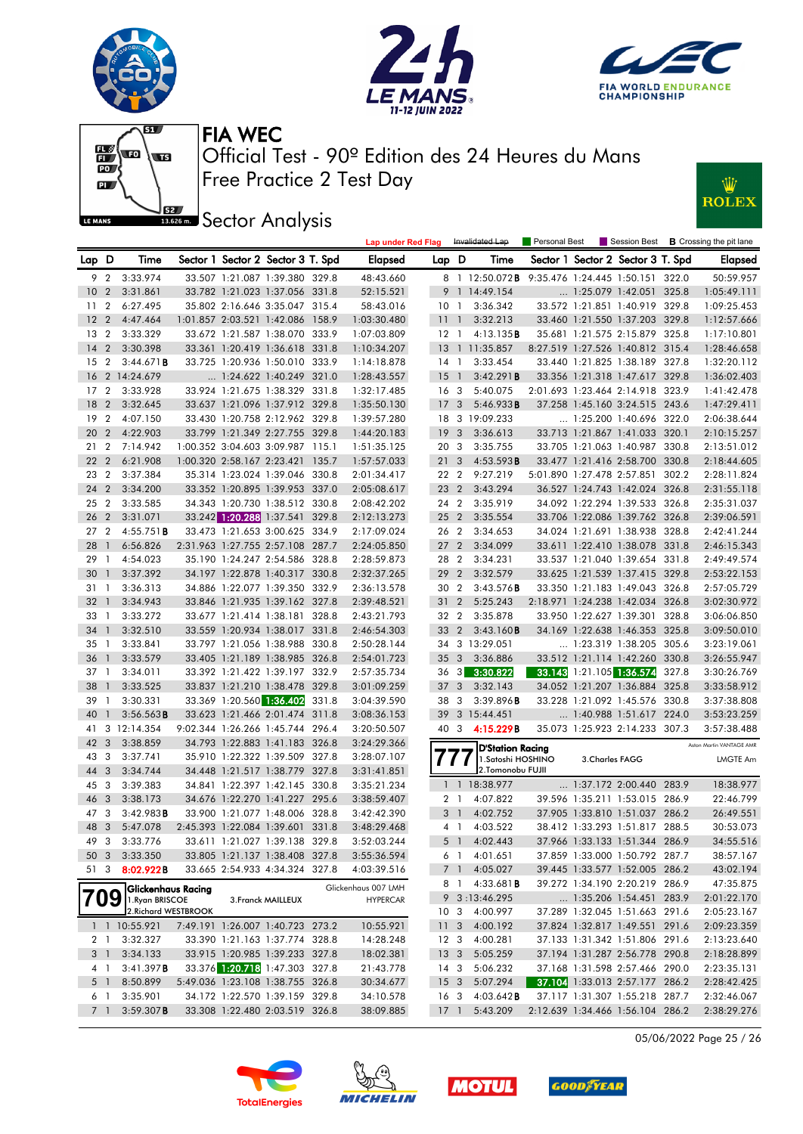





Ŵ

**ROLEX** 



Free Practice 2 Test Day Official Test - 90º Edition des 24 Heures du Mans FIA WEC

**J**BEZ Sector Analysis

|                 |     |                             |  |                                   | Lap under Red Flag  |                 | Invalidated Lap         |                                                 | <b>Personal Best</b> |                 | Session Best <b>B</b> Crossing the pit lane |       |                          |
|-----------------|-----|-----------------------------|--|-----------------------------------|---------------------|-----------------|-------------------------|-------------------------------------------------|----------------------|-----------------|---------------------------------------------|-------|--------------------------|
| Lap D           |     | Time                        |  | Sector 1 Sector 2 Sector 3 T. Spd | <b>Elapsed</b>      | Lap D           |                         | Time                                            |                      |                 | Sector 1 Sector 2 Sector 3 T. Spd           |       | <b>Elapsed</b>           |
|                 | 9 2 | 3:33.974                    |  | 33.507 1:21.087 1:39.380 329.8    | 48:43.660           |                 |                         | 8 1 12:50.072B 9:35.476 1:24.445 1:50.151 322.0 |                      |                 |                                             |       | 50:59.957                |
| 10 <sub>2</sub> |     | 3:31.861                    |  | 33.782 1:21.023 1:37.056 331.8    | 52:15.521           |                 |                         | 9 1 14:49.154                                   |                      |                 | 1:25.079 1:42.051 325.8                     |       | 1:05:49.111              |
| 11 <sub>2</sub> |     | 6:27.495                    |  | 35.802 2:16.646 3:35.047 315.4    | 58:43.016           | 10              | $\overline{1}$          | 3:36.342                                        |                      |                 | 33.572 1:21.851 1:40.919 329.8              |       | 1:09:25.453              |
| 12 <sub>2</sub> |     | 4:47.464                    |  | 1:01.857 2:03.521 1:42.086 158.9  | 1:03:30.480         | $\overline{11}$ | $\overline{1}$          | 3:32.213                                        |                      |                 | 33.460 1:21.550 1:37.203 329.8              |       | 1:12:57.666              |
| 13 <sub>2</sub> |     | 3:33.329                    |  | 33.672 1:21.587 1:38.070 333.9    | 1:07:03.809         |                 | $12-1$                  | 4:13.135B                                       |                      |                 | 35.681 1:21.575 2:15.879 325.8              |       | 1:17:10.801              |
| $14 \quad 2$    |     | 3:30.398                    |  | 33.361 1:20.419 1:36.618 331.8    | 1:10:34.207         | - 13            |                         | 1 11:35.857                                     |                      |                 | 8:27.519 1:27.526 1:40.812 315.4            |       | 1:28:46.658              |
| 15 <sub>2</sub> |     | 3:44.671B                   |  | 33.725 1:20.936 1:50.010 333.9    | 1:14:18.878         | 14              | $\overline{1}$          | 3:33.454                                        |                      |                 | 33.440 1:21.825 1:38.189 327.8              |       | 1:32:20.112              |
|                 |     | 16 2 14:24.679              |  | $\ldots$ 1:24.622 1:40.249 321.0  | 1:28:43.557         | 15              | $\overline{1}$          | 3:42.291B                                       |                      |                 | 33.356 1:21.318 1:47.617 329.8              |       | 1:36:02.403              |
| 17 <sub>2</sub> |     | 3:33.928                    |  | 33.924 1:21.675 1:38.329 331.8    | 1:32:17.485         | 16              | $\overline{\mathbf{3}}$ | 5:40.075                                        |                      |                 | 2:01.693 1:23.464 2:14.918 323.9            |       | 1:41:42.478              |
| 18 2            |     | 3:32.645                    |  | 33.637 1:21.096 1:37.912 329.8    | 1:35:50.130         | 17              | $\mathbf{3}$            | 5:46.933B                                       |                      |                 | 37.258 1:45.160 3:24.515 243.6              |       | 1:47:29.411              |
| 192             |     | 4:07.150                    |  | 33.430 1:20.758 2:12.962 329.8    | 1:39:57.280         |                 |                         | 18 3 19:09.233                                  |                      |                 | 1:25.200 1:40.696 322.0                     |       | 2:06:38.644              |
| 20 2            |     | 4:22.903                    |  | 33.799 1:21.349 2:27.755 329.8    | 1:44:20.183         | 19              | $\mathbf{3}$            | 3:36.613                                        |                      |                 | 33.713 1:21.867 1:41.033 320.1              |       | 2:10:15.257              |
| 21 2            |     | 7:14.942                    |  | 1:00.352 3:04.603 3:09.987 115.1  | 1:51:35.125         | 20              | - 3                     | 3:35.755                                        |                      |                 | 33.705 1:21.063 1:40.987 330.8              |       | 2:13:51.012              |
| 22 2            |     | 6:21.908                    |  | 1:00.320 2:58.167 2:23.421 135.7  | 1:57:57.033         | 21              | $\overline{3}$          | 4:53.593B                                       |                      |                 | 33.477 1:21.416 2:58.700 330.8              |       | 2:18:44.605              |
| 23 2            |     | 3:37.384                    |  | 35.314 1:23.024 1:39.046 330.8    | 2:01:34.417         |                 | 22 2                    | 9:27.219                                        |                      |                 | 5:01.890 1:27.478 2:57.851 302.2            |       | 2:28:11.824              |
| 24 2            |     | 3:34.200                    |  | 33.352 1:20.895 1:39.953 337.0    | 2:05:08.617         | 23              | $\overline{2}$          | 3:43.294                                        |                      |                 | 36.527 1:24.743 1:42.024 326.8              |       | 2:31:55.118              |
| 25 2            |     | 3:33.585                    |  | 34.343 1:20.730 1:38.512 330.8    | 2:08:42.202         |                 | 24 2                    | 3:35.919                                        |                      |                 | 34.092 1:22.294 1:39.533 326.8              |       | 2:35:31.037              |
| 26 <sub>2</sub> |     | 3:31.071                    |  | 33.242 1:20.288 1:37.541 329.8    | 2:12:13.273         | 25              | $\overline{2}$          | 3:35.554                                        |                      |                 | 33.706 1:22.086 1:39.762 326.8              |       | 2:39:06.591              |
| 27 <sub>2</sub> |     | 4:55.751B                   |  | 33.473 1:21.653 3:00.625 334.9    | 2:17:09.024         |                 | 26 2                    | 3:34.653                                        |                      |                 | 34.024 1:21.691 1:38.938 328.8              |       | 2:42:41.244              |
| 28 1            |     | 6:56.826                    |  | 2:31.963 1:27.755 2:57.108 287.7  | 2:24:05.850         | 27              | $\overline{2}$          | 3:34.099                                        |                      |                 | 33.611 1:22.410 1:38.078 331.8              |       | 2:46:15.343              |
| $29-1$          |     | 4:54.023                    |  | 35.190 1:24.247 2:54.586 328.8    | 2:28:59.873         | 28              | $\overline{2}$          | 3:34.231                                        |                      |                 | 33.537 1:21.040 1:39.654 331.8              |       | 2:49:49.574              |
| 30 <sub>1</sub> |     | 3:37.392                    |  | 34.197 1:22.878 1:40.317 330.8    | 2:32:37.265         | 29              | 2                       | 3:32.579                                        |                      |                 | 33.625 1:21.539 1:37.415 329.8              |       | 2:53:22.153              |
| 311             |     | 3:36.313                    |  | 34.886 1:22.077 1:39.350 332.9    | 2:36:13.578         |                 | 30 2                    | $3:43.576$ B                                    |                      |                 | 33.350 1:21.183 1:49.043 326.8              |       | 2:57:05.729              |
| $32 \quad 1$    |     | 3:34.943                    |  | 33.846 1:21.935 1:39.162 327.8    | 2:39:48.521         | 31              | 2                       | 5:25.243                                        |                      |                 | 2:18.971 1:24.238 1:42.034 326.8            |       | 3:02:30.972              |
| 33 1            |     | 3:33.272                    |  | 33.677 1:21.414 1:38.181 328.8    | 2:43:21.793         | 32              | $\overline{2}$          | 3:35.878                                        |                      |                 | 33.950 1:22.627 1:39.301 328.8              |       | 3:06:06.850              |
| 34 1            |     | 3:32.510                    |  | 33.559 1:20.934 1:38.017 331.8    | 2:46:54.303         | 33              | $\overline{2}$          | 3:43.160B                                       |                      |                 | 34.169 1:22.638 1:46.353 325.8              |       | 3:09:50.010              |
| 35 1            |     | 3:33.841                    |  | 33.797 1:21.056 1:38.988 330.8    | 2:50:28.144         |                 |                         | 34 3 13:29.051                                  |                      |                 | 1:23.319 1:38.205 305.6                     |       | 3:23:19.061              |
| 36 1            |     | 3:33.579                    |  | 33.405 1:21.189 1:38.985 326.8    | 2:54:01.723         | 35              | $\mathbf{3}$            | 3:36.886                                        |                      |                 | 33.512 1:21.114 1:42.260 330.8              |       | 3:26:55.947              |
| $37-1$          |     | 3:34.011                    |  | 33.392 1:21.422 1:39.197 332.9    | 2:57:35.734         | 36              |                         | $3\quad 3:30.822$                               |                      |                 | 33.143 1:21.105 1:36.574                    | 327.8 | 3:30:26.769              |
| 38 1            |     | 3:33.525                    |  | 33.837 1:21.210 1:38.478 329.8    | 3:01:09.259         | 37              | $\overline{3}$          | 3:32.143                                        |                      |                 | 34.052 1:21.207 1:36.884 325.8              |       | 3:33:58.912              |
| 39 1            |     | 3:30.331                    |  | 33.369 1:20.560 1:36.402 331.8    | 3:04:39.590         | 38              | $\overline{3}$          | 3:39.896B                                       |                      |                 | 33.228 1:21.092 1:45.576 330.8              |       | 3:37:38.808              |
| 40 1            |     | 3:56.563B                   |  | 33.623 1:21.466 2:01.474 311.8    | 3:08:36.153         | 39              |                         | 3 15:44.451                                     |                      |                 | 1:40.988 1:51.617 224.0                     |       | 3:53:23.259              |
|                 |     | 41 3 12:14.354              |  | 9:02.344 1:26.266 1:45.744 296.4  | 3:20:50.507         | 40              |                         | $3\quad 4:15.229B$                              |                      |                 | 35.073 1:25.923 2:14.233 307.3              |       | 3:57:38.488              |
| 42 3            |     | 3:38.859                    |  | 34.793 1:22.883 1:41.183 326.8    | 3:24:29.366         |                 |                         | <b>D'Station Racing</b>                         |                      |                 |                                             |       | Aston Martin VANTAGE AMR |
| 43 3            |     | 3:37.741                    |  | 35.910 1:22.322 1:39.509 327.8    | 3:28:07.107         |                 | $\prime\prime$          | 1.Satoshi HOSHINO                               |                      | 3. Charles FAGG |                                             |       | LMGTE Am                 |
| 44 3            |     | 3:34.744                    |  | 34.448 1:21.517 1:38.779 327.8    | 3:31:41.851         |                 |                         | 2. Tomonobu FUJII                               |                      |                 |                                             |       |                          |
| 45 3            |     | 3:39.383                    |  | 34.841 1:22.397 1:42.145 330.8    | 3:35:21.234         |                 |                         | 1 1 18:38.977                                   |                      |                 | 1:37.172 2:00.440 283.9                     |       | 18:38.977                |
| 46 3            |     | 3:38.173                    |  | 34.676 1:22.270 1:41.227 295.6    | 3:38:59.407         |                 | 2 <sub>1</sub>          | 4:07.822                                        |                      |                 | 39.596 1:35.211 1:53.015 286.9              |       | 22:46.799                |
| 47 3            |     | 3:42.983B                   |  | 33.900 1:21.077 1:48.006 328.8    | 3:42:42.390         |                 | 3 <sup>1</sup>          | 4:02.752                                        |                      |                 | 37.905 1:33.810 1:51.037 286.2              |       | 26:49.551                |
| 48 3            |     | 5:47.078                    |  | 2:45.393 1:22.084 1:39.601 331.8  | 3:48:29.468         |                 | 4 1                     | 4:03.522                                        |                      |                 | 38.412 1:33.293 1:51.817 288.5              |       | 30:53.073                |
| 49 3            |     | 3:33.776                    |  | 33.611 1:21.027 1:39.138 329.8    | 3:52:03.244         |                 |                         | 5 1 4:02.443                                    |                      |                 | 37.966 1:33.133 1:51.344 286.9              |       | 34:55.516                |
| 50 3            |     | 3:33.350                    |  | 33.805 1:21.137 1:38.408 327.8    | 3:55:36.594         |                 | 6 1                     | 4:01.651                                        |                      |                 | 37.859 1:33.000 1:50.792 287.7              |       | 38:57.167                |
| 51 3            |     | 8:02.922B                   |  | 33.665 2:54.933 4:34.324 327.8    | 4:03:39.516         |                 | 7 1                     | 4:05.027                                        |                      |                 | 39.445 1:33.577 1:52.005 286.2              |       | 43:02.194                |
|                 |     | Glickenhaus Racing          |  |                                   | Glickenhaus 007 LMH |                 | 81                      | 4:33.681B                                       |                      |                 | 39.272 1:34.190 2:20.219 286.9              |       | 47:35.875                |
| 709             |     | 1. Ryan BRISCOE             |  | 3. Franck MAILLEUX                | <b>HYPERCAR</b>     |                 |                         | 9 3:13:46.295                                   |                      |                 | 1:35.206 1:54.451 283.9                     |       | 2:01:22.170              |
|                 |     | 2. Richard WESTBROOK        |  |                                   |                     |                 | 10 <sub>3</sub>         | 4:00.997                                        |                      |                 | 37.289 1:32.045 1:51.663 291.6              |       | 2:05:23.167              |
|                 |     | $1 \quad 1 \quad 10:55.921$ |  | 7:49.191 1:26.007 1:40.723 273.2  | 10:55.921           | 11 <sub>3</sub> |                         | 4:00.192                                        |                      |                 | 37.824 1:32.817 1:49.551 291.6              |       | 2:09:23.359              |
|                 | 2 1 | 3:32.327                    |  | 33.390 1:21.163 1:37.774 328.8    | 14:28.248           |                 | 12 <sup>3</sup>         | 4:00.281                                        |                      |                 | 37.133 1:31.342 1:51.806 291.6              |       | 2:13:23.640              |
|                 | 3 1 | 3:34.133                    |  | 33.915 1:20.985 1:39.233 327.8    | 18:02.381           | 13 <sub>3</sub> |                         | 5:05.259                                        |                      |                 | 37.194 1:31.287 2:56.778 290.8              |       | 2:18:28.899              |
|                 | 41  | 3:41.397B                   |  | 33.376 1:20.718 1:47.303 327.8    | 21:43.778           |                 | 14 3                    | 5:06.232                                        |                      |                 | 37.168 1:31.598 2:57.466 290.0              |       | 2:23:35.131              |
|                 | 5 1 | 8:50.899                    |  | 5:49.036 1:23.108 1:38.755 326.8  | 30:34.677           | 15 <sub>3</sub> |                         | 5:07.294                                        |                      |                 | 37.104 1:33.013 2:57.177 286.2              |       | 2:28:42.425              |
|                 | 61  | 3:35.901                    |  | 34.172 1:22.570 1:39.159 329.8    | 34:10.578           |                 | 16 3                    | $4:03.642$ <b>B</b>                             |                      |                 | 37.117 1:31.307 1:55.218 287.7              |       | 2:32:46.067              |
|                 | 7 1 | 3:59.307B                   |  | 33.308 1:22.480 2:03.519 326.8    | 38:09.885           | $17-1$          |                         | 5:43.209                                        |                      |                 | 2:12.639 1:34.466 1:56.104 286.2            |       | 2:38:29.276              |

05/06/2022 Page 25 / 26